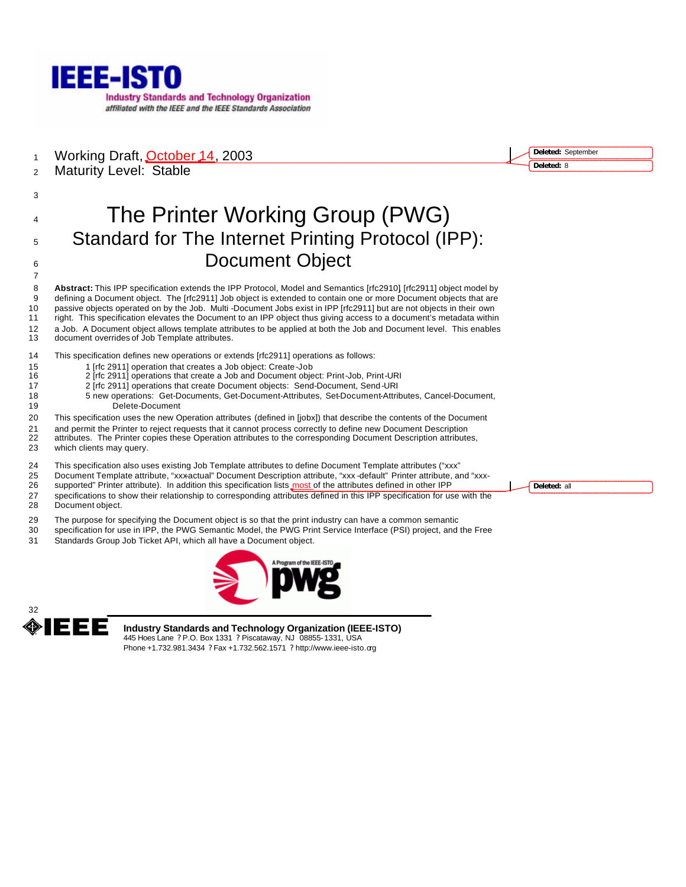

1 Working Draft, **October 14**, 2003

Maturity Level: Stable

# The Printer Working Group (PWG) Standard for The Internet Printing Protocol (IPP): **Document Object**

 **Abstract:** This IPP specification extends the IPP Protocol, Model and Semantics [rfc2910], [rfc2911] object model by defining a Document object. The [rfc2911] Job object is extended to contain one or more Document objects that are passive objects operated on by the Job. Multi -Document Jobs exist in IPP [rfc2911] but are not objects in their own right. This specification elevates the Document to an IPP object thus giving access to a document's metadata within a Job. A Document object allows template attributes to be applied at both the Job and Document level. This enables document overrides of Job Template attributes.

This specification defines new operations or extends [rfc2911] operations as follows:

- 1 [rfc 2911] operation that creates a Job object: Create-Job
- 2 [rfc 2911] operations that create a Job and Document object: Print-Job, Print-URI
- 2 [rfc 2911] operations that create Document objects: Send-Document, Send-URI
- 5 new operations: Get-Documents, Get-Document-Attributes, Set-Document-Attributes, Cancel-Document, Delete-Document
- This specification uses the new Operation attributes (defined in [jobx]) that describe the contents of the Document
- and permit the Printer to reject requests that it cannot process correctly to define new Document Description
- attributes. The Printer copies these Operation attributes to the corresponding Document Description attributes,
- which clients may query.
- This specification also uses existing Job Template attributes to define Document Template attributes ("xxx"
- 25 Document Template attribute, "xxx-actual" Document Description attribute, "xxx -default" Printer attribute, and "xxx-<br>26 supported" Printer attribute). In addition this specification lists most of the attributes defined
- supported" Printer attribute). In addition this specification lists most of the attributes defined in other IPP specifications to show their relationship to corresponding attributes defined in this IPP specification for use with the
- Document object.
- The purpose for specifying the Document object is so that the print industry can have a common semantic
- specification for use in IPP, the PWG Semantic Model, the PWG Print Service Interface (PSI) project, and the Free
- Standards Group Job Ticket API, which all have a Document object.





**Industry Standards and Technology Organization (IEEE-ISTO)** 445 Hoes Lane ? P.O. Box 1331 ? Piscataway, NJ 08855-1331, USA Phone +1.732.981.3434 ? Fax +1.732.562.1571 ? http://www.ieee-isto.org

**Deleted:** all

**Deleted:** September **Deleted:** 8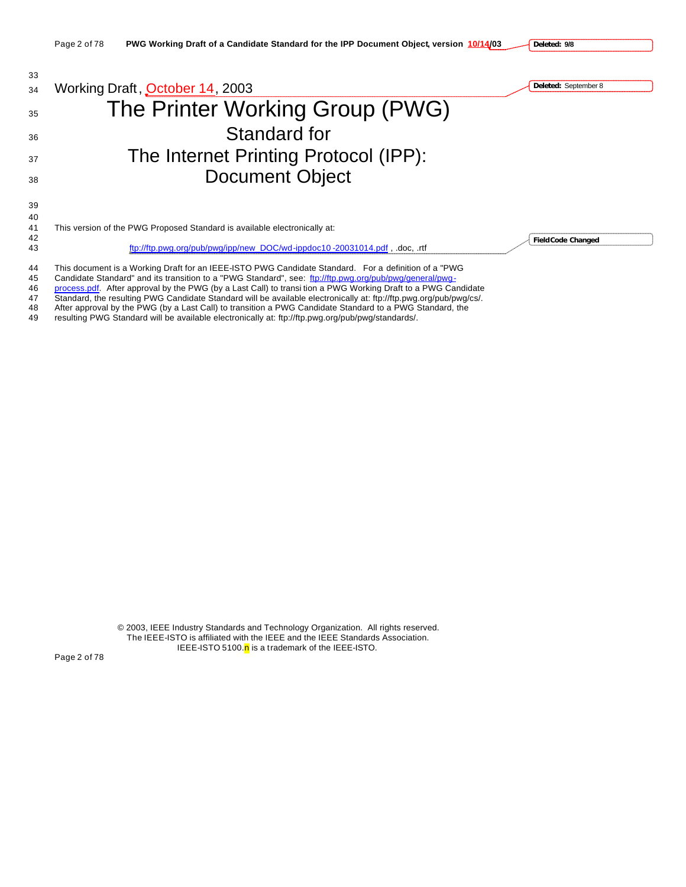

46 process.pdf. After approval by the PWG (by a Last Call) to transi tion a PWG Working Draft to a PWG Candidate

47 Standard, the resulting PWG Candidate Standard will be available electronically at: ftp://ftp.pwg.org/pub/pwg/cs/.<br>48 After approval by the PWG (by a Last Call) to transition a PWG Candidate Standard to a PWG Standard, After approval by the PWG (by a Last Call) to transition a PWG Candidate Standard to a PWG Standard, the

49 resulting PWG Standard will be available electronically at: ftp://ftp.pwg.org/pub/pwg/standards/.

© 2003, IEEE Industry Standards and Technology Organization. All rights reserved. The IEEE-ISTO is affiliated with the IEEE and the IEEE Standards Association. IEEE-ISTO 5100.n is a trademark of the IEEE-ISTO.

Page 2 of 78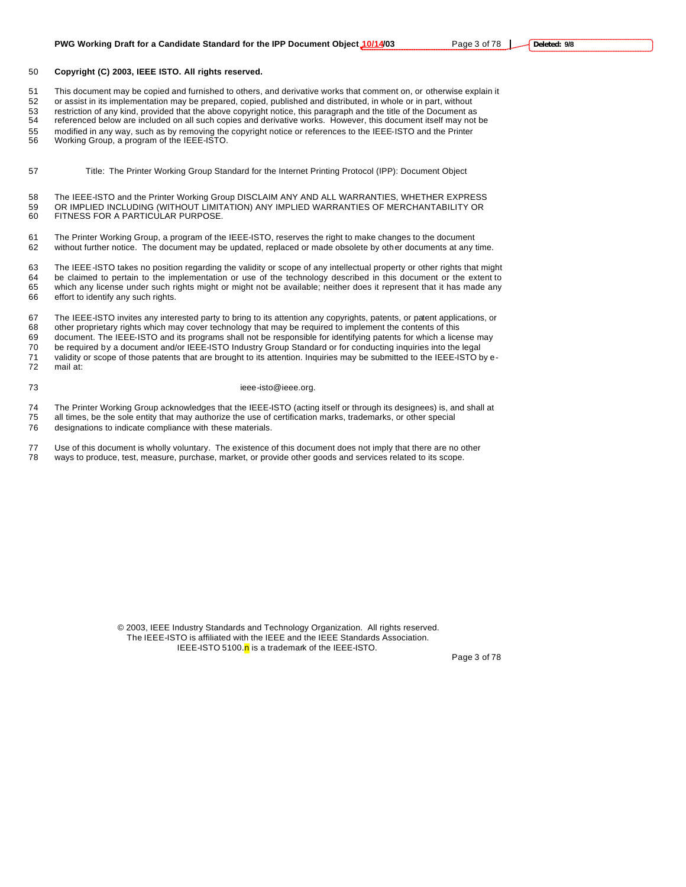#### **Copyright (C) 2003, IEEE ISTO. All rights reserved.**

This document may be copied and furnished to others, and derivative works that comment on, or otherwise explain it

or assist in its implementation may be prepared, copied, published and distributed, in whole or in part, without

 restriction of any kind, provided that the above copyright notice, this paragraph and the title of the Document as referenced below are included on all such copies and derivative works. However, this document itself may not be

modified in any way, such as by removing the copyright notice or references to the IEEE-ISTO and the Printer

Working Group, a program of the IEEE-ISTO.

Title: The Printer Working Group Standard for the Internet Printing Protocol (IPP): Document Object

 The IEEE-ISTO and the Printer Working Group DISCLAIM ANY AND ALL WARRANTIES, WHETHER EXPRESS OR IMPLIED INCLUDING (WITHOUT LIMITATION) ANY IMPLIED WARRANTIES OF MERCHANTABILITY OR FITNESS FOR A PARTICULAR PURPOSE.

 The Printer Working Group, a program of the IEEE-ISTO, reserves the right to make changes to the document without further notice. The document may be updated, replaced or made obsolete by other documents at any time.

 The IEEE-ISTO takes no position regarding the validity or scope of any intellectual property or other rights that might be claimed to pertain to the implementation or use of the technology described in this document or the extent to which any license under such rights might or might not be available; neither does it represent that it has made any effort to identify any such rights.

 The IEEE-ISTO invites any interested party to bring to its attention any copyrights, patents, or patent applications, or other proprietary rights which may cover technology that may be required to implement the contents of this document. The IEEE-ISTO and its programs shall not be responsible for identifying patents for which a license may be required by a document and/or IEEE-ISTO Industry Group Standard or for conducting inquiries into the legal 71 validity or scope of those patents that are brought to its attention. Inquiries may be submitted to the IEEE-ISTO by e-<br>72 mail at: mail at:

#### 73 ieee-isto@ieee.org.

74 The Printer Working Group acknowledges that the IEEE-ISTO (acting itself or through its designees) is, and shall at 75 all times be the sole entity that may authorize the use of certification marks, trademarks, or other

- all times, be the sole entity that may authorize the use of certification marks, trademarks, or other special
- designations to indicate compliance with these materials.
- Use of this document is wholly voluntary. The existence of this document does not imply that there are no other ways to produce, test, measure, purchase, market, or provide other goods and services related to its scope.

© 2003, IEEE Industry Standards and Technology Organization. All rights reserved. The IEEE-ISTO is affiliated with the IEEE and the IEEE Standards Association. IEEE-ISTO 5100. $n$  is a trademark of the IEEE-ISTO.

Page 3 of 78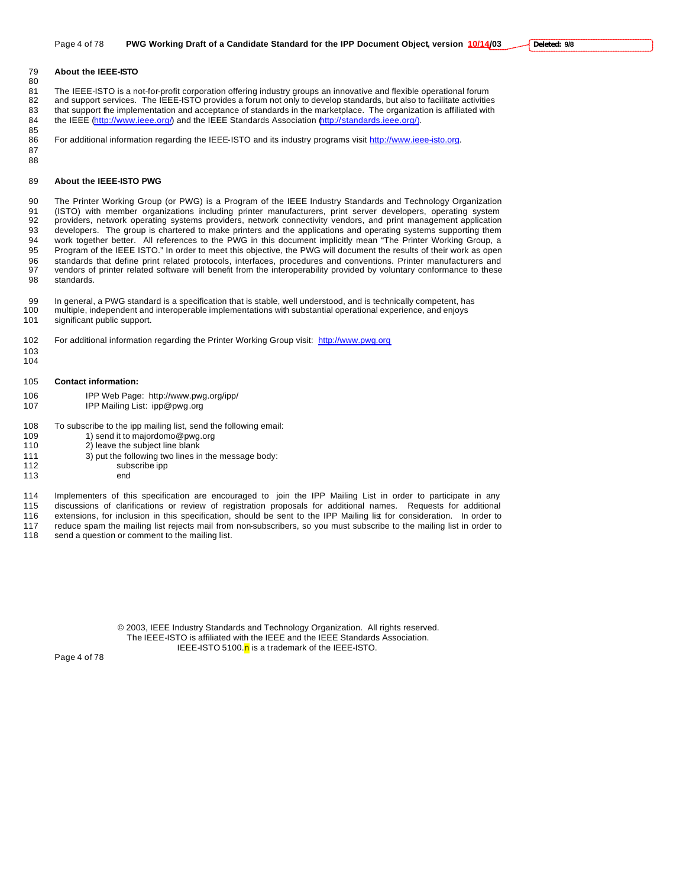#### **About the IEEE-ISTO**

81 The IEEE-ISTO is a not-for-profit corporation offering industry groups an innovative and flexible operational forum<br>82 and support services. The IEEE-ISTO provides a forum not only to develop standards, but also to faci and support services. The IEEE-ISTO provides a forum not only to develop standards, but also to facilitate activities that support the implementation and acceptance of standards in the marketplace. The organization is affiliated with 84 the IEEE (http://www.ieee.org/) and the IEEE Standards Association (http://standards.ieee.org/).

85<br>86 For additional information regarding the IEEE-ISTO and its industry programs visit http://www.ieee-isto.org.

**About the IEEE-ISTO PWG**

 The Printer Working Group (or PWG) is a Program of the IEEE Industry Standards and Technology Organization (ISTO) with member organizations including printer manufacturers, print server developers, operating system providers, network operating systems providers, network connectivity vendors, and print management application developers. The group is chartered to make printers and the applications and operating systems supporting them work together better. All references to the PWG in this document implicitly mean "The Printer Working Group, a Program of the IEEE ISTO." In order to meet this objective, the PWG will document the results of their work as open standards that define print related protocols, interfaces, procedures and conventions. Printer manufacturers and vendors of printer related software will benefit from the interoperability provided by voluntary conformance to these standards.

 In general, a PWG standard is a specification that is stable, well understood, and is technically competent, has multiple, independent and interoperable implementations with substantial operational experience, and enjoys significant public support.

- For additional information regarding the Printer Working Group visit: http://www.pwg.org
- 

 

- 
- **Contact information:**
- IPP Web Page: http://www.pwg.org/ipp/ IPP Mailing List: ipp@pwg.org
- To subscribe to the ipp mailing list, send the following email:
- 109 1) send it to majordomo@pwg.org
- 2) leave the subject line blank
- 3) put the following two lines in the message body:
- 112 subscribe ipp
- end
- Implementers of this specification are encouraged to join the IPP Mailing List in order to participate in any
- discussions of clarifications or review of registration proposals for additional names. Requests for additional
- extensions, for inclusion in this specification, should be sent to the IPP Mailing list for consideration. In order to 117 reduce spam the mailing list rejects mail from non-subscribers, so you must subscribe to the mailing list in order to 118 send a question or comment to the mailing list.
- send a question or comment to the mailing list.

© 2003, IEEE Industry Standards and Technology Organization. All rights reserved. The IEEE-ISTO is affiliated with the IEEE and the IEEE Standards Association. IEEE-ISTO 5100.n is a trademark of the IEEE-ISTO.

Page 4 of 78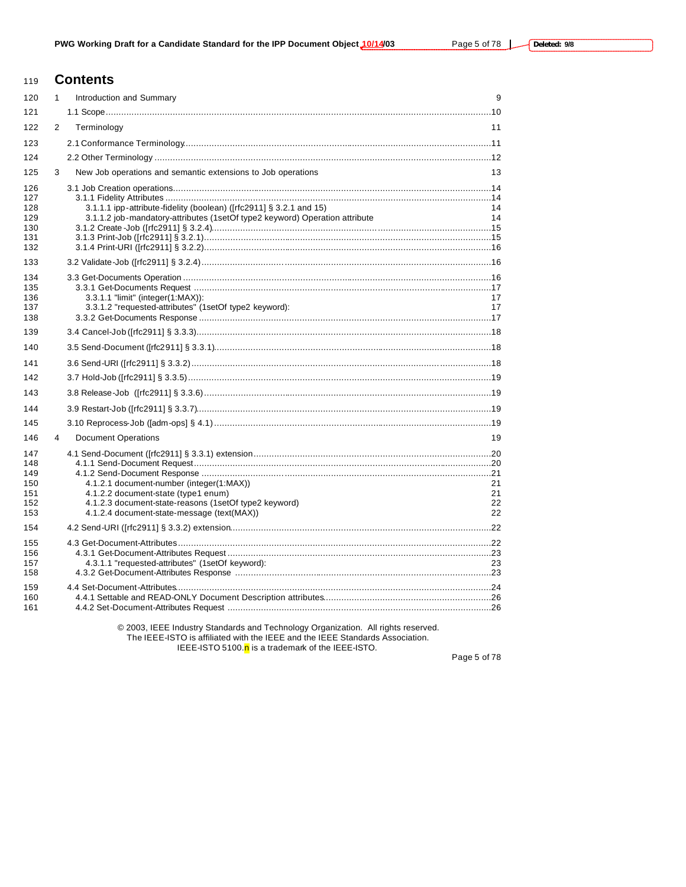# **Contents**

| 120                                           | 1             | Introduction and Summary                                                                                                                                                               | 9                    |
|-----------------------------------------------|---------------|----------------------------------------------------------------------------------------------------------------------------------------------------------------------------------------|----------------------|
| 121                                           |               |                                                                                                                                                                                        |                      |
| 122                                           | $\mathcal{P}$ | Terminology                                                                                                                                                                            | 11                   |
| 123                                           |               |                                                                                                                                                                                        |                      |
| 124                                           |               |                                                                                                                                                                                        |                      |
| 125                                           | 3             | New Job operations and semantic extensions to Job operations                                                                                                                           | 13                   |
| 126<br>127<br>128<br>129<br>130<br>131<br>132 |               | 3.1.1.1 ipp-attribute-fidelity (boolean) ([rfc2911] § 3.2.1 and 15)<br>3.1.1.2 job-mandatory-attributes (1setOf type2 keyword) Operation attribute                                     | 14<br>14             |
| 133                                           |               |                                                                                                                                                                                        |                      |
| 134<br>135<br>136<br>137<br>138               |               | 3.3.1.1 "limit" (integer(1:MAX)):<br>3.3.1.2 "requested-attributes" (1setOf type2 keyword):                                                                                            | 17<br>17             |
| 139                                           |               |                                                                                                                                                                                        |                      |
| 140                                           |               |                                                                                                                                                                                        |                      |
| 141                                           |               |                                                                                                                                                                                        |                      |
| 142                                           |               |                                                                                                                                                                                        |                      |
| 143                                           |               |                                                                                                                                                                                        |                      |
| 144                                           |               |                                                                                                                                                                                        |                      |
| 145                                           |               |                                                                                                                                                                                        |                      |
| 146                                           | 4             | <b>Document Operations</b>                                                                                                                                                             | 19                   |
| 147<br>148<br>149<br>150<br>151<br>152<br>153 |               | 4.1.2.1 document-number (integer(1:MAX))<br>4.1.2.2 document-state (type1 enum)<br>4.1.2.3 document-state-reasons (1setOf type2 keyword)<br>4.1.2.4 document-state-message (text(MAX)) | 21<br>21<br>22<br>22 |
| 154                                           |               |                                                                                                                                                                                        |                      |
| 155<br>156<br>157<br>158                      |               | 4.3.1.1 "requested-attributes" (1setOf keyword):                                                                                                                                       | 23                   |
| 159<br>160<br>161                             |               |                                                                                                                                                                                        |                      |

© 2003, IEEE Industry Standards and Technology Organization. All rights reserved. The IEEE-ISTO is affiliated with the IEEE and the IEEE Standards Association.

IEEE-ISTO 5100.<sup>n</sup> is a trademark of the IEEE-ISTO.

Page 5 of 78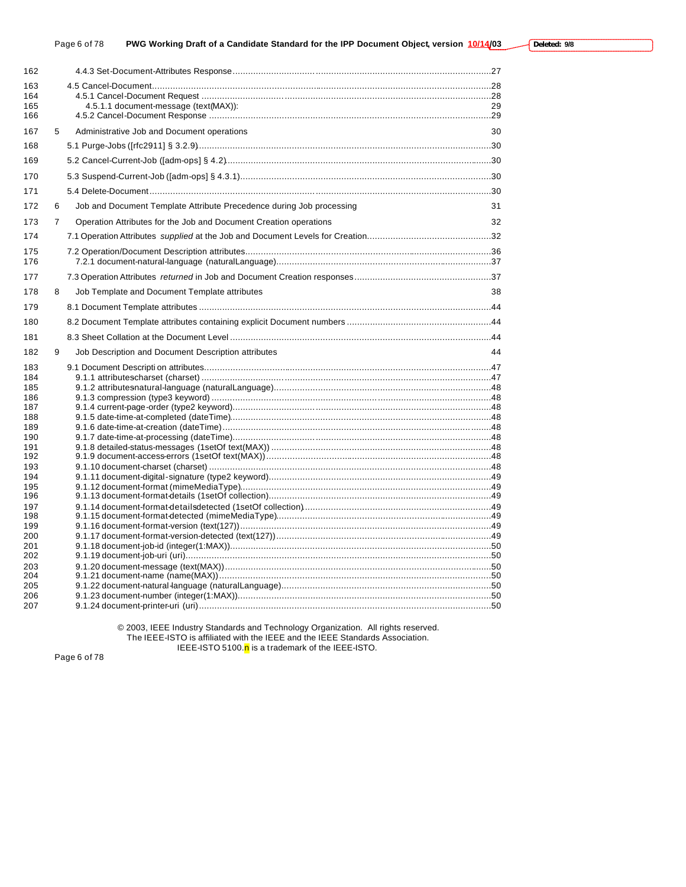| 163<br>164<br>4.5.1.1 document-message (text(MAX)):<br>165<br>29<br>166<br>Administrative Job and Document operations<br>167<br>5<br>30<br>168<br>169<br>170<br>171<br>Job and Document Template Attribute Precedence during Job processing<br>31<br>172<br>6<br>Operation Attributes for the Job and Document Creation operations<br>$\overline{7}$<br>32<br>173<br>174<br>175<br>176<br>177<br>178<br>Job Template and Document Template attributes<br>38<br>8<br>179<br>180<br>181<br>182<br>9<br>Job Description and Document Description attributes<br>44<br>183<br>184<br>185<br>186<br>187<br>188<br>189<br>190<br>191<br>192<br>193<br>194<br>195<br>196<br>197<br>198<br>199<br>200<br>201<br>202<br>203<br>204<br>205<br>206<br>207 | 162 |  |  |
|-----------------------------------------------------------------------------------------------------------------------------------------------------------------------------------------------------------------------------------------------------------------------------------------------------------------------------------------------------------------------------------------------------------------------------------------------------------------------------------------------------------------------------------------------------------------------------------------------------------------------------------------------------------------------------------------------------------------------------------------------|-----|--|--|
|                                                                                                                                                                                                                                                                                                                                                                                                                                                                                                                                                                                                                                                                                                                                               |     |  |  |
|                                                                                                                                                                                                                                                                                                                                                                                                                                                                                                                                                                                                                                                                                                                                               |     |  |  |
|                                                                                                                                                                                                                                                                                                                                                                                                                                                                                                                                                                                                                                                                                                                                               |     |  |  |
|                                                                                                                                                                                                                                                                                                                                                                                                                                                                                                                                                                                                                                                                                                                                               |     |  |  |
|                                                                                                                                                                                                                                                                                                                                                                                                                                                                                                                                                                                                                                                                                                                                               |     |  |  |
|                                                                                                                                                                                                                                                                                                                                                                                                                                                                                                                                                                                                                                                                                                                                               |     |  |  |
|                                                                                                                                                                                                                                                                                                                                                                                                                                                                                                                                                                                                                                                                                                                                               |     |  |  |
|                                                                                                                                                                                                                                                                                                                                                                                                                                                                                                                                                                                                                                                                                                                                               |     |  |  |
|                                                                                                                                                                                                                                                                                                                                                                                                                                                                                                                                                                                                                                                                                                                                               |     |  |  |
|                                                                                                                                                                                                                                                                                                                                                                                                                                                                                                                                                                                                                                                                                                                                               |     |  |  |
|                                                                                                                                                                                                                                                                                                                                                                                                                                                                                                                                                                                                                                                                                                                                               |     |  |  |
|                                                                                                                                                                                                                                                                                                                                                                                                                                                                                                                                                                                                                                                                                                                                               |     |  |  |
|                                                                                                                                                                                                                                                                                                                                                                                                                                                                                                                                                                                                                                                                                                                                               |     |  |  |
|                                                                                                                                                                                                                                                                                                                                                                                                                                                                                                                                                                                                                                                                                                                                               |     |  |  |
|                                                                                                                                                                                                                                                                                                                                                                                                                                                                                                                                                                                                                                                                                                                                               |     |  |  |
|                                                                                                                                                                                                                                                                                                                                                                                                                                                                                                                                                                                                                                                                                                                                               |     |  |  |
|                                                                                                                                                                                                                                                                                                                                                                                                                                                                                                                                                                                                                                                                                                                                               |     |  |  |
|                                                                                                                                                                                                                                                                                                                                                                                                                                                                                                                                                                                                                                                                                                                                               |     |  |  |
|                                                                                                                                                                                                                                                                                                                                                                                                                                                                                                                                                                                                                                                                                                                                               |     |  |  |
|                                                                                                                                                                                                                                                                                                                                                                                                                                                                                                                                                                                                                                                                                                                                               |     |  |  |
|                                                                                                                                                                                                                                                                                                                                                                                                                                                                                                                                                                                                                                                                                                                                               |     |  |  |
|                                                                                                                                                                                                                                                                                                                                                                                                                                                                                                                                                                                                                                                                                                                                               |     |  |  |
|                                                                                                                                                                                                                                                                                                                                                                                                                                                                                                                                                                                                                                                                                                                                               |     |  |  |
|                                                                                                                                                                                                                                                                                                                                                                                                                                                                                                                                                                                                                                                                                                                                               |     |  |  |
|                                                                                                                                                                                                                                                                                                                                                                                                                                                                                                                                                                                                                                                                                                                                               |     |  |  |
|                                                                                                                                                                                                                                                                                                                                                                                                                                                                                                                                                                                                                                                                                                                                               |     |  |  |
|                                                                                                                                                                                                                                                                                                                                                                                                                                                                                                                                                                                                                                                                                                                                               |     |  |  |
|                                                                                                                                                                                                                                                                                                                                                                                                                                                                                                                                                                                                                                                                                                                                               |     |  |  |
|                                                                                                                                                                                                                                                                                                                                                                                                                                                                                                                                                                                                                                                                                                                                               |     |  |  |
|                                                                                                                                                                                                                                                                                                                                                                                                                                                                                                                                                                                                                                                                                                                                               |     |  |  |
|                                                                                                                                                                                                                                                                                                                                                                                                                                                                                                                                                                                                                                                                                                                                               |     |  |  |
|                                                                                                                                                                                                                                                                                                                                                                                                                                                                                                                                                                                                                                                                                                                                               |     |  |  |
|                                                                                                                                                                                                                                                                                                                                                                                                                                                                                                                                                                                                                                                                                                                                               |     |  |  |
|                                                                                                                                                                                                                                                                                                                                                                                                                                                                                                                                                                                                                                                                                                                                               |     |  |  |
|                                                                                                                                                                                                                                                                                                                                                                                                                                                                                                                                                                                                                                                                                                                                               |     |  |  |
|                                                                                                                                                                                                                                                                                                                                                                                                                                                                                                                                                                                                                                                                                                                                               |     |  |  |
|                                                                                                                                                                                                                                                                                                                                                                                                                                                                                                                                                                                                                                                                                                                                               |     |  |  |
|                                                                                                                                                                                                                                                                                                                                                                                                                                                                                                                                                                                                                                                                                                                                               |     |  |  |

© 2003, IEEE Industry Standards and Technology Organization. All rights reserved. The IEEE-ISTO is affiliated with the IEEE and the IEEE Standards Association. IEEE-ISTO 5100.<sup>n</sup> is a trademark of the IEEE-ISTO.

Page 6 of 78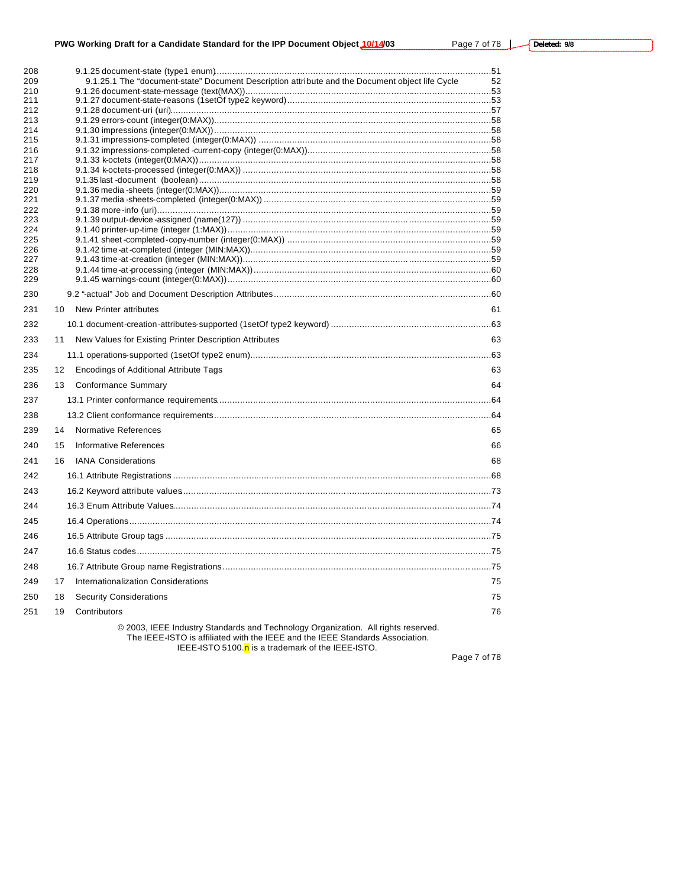# **PWG Working Draft for a Candidate Standard for the IPP Document Object 10/14/03** Page 7 of 78 L

| 208        | 9.1.25.1 The "document-state" Document Description attribute and the Document object life Cycle |    |
|------------|-------------------------------------------------------------------------------------------------|----|
| 209<br>210 |                                                                                                 | 52 |
| 211        |                                                                                                 |    |
| 212        |                                                                                                 |    |
| 213        |                                                                                                 |    |
| 214        |                                                                                                 |    |
| 215        |                                                                                                 |    |
| 216<br>217 |                                                                                                 |    |
| 218        |                                                                                                 |    |
| 219        |                                                                                                 |    |
| 220        |                                                                                                 |    |
| 221        |                                                                                                 |    |
| 222<br>223 |                                                                                                 |    |
| 224        |                                                                                                 |    |
| 225        |                                                                                                 |    |
| 226        |                                                                                                 |    |
| 227        |                                                                                                 |    |
| 228<br>229 |                                                                                                 |    |
|            |                                                                                                 |    |
| 230        | 10                                                                                              | 61 |
| 231        | New Printer attributes                                                                          |    |
| 232        |                                                                                                 |    |
| 233        | New Values for Existing Printer Description Attributes<br>11                                    | 63 |
| 234        |                                                                                                 |    |
| 235        | 12<br><b>Encodings of Additional Attribute Tags</b>                                             | 63 |
| 236        | 13<br>Conformance Summary                                                                       | 64 |
| 237        |                                                                                                 |    |
| 238        |                                                                                                 |    |
| 239        | 14<br><b>Normative References</b>                                                               | 65 |
| 240        | Informative References<br>15                                                                    | 66 |
| 241        | 16<br><b>IANA Considerations</b>                                                                | 68 |
| 242        |                                                                                                 |    |
| 243        |                                                                                                 |    |
| 244        |                                                                                                 |    |
| 245        |                                                                                                 |    |
| 246        |                                                                                                 |    |
| 247        |                                                                                                 |    |
| 248        |                                                                                                 |    |
| 249        | 17<br>Internationalization Considerations                                                       | 75 |
| 250        | <b>Security Considerations</b><br>18                                                            | 75 |
| 251        | 19<br>Contributors                                                                              | 76 |
|            | © 2003, IEEE Industry Standards and Technology Organization. All rights reserved.               |    |

The IEEE-ISTO is affiliated with the IEEE and the IEEE Standards Association.

IEEE-ISTO 5100.<mark>n</mark> is a trademark of the IEEE-ISTO.

Page 7 of 78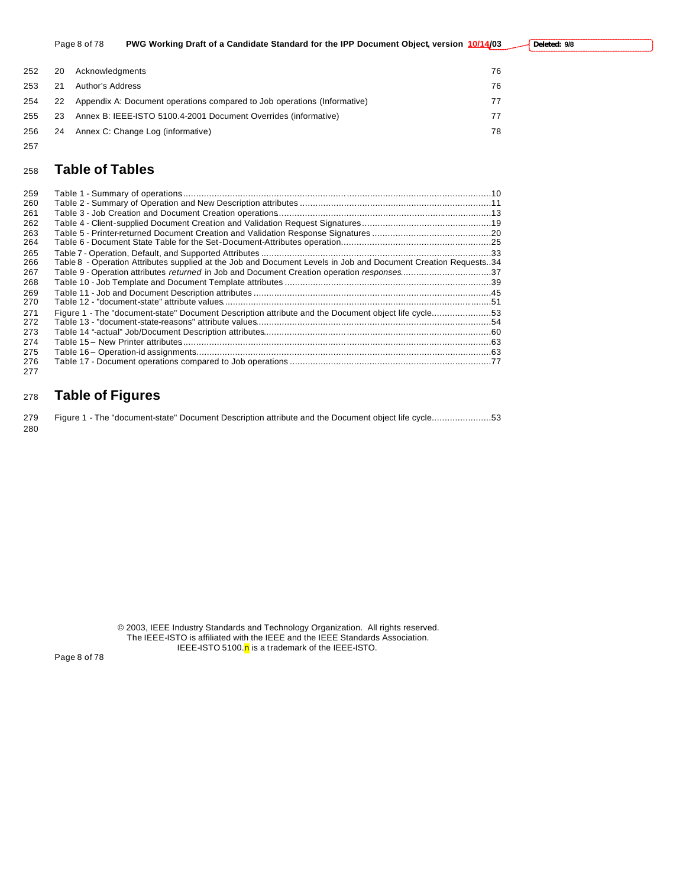|      |    | Page 8 of 78     | PWG Working Draft of a Candidate Standard for the IPP Document Object, version 10/14/03 | Deleted: 9/8 |
|------|----|------------------|-----------------------------------------------------------------------------------------|--------------|
| 252. | 20 | Acknowledgments  |                                                                                         | 76           |
| 253  | 21 | Author's Address |                                                                                         | 76           |
| 254  | 22 |                  | Appendix A: Document operations compared to Job operations (Informative)                | 77           |
| 255  | 23 |                  | Annex B: IEEE-ISTO 5100.4-2001 Document Overrides (informative)                         | 77           |
| 256  | 24 |                  | Annex C: Change Log (informative)                                                       | 78           |

# **Table of Tables**

| 259 |                                                                                                                |  |
|-----|----------------------------------------------------------------------------------------------------------------|--|
| 260 |                                                                                                                |  |
| 261 |                                                                                                                |  |
| 262 |                                                                                                                |  |
| 263 |                                                                                                                |  |
| 264 |                                                                                                                |  |
| 265 |                                                                                                                |  |
| 266 | Table 8 - Operation Attributes supplied at the Job and Document Levels in Job and Document Creation Requests34 |  |
| 267 | Table 9 - Operation attributes returned in Job and Document Creation operation responses37                     |  |
| 268 |                                                                                                                |  |
| 269 |                                                                                                                |  |
| 270 |                                                                                                                |  |
| 271 | Figure 1 - The "document-state" Document Description attribute and the Document object life cycle53            |  |
| 272 |                                                                                                                |  |
| 273 |                                                                                                                |  |
| 274 |                                                                                                                |  |
| 275 |                                                                                                                |  |
| 276 |                                                                                                                |  |
| 277 |                                                                                                                |  |

# **Table of Figures**

|     | 279 Figure 1 - The "document-state" Document Description attribute and the Document object life cycle53 |  |
|-----|---------------------------------------------------------------------------------------------------------|--|
| 280 |                                                                                                         |  |

© 2003, IEEE Industry Standards and Technology Organization. All rights reserved. The IEEE-ISTO is affiliated with the IEEE and the IEEE Standards Association. IEEE-ISTO 5100.<sup>n</sup> is a trademark of the IEEE-ISTO.

Page 8 of 78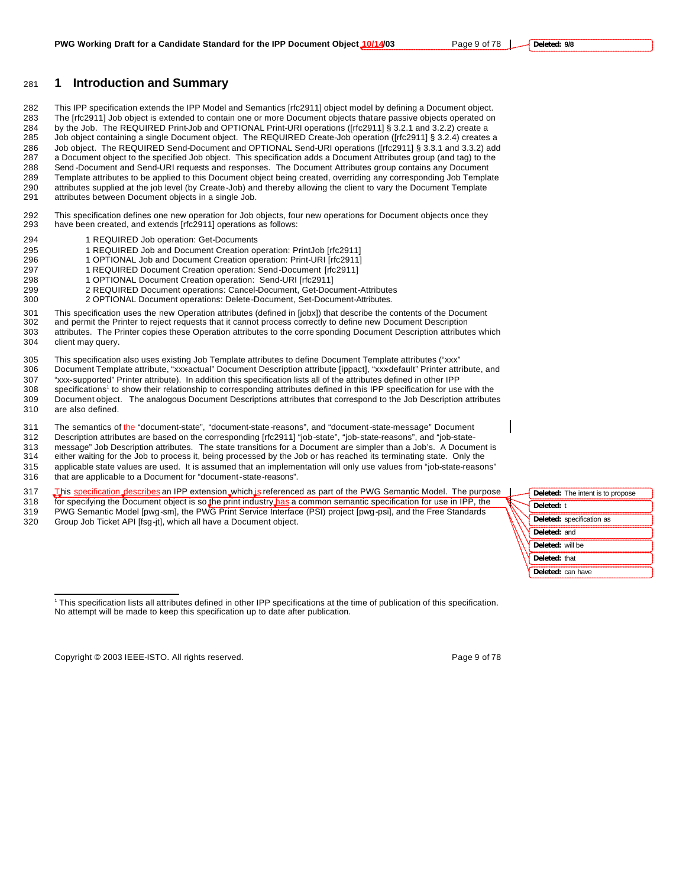# **1 Introduction and Summary**

 This IPP specification extends the IPP Model and Semantics [rfc2911] object model by defining a Document object. The [rfc2911] Job object is extended to contain one or more Document objects that are passive objects operated on by the Job. The REQUIRED Print-Job and OPTIONAL Print-URI operations ([rfc2911] § 3.2.1 and 3.2.2) create a Job object containing a single Document object. The REQUIRED Create-Job operation ([rfc2911] § 3.2.4) creates a Job object. The REQUIRED Send-Document and OPTIONAL Send-URI operations ([rfc2911] § 3.3.1 and 3.3.2) add a Document object to the specified Job object. This specification adds a Document Attributes group (and tag) to the Send -Document and Send-URI requests and responses. The Document Attributes group contains any Document Template attributes to be applied to this Document object being created, overriding any corresponding Job Template attributes supplied at the job level (by Create-Job) and thereby allowing the client to vary the Document Template attributes between Document objects in a single Job.

 This specification defines one new operation for Job objects, four new operations for Document objects once they have been created, and extends [rfc2911] operations as follows:

- 1 REQUIRED Job operation: Get-Documents
- 1 REQUIRED Job and Document Creation operation: PrintJob [rfc2911]
- 1 OPTIONAL Job and Document Creation operation: Print-URI [rfc2911]
- 297 1 REQUIRED Document Creation operation: Send-Document [rfc2911]
- 1 OPTIONAL Document Creation operation: Send-URI [rfc2911]
- 2 REQUIRED Document operations: Cancel-Document, Get-Document-Attributes
- 2 OPTIONAL Document operations: Delete-Document, Set-Document-Attributes.

 This specification uses the new Operation attributes (defined in [jobx]) that describe the contents of the Document and permit the Printer to reject requests that it cannot process correctly to define new Document Description attributes. The Printer copies these Operation attributes to the corre sponding Document Description attributes which client may query.

305 This specification also uses existing Job Template attributes to define Document Template attributes ("xxx"<br>306 Document Template attribute, "xxxactual" Document Description attribute [ippact], "xxxdefault" Printer att Document Template attribute, "xxx-actual" Document Description attribute [ippact], "xxx-default" Printer attribute, and "xxx-supported" Printer attribute). In addition this specification lists all of the attributes defined in other IPP 308 specifications<sup>1</sup> to show their relationship to corresponding attributes defined in this IPP specification for use with the

 Document object. The analogous Document Descriptions attributes that correspond to the Job Description attributes are also defined.

The semantics of the "document-state", "document-state-reasons", and "document-state-message" Document

Description attributes are based on the corresponding [rfc2911] "job-state", "job-state-reasons", and "job-state-

message" Job Description attributes. The state transitions for a Document are simpler than a Job's. A Document is

 either waiting for the Job to process it, being processed by the Job or has reached its terminating state. Only the applicable state values are used. It is assumed that an implementation will only use values from "job-state-reasons"

that are applicable to a Document for "document-state-reasons".

317 This specification describes an IPP extension which is referenced as part of the PWG Semantic Model. The purpose

318 for specifying the Document object is so the print industry has a common semantic specification for use in IPP, the PWG Semantic Model [pwg-sm], the PWG Print Service Interface (PSI) project [pwg-psi], and the Free Standards Group Job Ticket API [fsg-jt], which all have a Document object.

Copyright © 2003 IEEE-ISTO. All rights reserved. example 2003 1999 9 of 78

 $\overline{a}$ 

**Deleted:** The intent is to propose

**Deleted:** specification as **Deleted:** and **Deleted:** will be **Deleted:** that

**Deleted:** t

 This specification lists all attributes defined in other IPP specifications at the time of publication of this specification. **Deleted:** can have

No attempt will be made to keep this specification up to date after publication.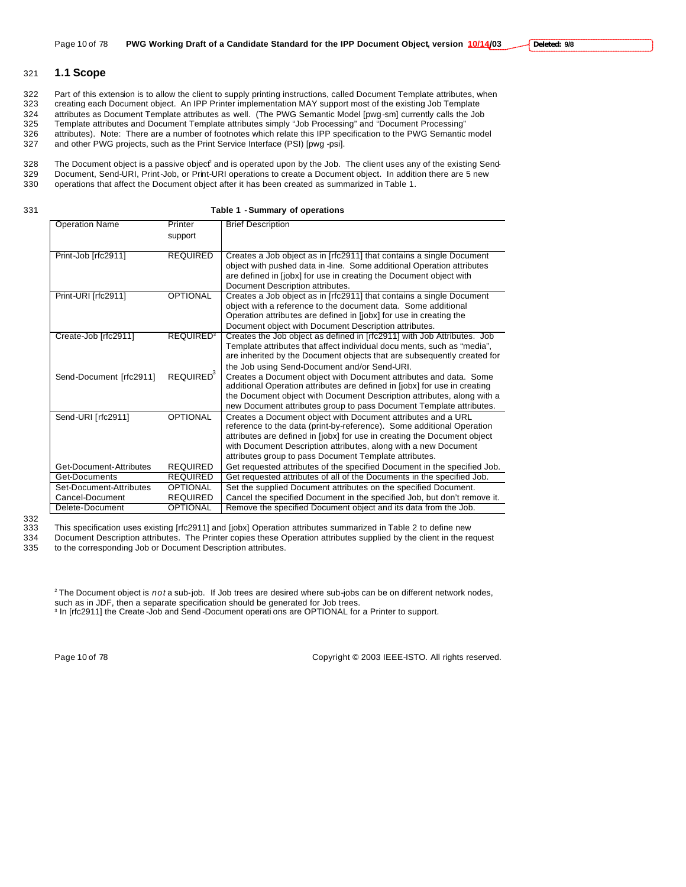# 321 **1.1 Scope**

322 Part of this extension is to allow the client to supply printing instructions, called Document Template attributes, when<br>323 creating each Document object. An IPP Printer implementation MAY support most of the existing creating each Document object. An IPP Printer implementation MAY support most of the existing Job Template 324 attributes as Document Template attributes as well. (The PWG Semantic Model [pwg-sm] currently calls the Job<br>325 Template attributes and Document Template attributes simply "Job Processing" and "Document Processing" Template attributes and Document Template attributes simply "Job Processing" and "Document Processing" 326 attributes). Note: There are a number of footnotes which relate this IPP specification to the PWG Semantic model

327 and other PWG projects, such as the Print Service Interface (PSI) [pwg -psi].

328 The Document object is a passive object<sup>2</sup> and is operated upon by the Job. The client uses any of the existing Send-

329 Document, Send-URI, Print-Job, or Print-URI operations to create a Document object. In addition there are 5 new<br>330 operations that affect the Document object after it has been created as summarized in Table 1. operations that affect the Document object after it has been created as summarized in Table 1.

| I<br>$\sim$ | ۰.<br>v |  |
|-------------|---------|--|

331 **Table 1 - Summary of operations**

| <b>Operation Name</b>   | Printer                     | <b>Brief Description</b>                                                                                                              |
|-------------------------|-----------------------------|---------------------------------------------------------------------------------------------------------------------------------------|
|                         | support                     |                                                                                                                                       |
|                         |                             |                                                                                                                                       |
| Print-Job [rfc2911]     | <b>REQUIRED</b>             | Creates a Job object as in [rfc2911] that contains a single Document                                                                  |
|                         |                             | object with pushed data in -line. Some additional Operation attributes                                                                |
|                         |                             | are defined in [jobx] for use in creating the Document object with                                                                    |
|                         |                             | Document Description attributes.                                                                                                      |
| Print-URI [rfc2911]     | <b>OPTIONAL</b>             | Creates a Job object as in [rfc2911] that contains a single Document                                                                  |
|                         |                             | object with a reference to the document data. Some additional                                                                         |
|                         |                             | Operation attributes are defined in [jobx] for use in creating the                                                                    |
|                         |                             | Document object with Document Description attributes.                                                                                 |
| Create-Job [rfc2911]    | <b>REQUIRED<sup>3</sup></b> | Creates the Job object as defined in [rfc2911] with Job Attributes. Job                                                               |
|                         |                             | Template attributes that affect individual docu ments, such as "media",                                                               |
|                         |                             | are inherited by the Document objects that are subsequently created for                                                               |
|                         |                             | the Job using Send-Document and/or Send-URI.                                                                                          |
| Send-Document [rfc2911] | REQUIRED <sup>3</sup>       | Creates a Document object with Document attributes and data. Some                                                                     |
|                         |                             | additional Operation attributes are defined in [jobx] for use in creating                                                             |
|                         |                             | the Document object with Document Description attributes, along with a                                                                |
|                         |                             | new Document attributes group to pass Document Template attributes.                                                                   |
| Send-URI [rfc2911]      | <b>OPTIONAL</b>             | Creates a Document object with Document attributes and a URL<br>reference to the data (print-by-reference). Some additional Operation |
|                         |                             | attributes are defined in [jobx] for use in creating the Document object                                                              |
|                         |                             | with Document Description attributes, along with a new Document                                                                       |
|                         |                             | attributes group to pass Document Template attributes.                                                                                |
| Get-Document-Attributes | <b>REQUIRED</b>             | Get requested attributes of the specified Document in the specified Job.                                                              |
| Get-Documents           | <b>REQUIRED</b>             | Get requested attributes of all of the Documents in the specified Job.                                                                |
| Set-Document-Attributes | <b>OPTIONAL</b>             | Set the supplied Document attributes on the specified Document.                                                                       |
| Cancel-Document         | <b>REQUIRED</b>             | Cancel the specified Document in the specified Job, but don't remove it.                                                              |
| Delete-Document         | <b>OPTIONAL</b>             | Remove the specified Document object and its data from the Job.                                                                       |
|                         |                             |                                                                                                                                       |

<sup>332</sup>

333 This specification uses existing [rfc2911] and [jobx] Operation attributes summarized in Table 2 to define new

334 Document Description attributes. The Printer copies these Operation attributes supplied by the client in the request 335 to the corresponding Job or Document Description attributes.

2 The Document object is *not* a sub-job. If Job trees are desired where sub-jobs can be on different network nodes, such as in JDF, then a separate specification should be generated for Job trees.

3 In [rfc2911] the Create -Job and Send -Document operati ons are OPTIONAL for a Printer to support.

Page 10 of 78 Copyright © 2003 IEEE-ISTO. All rights reserved.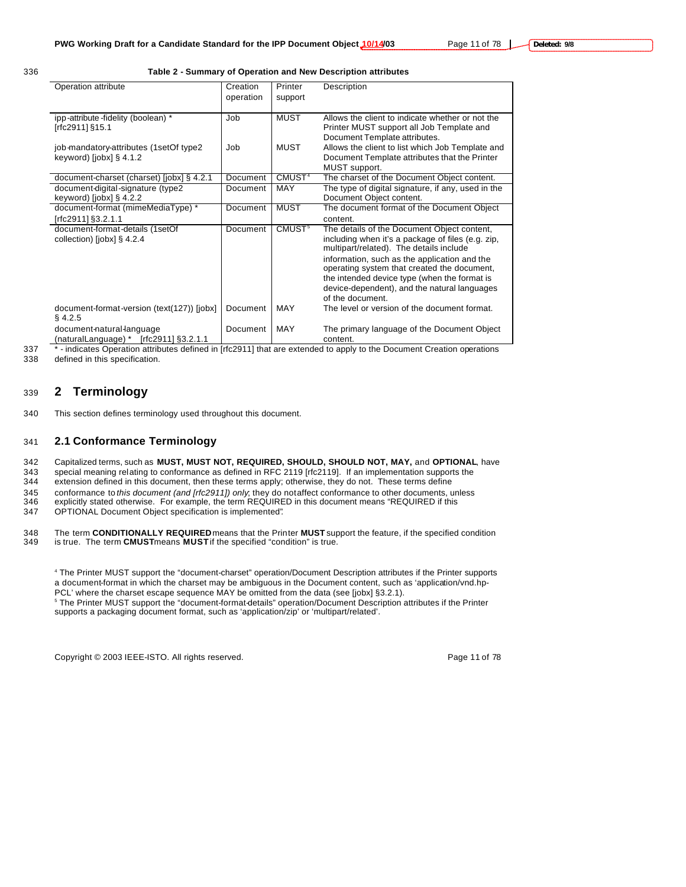336 **Table 2 - Summary of Operation and New Description attributes**

| Operation attribute                                                 | Creation  | Printer            | Description                                                                                  |
|---------------------------------------------------------------------|-----------|--------------------|----------------------------------------------------------------------------------------------|
|                                                                     | operation | support            |                                                                                              |
| ipp-attribute-fidelity (boolean) *                                  | Job       | <b>MUST</b>        | Allows the client to indicate whether or not the                                             |
| [rfc2911] §15.1                                                     |           |                    | Printer MUST support all Job Template and<br>Document Template attributes.                   |
| job-mandatory-attributes (1setOf type2                              | Job       | MUST               | Allows the client to list which Job Template and                                             |
| keyword) [jobx] $\S$ 4.1.2                                          |           |                    | Document Template attributes that the Printer                                                |
|                                                                     |           |                    | MUST support.                                                                                |
| document-charset (charset) [jobx] § 4.2.1                           | Document  | CMUST <sup>4</sup> | The charset of the Document Object content.                                                  |
| document-digital-signature (type2                                   | Document  | MAY                | The type of digital signature, if any, used in the                                           |
| keyword) $[i$ obx $]$ § 4.2.2                                       |           |                    | Document Object content.                                                                     |
| document-format (mimeMediaType) *                                   | Document  | <b>MUST</b>        | The document format of the Document Object                                                   |
| frfc29111§3.2.1.1                                                   |           |                    | content.                                                                                     |
| document-format-details (1setOf                                     | Document  | CMUST <sup>5</sup> | The details of the Document Object content,                                                  |
| collection) [jobx] $\S$ 4.2.4                                       |           |                    | including when it's a package of files (e.g. zip,<br>multipart/related). The details include |
|                                                                     |           |                    | information, such as the application and the                                                 |
|                                                                     |           |                    | operating system that created the document,<br>the intended device type (when the format is  |
|                                                                     |           |                    | device-dependent), and the natural languages                                                 |
|                                                                     |           |                    | of the document.                                                                             |
| document-format-version (text(127)) [jobx]<br>$§$ 4.2.5             | Document  | MAY                | The level or version of the document format.                                                 |
| document-natural-language<br>(naturalLanguage) * [rfc2911] §3.2.1.1 | Document  | MAY                | The primary language of the Document Object<br>content.                                      |

337 \*- indicates Operation attributes defined in [rfc2911] that are extended to apply to the Document Creation operations

338 defined in this specification.

# <sup>339</sup> **2 Terminology**

340 This section defines terminology used throughout this document.

# 341 **2.1 Conformance Terminology**

342 Capitalized terms, such as **MUST, MUST NOT, REQUIRED, SHOULD, SHOULD NOT, MAY,** and **OPTIONAL**, have

343 special meaning relating to conformance as defined in RFC 2119 [rfc2119]. If an implementation supports the<br>344 extension defined in this document, then these terms apply; otherwise, they do not. These terms define

extension defined in this document, then these terms apply; otherwise, they do not. These terms define

345 conformance to *this document (and [rfc2911]) only*; they do not affect conformance to other documents, unless

- 346 explicitly stated otherwise. For example, the term REQUIRED in this document means "REQUIRED if this 347 OPTIONAL Document Object specification is implemented"*.*
- 348 The term **CONDITIONALLY REQUIRED** means that the Printer **MUST** support the feature, if the specified condition

is true. The term **CMUST** means **MUST** if the specified "condition" is true.

4 The Printer MUST support the "document-charset" operation/Document Description attributes if the Printer supports a document-format in which the charset may be ambiguous in the Document content, such as 'application/vnd.hp-PCL' where the charset escape sequence MAY be omitted from the data (see [jobx] §3.2.1). 5 The Printer MUST support the "document-format-details" operation/Document Description attributes if the Printer supports a packaging document format, such as 'application/zip' or 'multipart/related'.

Copyright © 2003 IEEE-ISTO. All rights reserved. Page 11 of 78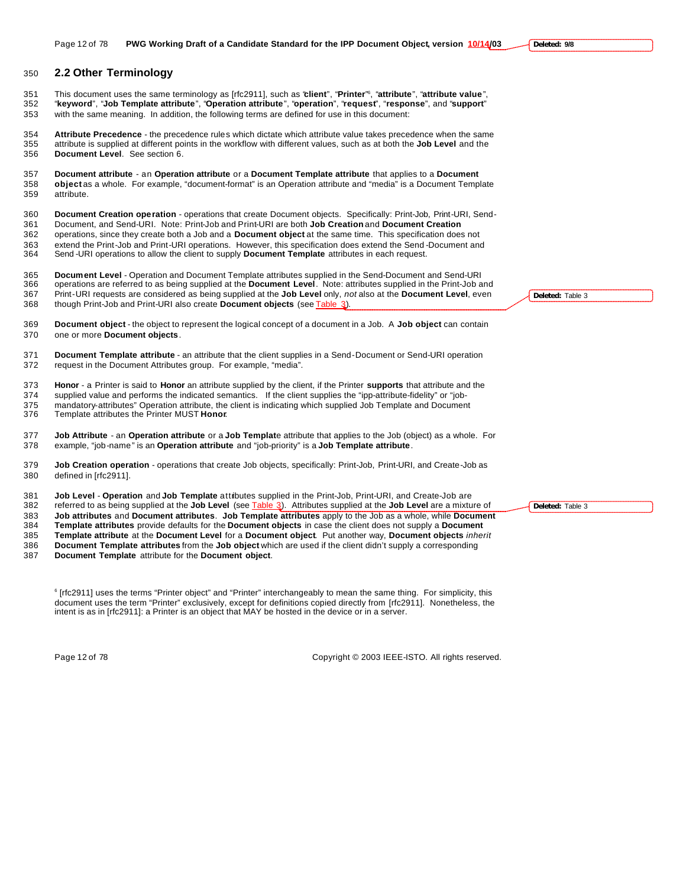## **2.2 Other Terminology**

This document uses the same terminology as [rfc2911], such as "**client**", "**Printer**" <sup>6</sup> , "**attribute**", "**attribute value**", "**keyword**", "**Job Template attribute**", "**Operation attribute**", "**operation**", "**request**", "**response**", and "**support**" with the same meaning. In addition, the following terms are defined for use in this document:

 **Attribute Precedence** - the precedence rules which dictate which attribute value takes precedence when the same attribute is supplied at different points in the workflow with different values, such as at both the **Job Level** and the **Document Level**. See section 6.

 **Document attribute** - an **Operation attribute** or a **Document Template attribute** that applies to a **Document object** as a whole. For example, "document-format" is an Operation attribute and "media" is a Document Template attribute.

 **Document Creation operation** - operations that create Document objects. Specifically: Print-Job, Print-URI, Send-Document, and Send-URI. Note: Print-Job and Print-URI are both **Job Creation** and **Document Creation**

 operations, since they create both a Job and a **Document object** at the same time. This specification does not 363 extend the Print-Job and Print-URI operations. However, this specification does extend the Send-Document and<br>364 Send-URI operations to allow the client to supply **Document Template** attributes in each request. Send -URI operations to allow the client to supply **Document Template** attributes in each request.

 **Document Level** - Operation and Document Template attributes supplied in the Send-Document and Send-URI operations are referred to as being supplied at the **Document Level**. Note: attributes supplied in the Print-Job and Print-URI requests are considered as being supplied at the **Job Level** only, *not* also at the **Document Level**, even though Print-Job and Print-URI also create **Document objects** (see Table 3).

 **Document object** - the object to represent the logical concept of a document in a Job. A **Job object** can contain one or more **Document objects**.

 **Document Template attribute** - an attribute that the client supplies in a Send-Document or Send-URI operation request in the Document Attributes group. For example, "media".

**Honor** - a Printer is said to **Honor** an attribute supplied by the client, if the Printer **supports** that attribute and the

 supplied value and performs the indicated semantics. If the client supplies the "ipp-attribute-fidelity" or "job-375 mandatory-attributes" Operation attribute, the client is indicating which supplied Job Template and Document<br>376 Template attributes the Printer MUST Honor.

Template attributes the Printer MUST **Honor**.

 **Job Attribute** - an **Operation attribute** or a **Job Templat**e attribute that applies to the Job (object) as a whole. For example, "job-name" is an **Operation attribute** and "job-priority" is a **Job Template attribute**.

 **Job Creation operation** - operations that create Job objects, specifically: Print-Job, Print-URI, and Create-Job as defined in [rfc2911].

**Job Level** - **Operation** and **Job Template** attributes supplied in the Print-Job, Print-URI, and Create-Job are

 referred to as being supplied at the **Job Level** (see Table 3). Attributes supplied at the **Job Level** are a mixture of **Job attributes** and **Document attributes**. **Job Template attributes** apply to the Job as a whole, while **Document Template attributes** provide defaults for the **Document objects** in case the client does not supply a **Document** 

**Template attribute** at the **Document Level** for a **Document object**. Put another way, **Document objects** *inherit*

**Document Template attributes** from the **Job object** which are used if the client didn't supply a corresponding

**Document Template** attribute for the **Document object**.

 [rfc2911] uses the terms "Printer object" and "Printer" interchangeably to mean the same thing. For simplicity, this document uses the term "Printer" exclusively, except for definitions copied directly from [rfc2911]. Nonetheless, the intent is as in [rfc2911]: a Printer is an object that MAY be hosted in the device or in a server.

Page 12 of 78 Copyright © 2003 IEEE-ISTO. All rights reserved.

**Deleted:** Table 3

**Deleted:** Table 3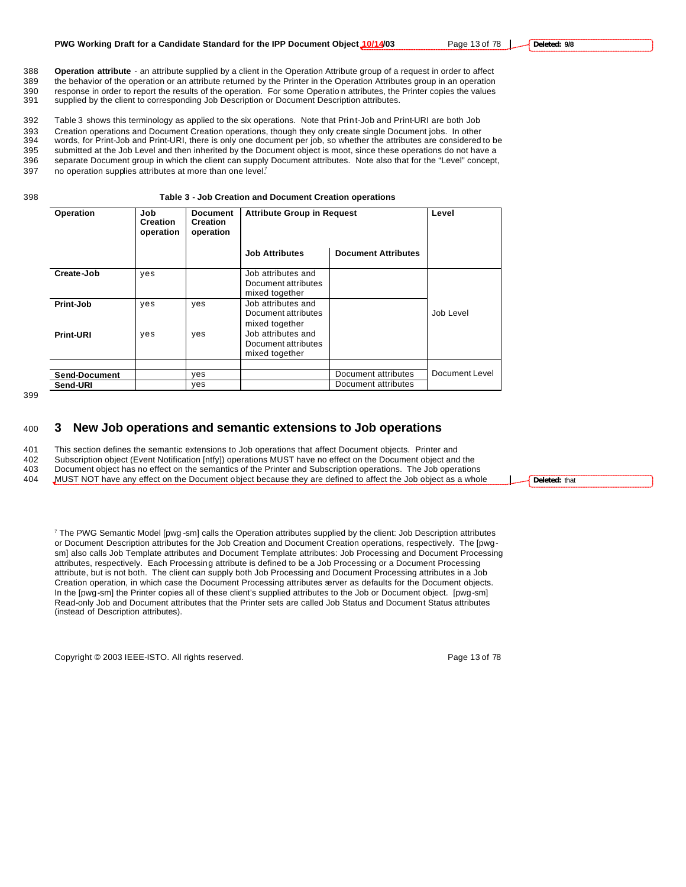supplied by the client to corresponding Job Description or Document Description attributes.

392 Table 3 shows this terminology as applied to the six operations. Note that Print-Job and Print-URI are both Job 393 Creation operations and Document Creation operations, though they only create single Document jobs. In other 394 words, for Print-Job and Print-URI, there is only one document per job, so whether the attributes are considered to be

395 submitted at the Job Level and then inherited by the Document object is moot, since these operations do not have a 396 separate Document group in which the client can supply Document attributes. Note also that for the "Level" concept, 397 no operation supplies attributes at more than one level?

#### 398 **Table 3 - Job Creation and Document Creation operations**

| Operation            | Job<br><b>Creation</b><br>operation | <b>Document</b><br><b>Creation</b><br>operation | <b>Attribute Group in Request</b>                                             |                            | Level          |
|----------------------|-------------------------------------|-------------------------------------------------|-------------------------------------------------------------------------------|----------------------------|----------------|
|                      |                                     |                                                 | <b>Job Attributes</b>                                                         | <b>Document Attributes</b> |                |
| Create-Job           | yes                                 |                                                 | Job attributes and<br>Document attributes<br>mixed together                   |                            |                |
| Print-Job            | yes                                 | yes                                             | Job attributes and<br>Document attributes                                     |                            | Job Level      |
| <b>Print-URI</b>     | yes                                 | yes                                             | mixed together<br>Job attributes and<br>Document attributes<br>mixed together |                            |                |
| <b>Send-Document</b> |                                     | yes                                             |                                                                               | Document attributes        | Document Level |
| Send-URI             |                                     | yes                                             |                                                                               | Document attributes        |                |

#### 399

# <sup>400</sup> **3 New Job operations and semantic extensions to Job operations**

401 This section defines the semantic extensions to Job operations that affect Document objects. Printer and

402 Subscription object (Event Notification [ntfy]) operations MUST have no effect on the Document object and the 403 Document object has no effect on the semantics of the Printer and Subscription operations. The Job operations

404 MUST NOT have any effect on the Document object because they are defined to affect the Job object as a whole

7 The PWG Semantic Model [pwg -sm] calls the Operation attributes supplied by the client: Job Description attributes or Document Description attributes for the Job Creation and Document Creation operations, respectively. The [pwgsm] also calls Job Template attributes and Document Template attributes: Job Processing and Document Processing attributes, respectively. Each Processing attribute is defined to be a Job Processing or a Document Processing attribute, but is not both. The client can supply both Job Processing and Document Processing attributes in a Job Creation operation, in which case the Document Processing attributes server as defaults for the Document objects. In the [pwg-sm] the Printer copies all of these client's supplied attributes to the Job or Document object. [pwg-sm] Read-only Job and Document attributes that the Printer sets are called Job Status and Document Status attributes (instead of Description attributes).

Copyright © 2003 IEEE-ISTO. All rights reserved. Copyright C 2003 IEEE-ISTO. All rights reserved.

**Deleted:** that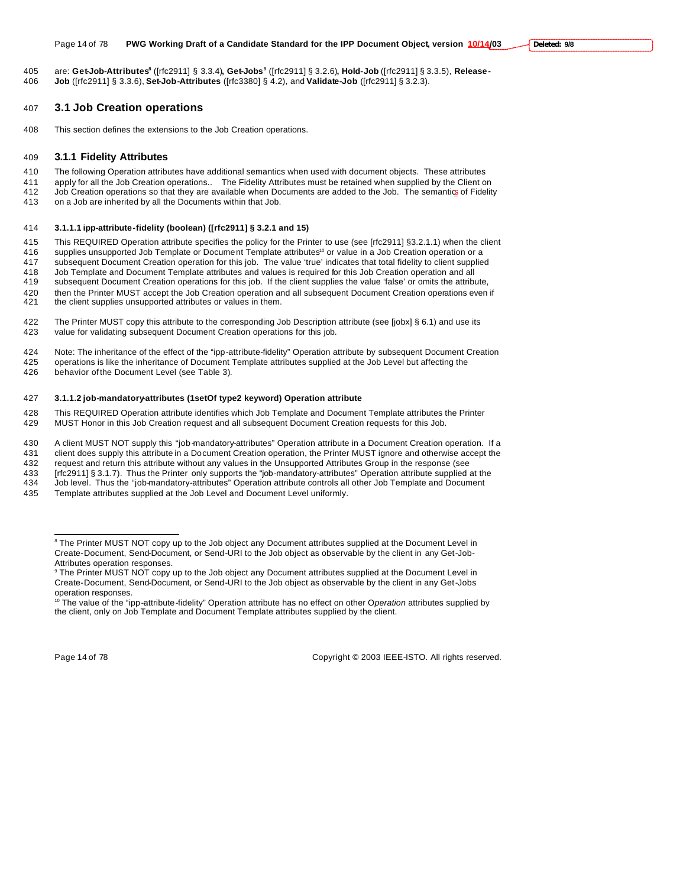are: **Get-Job-Attributes<sup>8</sup>** ([rfc2911] § 3.3.4)**, Get-Jobs<sup>9</sup>** ([rfc2911] § 3.2.6)**, Hold-Job** ([rfc2911] § 3.3.5), **Release-Job** ([rfc2911] § 3.3.6), **Set-Job-Attributes** ([rfc3380] § 4.2), and **Validate-Job** ([rfc2911] § 3.2.3).

# **3.1 Job Creation operations**

This section defines the extensions to the Job Creation operations.

#### **3.1.1 Fidelity Attributes**

 The following Operation attributes have additional semantics when used with document objects. These attributes apply for all the Job Creation operations.. The Fidelity Attributes must be retained when supplied by the Client on

 Job Creation operations so that they are available when Documents are added to the Job. The semantics of Fidelity on a Job are inherited by all the Documents within that Job.

#### **3.1.1.1 ipp-attribute-fidelity (boolean) ([rfc2911] § 3.2.1 and 15)**

 This REQUIRED Operation attribute specifies the policy for the Printer to use (see [rfc2911] §3.2.1.1) when the client 416 supplies unsupported Job Template or Document Template attributes<sup>10</sup> or value in a Job Creation operation or a

subsequent Document Creation operation for this job. The value 'true' indicates that total fidelity to client supplied

Job Template and Document Template attributes and values is required for this Job Creation operation and all

subsequent Document Creation operations for this job. If the client supplies the value 'false' or omits the attribute,

420 then the Printer MUST accept the Job Creation operation and all subsequent Document Creation operations even if<br>421 the client supplies unsupported attributes or values in them.

- the client supplies unsupported attributes or values in them.
- The Printer MUST copy this attribute to the corresponding Job Description attribute (see [jobx] § 6.1) and use its value for validating subsequent Document Creation operations for this job.
- Note: The inheritance of the effect of the "ipp-attribute-fidelity" Operation attribute by subsequent Document Creation operations is like the inheritance of Document Template attributes supplied at the Job Level but affecting the

behavior of the Document Level (see Table 3).

#### **3.1.1.2 job-mandatory-attributes (1setOf type2 keyword) Operation attribute**

 This REQUIRED Operation attribute identifies which Job Template and Document Template attributes the Printer MUST Honor in this Job Creation request and all subsequent Document Creation requests for this Job.

A client MUST NOT supply this "job-mandatory-attributes" Operation attribute in a Document Creation operation. If a

client does supply this attribute in a Document Creation operation, the Printer MUST ignore and otherwise accept the

request and return this attribute without any values in the Unsupported Attributes Group in the response (see

 [rfc2911] § 3.1.7). Thus the Printer only supports the "job-mandatory-attributes" Operation attribute supplied at the Job level. Thus the "job-mandatory-attributes" Operation attribute controls all other Job Template and Document

Template attributes supplied at the Job Level and Document Level uniformly.

 $\overline{a}$ 

Page 14 of 78 Copyright © 2003 IEEE-ISTO. All rights reserved.

<sup>&</sup>lt;sup>8</sup> The Printer MUST NOT copy up to the Job object any Document attributes supplied at the Document Level in Create-Document, Send-Document, or Send-URI to the Job object as observable by the client in any Get-Job-Attributes operation responses.

 The Printer MUST NOT copy up to the Job object any Document attributes supplied at the Document Level in Create-Document, Send-Document, or Send-URI to the Job object as observable by the client in any Get-Jobs operation responses.

<sup>&</sup>lt;sup>10</sup> The value of the "ipp-attribute-fidelity" Operation attribute has no effect on other Operation attributes supplied by the client, only on Job Template and Document Template attributes supplied by the client.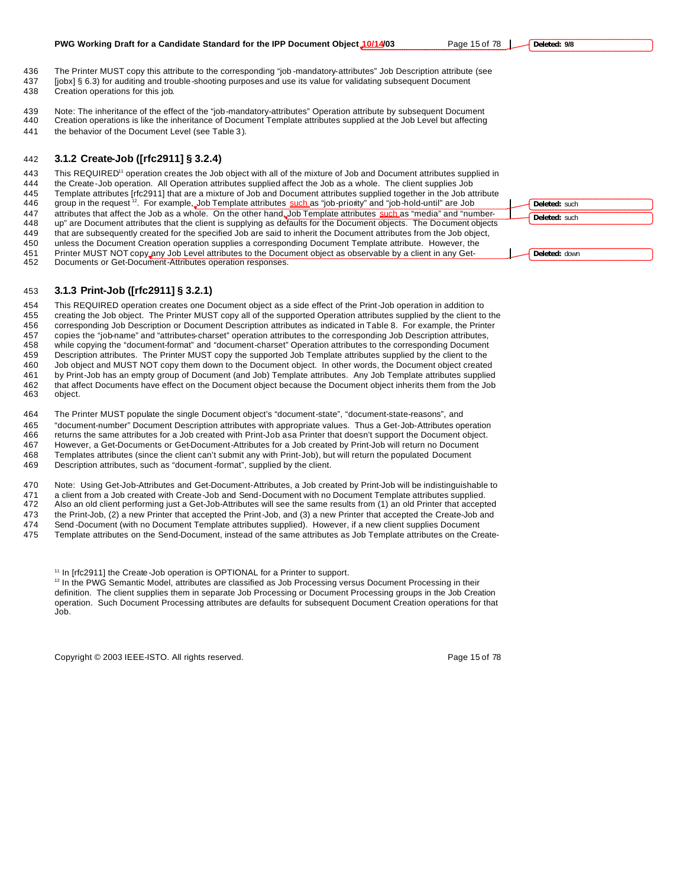### **PWG Working Draft for a Candidate Standard for the IPP Document Object 10/14/03** Page 15 of 78 |

 The Printer MUST copy this attribute to the corresponding "job -mandatory-attributes" Job Description attribute (see [jobx] § 6.3) for auditing and trouble-shooting purposes and use its value for validating subsequent Document

- Creation operations for this job.
- Note: The inheritance of the effect of the "job-mandatory-attributes" Operation attribute by subsequent Document
- Creation operations is like the inheritance of Document Template attributes supplied at the Job Level but affecting the behavior of the Document Level (see Table 3 ).

# **3.1.2 Create-Job ([rfc2911] § 3.2.4)**

443 This REQUIRED<sup>11</sup> operation creates the Job object with all of the mixture of Job and Document attributes supplied in

- the Create-Job operation. All Operation attributes supplied affect the Job as a whole. The client supplies Job
- Template attributes [rfc2911] that are a mixture of Job and Document attributes supplied together in the Job attribute
- 446 group in the request <sup>12</sup>. For example, Job Template attributes such as "job-priority" and "job-hold-until" are Job 447 attributes that affect the Job as a whole. On the other hand, Job Template attributes such as "media" and "number-
- up" are Document attributes that the client is supplying as defaults for the Document objects. The Document objects
- that are subsequently created for the specified Job are said to inherit the Document attributes from the Job object,
- unless the Document Creation operation supplies a corresponding Document Template attribute. However, the
- Printer MUST NOT copy any Job Level attributes to the Document object as observable by a client in any Get-
- Documents or Get-Document-Attributes operation responses.

# **3.1.3 Print-Job ([rfc2911] § 3.2.1)**

 This REQUIRED operation creates one Document object as a side effect of the Print-Job operation in addition to creating the Job object. The Printer MUST copy all of the supported Operation attributes supplied by the client to the corresponding Job Description or Document Description attributes as indicated in Table 8. For example, the Printer copies the "job-name" and "attributes-charset" operation attributes to the corresponding Job Description attributes, while copying the "document-format" and "document-charset" Operation attributes to the corresponding Document Description attributes. The Printer MUST copy the supported Job Template attributes supplied by the client to the Job object and MUST NOT copy them down to the Document object. In other words, the Document object created by Print-Job has an empty group of Document (and Job) Template attributes. Any Job Template attributes supplied that affect Documents have effect on the Document object because the Document object inherits them from the Job object.

The Printer MUST populate the single Document object's "document-state", "document-state-reasons", and

- "document-number" Document Description attributes with appropriate values. Thus a Get-Job-Attributes operation 466 returns the same attributes for a Job created with Print-Job as a Printer that doesn't support the Document object. However, a Get-Documents or Get-Document-Attributes for a Job created by Print-Job will return no Document Templates attributes (since the client can't submit any with Print-Job), but will return the populated Document
- Description attributes, such as "document -format", supplied by the client.

Note: Using Get-Job-Attributes and Get-Document-Attributes, a Job created by Print-Job will be indistinguishable to

- a client from a Job created with Create-Job and Send-Document with no Document Template attributes supplied.
- Also an old client performing just a Get-Job-Attributes will see the same results from (1) an old Printer that accepted the Print-Job, (2) a new Printer that accepted the Print-Job, and (3) a new Printer that accepted the Create-Job and
- Send -Document (with no Document Template attributes supplied). However, if a new client supplies Document
- Template attributes on the Send-Document, instead of the same attributes as Job Template attributes on the Create-
	- <sup>11</sup> In [rfc2911] the Create-Job operation is OPTIONAL for a Printer to support.

<sup>12</sup> In the PWG Semantic Model, attributes are classified as Job Processing versus Document Processing in their definition. The client supplies them in separate Job Processing or Document Processing groups in the Job Creation operation. Such Document Processing attributes are defaults for subsequent Document Creation operations for that Job.

Copyright © 2003 IEEE-ISTO. All rights reserved. Page 15 of 78

**Deleted:** such **Deleted:** such

**Deleted:** down

**Deleted: 9/8**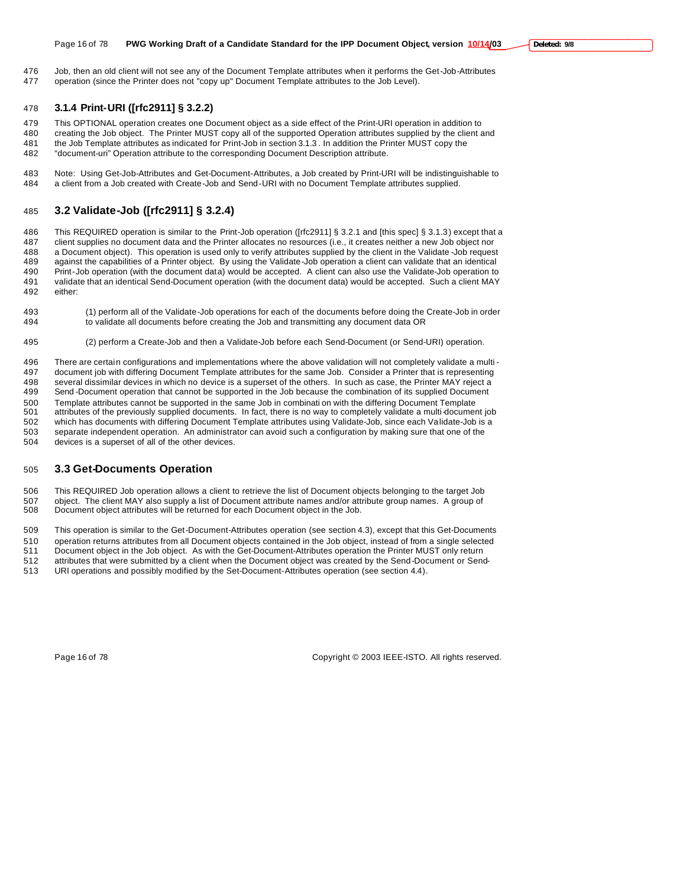Job, then an old client will not see any of the Document Template attributes when it performs the Get-Job-Attributes operation (since the Printer does not "copy up" Document Template attributes to the Job Level).

### **3.1.4 Print-URI ([rfc2911] § 3.2.2)**

This OPTIONAL operation creates one Document object as a side effect of the Print-URI operation in addition to

- creating the Job object. The Printer MUST copy all of the supported Operation attributes supplied by the client and the Job Template attributes as indicated for Print-Job in section 3.1.3 . In addition the Printer MUST copy the "document-uri" Operation attribute to the corresponding Document Description attribute.
- Note: Using Get-Job-Attributes and Get-Document-Attributes, a Job created by Print-URI will be indistinguishable to a client from a Job created with Create-Job and Send-URI with no Document Template attributes supplied.

# **3.2 Validate-Job ([rfc2911] § 3.2.4)**

 This REQUIRED operation is similar to the Print-Job operation ([rfc2911] § 3.2.1 and [this spec] § 3.1.3) except that a client supplies no document data and the Printer allocates no resources (i.e., it creates neither a new Job object nor a Document object). This operation is used only to verify attributes supplied by the client in the Validate -Job request against the capabilities of a Printer object. By using the Validate-Job operation a client can validate that an identical Print-Job operation (with the document data) would be accepted. A client can also use the Validate-Job operation to validate that an identical Send-Document operation (with the document data) would be accepted. Such a client MAY either:

- (1) perform all of the Validate-Job operations for each of the documents before doing the Create-Job in order to validate all documents before creating the Job and transmitting any document data OR
- (2) perform a Create-Job and then a Validate-Job before each Send-Document (or Send-URI) operation.

 There are certain configurations and implementations where the above validation will not completely validate a multi - document job with differing Document Template attributes for the same Job. Consider a Printer that is representing several dissimilar devices in which no device is a superset of the others. In such as case, the Printer MAY reject a Send -Document operation that cannot be supported in the Job because the combination of its supplied Document Template attributes cannot be supported in the same Job in combinati on with the differing Document Template attributes of the previously supplied documents. In fact, there is no way to completely validate a multi-document job which has documents with differing Document Template attributes using Validate-Job, since each Validate-Job is a separate independent operation. An administrator can avoid such a configuration by making sure that one of the devices is a superset of all of the other devices.

#### **3.3 Get-Documents Operation**

 This REQUIRED Job operation allows a client to retrieve the list of Document objects belonging to the target Job object. The client MAY also supply a list of Document attribute names and/or attribute group names. A group of Document object attributes will be returned for each Document object in the Job.

This operation is similar to the Get-Document-Attributes operation (see section 4.3), except that this Get-Documents

 operation returns attributes from all Document objects contained in the Job object, instead of from a single selected Document object in the Job object. As with the Get-Document-Attributes operation the Printer MUST only return attributes that were submitted by a client when the Document object was created by the Send-Document or Send-

URI operations and possibly modified by the Set-Document-Attributes operation (see section 4.4).

Page 16 of 78 Copyright © 2003 IEEE-ISTO. All rights reserved.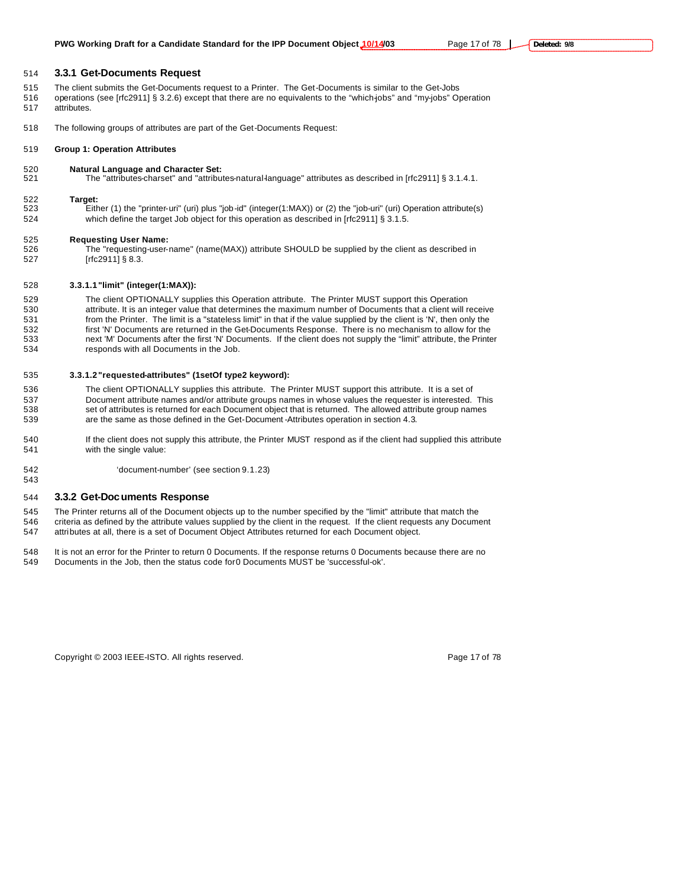#### **3.3.1 Get-Documents Request**

- The client submits the Get-Documents request to a Printer. The Get-Documents is similar to the Get-Jobs
- 516 operations (see [rfc2911] § 3.2.6) except that there are no equivalents to the "which-jobs" and "my-jobs" Operation attributes.
- The following groups of attributes are part of the Get-Documents Request:

#### **Group 1: Operation Attributes**

**Natural Language and Character Set:**

The "attributes-charset" and "attributes-natural-language" attributes as described in [rfc2911] § 3.1.4.1.

#### **Target:**

 Either (1) the "printer-uri" (uri) plus "job-id" (integer(1:MAX)) or (2) the "job-uri" (uri) Operation attribute(s) which define the target Job object for this operation as described in [rfc2911] § 3.1.5.

# **Requesting User Name:**

The "requesting-user-name" (name(MAX)) attribute SHOULD be supplied by the client as described in [rfc2911] § 8.3.

# **3.3.1.1"limit" (integer(1:MAX)):**

 The client OPTIONALLY supplies this Operation attribute. The Printer MUST support this Operation 530 attribute. It is an integer value that determines the maximum number of Documents that a client will receive<br>531 from the Printer. The limit is a "stateless limit" in that if the value supplied by the client is 'N', th from the Printer. The limit is a "stateless limit" in that if the value supplied by the client is 'N', then only the first 'N' Documents are returned in the Get-Documents Response. There is no mechanism to allow for the next 'M' Documents after the first 'N' Documents. If the client does not supply the "limit" attribute, the Printer responds with all Documents in the Job.

#### **3.3.1.2"requested-attributes" (1setOf type2 keyword):**

- The client OPTIONALLY supplies this attribute. The Printer MUST support this attribute. It is a set of Document attribute names and/or attribute groups names in whose values the requester is interested. This set of attributes is returned for each Document object that is returned. The allowed attribute group names are the same as those defined in the Get-Document -Attributes operation in section 4.3.
- If the client does not supply this attribute, the Printer MUST respond as if the client had supplied this attribute with the single value:
- 'document-number' (see section 9.1.23)

### **3.3.2 Get-Documents Response**

- The Printer returns all of the Document objects up to the number specified by the "limit" attribute that match the criteria as defined by the attribute values supplied by the client in the request. If the client requests any Document attributes at all, there is a set of Document Object Attributes returned for each Document object.
- It is not an error for the Printer to return 0 Documents. If the response returns 0 Documents because there are no
- Documents in the Job, then the status code for 0 Documents MUST be 'successful-ok'.

Copyright © 2003 IEEE-ISTO. All rights reserved. Page 17 of 78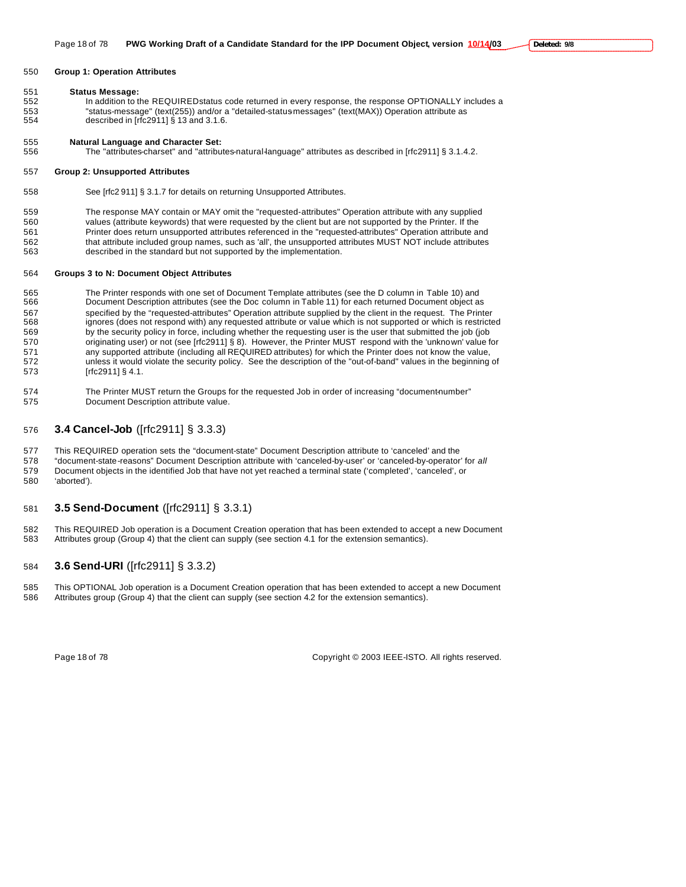#### **Group 1: Operation Attributes**

#### **Status Message:**

552 In addition to the REQUIRED status code returned in every response, the response OPTIONALLY includes a "status-message" (text(255)) and/or a "detailed-status-messages" (text(MAX)) Operation attribute as described in [rfc2911] § 13 and 3.1.6.

#### **Natural Language and Character Set:**

The "attributes-charset" and "attributes-natural-language" attributes as described in [rfc2911] § 3.1.4.2.

#### **Group 2: Unsupported Attributes**

See [rfc2 911] § 3.1.7 for details on returning Unsupported Attributes.

 The response MAY contain or MAY omit the "requested-attributes" Operation attribute with any supplied values (attribute keywords) that were requested by the client but are not supported by the Printer. If the Printer does return unsupported attributes referenced in the "requested-attributes" Operation attribute and 562 that attribute included group names, such as 'all', the unsupported attributes MUST NOT include attributes 563 described in the standard but not supported by the implementation.

#### **Groups 3 to N: Document Object Attributes**

565 The Printer responds with one set of Document Template attributes (see the D column in Table 10) and<br>566 Document Description attributes (see the Doc column in Table 11) for each returned Document object a Document Description attributes (see the Doc column in Table 11) for each returned Document object as specified by the "requested-attributes" Operation attribute supplied by the client in the request. The Printer ignores (does not respond with) any requested attribute or value which is not supported or which is restricted by the security policy in force, including whether the requesting user is the user that submitted the job (job 570 originating user) or not (see [rfc2911] § 8). However, the Printer MUST respond with the 'unknown' value for any supported attribute (including all REQUIRED attributes) for which the Printer does not know the value, unless it would violate the security policy. See the description of the "out-of-band" values in the beginning of [rfc2911] § 4.1.

574 The Printer MUST return the Groups for the requested Job in order of increasing "document-number" Document Description attribute value.

# **3.4 Cancel-Job** ([rfc2911] § 3.3.3)

This REQUIRED operation sets the "document-state" Document Description attribute to 'canceled' and the

- "document-state-reasons" Document Description attribute with 'canceled-by-user' or 'canceled-by-operator' for *all* Document objects in the identified Job that have not yet reached a terminal state ('completed', 'canceled', or 'aborted').
- 

# **3.5 Send-Document** ([rfc2911] § 3.3.1)

 This REQUIRED Job operation is a Document Creation operation that has been extended to accept a new Document Attributes group (Group 4) that the client can supply (see section 4.1 for the extension semantics).

# **3.6 Send-URI** ([rfc2911] § 3.3.2)

 This OPTIONAL Job operation is a Document Creation operation that has been extended to accept a new Document Attributes group (Group 4) that the client can supply (see section 4.2 for the extension semantics).

Page 18 of 78 Copyright © 2003 IEEE-ISTO. All rights reserved.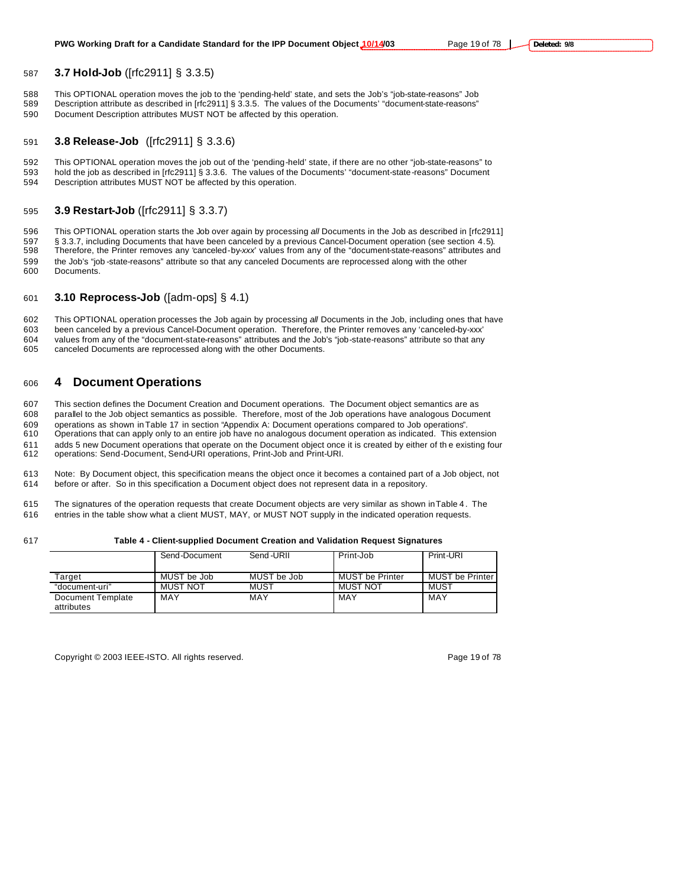# **3.7 Hold-Job** ([rfc2911] § 3.3.5)

588 This OPTIONAL operation moves the job to the 'pending-held' state, and sets the Job's "job-state-reasons" Job<br>589 Description attribute as described in Irfc29111 § 3.3.5. The values of the Documents' "document-state-re Description attribute as described in [rfc2911] § 3.3.5. The values of the Documents' "document-state-reasons" Document Description attributes MUST NOT be affected by this operation.

# **3.8 Release-Job** ([rfc2911] § 3.3.6)

 This OPTIONAL operation moves the job out of the 'pending-held' state, if there are no other "job-state-reasons" to hold the job as described in [rfc2911] § 3.3.6. The values of the Documents' "document-state-reasons" Document Description attributes MUST NOT be affected by this operation.

# **3.9 Restart-Job** ([rfc2911] § 3.3.7)

 This OPTIONAL operation starts the Job over again by processing *all* Documents in the Job as described in [rfc2911] 597 § 3.3.7, including Documents that have been canceled by a previous Cancel-Document operation (see section 4.5).<br>598 Therefore, the Printer removes any 'canceled-by-xxx' values from any of the "document-state-reasons" a Therefore, the Printer removes any 'canceled-by-*xxx*' values from any of the "document-state-reasons" attributes and the Job's "job -state-reasons" attribute so that any canceled Documents are reprocessed along with the other Documents.

# **3.10 Reprocess-Job** ([adm-ops] § 4.1)

 This OPTIONAL operation processes the Job again by processing *all* Documents in the Job, including ones that have been canceled by a previous Cancel-Document operation. Therefore, the Printer removes any 'canceled-by-xxx' 604 values from any of the "document-state-reasons" attributes and the Job's "job-state-reasons" attribute so that any<br>605 canceled Documents are reprocessed along with the other Documents. canceled Documents are reprocessed along with the other Documents.

# **4 Document Operations**

This section defines the Document Creation and Document operations. The Document object semantics are as

parallel to the Job object semantics as possible. Therefore, most of the Job operations have analogous Document

operations as shown in Table 17 in section "Appendix A: Document operations compared to Job operations".

 Operations that can apply only to an entire job have no analogous document operation as indicated. This extension adds 5 new Document operations that operate on the Document object once it is created by either of th e existing four

operations: Send-Document, Send-URI operations, Print-Job and Print-URI.

 Note: By Document object, this specification means the object once it becomes a contained part of a Job object, not before or after. So in this specification a Document object does not represent data in a repository.

 The signatures of the operation requests that create Document objects are very similar as shown in Table 4 . The entries in the table show what a client MUST, MAY, or MUST NOT supply in the indicated operation requests.

#### **Table 4 - Client-supplied Document Creation and Validation Request Signatures**

|                                 | Send-Document | Send-URII   | Print-Job              | Print-URI         |
|---------------------------------|---------------|-------------|------------------------|-------------------|
| Target                          | MUST be Job   | MUST be Job | <b>MUST be Printer</b> | MUST be Printer I |
| "document-uri"                  | MUST NOT      | MUST        | <b>MUST NOT</b>        | MUST              |
| Document Template<br>attributes | MAY           | MAY         | MAY                    | MAY               |

Copyright © 2003 IEEE-ISTO. All rights reserved. Page 19 of 78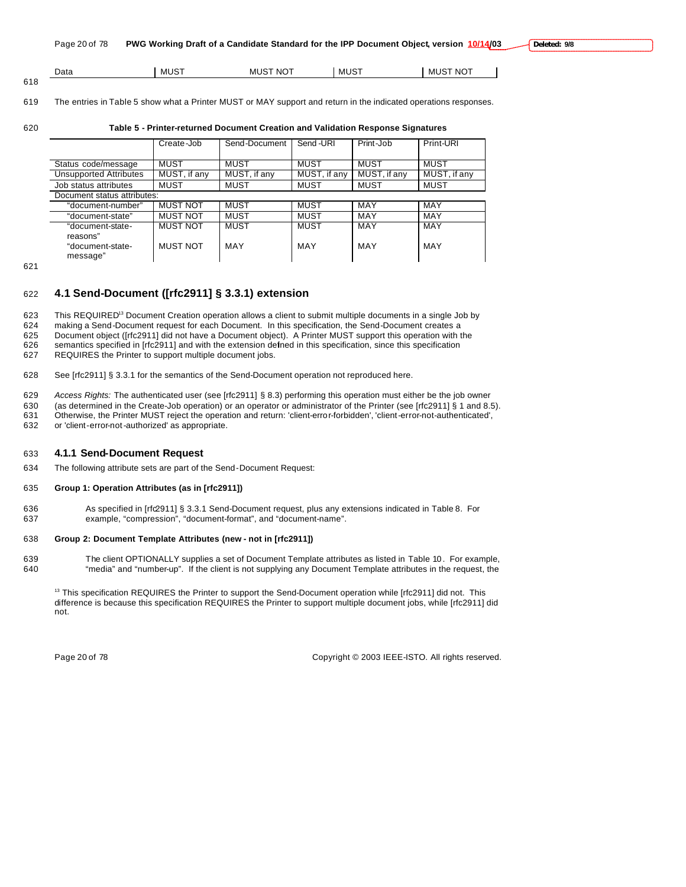| Page 20 of 78 | PWG Working Draft of a Candidate Standard for the IPP Document Object, version 10/14/03 De |  |  |
|---------------|--------------------------------------------------------------------------------------------|--|--|
|---------------|--------------------------------------------------------------------------------------------|--|--|

| Data | יי<br>– MU∟ | <b>NOT</b><br>MUS <sup>-</sup> | MUS <sup>.</sup> | --<br>- NG<br>- 13.71 L |
|------|-------------|--------------------------------|------------------|-------------------------|
| 618  |             |                                |                  |                         |

# 619 The entries in Table 5 show what a Printer MUST or MAY support and return in the indicated operations responses.

# 620 **Table 5 - Printer-returned Document Creation and Validation Response Signatures**

|                               | Create-Job      | Send-Document | Send-URI     | Print-Job    | Print-URI    |
|-------------------------------|-----------------|---------------|--------------|--------------|--------------|
|                               |                 |               |              |              |              |
| Status code/message           | <b>MUST</b>     | MUST          | MUST         | MUST         | <b>MUST</b>  |
| <b>Unsupported Attributes</b> | MUST, if any    | MUST, if any  | MUST, if any | MUST, if any | MUST, if any |
| Job status attributes         | <b>MUST</b>     | <b>MUST</b>   | <b>MUST</b>  | <b>MUST</b>  | <b>MUST</b>  |
| Document status attributes:   |                 |               |              |              |              |
| "document-number"             | <b>MUST NOT</b> | <b>MUST</b>   | <b>MUST</b>  | MAY          | MAY          |
| "document-state"              | <b>MUST NOT</b> | <b>MUST</b>   | <b>MUST</b>  | MAY          | <b>MAY</b>   |
| "document-state-<br>reasons"  | <b>MUST NOT</b> | <b>MUST</b>   | <b>MUST</b>  | <b>MAY</b>   | <b>MAY</b>   |
| "document-state-<br>message"  | <b>MUST NOT</b> | MAY           | MAY          | MAY          | MAY          |

621

# 622 **4.1 Send-Document ([rfc2911] § 3.3.1) extension**

623 This REQUIRED<sup>13</sup> Document Creation operation allows a client to submit multiple documents in a single Job by making a Send-Document request for each Document. In this specification, the Send-Document creates a Document object ([rfc2911] did not have a Document object). A Printer MUST support this operation with the semantics specified in [rfc2911] and with the extension defined in this specification, since this specification

627 REQUIRES the Printer to support multiple document jobs.

628 See [rfc2911] § 3.3.1 for the semantics of the Send-Document operation not reproduced here.

629 *Access Rights:* The authenticated user (see [rfc2911] § 8.3) performing this operation must either be the job owner

630 (as determined in the Create-Job operation) or an operator or administrator of the Printer (see [rfc2911] § 1 and 8.5).

631 Otherwise, the Printer MUST reject the operation and return: 'client-error-forbidden', 'client-error-not-authenticated', 632 or 'client-error-not-authorized' as appropriate.

# 633 **4.1.1 Send-Document Request**

634 The following attribute sets are part of the Send-Document Request:

# 635 **Group 1: Operation Attributes (as in [rfc2911])**

636 As specified in [rfc2911] § 3.3.1 Send-Document request, plus any extensions indicated in Table 8. For 637 example, "compression", "document-format", and "document-name".

# 638 **Group 2: Document Template Attributes (new - not in [rfc2911])**

639 The client OPTIONALLY supplies a set of Document Template attributes as listed in Table 10 . For example, 640 "media" and "number-up". If the client is not supplying any Document Template attributes in the request, the

<sup>13</sup> This specification REQUIRES the Printer to support the Send-Document operation while [rfc2911] did not. This difference is because this specification REQUIRES the Printer to support multiple document jobs, while [rfc2911] did not.

Page 20 of 78 Copyright © 2003 IEEE-ISTO. All rights reserved.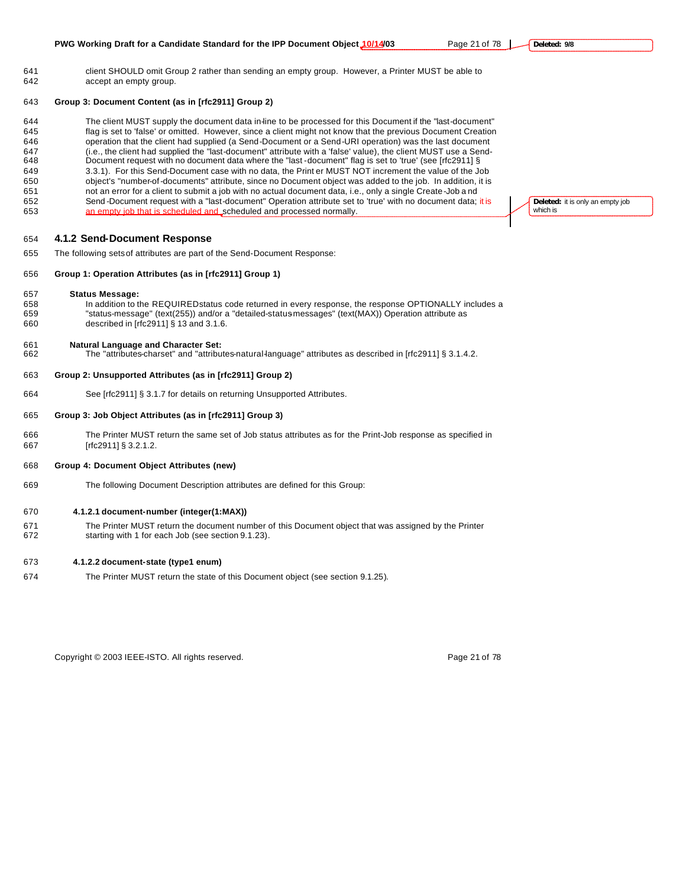#### **Group 3: Document Content (as in [rfc2911] Group 2)**

 The client MUST supply the document data in-line to be processed for this Document if the "last-document" flag is set to 'false' or omitted. However, since a client might not know that the previous Document Creation operation that the client had supplied (a Send-Document or a Send-URI operation) was the last document (i.e., the client had supplied the "last-document" attribute with a 'false' value), the client MUST use a Send- Document request with no document data where the "last -document" flag is set to 'true' (see [rfc2911] § 3.3.1). For this Send-Document case with no data, the Print er MUST NOT increment the value of the Job object's "number-of-documents" attribute, since no Document object was added to the job. In addition, it is not an error for a client to submit a job with no actual document data, i.e., only a single Create-Job a nd 652 Send -Document request with a "last-document" Operation attribute set to 'true' with no document data; it is an empty job that is scheduled and scheduled and processed normally.

#### **4.1.2 Send-Document Response**

The following sets of attributes are part of the Send-Document Response:

#### **Group 1: Operation Attributes (as in [rfc2911] Group 1)**

#### **Status Message:**

658 In addition to the REQUIRED status code returned in every response, the response OPTIONALLY includes a<br>659 Status-message" (text(255)) and/or a "detailed-status messages" (text(MAX)) Operation attribute as "status-message" (text(255)) and/or a "detailed-status-messages" (text(MAX)) Operation attribute as described in [rfc2911] § 13 and 3.1.6.

#### **Natural Language and Character Set:**

The "attributes-charset" and "attributes-natural-language" attributes as described in [rfc2911] § 3.1.4.2.

# **Group 2: Unsupported Attributes (as in [rfc2911] Group 2)**

See [rfc2911] § 3.1.7 for details on returning Unsupported Attributes.

#### **Group 3: Job Object Attributes (as in [rfc2911] Group 3)**

 The Printer MUST return the same set of Job status attributes as for the Print-Job response as specified in [rfc2911] § 3.2.1.2.

#### **Group 4: Document Object Attributes (new)**

The following Document Description attributes are defined for this Group:

#### **4.1.2.1 document-number (integer(1:MAX))**

 The Printer MUST return the document number of this Document object that was assigned by the Printer starting with 1 for each Job (see section 9.1.23).

#### **4.1.2.2 document-state (type1 enum)**

The Printer MUST return the state of this Document object (see section 9.1.25).

Copyright © 2003 IEEE-ISTO. All rights reserved. Page 21 of 78

**Deleted:** it is only an empty job which is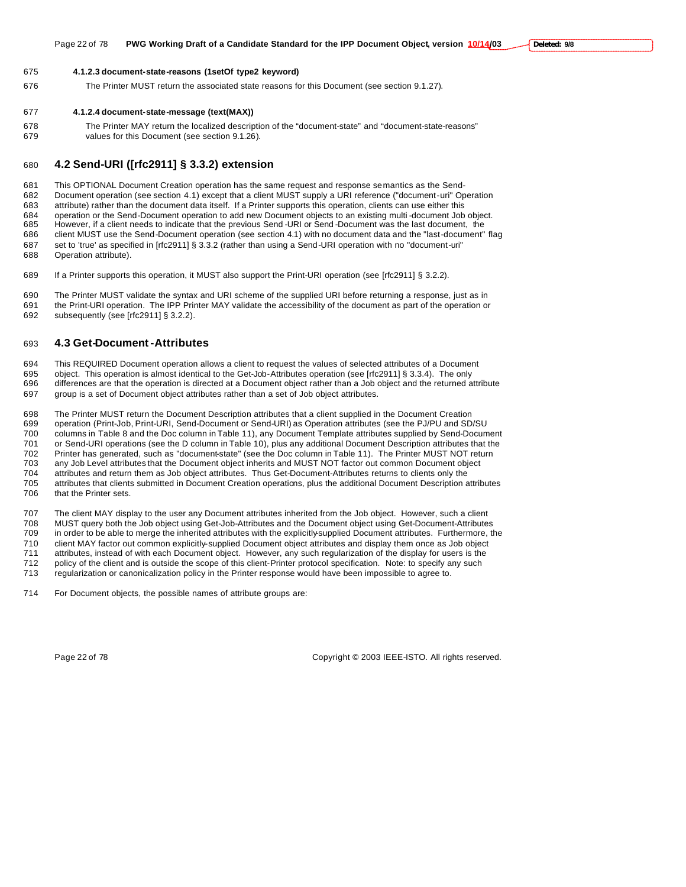#### **4.1.2.3 document-state-reasons (1setOf type2 keyword)**

The Printer MUST return the associated state reasons for this Document (see section 9.1.27).

#### **4.1.2.4 document-state-message (text(MAX))**

 The Printer MAY return the localized description of the "document-state" and "document-state-reasons" values for this Document (see section 9.1.26).

# **4.2 Send-URI ([rfc2911] § 3.3.2) extension**

 This OPTIONAL Document Creation operation has the same request and response semantics as the Send- Document operation (see section 4.1) except that a client MUST supply a URI reference ("document-uri" Operation attribute) rather than the document data itself. If a Printer supports this operation, clients can use either this operation or the Send-Document operation to add new Document objects to an existing multi -document Job object. However, if a client needs to indicate that the previous Send -URI or Send -Document was the last document, the client MUST use the Send-Document operation (see section 4.1) with no document data and the "last-document" flag set to 'true' as specified in [rfc2911] § 3.3.2 (rather than using a Send-URI operation with no "document-uri" Operation attribute).

If a Printer supports this operation, it MUST also support the Print-URI operation (see [rfc2911] § 3.2.2).

 The Printer MUST validate the syntax and URI scheme of the supplied URI before returning a response, just as in the Print-URI operation. The IPP Printer MAY validate the accessibility of the document as part of the operation or subsequently (see [rfc2911] § 3.2.2).

# **4.3 Get-Document-Attributes**

 This REQUIRED Document operation allows a client to request the values of selected attributes of a Document object. This operation is almost identical to the Get-Job-Attributes operation (see [rfc2911] § 3.3.4). The only differences are that the operation is directed at a Document object rather than a Job object and the returned attribute group is a set of Document object attributes rather than a set of Job object attributes.

698 The Printer MUST return the Document Description attributes that a client supplied in the Document Creation<br>699 operation (Print-Job, Print-URL Send-Document or Send-URI) as Operation attributes (see the P.I/PU and SD operation (Print-Job, Print-URI, Send-Document or Send-URI) as Operation attributes (see the PJ/PU and SD/SU columns in Table 8 and the Doc column in Table 11), any Document Template attributes supplied by Send-Document or Send-URI operations (see the D column in Table 10), plus any additional Document Description attributes that the Printer has generated, such as "document-state" (see the Doc column in Table 11). The Printer MUST NOT return any Job Level attributes that the Document object inherits and MUST NOT factor out common Document object attributes and return them as Job object attributes. Thus Get-Document-Attributes returns to clients only the attributes that clients submitted in Document Creation operations, plus the additional Document Description attributes that the Printer sets.

 The client MAY display to the user any Document attributes inherited from the Job object. However, such a client MUST query both the Job object using Get-Job-Attributes and the Document object using Get-Document-Attributes in order to be able to merge the inherited attributes with the explicitly-supplied Document attributes. Furthermore, the client MAY factor out common explicitly-supplied Document object attributes and display them once as Job object attributes, instead of with each Document object. However, any such regularization of the display for users is the policy of the client and is outside the scope of this client-Printer protocol specification. Note: to specify any such regularization or canonicalization policy in the Printer response would have been impossible to agree to.

For Document objects, the possible names of attribute groups are:

Page 22 of 78 Copyright © 2003 IEEE-ISTO. All rights reserved.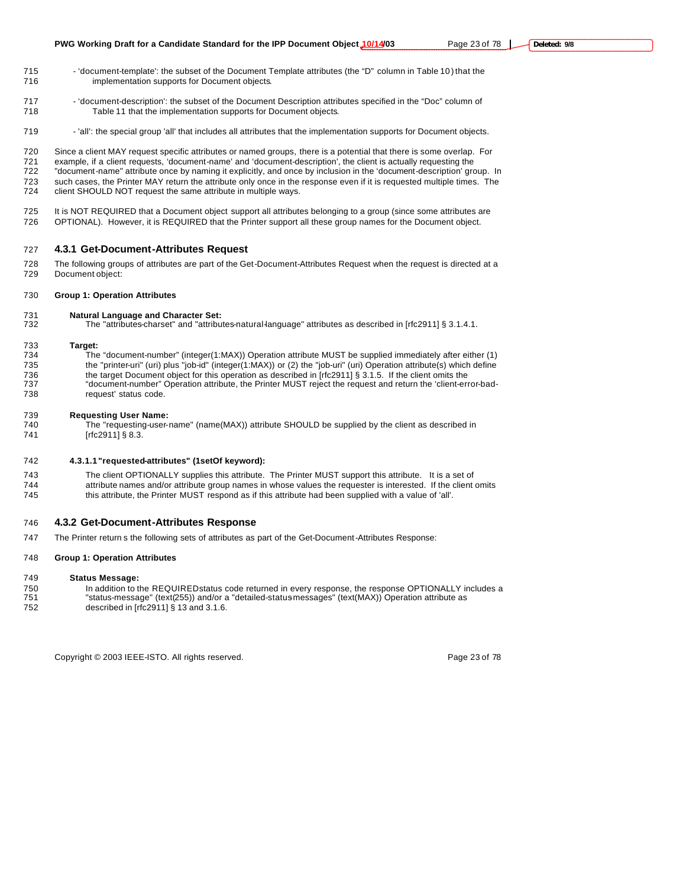- 715 'document-template': the subset of the Document Template attributes (the "D" column in Table 10) that the implementation supports for Document objects.
- 'document-description': the subset of the Document Description attributes specified in the "Doc" column of Table 11 that the implementation supports for Document objects.
- 719 'all': the special group 'all' that includes all attributes that the implementation supports for Document objects.

 Since a client MAY request specific attributes or named groups, there is a potential that there is some overlap. For 721 example, if a client requests, 'document-name' and 'document-description', the client is actually requesting the<br>722 "document-name" attribute once by naming it explicitly, and once by inclusion in the 'document-descri "document-name" attribute once by naming it explicitly, and once by inclusion in the 'document-description' group. In such cases, the Printer MAY return the attribute only once in the response even if it is requested multiple times. The client SHOULD NOT request the same attribute in multiple ways.

725 It is NOT REQUIRED that a Document object support all attributes belonging to a group (since some attributes are OPTIONAL). However, it is REQUIRED that the Printer support all these group names for the Document object.

#### **4.3.1 Get-Document-Attributes Request**

- The following groups of attributes are part of the Get-Document-Attributes Request when the request is directed at a Document object:
- **Group 1: Operation Attributes**

# **Natural Language and Character Set:**

The "attributes-charset" and "attributes-natural-language" attributes as described in [rfc2911] § 3.1.4.1.

#### **Target:**

 The "document-number" (integer(1:MAX)) Operation attribute MUST be supplied immediately after either (1) the "printer-uri" (uri) plus "job-id" (integer(1:MAX)) or (2) the "job-uri" (uri) Operation attribute(s) which define 736 the target Document object for this operation as described in [rfc2911] § 3.1.5. If the client omits the<br>737 the "document-number" Operation attribute, the Printer MUST reject the request and return the 'client-eri "document-number" Operation attribute, the Printer MUST reject the request and return the 'client-error-bad-request' status code.

#### **Requesting User Name:**

 The "requesting-user-name" (name(MAX)) attribute SHOULD be supplied by the client as described in 741 [rfc2911] § 8.3.

### **4.3.1.1"requested-attributes" (1setOf keyword):**

 The client OPTIONALLY supplies this attribute. The Printer MUST support this attribute. It is a set of attribute names and/or attribute group names in whose values the requester is interested. If the client omits this attribute, the Printer MUST respond as if this attribute had been supplied with a value of 'all'.

# **4.3.2 Get-Document-Attributes Response**

The Printer return s the following sets of attributes as part of the Get-Document-Attributes Response:

#### **Group 1: Operation Attributes**

#### **Status Message:**

- 750 In addition to the REQUIRED status code returned in every response, the response OPTIONALLY includes a<br>751 Status-message" (text(255)) and/or a "detailed-status messages" (text(MAX)) Operation attribute as
- "status-message" (text(255)) and/or a "detailed-status-messages" (text(MAX)) Operation attribute as
- described in [rfc2911] § 13 and 3.1.6.

Copyright © 2003 IEEE-ISTO. All rights reserved. Copyright C 2003 IEEE-ISTO. All rights reserved.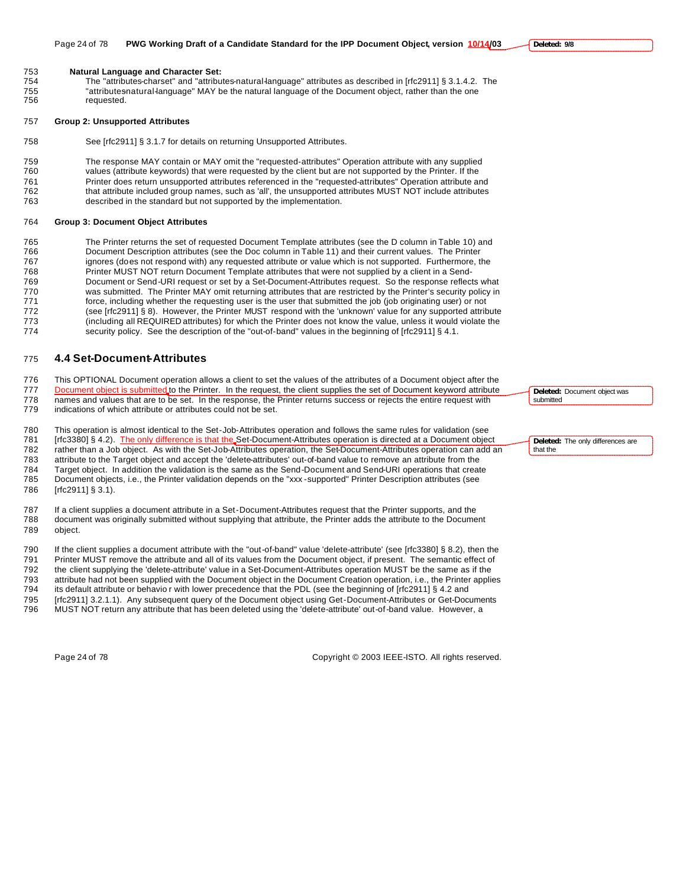**Natural Language and Character Set:**

 The "attributes-charset" and "attributes-natural-language" attributes as described in [rfc2911] § 3.1.4.2. The 755 "attributesnatural-language" MAY be the natural language of the Document object, rather than the one<br>756 compressed. requested.

#### **Group 2: Unsupported Attributes**

See [rfc2911] § 3.1.7 for details on returning Unsupported Attributes.

 The response MAY contain or MAY omit the "requested-attributes" Operation attribute with any supplied values (attribute keywords) that were requested by the client but are not supported by the Printer. If the Printer does return unsupported attributes referenced in the "requested-attributes" Operation attribute and that attribute included group names, such as 'all', the unsupported attributes MUST NOT include attributes described in the standard but not supported by the implementation.

#### **Group 3: Document Object Attributes**

765 The Printer returns the set of requested Document Template attributes (see the D column in Table 10) and<br>766 Document Description attributes (see the Doc column in Table 11) and their current values. The Printer Document Description attributes (see the Doc column in Table 11) and their current values. The Printer ignores (does not respond with) any requested attribute or value which is not supported. Furthermore, the Printer MUST NOT return Document Template attributes that were not supplied by a client in a Send- Document or Send-URI request or set by a Set-Document-Attributes request. So the response reflects what 770 was submitted. The Printer MAY omit returning attributes that are restricted by the Printer's security policy in<br>771 force, including whether the requesting user is the user that submitted the job (job originating user force, including whether the requesting user is the user that submitted the job (job originating user) or not (see [rfc2911] § 8). However, the Printer MUST respond with the 'unknown' value for any supported attribute (including all REQUIRED attributes) for which the Printer does not know the value, unless it would violate the 774 security policy. See the description of the "out-of-band" values in the beginning of [rfc2911] § 4.1.

# **4.4 Set-Document-Attributes**

 This OPTIONAL Document operation allows a client to set the values of the attributes of a Document object after the 777 Document object is submitted to the Printer. In the request, the client supplies the set of Document keyword attribute names and values that are to be set. In the response, the Printer returns success or rejects the entire request with

indications of which attribute or attributes could not be set.

 This operation is almost identical to the Set-Job-Attributes operation and follows the same rules for validation (see 781 [rfc3380] § 4.2). The only difference is that the Set-Document-Attributes operation is directed at a Document object rather than a Job object. As with the Set-Job-Attributes operation, the Set-Document-Attributes operation can add an attribute to the Target object and accept the 'delete-attributes' out-of-band value to remove an attribute from the Target object. In addition the validation is the same as the Send-Document and Send-URI operations that create Document objects, i.e., the Printer validation depends on the "xxx -supported" Printer Description attributes (see [rfc2911] § 3.1).

 If a client supplies a document attribute in a Set-Document-Attributes request that the Printer supports, and the document was originally submitted without supplying that attribute, the Printer adds the attribute to the Document object.

 If the client supplies a document attribute with the "out-of-band" value 'delete-attribute' (see [rfc3380] § 8.2), then the Printer MUST remove the attribute and all of its values from the Document object, if present. The semantic effect of the client supplying the 'delete-attribute' value in a Set-Document-Attributes operation MUST be the same as if the

attribute had not been supplied with the Document object in the Document Creation operation, i.e., the Printer applies

its default attribute or behavio r with lower precedence that the PDL (see the beginning of [rfc2911] § 4.2 and

795 [rfc2911] 3.2.1.1). Any subsequent query of the Document object using Get-Document-Attributes or Get-Documents<br>796 MUST NOT return any attribute that has been deleted using the 'delete-attribute' out-of-band value. How

MUST NOT return any attribute that has been deleted using the 'delete-attribute' out-of-band value. However, a

Page 24 of 78 Copyright © 2003 IEEE-ISTO. All rights reserved.

**Deleted:** Document object was submitted

**Deleted:** The only differences are that the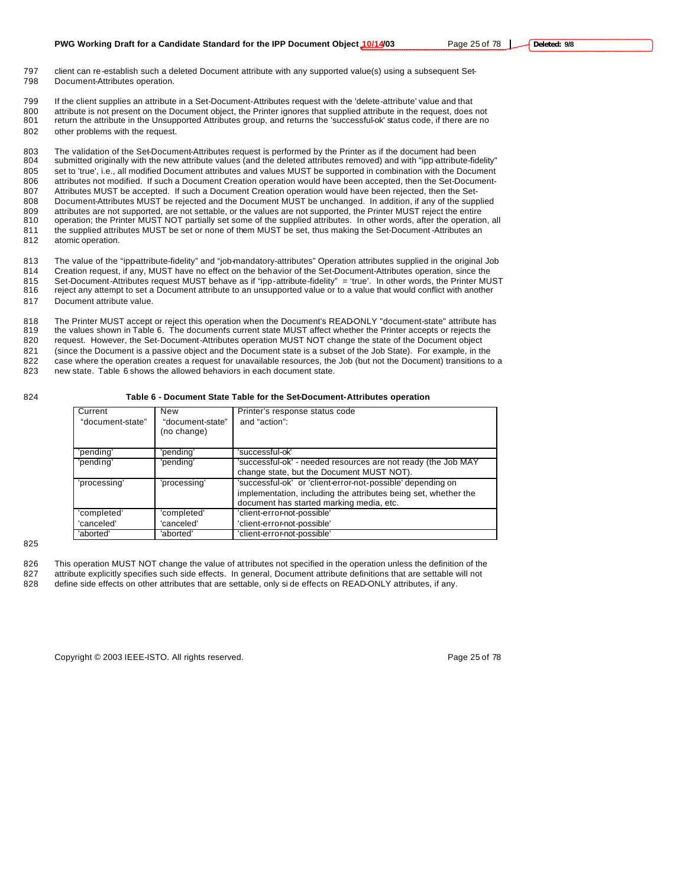- 797 client can re-establish such a deleted Document attribute with any supported value(s) using a subsequent Set-798 Document-Attributes operation.
- 799 If the client supplies an attribute in a Set-Document-Attributes request with the 'delete-attribute' value and that 800 attribute is not present on the Document object, the Printer ignores that supplied attribute in the request, does not 801 return the attribute in the Unsupported Attributes group, and returns the 'successful-ok' status code, if there are no 802 other problems with the request.

 The validation of the Set-Document-Attributes request is performed by the Printer as if the document had been 804 submitted originally with the new attribute values (and the deleted attributes removed) and with "ipp-attribute-fidelity" set to 'true', i.e., all modified Document attributes and values MUST be supported in combination with the Document attributes not modified. If such a Document Creation operation would have been accepted, then the Set-Document- Attributes MUST be accepted. If such a Document Creation operation would have been rejected, then the Set- Document-Attributes MUST be rejected and the Document MUST be unchanged. In addition, if any of the supplied attributes are not supported, are not settable, or the values are not supported, the Printer MUST reject the entire operation; the Printer MUST NOT partially set some of the supplied attributes. In other words, after the operation, all 811 the supplied attributes MUST be set or none of them MUST be set, thus making the Set-Document -Attributes an atomic operation.

813 The value of the "ipp-attribute-fidelity" and "job-mandatory-attributes" Operation attributes supplied in the original Job 814 Creation request, if any, MUST have no effect on the behavior of the Set-Document-Attributes operation, since the

815 Set-Document-Attributes request MUST behave as if "ipp-attribute-fidelity" = 'true'. In other words, the Printer MUST<br>816 reject any attempt to set a Document attribute to an unsupported value or to a value that would

reject any attempt to set a Document attribute to an unsupported value or to a value that would conflict with another 817 Document attribute value.

818 The Printer MUST accept or reject this operation when the Document's READ-ONLY "document-state" attribute has<br>819 the values shown in Table 6. The documents current state MUST affect whether the Printer accepts or reje the values shown in Table 6. The documents current state MUST affect whether the Printer accepts or rejects the request. However, the Set-Document-Attributes operation MUST NOT change the state of the Document object (since the Document is a passive object and the Document state is a subset of the Job State). For example, in the case where the operation creates a request for unavailable resources, the Job (but not the Document) transitions to a new state. Table 6 shows the allowed behaviors in each document state.

#### 824 **Table 6 - Document State Table for the Set-Document-Attributes operation**

| Current          | New              | Printer's response status code                                  |
|------------------|------------------|-----------------------------------------------------------------|
| "document-state" | "document-state" | and "action":                                                   |
|                  | (no change)      |                                                                 |
|                  |                  |                                                                 |
| 'pending'        | 'pending'        | 'successful-ok'                                                 |
| 'pending'        | 'pending'        | 'successful-ok' - needed resources are not ready (the Job MAY   |
|                  |                  | change state, but the Document MUST NOT).                       |
| 'processing'     | 'processing'     | 'successful-ok' or 'client-error-not-possible' depending on     |
|                  |                  | implementation, including the attributes being set, whether the |
|                  |                  | document has started marking media, etc.                        |
| 'completed'      | 'completed'      | 'client-error-not-possible'                                     |
| 'canceled'       | 'canceled'       | 'client-error-not-possible'                                     |
| 'aborted'        | 'aborted'        | 'client-error-not-possible'                                     |

### 825

826 This operation MUST NOT change the value of attributes not specified in the operation unless the definition of the

827 attribute explicitly specifies such side effects. In general, Document attribute definitions that are settable will not 828 define side effects on other attributes that are settable, only si de effects on READ-ONLY attributes, if any.

Copyright © 2003 IEEE-ISTO. All rights reserved. Copyright C 2003 IEEE-ISTO. All rights reserved.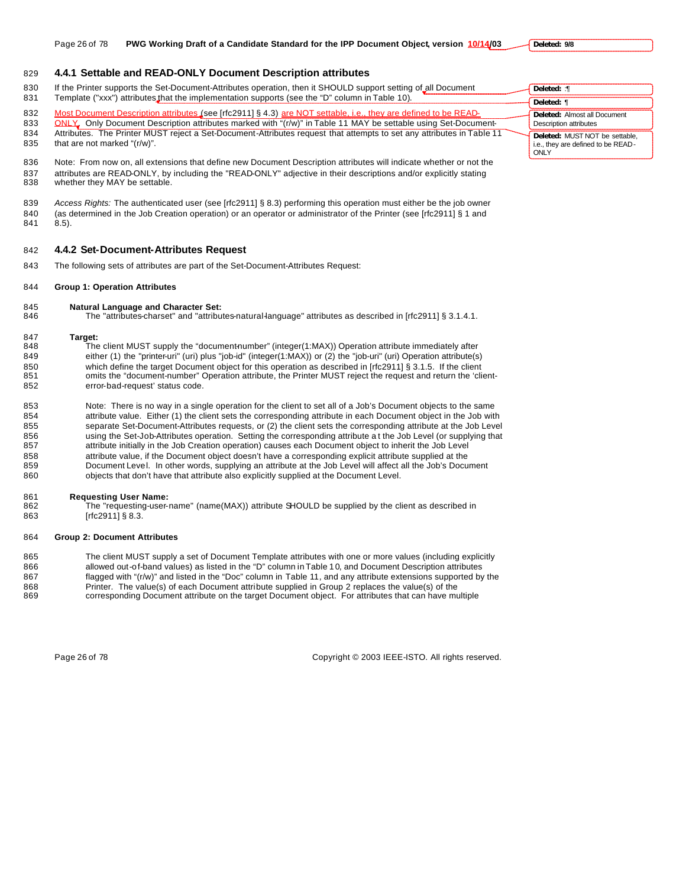### 829 **4.4.1 Settable and READ-ONLY Document Description attributes**

- 830 If the Printer supports the Set-Document-Attributes operation, then it SHOULD support setting of all Document 831 Template ("xxx") attributes that the implementation supports (see the "D" column in Table 10).
- 832 Most Document Description attributes (see [rfc2911] § 4.3) are NOT settable, i.e., they are defined to be READ-
- 833 ONLY, Only Document Description attributes marked with "(r/w)" in Table 11 MAY be settable using Set-Document-
- 834 Attributes. The Printer MUST reject a Set-Document-Attributes request that attempts to set any attributes in Table 11
- 835 that are not marked "(r/w)".

836 Note: From now on, all extensions that define new Document Description attributes will indicate whether or not the 837 attributes are READ-ONLY, by including the "READ-ONLY" adjective in their descriptions and/or explicitly stating<br>838 whether they MAY be settable. whether they MAY be settable.

- 839 *Access Rights:* The authenticated user (see [rfc2911] § 8.3) performing this operation must either be the job owner 840 (as determined in the Job Creation operation) or an operator or administrator of the Printer (see [rfc2911] § 1 and 841 8.5).
- 842 **4.4.2 Set-Document-Attributes Request**
- 843 The following sets of attributes are part of the Set-Document-Attributes Request:

#### 844 **Group 1: Operation Attributes**

- 845 **Natural Language and Character Set:**
- 846 The "attributes-charset" and "attributes-natural-language" attributes as described in [rfc2911] § 3.1.4.1.

- 847 **Target:** The client MUST supply the "document-number" (integer(1:MAX)) Operation attribute immediately after 849 either (1) the "printer-uri" (uri) plus "job-id" (integer(1:MAX)) or (2) the "job-uri" (uri) Operation attribute(s) 850 which define the target Document object for this operation as described in [rfc2911] § 3.1.5. If the client<br>851 omits the "document-number" Operation attribute, the Printer MUST reject the request and return the 'cli omits the "document-number" Operation attribute, the Printer MUST reject the request and return the 'client-852 error-bad-request' status code.
- 853 Note: There is no way in a single operation for the client to set all of a Job's Document objects to the same 854 attribute value. Either (1) the client sets the corresponding attribute in each Document object in the Job with 855 separate Set-Document-Attributes requests, or (2) the client sets the corresponding attribute at the Job Level 856 using the Set-Job-Attributes operation. Setting the corresponding attribute a t the Job Level (or supplying that 857 attribute initially in the Job Creation operation) causes each Document object to inherit the Job Level 858 attribute value, if the Document object doesn't have a corresponding explicit attribute supplied at the 859 Document Level. In other words, supplying an attribute at the Job Level will affect all the Job's Document 860 objects that don't have that attribute also explicitly supplied at the Document Level.

#### 861 **Requesting User Name:**

862 The "requesting-user-name" (name(MAX)) attribute SHOULD be supplied by the client as described in 863 [rfc2911] § 8.3.

#### 864 **Group 2: Document Attributes**

865 The client MUST supply a set of Document Template attributes with one or more values (including explicitly 866 allowed out-of-band values) as listed in the "D" column in Table 10, and Document Description attributes 867 flagged with "(r/w)" and listed in the "Doc" column in Table 11, and any attribute extensions supported by the 868 Printer. The value(s) of each Document attribute supplied in Group 2 replaces the value(s) of the 869 corresponding Document attribute on the target Document object. For attributes that can have multiple

Page 26 of 78 Copyright © 2003 IEEE-ISTO. All rights reserved.

| Deleted: :¶                                                                        |
|------------------------------------------------------------------------------------|
| Deleted: ¶                                                                         |
| <b>Deleted: Almost all Document</b><br><b>Description attributes</b>               |
| Deleted: MUST NOT be settable,<br>i.e., they are defined to be READ-<br><b>MIV</b> |

**Deleted: 9/8**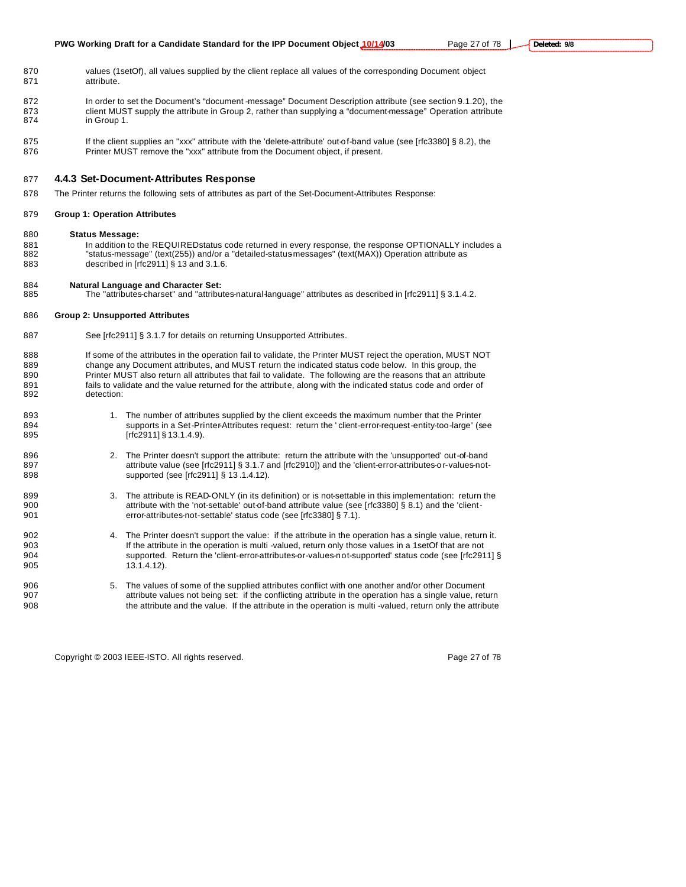- 870 values (1setOf), all values supplied by the client replace all values of the corresponding Document object 871 attribute.
- 872 In order to set the Document's "document -message" Document Description attribute (see section 9.1.20), the 873 client MUST supply the attribute in Group 2, rather than supplying a "document-message" Operation attribute 874 in Group 1.
- 875 If the client supplies an "xxx" attribute with the 'delete-attribute' out-of-band value (see [rfc3380] § 8.2), the 876 Printer MUST remove the "xxx" attribute from the Document object, if present.

# 877 **4.4.3 Set-Document-Attributes Response**

- 878 The Printer returns the following sets of attributes as part of the Set-Document-Attributes Response:
- 879 **Group 1: Operation Attributes**
- 880 **Status Message:**
- 881 In addition to the REQUIRED status code returned in every response, the response OPTIONALLY includes a<br>882 Satus-message" (text(255)) and/or a "detailed-status messages" (text(MAX)) Operation attribute as "status-message" (text(255)) and/or a "detailed-status-messages" (text(MAX)) Operation attribute as 883 described in [rfc2911] § 13 and 3.1.6.
- 884 **Natural Language and Character Set:**
- 885 The "attributes-charset" and "attributes-natural-language" attributes as described in [rfc2911] § 3.1.4.2.

#### 886 **Group 2: Unsupported Attributes**

- 887 See [rfc2911] § 3.1.7 for details on returning Unsupported Attributes.
- 888 If some of the attributes in the operation fail to validate, the Printer MUST reject the operation, MUST NOT 889 change any Document attributes, and MUST return the indicated status code below. In this group, the 890 Printer MUST also return all attributes that fail to validate. The following are the reasons that an attribute 891 fails to validate and the value returned for the attribute, along with the indicated status code and order of 892 detection:
- 893 1. The number of attributes supplied by the client exceeds the maximum number that the Printer 894 supports in a Set-Printer-Attributes request: return the ' client-error-request-entity-too-large' (see 895 [rfc2911] § 13.1.4.9].
- 896 2. The Printer doesn't support the attribute: return the attribute with the 'unsupported' out-of-band 897 attribute value (see [rfc2911] § 3.1.7 and [rfc2910]) and the 'client-error-attributes-or-values-not-898 **Supported (see [rfc2911] § 13 .1.4.12)**.
- 899 3. The attribute is READ-ONLY (in its definition) or is not-settable in this implementation: return the 900 **attribute with the 'not-settable**' out-of-band attribute value (see [rfc3380] § 8.1) and the 'client-901 error-attributes-not-settable' status code (see [rfc3380] § 7.1).
- 902 4. The Printer doesn't support the value: if the attribute in the operation has a single value, return it. 903 If the attribute in the operation is multi -valued, return only those values in a 1setOf that are not 904 supported. Return the 'client-error-attributes-or-values-not-supported' status code (see [rfc2911] § 905 13.1.4.12).
- 906 5. The values of some of the supplied attributes conflict with one another and/or other Document 907 attribute values not being set: if the conflicting attribute in the operation has a single value, return 908 the attribute and the value. If the attribute in the operation is multi -valued, return only the attribute

Copyright © 2003 IEEE-ISTO. All rights reserved. Page 27 of 78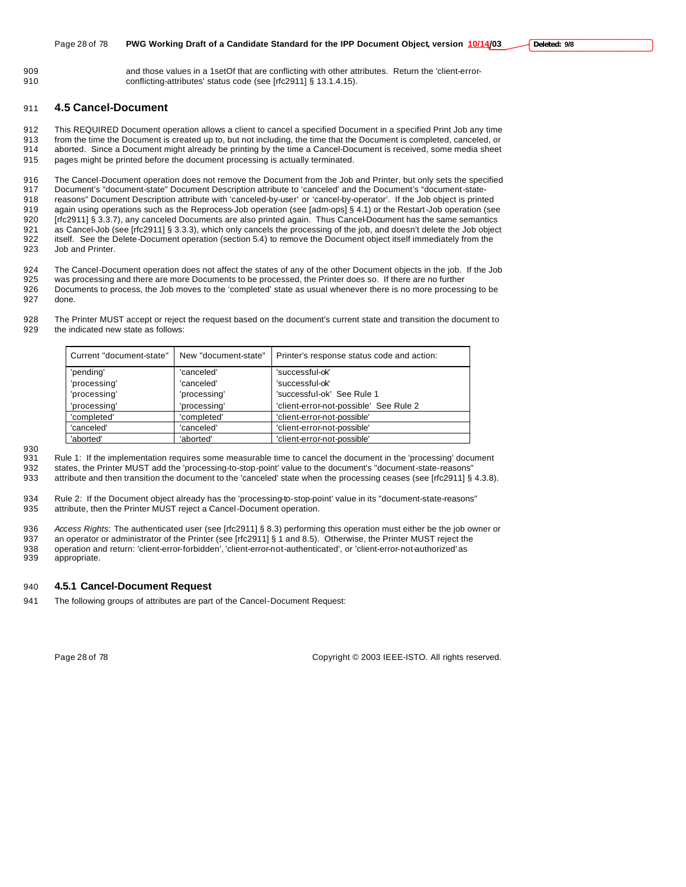and those values in a 1setOf that are conflicting with other attributes. Return the 'client-error-910 conflicting-attributes' status code (see [rfc2911] § 13.1.4.15).

# **4.5 Cancel-Document**

 This REQUIRED Document operation allows a client to cancel a specified Document in a specified Print Job any time from the time the Document is created up to, but not including, the time that the Document is completed, canceled, or aborted. Since a Document might already be printing by the time a Cancel-Document is received, some media sheet pages might be printed before the document processing is actually terminated.

916 The Cancel-Document operation does not remove the Document from the Job and Printer, but only sets the specified<br>917 Document's "document-state" Document Description attribute to 'canceled' and the Document's "document Document's "document-state" Document Description attribute to 'canceled' and the Document's "document-state- reasons" Document Description attribute with 'canceled-by-user' or 'cancel-by-operator'. If the Job object is printed again using operations such as the Reprocess-Job operation (see [adm-ops] § 4.1) or the Restart-Job operation (see 920 [rfc2911] § 3.3.7), any canceled Documents are also printed again. Thus Cancel-Document has the same semantics 921 as Cancel-Job (see [rfc2911] § 3.3.3), which only cancels the processing of the job, and doesn't delete the Job object<br>922 itself. See the Delete-Document operation (section 5.4) to remove the Document object itself im itself. See the Delete-Document operation (section 5.4) to remove the Document object itself immediately from the Job and Printer.

The Cancel-Document operation does not affect the states of any of the other Document objects in the job. If the Job

 was processing and there are more Documents to be processed, the Printer does so. If there are no further Documents to process, the Job moves to the 'completed' state as usual whenever there is no more processing to be

done.

 The Printer MUST accept or reject the request based on the document's current state and transition the document to the indicated new state as follows:

| Current "document-state" | New "document-state" | Printer's response status code and action: |  |  |
|--------------------------|----------------------|--------------------------------------------|--|--|
| 'pending'                | 'canceled'           | 'successful-ok'                            |  |  |
| 'processing'             | 'canceled'           | 'successful-ok'                            |  |  |
| 'processing'             | 'processing'         | 'successful-ok' See Rule 1                 |  |  |
| 'processing'             | 'processing'         | 'client-error-not-possible' See Rule 2     |  |  |
| 'completed'              | 'completed'          | 'client-error-not-possible'                |  |  |
| 'canceled'               | 'canceled'           | 'client-error-not-possible'                |  |  |
| 'aborted'                | 'aborted'            | 'client-error-not-possible'                |  |  |

 Rule 1: If the implementation requires some measurable time to cancel the document in the 'processing' document states, the Printer MUST add the 'processing-to-stop-point' value to the document's "document-state-reasons"

933 attribute and then transition the document to the 'canceled' state when the processing ceases (see [rfc2911] § 4.3.8).

 Rule 2: If the Document object already has the 'processing-to-stop-point' value in its "document-state-reasons" attribute, then the Printer MUST reject a Cancel-Document operation.

 *Access Rights:* The authenticated user (see [rfc2911] § 8.3) performing this operation must either be the job owner or an operator or administrator of the Printer (see [rfc2911] § 1 and 8.5). Otherwise, the Printer MUST reject the operation and return: 'client-error-forbidden', 'client-error-not-authenticated', or 'client-error-not-authorized' as appropriate.

# **4.5.1 Cancel-Document Request**

The following groups of attributes are part of the Cancel-Document Request:

Page 28 of 78 Copyright © 2003 IEEE-ISTO. All rights reserved.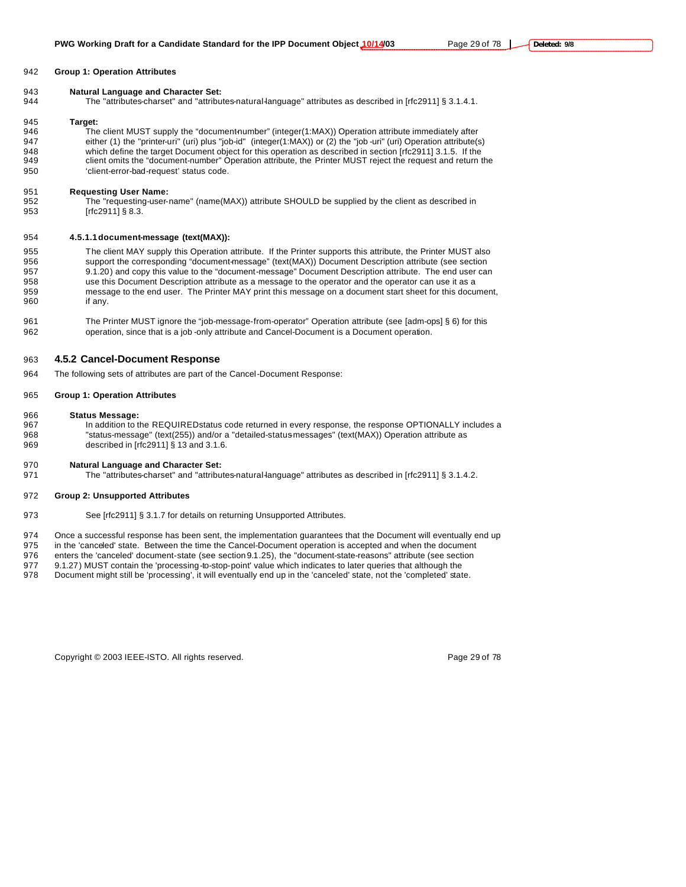#### **Group 1: Operation Attributes**

#### **Natural Language and Character Set:**

The "attributes-charset" and "attributes-natural-language" attributes as described in [rfc2911] § 3.1.4.1.

#### **Target:**

946 The client MUST supply the "document-number" (integer(1:MAX)) Operation attribute immediately after either (1) the "printer-uri" (uri) plus "job-id" (integer(1:MAX)) or (2) the "job -uri" (uri) Operation attribute(s) which define the target Document object for this operation as described in section [rfc2911] 3.1.5. If the client omits the "document-number" Operation attribute, the Printer MUST reject the request and return the 'client-error-bad-request' status code.

# **Requesting User Name:**

The "requesting-user-name" (name(MAX)) attribute SHOULD be supplied by the client as described in [rfc2911] § 8.3.

#### **4.5.1.1document-message (text(MAX)):**

 The client MAY supply this Operation attribute. If the Printer supports this attribute, the Printer MUST also support the corresponding "document-message" (text(MAX)) Document Description attribute (see section 9.1.20) and copy this value to the "document-message" Document Description attribute. The end user can use this Document Description attribute as a message to the operator and the operator can use it as a 959 message to the end user. The Printer MAY print this message on a document start sheet for this document,<br>960 if any. if any.

 The Printer MUST ignore the "job-message-from-operator" Operation attribute (see [adm-ops] § 6) for this operation, since that is a job -only attribute and Cancel-Document is a Document operation.

#### **4.5.2 Cancel-Document Response**

The following sets of attributes are part of the Cancel-Document Response:

#### **Group 1: Operation Attributes**

#### **Status Message:**

967 In addition to the REQUIRED status code returned in every response, the response OPTIONALLY includes a 968 "status-message" (text(255)) and/or a "detailed-status-messages" (text(MAX)) Operation attribute as described in [rfc2911] § 13 and 3.1.6.

# **Natural Language and Character Set:**

971 The "attributes-charset" and "attributes-natural-language" attributes as described in [rfc2911] § 3.1.4.2.

#### **Group 2: Unsupported Attributes**

973 See [rfc2911] § 3.1.7 for details on returning Unsupported Attributes.

Once a successful response has been sent, the implementation guarantees that the Document will eventually end up

in the 'canceled' state. Between the time the Cancel-Document operation is accepted and when the document

 enters the 'canceled' document-state (see section 9.1.25), the "document-state-reasons" attribute (see section 9.1.27) MUST contain the 'processing-to-stop-point' value which indicates to later queries that although the

Document might still be 'processing', it will eventually end up in the 'canceled' state, not the 'completed' state.

Copyright © 2003 IEEE-ISTO. All rights reserved. Copyright C 2003 IEEE-ISTO. All rights reserved.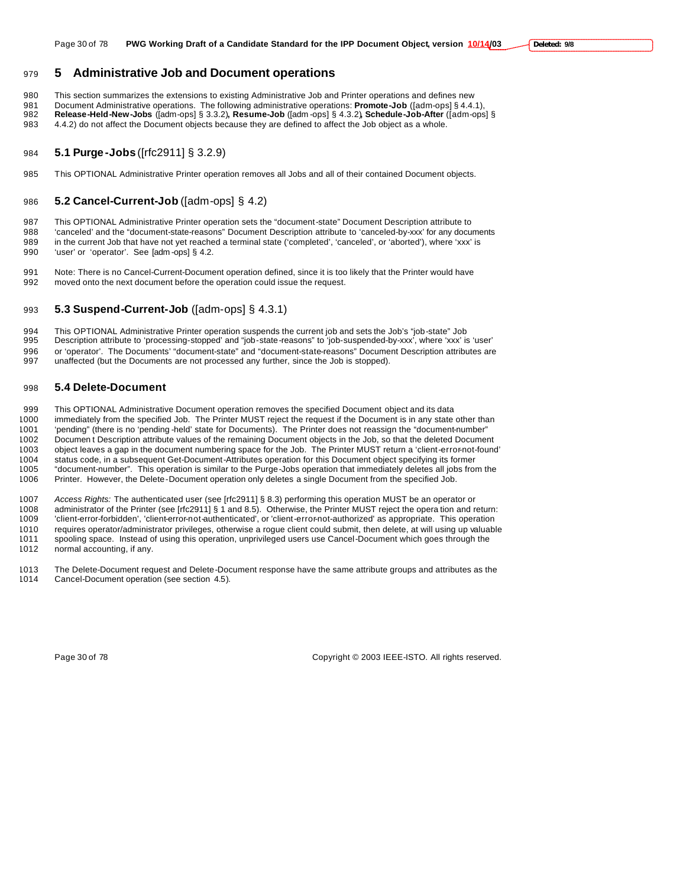# **5 Administrative Job and Document operations**

This section summarizes the extensions to existing Administrative Job and Printer operations and defines new

 Document Administrative operations. The following administrative operations: **Promote-Job** ([adm-ops] § 4.4.1), **Release-Held-New-Jobs** ([adm-ops] § 3.3.2)**, Resume-Job** ([adm -ops] § 4.3.2)**, Schedule-Job-After** ([adm-ops] §

4.4.2) do not affect the Document objects because they are defined to affect the Job object as a whole.

# **5.1 Purge-Jobs** ([rfc2911] § 3.2.9)

This OPTIONAL Administrative Printer operation removes all Jobs and all of their contained Document objects.

# **5.2 Cancel-Current-Job** ([adm-ops] § 4.2)

 This OPTIONAL Administrative Printer operation sets the "document-state" Document Description attribute to 'canceled' and the "document-state-reasons" Document Description attribute to 'canceled-by-xxx' for any documents in the current Job that have not yet reached a terminal state ('completed', 'canceled', or 'aborted'), where 'xxx' is 'user' or 'operator'. See [adm -ops] § 4.2.

 Note: There is no Cancel-Current-Document operation defined, since it is too likely that the Printer would have moved onto the next document before the operation could issue the request.

# **5.3 Suspend-Current-Job** ([adm-ops] § 4.3.1)

 This OPTIONAL Administrative Printer operation suspends the current job and sets the Job's "job-state" Job Description attribute to 'processing-stopped' and "job-state-reasons" to 'job-suspended-by-xxx', where 'xxx' is 'user' or 'operator'. The Documents' "document-state" and "document-state-reasons" Document Description attributes are unaffected (but the Documents are not processed any further, since the Job is stopped).

# **5.4 Delete-Document**

 This OPTIONAL Administrative Document operation removes the specified Document object and its data immediately from the specified Job. The Printer MUST reject the request if the Document is in any state other than 'pending" (there is no 'pending -held' state for Documents). The Printer does not reassign the "document-number" Documen t Description attribute values of the remaining Document objects in the Job, so that the deleted Document object leaves a gap in the document numbering space for the Job. The Printer MUST return a 'client-error-not-found' status code, in a subsequent Get-Document-Attributes operation for this Document object specifying its former "document-number". This operation is similar to the Purge-Jobs operation that immediately deletes all jobs from the Printer. However, the Delete-Document operation only deletes a single Document from the specified Job.

 *Access Rights:* The authenticated user (see [rfc2911] § 8.3) performing this operation MUST be an operator or administrator of the Printer (see [rfc2911] § 1 and 8.5). Otherwise, the Printer MUST reject the opera tion and return: 'client-error-forbidden', 'client-error-not-authenticated', or 'client-error-not-authorized' as appropriate. This operation requires operator/administrator privileges, otherwise a rogue client could submit, then delete, at will using up valuable spooling space. Instead of using this operation, unprivileged users use Cancel-Document which goes through the normal accounting, if any.

1013 The Delete-Document request and Delete-Document response have the same attribute groups and attributes as the 1014 Cancel-Document operation (see section 4.5). Cancel-Document operation (see section 4.5).

Page 30 of 78 Copyright © 2003 IEEE-ISTO. All rights reserved.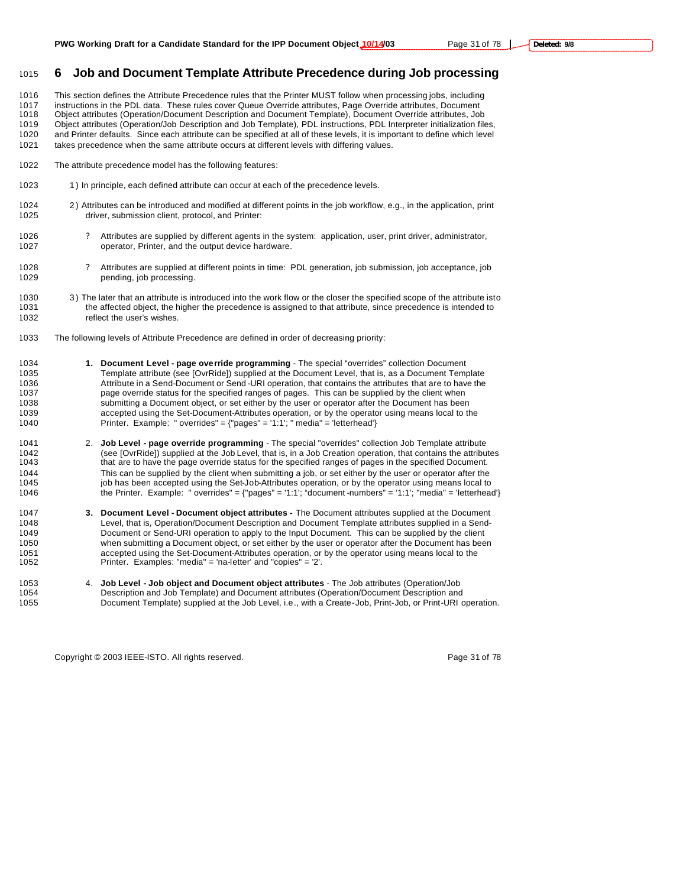# **6 Job and Document Template Attribute Precedence during Job processing**

 This section defines the Attribute Precedence rules that the Printer MUST follow when processing jobs, including instructions in the PDL data. These rules cover Queue Override attributes, Page Override attributes, Document Object attributes (Operation/Document Description and Document Template), Document Override attributes, Job

 Object attributes (Operation/Job Description and Job Template), PDL instructions, PDL Interpreter initialization files, and Printer defaults. Since each attribute can be specified at all of these levels, it is important to define which level takes precedence when the same attribute occurs at different levels with differing values.

- 
- The attribute precedence model has the following features:
- 1023 1) In principle, each defined attribute can occur at each of the precedence levels.
- 2 ) Attributes can be introduced and modified at different points in the job workflow, e.g., in the application, print driver, submission client, protocol, and Printer:
- ? Attributes are supplied by different agents in the system: application, user, print driver, administrator, operator, Printer, and the output device hardware.
- ? Attributes are supplied at different points in time: PDL generation, job submission, job acceptance, job pending, job processing.
- 1030 3) The later that an attribute is introduced into the work flow or the closer the specified scope of the attribute isto<br>1031 the affected object, the higher the precedence is assigned to that attribute, since preceden the affected object, the higher the precedence is assigned to that attribute, since precedence is intended to reflect the user's wishes.
- The following levels of Attribute Precedence are defined in order of decreasing priority:
- **1. Document Level page override programming** The special "overrides" collection Document Template attribute (see [OvrRide]) supplied at the Document Level, that is, as a Document Template 1036 Attribute in a Send-Document or Send-URI operation, that contains the attributes that are to have the 1037<br>1037 page override status for the specified ranges of pages. This can be supplied by the client when page override status for the specified ranges of pages. This can be supplied by the client when submitting a Document object, or set either by the user or operator after the Document has been accepted using the Set-Document-Attributes operation, or by the operator using means local to the Printer. Example: " overrides" = {"pages" = '1:1'; " media" = 'letterhead'}
- 2. **Job Level page override programming** The special "overrides" collection Job Template attribute (see [OvrRide]) supplied at the Job Level, that is, in a Job Creation operation, that contains the attributes that are to have the page override status for the specified ranges of pages in the specified Document. 1044 This can be supplied by the client when submitting a job, or set either by the user or operator after the<br>1045 job has been accepted using the Set-Job-Attributes operation, or by the operator using means local to job has been accepted using the Set-Job-Attributes operation, or by the operator using means local to the Printer. Example: " overrides" = {"pages" = '1:1'; "document -numbers" = '1:1'; "media" = 'letterhead'}
- **3. Document Level Document object attributes -** The Document attributes supplied at the Document Level, that is, Operation/Document Description and Document Template attributes supplied in a Send- Document or Send-URI operation to apply to the Input Document. This can be supplied by the client when submitting a Document object, or set either by the user or operator after the Document has been 1051 accepted using the Set-Document-Attributes operation, or by the operator using means local to the 1052 <br>1052 <br>
Printer. Examples: "media" = 'na-letter' and "copies" = '2'. Printer. Examples: "media" = 'na-letter' and "copies" = '2'.
- 4. **Job Level Job object and Document object attributes**  The Job attributes (Operation/Job Description and Job Template) and Document attributes (Operation/Document Description and Document Template) supplied at the Job Level, i.e., with a Create-Job, Print-Job, or Print-URI operation.

Copyright © 2003 IEEE-ISTO. All rights reserved. Page 31 of 78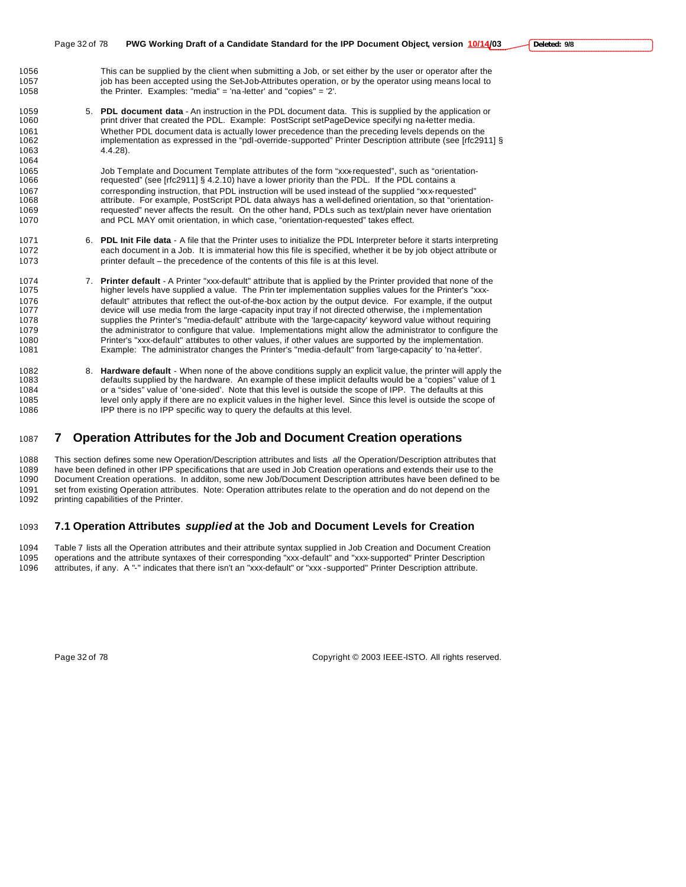- This can be supplied by the client when submitting a Job, or set either by the user or operator after the 1057 job has been accepted using the Set-Job-Attributes operation, or by the operator using means local to the Printer. Examples: "media" = 'na-letter' and "copies" = '2'.
- 5. **PDL document data**  An instruction in the PDL document data. This is supplied by the application or print driver that created the PDL. Example: PostScript setPageDevice specifyi ng na-letter media. Whether PDL document data is actually lower precedence than the preceding levels depends on the 1062 implementation as expressed in the "pdl-override-supported" Printer Description attribute (see [rfc2911] § 4.4.28).

 Job Template and Document Template attributes of the form "xxx-requested", such as "orientation- requested" (see [rfc2911] § 4.2.10) have a lower priority than the PDL. If the PDL contains a corresponding instruction, that PDL instruction will be used instead of the supplied "xxx-requested" attribute. For example, PostScript PDL data always has a well-defined orientation, so that "orientation- requested" never affects the result. On the other hand, PDLs such as text/plain never have orientation and PCL MAY omit orientation, in which case, "orientation-requested" takes effect.

- 6. **PDL Init File data**  A file that the Printer uses to initialize the PDL Interpreter before it starts interpreting each document in a Job. It is immaterial how this file is specified, whether it be by job object attribute or printer default – the precedence of the contents of this file is at this level.
- 1074 7. **Printer default** A Printer "xxx-default" attribute that is applied by the Printer provided that none of the 1075 higher levels have supplied a value. The Prin ter implementation supplies values for the Printer's higher levels have supplied a value. The Prin ter implementation supplies values for the Printer's "xxx- default" attributes that reflect the out-of-the-box action by the output device. For example, if the output device will use media from the large -capacity input tray if not directed otherwise, the i mplementation supplies the Printer's "media-default" attribute with the 'large-capacity' keyword value without requiring the administrator to configure that value. Implementations might allow the administrator to configure the 1080 Printer's "xxx-default" attributes to other values, if other values are supported by the implementation.<br>1081 Prample: The administrator changes the Printer's "media-default" from 'large-capacity' to 'na-letter'. Example: The administrator changes the Printer's "media-default" from 'large-capacity' to 'na-letter'.
- 8. **Hardware default**  When none of the above conditions supply an explicit value, the printer will apply the defaults supplied by the hardware. An example of these implicit defaults would be a "copies" value of 1 or a "sides" value of 'one-sided'. Note that this level is outside the scope of IPP. The defaults at this level only apply if there are no explicit values in the higher level. Since this level is outside the scope of IPP there is no IPP specific way to query the defaults at this level.

# **7 Operation Attributes for the Job and Document Creation operations**

 This section defines some new Operation/Description attributes and lists *all* the Operation/Description attributes that 1089 have been defined in other IPP specifications that are used in Job Creation operations and extends their use to the<br>1090 Document Creation operations. In additon, some new Job/Document Description attributes have been Document Creation operations. In additon, some new Job/Document Description attributes have been defined to be 1091 set from existing Operation attributes. Note: Operation attributes relate to the operation and do not depend on the 1092 printing capabilities of the Printer.

# **7.1 Operation Attributes** *supplied* **at the Job and Document Levels for Creation**

 Table 7 lists all the Operation attributes and their attribute syntax supplied in Job Creation and Document Creation operations and the attribute syntaxes of their corresponding "xxx-default" and "xxx-supported" Printer Description attributes, if any. A "-" indicates that there isn't an "xxx-default" or "xxx -supported" Printer Description attribute.

Page 32 of 78 Copyright © 2003 IEEE-ISTO. All rights reserved.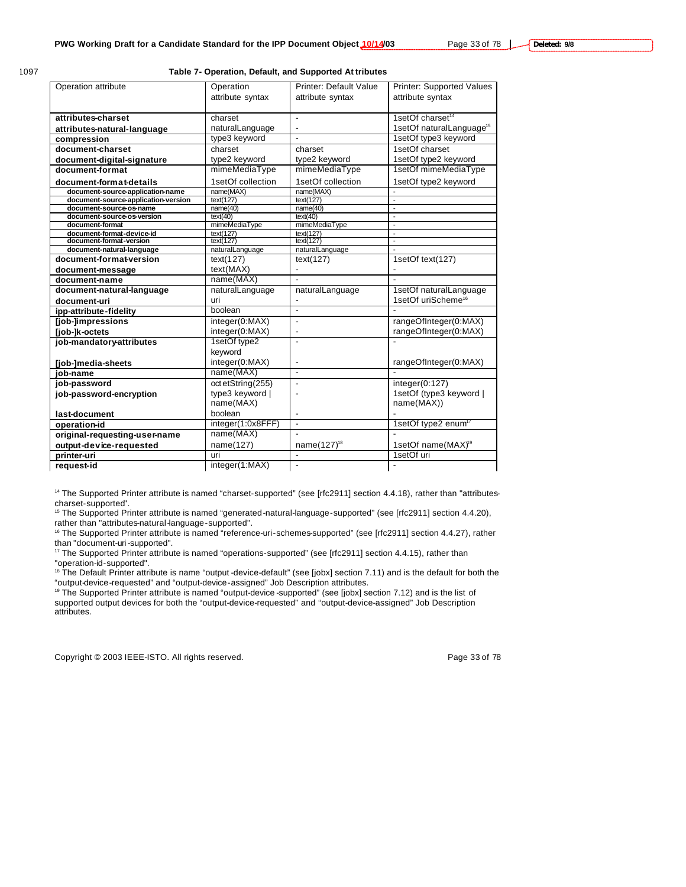#### 1097 **Table 7- Operation, Default, and Supported At tributes**

| Operation attribute                                  | Operation              | <b>Printer: Default Value</b> | <b>Printer: Supported Values</b>         |
|------------------------------------------------------|------------------------|-------------------------------|------------------------------------------|
|                                                      | attribute syntax       | attribute syntax              | attribute syntax                         |
|                                                      |                        |                               |                                          |
| attributes-charset                                   | charset                | ä,                            | 1setOf charset <sup>14</sup>             |
| attributes-natural-language                          | naturalLanguage        | $\overline{\phantom{a}}$      | 1setOf naturalLanguage <sup>15</sup>     |
| compression                                          | type3 keyword          |                               | 1setOf type3 keyword                     |
| document-charset                                     | charset                | charset                       | 1setOf charset                           |
| document-digital-signature                           | type2 keyword          | type2 keyword                 | 1setOf type2 keyword                     |
| document-format                                      | mimeMediaType          | mimeMediaType                 | 1setOf mimeMediaType                     |
| document-format-details                              | 1setOf collection      | 1setOf collection             | 1setOf type2 keyword                     |
| document-source-application-name                     | name(MAX)              | name(MAX)                     |                                          |
| document-source-application-version                  | text(127)              | text(127)                     |                                          |
| document-source-os-name                              | name(40)               | name(40)                      |                                          |
| document-source-os-version                           | text(40)               | text(40)                      | $\blacksquare$                           |
| document-format                                      | mimeMediaType          | mimeMediaType                 | $\overline{\phantom{a}}$                 |
| document-format-device-id<br>document-format-version | text(127)<br>text(127) | text(127)<br>text(127)        | $\mathbf{r}$<br>$\overline{\phantom{a}}$ |
| document-natural-language                            | naturalLanguage        | naturalLanguage               |                                          |
| document-format-version                              | text(127)              |                               | 1setOf text(127)                         |
|                                                      |                        | text(127)                     |                                          |
| document-message                                     | text(MAX)              | Ĭ.                            |                                          |
| document-name                                        | name(MAX)              | $\overline{a}$                |                                          |
| document-natural-language                            | naturalLanguage        | naturalLanguage               | 1setOf naturalLanguage                   |
| document-uri                                         | uri                    | ٠                             | 1setOf uriScheme <sup>16</sup>           |
| ipp-attribute-fidelity                               | boolean                | ä,                            |                                          |
| [job-]impressions                                    | integer(0:MAX)         | $\qquad \qquad \blacksquare$  | rangeOfInteger(0:MAX)                    |
| [job-]k-octets                                       | integer(0:MAX)         | ٠                             | rangeOfInteger(0:MAX)                    |
| job-mandatory-attributes                             | 1setOf type2           | $\overline{\phantom{a}}$      |                                          |
|                                                      | keyword                |                               |                                          |
| [job-]media-sheets                                   | integer(0:MAX)         |                               | rangeOfInteger(0:MAX)                    |
| job-name                                             | name(MAX)              | $\blacksquare$                |                                          |
| job-password                                         | oct etString(255)      | Ĭ.                            | integer(0:127)                           |
| job-password-encryption                              | type3 keyword          |                               | 1setOf (type3 keyword                    |
|                                                      | name(MAX)              |                               | name(MAX))                               |
| last-document                                        | boolean                | ٠                             |                                          |
| operation-id                                         | integer(1:0x8FFF)      | $\blacksquare$                | 1setOf type2 enum <sup>17</sup>          |
| original-requesting-user-name                        | name(MAX)              |                               |                                          |
| output-device-requested                              | name(127)              | name(127) <sup>18</sup>       | 1setOf name(MAX) <sup>19</sup>           |
| printer-uri                                          | uri                    | $\overline{a}$                | 1setOf uri                               |
| reauest-id                                           | integer(1:MAX)         |                               |                                          |
|                                                      |                        |                               |                                          |

<sup>14</sup> The Supported Printer attribute is named "charset-supported" (see [rfc2911] section 4.4.18), rather than "attributescharset-supported".

<sup>15</sup> The Supported Printer attribute is named "generated-natural-language-supported" (see [rfc2911] section 4.4.20), rather than "attributes-natural-language-supported".

<sup>16</sup> The Supported Printer attribute is named "reference-uri-schemes-supported" (see [rfc2911] section 4.4.27), rather than "document-uri-supported".

<sup>17</sup> The Supported Printer attribute is named "operations-supported" (see [rfc2911] section 4.4.15), rather than "operation-id-supported".

<sup>18</sup> The Default Printer attribute is name "output -device-default" (see [jobx] section 7.11) and is the default for both the "output-device-requested" and "output-device-assigned" Job Description attributes.

<sup>19</sup> The Supported Printer attribute is named "output-device -supported" (see [jobx] section 7.12) and is the list of supported output devices for both the "output-device-requested" and "output-device-assigned" Job Description attributes.

Copyright © 2003 IEEE-ISTO. All rights reserved. The example of the state of 78 of 78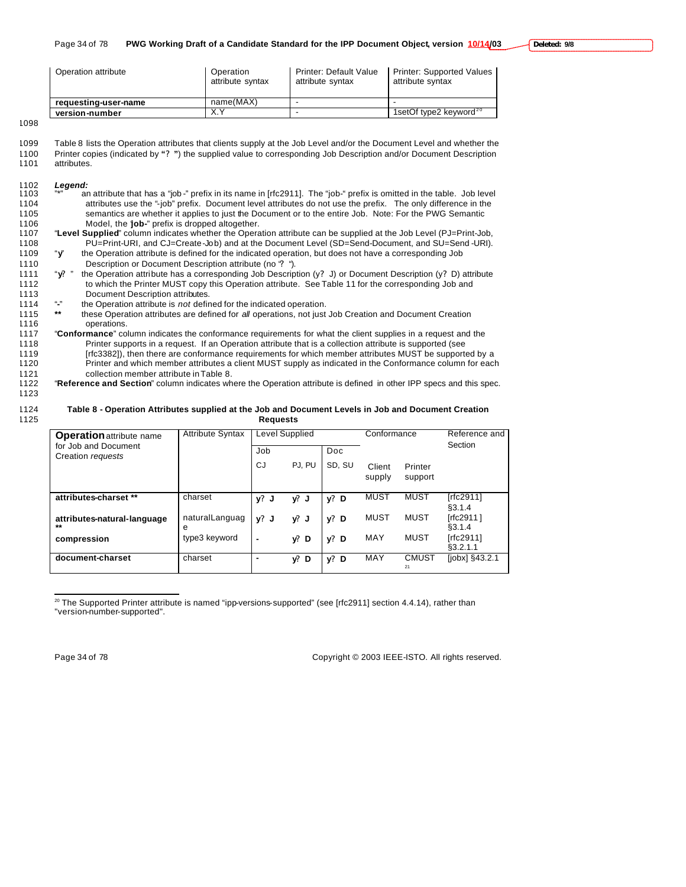| Operation attribute  | Operation<br>attribute syntax | Printer: Default Value<br>attribute syntax | Printer: Supported Values<br>attribute syntax |  |
|----------------------|-------------------------------|--------------------------------------------|-----------------------------------------------|--|
| requesting-user-name | name(MAX)                     |                                            |                                               |  |
| version-number       | $\check{ }$                   |                                            | 1setOf type2 keyword $20$                     |  |

1098

| 1099 | Table 8 lists the Operation attributes that clients supply at the Job Level and/or the Document Level and whether the |
|------|-----------------------------------------------------------------------------------------------------------------------|
| 1100 | Printer copies (indicated by "?") the supplied value to corresponding Job Description and/or Document Description     |
| 1101 | attributes.                                                                                                           |

# 1102 *Legend:*

- 1103 **with an attribute that has a "job** -" prefix in its name in [rfc2911]. The "job-" prefix is omitted in the table. Job level 1104 attributes use the "-job" prefix. Document level attributes do not use the prefix. The only difference in the 1105 semantics are whether it applies to just the Document or to the entire Job. Note: For the PWG Semantic 1106 Model, the "**job-**" prefix is dropped altogether.<br>1107 **Level Supplied**" column indicates whether the Opera 1107 "**Level Supplied**" column indicates whether the Operation attribute can be supplied at the Job Level (PJ=Print-Job,
- 1108 PU=Print-URI, and CJ=Create-Job) and at the Document Level (SD=Send-Document, and SU=Send -URI). 1109 "**y**" the Operation attribute is defined for the indicated operation, but does not have a corresponding Job

1110 Description or Document Description attribute (no "**?** ").

- 1111 "**y?** " the Operation attribute has a corresponding Job Description (y**?** J) or Document Description (y**?** D) attribute 1112 to which the Printer MUST copy this Operation attribute. See Table 11 for the corresponding Job and 1113 Document Description attributes.
- 1114 "**-"** the Operation attribute is *not* defined for the indicated operation.
- 1115 **\*\*** these Operation attributes are defined for *all* operations, not just Job Creation and Document Creation 1116 operations.
- 1117 "**Conformance**" column indicates the conformance requirements for what the client supplies in a request and the 1118 Printer supports in a request. If an Operation attribute that is a collection attribute is supported (see 1119 [rfc3382]), then there are conformance requirements for which member attributes MUST be supported by a<br>1120 Printer and which member attributes a client MUST supply as indicated in the Conformance column for eacl Printer and which member attributes a client MUST supply as indicated in the Conformance column for each 1121 collection member attribute in Table 8.
- 1122 "**Reference and Section**" column indicates where the Operation attribute is defined in other IPP specs and this spec.

# 1123

#### 1124 **Table 8 - Operation Attributes supplied at the Job and Document Levels in Job and Document Creation**  1125 **Requests**

| <b>Operation</b> attribute name           | <b>Attribute Syntax</b> | Level Supplied |         |            | Conformance      |                    | Reference and<br>Section |
|-------------------------------------------|-------------------------|----------------|---------|------------|------------------|--------------------|--------------------------|
| for Job and Document<br>Creation requests |                         | Job            |         | <b>Doc</b> |                  |                    |                          |
|                                           |                         | CJ             | PJ. PU  | SD. SU     | Client<br>supply | Printer<br>support |                          |
|                                           |                         |                |         |            |                  |                    |                          |
| attributes-charset **                     | charset                 | y?<br>J        | y? J    | $y?$ D     | MUST             | <b>MUST</b>        | [rfc2911]<br>\$3.1.4     |
| attributes-natural-language<br>$***$      | naturalLanguag<br>е     | $v?$ J         | y? J    | $v?$ D     | MUST             | MUST               | [rfc2911]<br>§3.1.4      |
| compression                               | type3 keyword           | $\blacksquare$ | $y$ ? D | $v?$ D     | MAY              | MUST               | [rfc2911]<br>§3.2.1.1    |
| document-charset                          | charset                 | $\blacksquare$ | y?<br>D | $y?$ D     | MAY              | <b>CMUST</b><br>21 | $[jobx]$ §43.2.1         |

 $^{20}$  The Supported Printer attribute is named "ipp-versions-supported" (see [rfc2911] section 4.4.14), rather than "version-number-supported".

 $\overline{a}$ 

Page 34 of 78 Copyright © 2003 IEEE-ISTO. All rights reserved.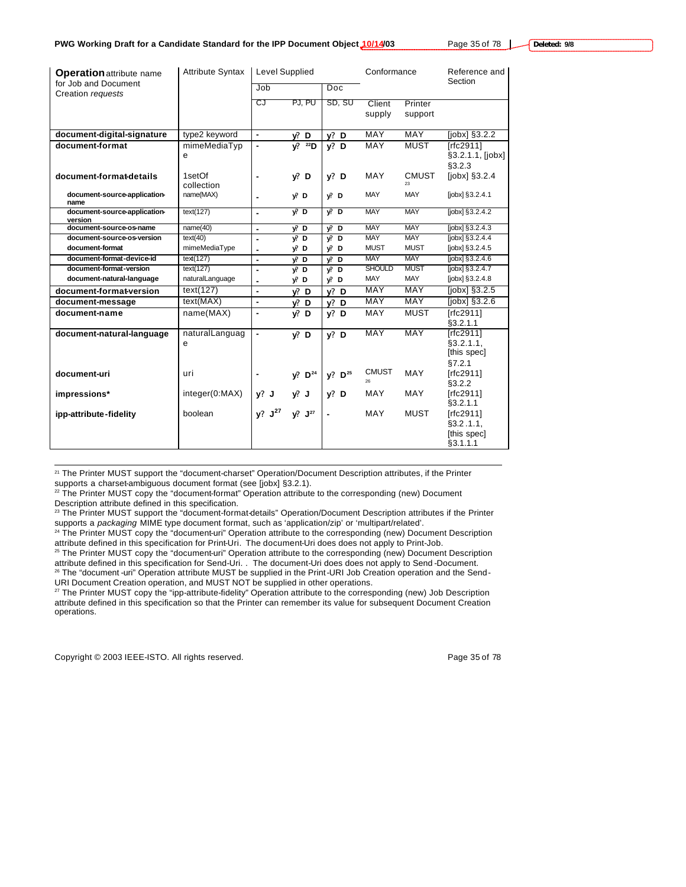| <b>Operation attribute name</b>           | <b>Attribute Syntax</b> | <b>Level Supplied</b> |                       |                    | Conformance        |                    | Reference and                                        |  |
|-------------------------------------------|-------------------------|-----------------------|-----------------------|--------------------|--------------------|--------------------|------------------------------------------------------|--|
| for Job and Document<br>Creation requests |                         | Job                   |                       | Doc                |                    |                    | Section                                              |  |
|                                           |                         | CJ                    | PJ, PU                | SD, SU             | Client<br>supply   | Printer<br>support |                                                      |  |
| document-digital-signature                | type2 keyword           | $\blacksquare$        | y? D                  | $y?$ D             | <b>MAY</b>         | <b>MAY</b>         | $[jobx]$ §3.2.2                                      |  |
| document-format                           | mimeMediaTyp<br>e       | $\blacksquare$        | $22$ D<br>V.          | $y?$ D             | MAY                | <b>MUST</b>        | [rfc2911]<br>§3.2.1.1, [jobx]<br>§3.2.3              |  |
| document-format-details                   | 1setOf<br>collection    | ٠                     | V: D                  | $v?$ D             | <b>MAY</b>         | <b>CMUST</b><br>23 | $[jobx]$ §3.2.4                                      |  |
| document-source-application-<br>name      | name(MAX)               | ٠                     | V. D                  | V: D               | <b>MAY</b>         | <b>MAY</b>         | $[jobx]$ §3.2.4.1                                    |  |
| document-source-application-<br>version   | text(127)               | $\blacksquare$        | $\sqrt{2}$ D          | $V^p$ D            | <b>MAY</b>         | <b>MAY</b>         | [jobx] §3.2.4.2                                      |  |
| document-source-os-name                   | name(40)                | $\blacksquare$        | y? D                  | $y^p$ D            | <b>MAY</b>         | <b>MAY</b>         | $[jobx]$ § 3.2.4.3                                   |  |
| document-source-os-version                | text(40)                | $\tilde{\phantom{a}}$ | $V2$ D                | $\sqrt{2}$ D       | <b>MAY</b>         | <b>MAY</b>         | $[jobx]$ §3.2.4.4                                    |  |
| document-format                           | mimeMediaType           |                       | y? D                  | y? D               | <b>MUST</b>        | <b>MUST</b>        | $[jobx]$ §3.2.4.5                                    |  |
| document-format-device-id                 | text(127)               | ٠                     | y? D                  | $y$ ? D            | <b>MAY</b>         | <b>MAY</b>         | $[jobx]$ §3.2.4.6                                    |  |
| document-format-version                   | text(127)               | $\blacksquare$        | $V2$ D                | $y$ D              | <b>SHOULD</b>      | <b>MUST</b>        | $[jobx]$ $§3.2.4.7$                                  |  |
| document-natural-language                 | naturalLanguage         | ٠                     | y? D                  | $y$ ? D            | MAY                | <b>MAY</b>         | $[jobx]$ §3.2.4.8                                    |  |
| document-format-version                   | text(127)               | $\blacksquare$        | V: D                  | $v?$ D             | <b>MAY</b>         | <b>MAY</b>         | $[jobx]$ $§3.2.5$                                    |  |
| document-message                          | text(MAX)               | ä,                    | $y$ ? D               | $v?$ D             | MAY                | <b>MAY</b>         | [ <i>j</i> obx] <sub>3.2.6</sub>                     |  |
| document-name                             | name(MAX)               | $\blacksquare$        | V: D                  | $v?$ D             | MAY                | <b>MUST</b>        | [rfc2911]<br>§3.2.1.1                                |  |
| document-natural-language                 | naturalLanguag<br>e     | $\blacksquare$        | V: D                  | $v?$ D             | MAY                | <b>MAY</b>         | [rfc2911]<br>§3.2.1.1,<br>[this spec]<br>\$7.2.1     |  |
| document-uri                              | uri                     |                       | $V^2$ D <sup>24</sup> | y? D <sup>25</sup> | <b>CMUST</b><br>26 | <b>MAY</b>         | [ $rfc2911$ ]<br>\$3.2.2                             |  |
| impressions*                              | integer(0:MAX)          | $y?$ J                | $y!$ J                | $y?$ D             | <b>MAY</b>         | <b>MAY</b>         | [rfc2911]<br>§3.2.1.1                                |  |
| ipp-attribute-fidelity                    | boolean                 | y? J <sup>27</sup>    | $y!$ $J^{27}$         | $\blacksquare$     | MAY                | <b>MUST</b>        | [rfc2911]<br>$§3.2.1.1$ .<br>[this spec]<br>§3.1.1.1 |  |

<sup>21</sup> The Printer MUST support the "document-charset" Operation/Document Description attributes, if the Printer supports a charset-ambiguous document format (see [jobx] §3.2.1).

<sup>22</sup> The Printer MUST copy the "document-format" Operation attribute to the corresponding (new) Document Description attribute defined in this specification.

<sup>23</sup> The Printer MUST support the "document-format-details" Operation/Document Description attributes if the Printer supports a *packaging* MIME type document format, such as 'application/zip' or 'multipart/related'.

<sup>24</sup> The Printer MUST copy the "document-uri" Operation attribute to the corresponding (new) Document Description attribute defined in this specification for Print-Uri. The document-Uri does does not apply to Print-Job.

<sup>25</sup> The Printer MUST copy the "document-uri" Operation attribute to the corresponding (new) Document Description attribute defined in this specification for Send-Uri. . The document-Uri does does not apply to Send -Document. <sup>26</sup> The "document -uri" Operation attribute MUST be supplied in the Print-URI Job Creation operation and the Send-URI Document Creation operation, and MUST NOT be supplied in other operations.

<sup>27</sup> The Printer MUST copy the "ipp-attribute-fidelity" Operation attribute to the corresponding (new) Job Description attribute defined in this specification so that the Printer can remember its value for subsequent Document Creation operations.

Copyright © 2003 IEEE-ISTO. All rights reserved. Page 35 of 78

 $\overline{a}$ 

**Deleted: 9/8**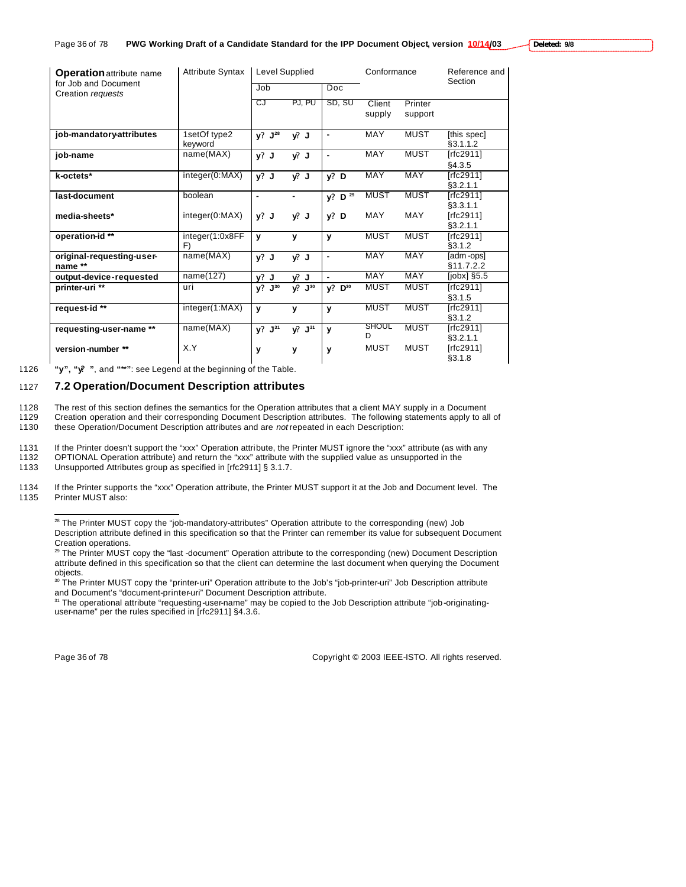| <b>Operation attribute name</b>           | <b>Attribute Syntax</b> | Level Supplied       |                  |                            | Conformance      |                    | Reference and<br>Section   |
|-------------------------------------------|-------------------------|----------------------|------------------|----------------------------|------------------|--------------------|----------------------------|
| for Job and Document<br>Creation requests |                         | Job                  |                  | Doc                        |                  |                    |                            |
|                                           |                         | CJ                   | PJ, PU           | SD, SU                     | Client<br>supply | Printer<br>support |                            |
| job-mandatory-attributes                  | 1setOf type2<br>keyword | $y? J^{28}$          | $y$ ? J          | ٠                          | <b>MAY</b>       | <b>MUST</b>        | [this spec]<br>\$3.1.1.2   |
| job-name                                  | name(MAX)               | $y?$ J               | y? J             | ٠                          | <b>MAY</b>       | <b>MUST</b>        | [rfc2911]<br>§4.3.5        |
| k-octets*                                 | integer(0:MAX)          | $y?$ J               | $y$ ? J          | $y?$ D                     | <b>MAY</b>       | <b>MAY</b>         | [rfc2911]<br>§3.2.1.1      |
| last-document                             | boolean                 |                      |                  | $y?$ D $\overline{29}$     | <b>MUST</b>      | <b>MUST</b>        | [rfc2911]<br>§3.3.1.1      |
| media-sheets*                             | integer(0:MAX)          | $v?$ J               | y? J             | v?<br>D                    | <b>MAY</b>       | MAY                | [ $rfc2911$ ]<br>\$3.2.1.1 |
| operation-id**                            | integer(1:0x8FF<br>F)   | $\mathbf{v}$         | y                | y                          | <b>MUST</b>      | <b>MUST</b>        | [rfc2911]<br>\$3.1.2       |
| original-requesting-user-<br>name **      | name(MAX)               | $y?$ J               | $y$ ? J          | ٠                          | <b>MAY</b>       | <b>MAY</b>         | adm-ops<br>§11.7.2.2       |
| output-device-requested                   | name(127)               | $y?$ J               | v? J             |                            | <b>MAY</b>       | MAY                | $[jobs]$ §5.5              |
| printer-uri <sup>**</sup>                 | uri                     | ${\bf J}^{30}$<br>y? | $y^p$ $J^{30}$   | $D^{30}$<br>V <sup>2</sup> | <b>MUST</b>      | <b>MUST</b>        | [rfc2911]<br>§3.1.5        |
| request-id**                              | integer(1:MAX)          | $\mathbf{v}$         | y                | y                          | <b>MUST</b>      | <b>MUST</b>        | [rfc2911]<br>§3.1.2        |
| requesting-user-name **                   | name(MAX)               | $y? J^{31}$          | $V^2$ . $J^{31}$ | v                          | SHOUL<br>D       | <b>MUST</b>        | [rfc2911]<br>\$3.2.1.1     |
| version-number **                         | X.Y                     | У                    | y                | y                          | <b>MUST</b>      | <b>MUST</b>        | [rfc2911]<br>§3.1.8        |

1126 **"y", "y? "**, and **"**\*\***"**: see Legend at the beginning of the Table.

# 1127 **7.2 Operation/Document Description attributes**

1128 The rest of this section defines the semantics for the Operation attributes that a client MAY supply in a Document<br>1129 Creation operation and their corresponding Document Description attributes. The following stateme

Creation operation and their corresponding Document Description attributes. The following statements apply to all of 1130 these Operation/Document Description attributes and are *not* repeated in each Description:

1131 If the Printer doesn't support the "xxx" Operation attribute, the Printer MUST ignore the "xxx" attribute (as with any

1132 OPTIONAL Operation attribute) and return the "xxx" attribute with the supplied value as unsupported in the<br>1133 Unsupported Attributes group as specified in [rfc2911] § 3.1.7.

Unsupported Attributes group as specified in [rfc2911] § 3.1.7.

1134 If the Printer supports the "xxx" Operation attribute, the Printer MUST support it at the Job and Document level. The 1135 Printer MUST also: Printer MUST also:

<sup>29</sup> The Printer MUST copy the "last -document" Operation attribute to the corresponding (new) Document Description attribute defined in this specification so that the client can determine the last document when querying the Document objects.

<sup>30</sup> The Printer MUST copy the "printer-uri" Operation attribute to the Job's "job-printer-uri" Job Description attribute and Document's "document-printer-uri" Document Description attribute.

<sup>31</sup> The operational attribute "requesting-user-name" may be copied to the Job Description attribute "job-originatinguser-name" per the rules specified in [rfc2911] §4.3.6.

 $\overline{a}$ 

Page 36 of 78 Copyright © 2003 IEEE-ISTO. All rights reserved.

 $28$  The Printer MUST copy the "job-mandatory-attributes" Operation attribute to the corresponding (new) Job Description attribute defined in this specification so that the Printer can remember its value for subsequent Document Creation operations.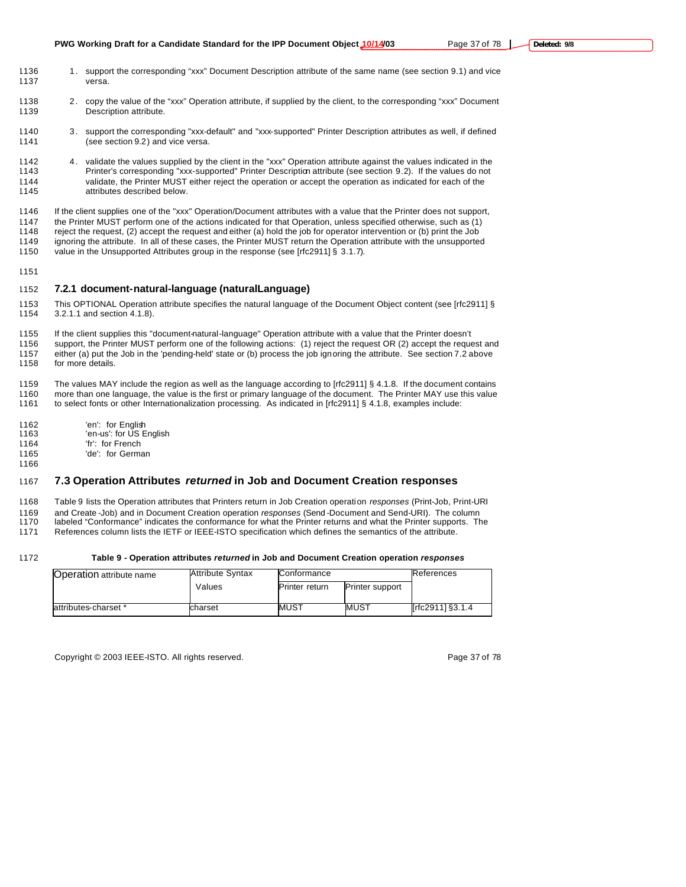**PWG Working Draft for a Candidate Standard for the IPP Document Object 10/14/03** Page 37 of 78 |

- 1136 1. support the corresponding "xxx" Document Description attribute of the same name (see section 9.1) and vice versa.
- 1138 2. copy the value of the "xxx" Operation attribute, if supplied by the client, to the corresponding "xxx" Document 1139 Description attribute.
- 3. support the corresponding "xxx-default" and "xxx-supported" Printer Description attributes as well, if defined (see section 9.2) and vice versa.
- 1142 4. validate the values supplied by the client in the "xxx" Operation attribute against the values indicated in the<br>1143 Frinter's corresponding "xxx-supported" Printer Description attribute (see section 9.2). If the v Printer's corresponding "xxx-supported" Printer Description attribute (see section 9.2). If the values do not validate, the Printer MUST either reject the operation or accept the operation as indicated for each of the attributes described below.

 If the client supplies one of the "xxx" Operation/Document attributes with a value that the Printer does not support, the Printer MUST perform one of the actions indicated for that Operation, unless specified otherwise, such as (1) reject the request, (2) accept the request and either (a) hold the job for operator intervention or (b) print the Job ignoring the attribute. In all of these cases, the Printer MUST return the Operation attribute with the unsupported 1150 value in the Unsupported Attributes group in the response (see [rfc2911] § 3.1.7).

### **7.2.1 document-natural-language (naturalLanguage)**

1153 This OPTIONAL Operation attribute specifies the natural language of the Document Object content (see [rfc2911] §<br>1154 3.2.1.1 and section 4.1.8). 3.2.1.1 and section 4.1.8).

 If the client supplies this "document-natural-language" Operation attribute with a value that the Printer doesn't support, the Printer MUST perform one of the following actions: (1) reject the request OR (2) accept the request and either (a) put the Job in the 'pending-held' state or (b) process the job ignoring the attribute. See section 7.2 above for more details.

 The values MAY include the region as well as the language according to [rfc2911] § 4.1.8. If the document contains more than one language, the value is the first or primary language of the document. The Printer MAY use this value

to select fonts or other Internationalization processing. As indicated in [rfc2911] § 4.1.8, examples include:

- 'en': for English
- 'en-us': for US English
- 'fr': for French
- 'de': for German

# **7.3 Operation Attributes** *returned* **in Job and Document Creation responses**

Table 9 lists the Operation attributes that Printers return in Job Creation operation *responses* (Print-Job, Print-URI

and Create -Job) and in Document Creation operation *responses* (Send -Document and Send-URI). The column

labeled "Conformance" indicates the conformance for what the Printer returns and what the Printer supports. The

References column lists the IETF or IEEE-ISTO specification which defines the semantics of the attribute.

### **Table 9 - Operation attributes** *returned* **in Job and Document Creation operation** *responses*

| <b>Operation attribute name</b> | <b>Attribute Syntax</b> | Conformance           | References             |                  |
|---------------------------------|-------------------------|-----------------------|------------------------|------------------|
|                                 | Values                  | <b>Printer return</b> | <b>Printer support</b> |                  |
| attributes-charset *            | charset                 | MUST                  | MUST                   | [rfc2911] §3.1.4 |

Copyright © 2003 IEEE-ISTO. All rights reserved. Page 37 of 78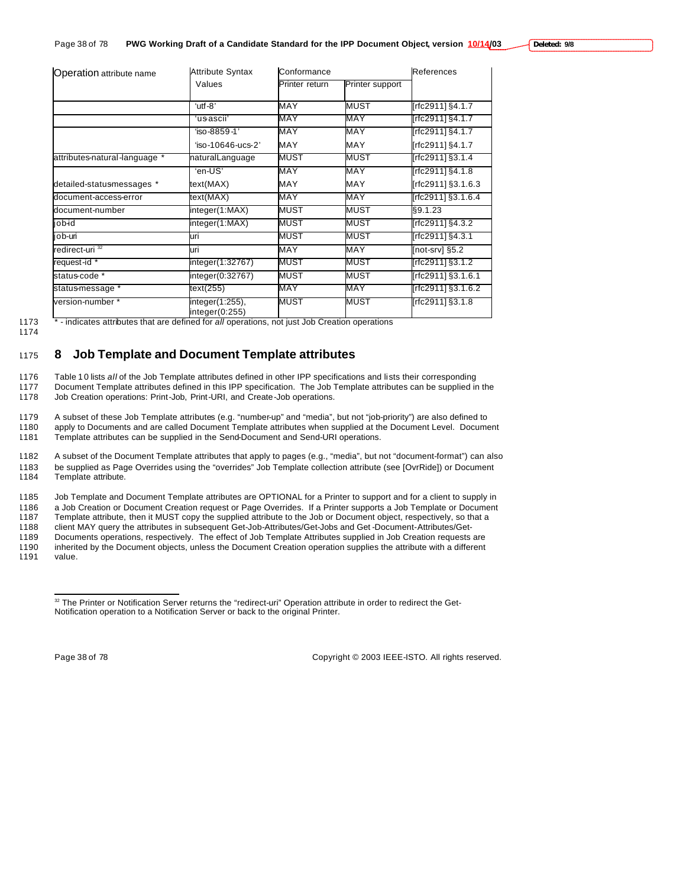| Deleted: 9/8 |  |
|--------------|--|
|--------------|--|

| Operation attribute name      | <b>Attribute Syntax</b>           | Conformance    | References      |                    |  |
|-------------------------------|-----------------------------------|----------------|-----------------|--------------------|--|
|                               | Values                            | Printer return | Printer support |                    |  |
|                               | 'utf-8"                           | MAY            | <b>MUST</b>     | [rfc2911] §4.1.7   |  |
|                               | ʻusascii'                         | MAY            | <b>MAY</b>      | [rfc2911] §4.1.7   |  |
|                               | 'iso-8859-1'                      | MAY            | <b>MAY</b>      | [rfc2911] §4.1.7   |  |
|                               | 'iso-10646-ucs-2'                 | <b>MAY</b>     | <b>MAY</b>      | [rfc2911] §4.1.7   |  |
| attributes-natural-language * | naturalLanguage                   | <b>MUST</b>    | <b>MUST</b>     | [rfc2911] §3.1.4   |  |
|                               | 'en-US'                           | MAY            | MAY             | [rfc2911] §4.1.8   |  |
| detailed-statusmessages *     | text(MAX)                         | <b>MAY</b>     | <b>MAY</b>      | [rfc2911] §3.1.6.3 |  |
| document-access-error         | text(MAX)                         | MAY            | MAY             | [rfc2911] §3.1.6.4 |  |
| document-number               | integer(1:MAX)                    | <b>MUST</b>    | <b>MUST</b>     | §9.1.23            |  |
| bidoj                         | integer(1:MAX)                    | <b>MUST</b>    | <b>MUST</b>     | [rfc2911] §4.3.2   |  |
| job-uri                       | uri                               | <b>MUST</b>    | <b>MUST</b>     | [rfc2911] §4.3.1   |  |
| redirect-uri <sup>32</sup>    | luri                              | <b>MAY</b>     | MAY             | [not-srv] §5.2     |  |
| request-id *                  | integer(1:32767)                  | MUST           | <b>MUST</b>     | [rfc2911] §3.1.2   |  |
| status-code *                 | integer(0:32767)                  | <b>MUST</b>    | <b>MUST</b>     | [rfc2911] §3.1.6.1 |  |
| status-message *              | text(255)                         | MAY            | <b>MAY</b>      | [rfc2911] §3.1.6.2 |  |
| version-number *              | integer(1:255),<br>integer(0:255) | <b>MUST</b>    | <b>MUST</b>     | [rfc2911] §3.1.8   |  |

1173 \* - indicates attributes that are defined for *all* operations, not just Job Creation operations

1174

# <sup>1175</sup> **8 Job Template and Document Template attributes**

1176 Table 1 0 lists *all* of the Job Template attributes defined in other IPP specifications and lists their corresponding

1177 Document Template attributes defined in this IPP specification. The Job Template attributes can be supplied in the 1178 Job Creation operations: Print-Job, Print-URI, and Create-Job operations.

1179 A subset of these Job Template attributes (e.g. "number-up" and "media", but not "job-priority") are also defined to

1180 apply to Documents and are called Document Template attributes when supplied at the Document Level. Document 1181 Template attributes can be supplied in the Send-Document and Send-URI operations.

1182 A subset of the Document Template attributes that apply to pages (e.g., "media", but not "document-format") can also 1183 be supplied as Page Overrides using the "overrides" Job Template collection attribute (see [OvrRide]) or Document Template attribute.

1185 Job Template and Document Template attributes are OPTIONAL for a Printer to support and for a client to supply in

1186 a Job Creation or Document Creation request or Page Overrides. If a Printer supports a Job Template or Document<br>1187 Template attribute, then it MUST copy the supplied attribute to the Job or Document object, respecti Template attribute, then it MUST copy the supplied attribute to the Job or Document object, respectively, so that a

1188 client MAY query the attributes in subsequent Get-Job-Attributes/Get-Jobs and Get -Document-Attributes/Get-

1189 Documents operations, respectively. The effect of Job Template Attributes supplied in Job Creation requests are

1190 inherited by the Document objects, unless the Document Creation operation supplies the attribute with a different value.

 $\overline{a}$ 

Page 38 of 78 Copyright © 2003 IEEE-ISTO. All rights reserved.

<sup>32</sup> The Printer or Notification Server returns the "redirect-uri" Operation attribute in order to redirect the Get-Notification operation to a Notification Server or back to the original Printer.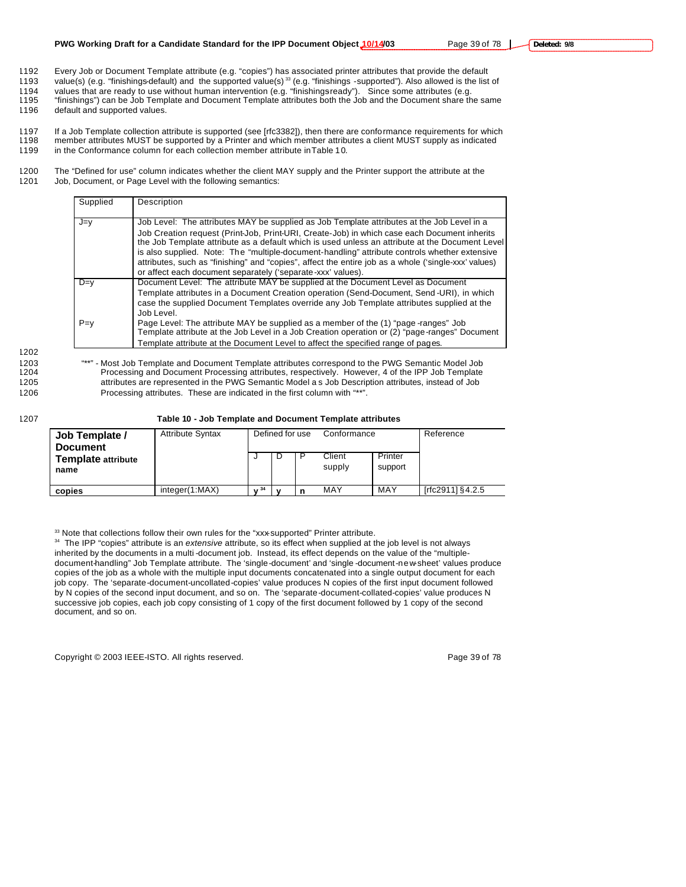1192 Every Job or Document Template attribute (e.g. "copies") has associated printer attributes that provide the default value(s) (e.g. "finishings-default) and the supported value(s)<sup>33</sup> (e.g. "finishings -supported"). Also allowed is the list of

1194 values that are ready to use without human intervention (e.g. "finishingsready"). Since some attributes (e.g.<br>1195 "finishings") can be Job Template and Document Template attributes both the Job and the Document share "finishings") can be Job Template and Document Template attributes both the Job and the Document share the same 1196 default and supported values.

1197 If a Job Template collection attribute is supported (see [rfc3382]), then there are conformance requirements for which 1198 member attributes MUST be supported by a Printer and which member attributes a client MUST supply as indicated

1199 in the Conformance column for each collection member attribute in Table 1 0.

1200 The "Defined for use" column indicates whether the client MAY supply and the Printer support the attribute at the 1201 Job, Document, or Page Level with the following semantics:

| Supplied | Description                                                                                                                                                                                                                                                                                                                                                                                                                                                                                                                                                           |
|----------|-----------------------------------------------------------------------------------------------------------------------------------------------------------------------------------------------------------------------------------------------------------------------------------------------------------------------------------------------------------------------------------------------------------------------------------------------------------------------------------------------------------------------------------------------------------------------|
| J=v      | Job Level: The attributes MAY be supplied as Job Template attributes at the Job Level in a<br>Job Creation request (Print-Job, Print-URI, Create-Job) in which case each Document inherits<br>the Job Template attribute as a default which is used unless an attribute at the Document Level<br>is also supplied. Note: The "multiple-document-handling" attribute controls whether extensive<br>attributes, such as "finishing" and "copies", affect the entire job as a whole ('single-xxx' values)<br>or affect each document separately ('separate-xxx' values). |
| $D=v$    | Document Level: The attribute MAY be supplied at the Document Level as Document<br>Template attributes in a Document Creation operation (Send-Document, Send-URI), in which<br>case the supplied Document Templates override any Job Template attributes supplied at the<br>Job Level.                                                                                                                                                                                                                                                                                |
| $P = v$  | Page Level: The attribute MAY be supplied as a member of the (1) "page-ranges" Job<br>Template attribute at the Job Level in a Job Creation operation or (2) "page-ranges" Document<br>Template attribute at the Document Level to affect the specified range of pages.                                                                                                                                                                                                                                                                                               |

1202

1203 "\*\*" - Most Job Template and Document Template attributes correspond to the PWG Semantic Model Job<br>1204 Processing and Document Processing attributes, respectively. However, 4 of the IPP Job Template Processing and Document Processing attributes, respectively. However, 4 of the IPP Job Template 1205 attributes are represented in the PWG Semantic Model a s Job Description attributes, instead of Job 1206 Processing attributes. These are indicated in the first column with "\*\*".

1207 **Table 10 - Job Template and Document Template attributes**

| Job Template /<br><b>Document</b> | <b>Attribute Syntax</b> |    | Defined for use | Conformance      |                    | Reference             |
|-----------------------------------|-------------------------|----|-----------------|------------------|--------------------|-----------------------|
| Template attribute<br>name        |                         |    | D               | Client<br>supply | Printer<br>support |                       |
| copies                            | integer(1:MAX)          | 34 |                 | MAY              | MAY                | [ $rfc2911$ ] § 4.2.5 |

33 Note that collections follow their own rules for the "xxx-supported" Printer attribute.

<sup>34</sup> The IPP "copies" attribute is an *extensive* attribute, so its effect when supplied at the job level is not always inherited by the documents in a multi -document job. Instead, its effect depends on the value of the "multipledocument-handling" Job Template attribute. The 'single-document' and 'single -document-new-sheet' values produce copies of the job as a whole with the multiple input documents concatenated into a single output document for each job copy. The 'separate-document-uncollated-copies' value produces N copies of the first input document followed by N copies of the second input document, and so on. The 'separate-document-collated-copies' value produces N successive job copies, each job copy consisting of 1 copy of the first document followed by 1 copy of the second document, and so on.

Copyright © 2003 IEEE-ISTO. All rights reserved. Page 39 of 78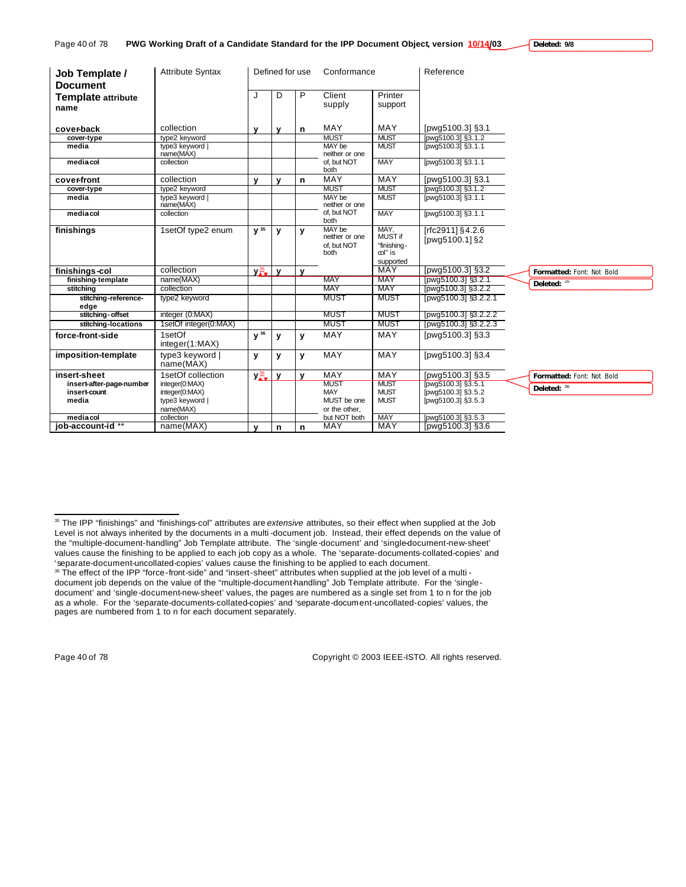| Job Template /<br><b>Document</b> | <b>Attribute Syntax</b> |   | Defined for use | Conformance      |                    | Reference |
|-----------------------------------|-------------------------|---|-----------------|------------------|--------------------|-----------|
| <b>Template attribute</b><br>name |                         | J | D               | Client<br>supply | Printer<br>support |           |

| cover-back                               | collection                   | v                         | v            | n            | MAY                       | MAY                        | [pwg5100.3] §3.1     |                           |
|------------------------------------------|------------------------------|---------------------------|--------------|--------------|---------------------------|----------------------------|----------------------|---------------------------|
| cover-type                               | type2 keyword                |                           |              |              | <b>MUST</b>               | <b>MUST</b>                | [pwg5100.3] §3.1.2   |                           |
| media                                    | type3 keyword                |                           |              |              | MAY be                    | <b>MUST</b>                | [pwg5100.3] §3.1.1   |                           |
|                                          | name(MAX)                    |                           |              |              | neither or one            |                            |                      |                           |
| mediacol                                 | collection                   |                           |              |              | of. but NOT               | <b>MAY</b>                 | [pwg5100.3] §3.1.1   |                           |
|                                          |                              |                           |              |              | both                      |                            |                      |                           |
| cover-front                              | collection                   | v                         | $\mathbf{v}$ | n            | MAY                       | MAY                        | [pwg5100.3] §3.1     |                           |
| cover-type                               | type2 keyword                |                           |              |              | <b>MUST</b>               | <b>MUST</b>                | [pwg5100.3] §3.1.2   |                           |
| media                                    | type3 keyword  <br>name(MAX) |                           |              |              | MAY be<br>neither or one  | <b>MUST</b>                | [pwg5100.3] §3.1.1   |                           |
| mediacol                                 | collection                   |                           |              |              | of, but NOT               | <b>MAY</b>                 | [pwg5100.3] §3.1.1   |                           |
|                                          |                              |                           |              |              | both                      |                            |                      |                           |
| finishings                               | 1setOf type2 enum            | $V^{35}$                  | y            | v            | MAY be                    | MAY.                       | [rfc2911] §4.2.6     |                           |
|                                          |                              |                           |              |              | neither or one            | MUST if                    | [pwg5100.1] §2       |                           |
|                                          |                              |                           |              |              | of, but NOT               | "finishing-                |                      |                           |
|                                          |                              |                           |              |              | both                      | col" is                    |                      |                           |
|                                          |                              |                           |              |              |                           | supported                  |                      |                           |
| finishings-col                           | collection                   | $y_{\frac{35}{4}}^{35}$   | $\mathbf{v}$ | $\mathbf{v}$ |                           | MAY                        | [pwg5100.3] §3.2     | Formatted: Font: Not Bold |
| finishing-template                       | name(MAX)                    |                           |              |              | <b>MAY</b>                | <b>MAY</b>                 | [pwg5100.3] §3.2.1   | Deleted: 35               |
| stitching                                | collection                   |                           |              |              | <b>MAY</b>                | MAY                        | [pwg5100.3] §3.2.2   |                           |
| stitching-reference-                     | type2 keyword                |                           |              |              | MUST                      | <b>MUST</b>                | [pwg5100.3] §3.2.2.1 |                           |
| edge                                     |                              |                           |              |              |                           |                            |                      |                           |
| stitching-offset                         | integer (0:MAX)              |                           |              |              | MUST                      | <b>MUST</b>                | [pwg5100.3] §3.2.2.2 |                           |
| stitching-locations                      | 1setOf integer(0:MAX)        |                           |              |              | MUST                      | <b>MUST</b>                | [pwg5100.3] §3.2.2.3 |                           |
| force-front-side                         | 1setOf                       | y 36                      | y            | v            | <b>MAY</b>                | MAY                        | [pwg5100.3] §3.3     |                           |
|                                          | integer(1:MAX)               |                           |              |              |                           |                            |                      |                           |
| imposition-template                      | type3 keyword                | у                         | y            | y            | <b>MAY</b>                | MAY                        | [pwg5100.3] §3.4     |                           |
|                                          | name(MAX)                    |                           |              |              |                           |                            |                      |                           |
| insert-sheet                             | 1setOf collection            |                           |              |              | MAY                       | MAY                        |                      |                           |
|                                          |                              | $y_{\frac{36}{4}}^{36}$ y |              | $\mathbf v$  |                           |                            | [pwg5100.3] §3.5     | Formatted: Font: Not Bold |
| insert-after-page-number<br>insert-count | integer(0:MAX)               |                           |              |              | <b>MUST</b><br><b>MAY</b> | <b>MUST</b><br><b>MUST</b> | [pwg5100.3] §3.5.1   | Deleted: 36               |
| media                                    | integer(0:MAX)               |                           |              |              | MUST be one               | <b>MUST</b>                | [pwg5100.3] §3.5.2   |                           |
|                                          | type3 keyword                |                           |              |              |                           |                            | [pwg5100.3] §3.5.3   |                           |
| media col                                | name(MAX)<br>collection      |                           |              |              | or the other,             | <b>MAY</b>                 |                      |                           |
|                                          |                              |                           |              |              | but NOT both              |                            | [pwg5100.3] §3.5.3   |                           |
| job-account-id **                        | name(MAX)                    | v                         | n            | n            | MAY                       | <b>MAY</b>                 | [pwg5100.3] §3.6     |                           |

 $\overline{a}$ 

Page 40 of 78 Copyright © 2003 IEEE-ISTO. All rights reserved.

<sup>35</sup> The IPP "finishings" and "finishings-col" attributes are *extensive* attributes, so their effect when supplied at the Job Level is not always inherited by the documents in a multi -document job. Instead, their effect depends on the value of the "multiple-document-handling" Job Template attribute. The 'single-document' and 'single-document-new-sheet' values cause the finishing to be applied to each job copy as a whole. The 'separate-documents-collated-copies' and 'separate-document-uncollated-copies' values cause the finishing to be applied to each document.

<sup>36</sup> The effect of the IPP "force-front-side" and "insert-sheet" attributes when supplied at the job level of a multi document job depends on the value of the "multiple-document-handling" Job Template attribute. For the 'singledocument' and 'single-document-new-sheet' values, the pages are numbered as a single set from 1 to n for the job as a whole. For the 'separate-documents-collated-copies' and 'separate-document-uncollated-copies' values, the pages are numbered from 1 to n for each document separately.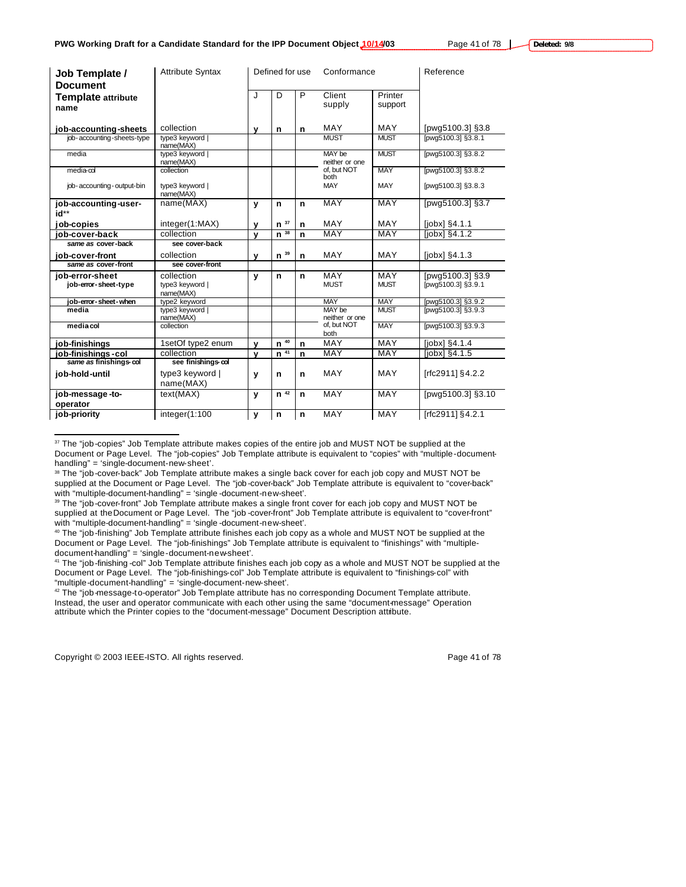| Job Template /<br><b>Document</b>       | <b>Attribute Syntax</b>                  |             | Defined for use |             | Conformance              |                    | Reference                              |
|-----------------------------------------|------------------------------------------|-------------|-----------------|-------------|--------------------------|--------------------|----------------------------------------|
| <b>Template attribute</b><br>name       |                                          | J           | D               | P           | Client<br>supply         | Printer<br>support |                                        |
| job-accounting-sheets                   | collection                               | v           | n               | n           | MAY                      | MAY                | [pwg5100.3] §3.8                       |
| job-accounting-sheets-type              | type3 keyword<br>name(MAX)               |             |                 |             | <b>MUST</b>              | <b>MUST</b>        | [pwq5100.3] §3.8.1                     |
| media                                   | type3 keyword<br>name(MAX)               |             |                 |             | MAY be<br>neither or one | <b>MUST</b>        | [pwg5100.3] §3.8.2                     |
| $media$ - $\infty$                      | collection                               |             |                 |             | of. but NOT<br>both      | <b>MAY</b>         | [pwg5100.3] §3.8.2                     |
| job-accounting-output-bin               | type3 keyword  <br>name(MAX)             |             |                 |             | MAY                      | MAY                | [pwg5100.3] §3.8.3                     |
| job-accounting-user-<br>id**            | name(MAX)                                | y           | n               | n           | <b>MAY</b>               | MAY                | [pwg5100.3] §3.7                       |
| ob-copies                               | integer(1:MAX)                           | ۷           | 37<br>n         | n           | MAY                      | <b>MAY</b>         | [jobx] §4.1.1                          |
| iob-cover-back                          | collection                               | v           | $n^{38}$        | $\mathbf n$ | MAY                      | <b>MAY</b>         | [ <i>i</i> obx] <sub>§</sub> 4.1.2     |
| same as cover-back                      | see cover-back                           |             |                 |             |                          |                    |                                        |
|                                         | collection                               |             | 39              |             | MAY                      |                    |                                        |
| iob-cover-front                         |                                          | ۷           | n               | n           |                          | MAY                | $[jobx]$ §4.1.3                        |
| same as cover-front                     | see cover-front                          |             |                 |             |                          |                    |                                        |
| iob-error-sheet<br>job-error-sheet-type | collection<br>type3 keyword<br>name(MAX) | y           | n               | n           | MAY<br><b>MUST</b>       | MAY<br><b>MUST</b> | [pwg5100.3] §3.9<br>[pwg5100.3] §3.9.1 |
| job-error-sheet-when                    | type2 keyword                            |             |                 |             | <b>MAY</b>               | <b>MAY</b>         | [pwg5100.3] §3.9.2                     |
| media                                   | type3 keyword<br>name(MAX)               |             |                 |             | MAY be<br>neither or one | <b>MUST</b>        | [pwg5100.3] §3.9.3                     |
| media col                               | collection                               |             |                 |             | of. but NOT<br>both      | <b>MAY</b>         | [pwg5100.3] §3.9.3                     |
| job-finishings                          | 1setOf type2 enum                        | $\mathbf v$ | 40<br>n         | n           | MAY                      | <b>MAY</b>         | $[jobx]$ §4.1.4                        |
| job-finishings-col                      | collection                               | v           |                 | n           | <b>MAY</b>               | <b>MAY</b>         | [jobx] §4.1.5                          |
| same as finishings-col                  | see finishings-col                       |             | $n^{41}$        |             |                          |                    |                                        |
| job-hold-until                          | type3 keyword  <br>name(MAX)             | y           | n               | n           | MAY                      | MAY                | [rfc2911] §4.2.2                       |
| job-message-to-                         | text(MAX)                                | y           | n <sup>42</sup> | n           | MAY                      | MAY                | [pwg5100.3] §3.10                      |
| operator                                |                                          |             |                 |             |                          |                    |                                        |

<sup>&</sup>lt;sup>37</sup> The "job-copies" Job Template attribute makes copies of the entire job and MUST NOT be supplied at the Document or Page Level. The "job-copies" Job Template attribute is equivalent to "copies" with "multiple-documenthandling" = 'single-document-new-sheet'.

<sup>42</sup> The "job-message-to-operator" Job Template attribute has no corresponding Document Template attribute. Instead, the user and operator communicate with each other using the same "document-message" Operation attribute which the Printer copies to the "document-message" Document Description attribute.

Copyright © 2003 IEEE-ISTO. All rights reserved. Page 41 of 78

 $\overline{a}$ 

<sup>&</sup>lt;sup>38</sup> The "job-cover-back" Job Template attribute makes a single back cover for each job copy and MUST NOT be supplied at the Document or Page Level. The "job -cover-back" Job Template attribute is equivalent to "cover-back" with "multiple-document-handling" = 'single -document-new-sheet'.

<sup>39</sup> The "job-cover-front" Job Template attribute makes a single front cover for each job copy and MUST NOT be supplied at the Document or Page Level. The "job -cover-front" Job Template attribute is equivalent to "cover-front" with "multiple-document-handling" = 'single -document-new-sheet'.

<sup>40</sup> The "job-finishing" Job Template attribute finishes each job copy as a whole and MUST NOT be supplied at the Document or Page Level. The "job-finishings" Job Template attribute is equivalent to "finishings" with "multipledocument-handling" = 'single-document-new-sheet'.

<sup>&</sup>lt;sup>41</sup> The "job-finishing -col" Job Template attribute finishes each job copy as a whole and MUST NOT be supplied at the Document or Page Level. The "job-finishings-col" Job Template attribute is equivalent to "finishings-col" with "multiple-document-handling" = 'single-document-new-sheet'.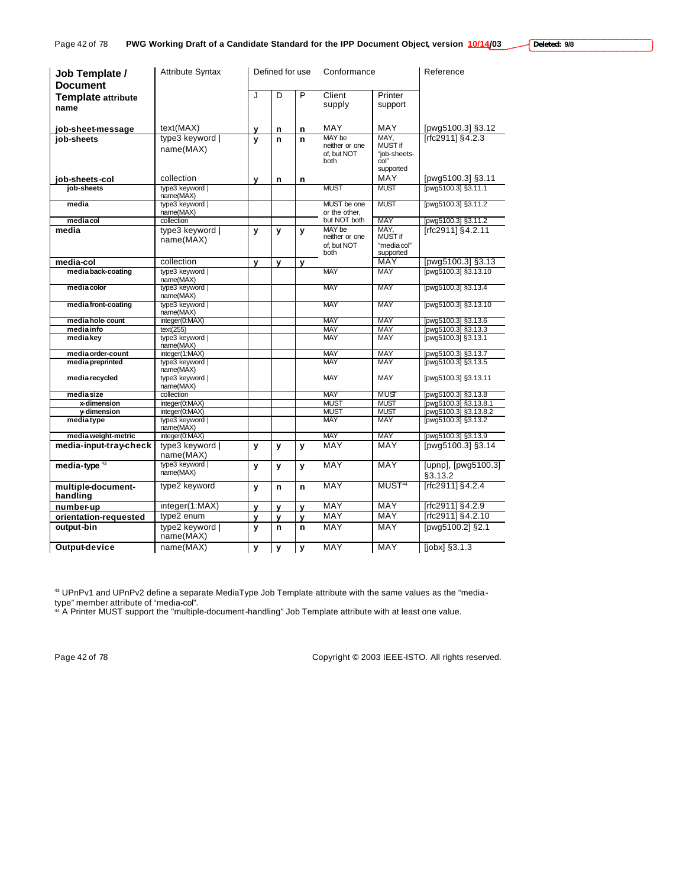| Job Template /<br><b>Document</b> | <b>Attribute Syntax</b>      |             | Defined for use |   | Conformance                                     |                                                      | Reference                      |
|-----------------------------------|------------------------------|-------------|-----------------|---|-------------------------------------------------|------------------------------------------------------|--------------------------------|
| <b>Template attribute</b>         |                              | J           | D               | P | Client                                          | Printer                                              |                                |
| name                              |                              |             |                 |   | supply                                          | support                                              |                                |
| job-sheet-message                 | text(MAX)                    | У           | n               | n | MAY                                             | MAY                                                  | [pwg5100.3] §3.12              |
| iob-sheets                        | type3 keyword  <br>name(MAX) | $\mathbf v$ | n               | n | MAY be<br>neither or one<br>of. but NOT<br>both | MAY.<br>MUST if<br>"job-sheets-<br>col"<br>supported | [rfc2911] §4.2.3               |
| job-sheets-col                    | collection                   | v           | $\mathbf n$     | n |                                                 | MAY                                                  | [pwg5100.3] §3.11              |
| job-sheets                        | type3 keyword  <br>name(MAX) |             |                 |   | <b>MUST</b>                                     | <b>MUST</b>                                          | [pwg5100.3] §3.11.1            |
| media                             | type3 keyword  <br>name(MAX) |             |                 |   | MUST be one<br>or the other,                    | <b>MUST</b>                                          | [pwg5100.3] §3.11.2            |
| media col                         | collection                   |             |                 |   | but NOT both                                    | <b>MAY</b>                                           | [pwg5100.3] §3.11.2            |
| media                             | type3 keyword  <br>name(MAX) | y           | y               | y | MAY be<br>neither or one<br>of. but NOT<br>both | MAY.<br>MUST if<br>"mediacol"<br>supported           | [rfc2911] §4.2.11              |
| media-col                         | collection                   | v           | $\mathbf v$     | y |                                                 | MAY                                                  | [pwg5100.3] §3.13              |
| media back-coating                | type3 keyword  <br>name(MAX) |             |                 |   | <b>MAY</b>                                      | <b>MAY</b>                                           | [pwg5100.3] §3.13.10           |
| media color                       | type3 keyword<br>name(MAX)   |             |                 |   | MAY                                             | MAY                                                  | [pwg5100.3] §3.13.4            |
| media front-coating               | type3 keyword  <br>name(MAX) |             |                 |   | <b>MAY</b>                                      | <b>MAY</b>                                           | [pwg5100.3] §3.13.10           |
| media hole-count                  | integer(0:MAX)               |             |                 |   | <b>MAY</b>                                      | <b>MAY</b>                                           | [pwg5100.3] §3.13.6            |
| media info                        | text(255)                    |             |                 |   | <b>MAY</b><br><b>MAY</b>                        | <b>MAY</b><br><b>MAY</b>                             | [pwg5100.3] §3.13.3            |
| media key                         | type3 keyword  <br>name(MAX) |             |                 |   |                                                 |                                                      | [pwg5100.3] §3.13.1            |
| media order-count                 | integer(1:MAX)               |             |                 |   | <b>MAY</b>                                      | <b>MAY</b>                                           | [pwg5100.3] §3.13.7            |
| media preprinted                  | type3 keyword  <br>name(MAX) |             |                 |   | <b>MAY</b>                                      | <b>MAY</b>                                           | [pwg5100.3] §3.13.5            |
| media recycled                    | type3 keyword  <br>name(MAX) |             |                 |   | MAY                                             | MAY                                                  | [pwg5100.3] §3.13.11           |
| media size                        | collection                   |             |                 |   | <b>MAY</b>                                      | MUST                                                 | [pwg5100.3] §3.13.8            |
| x-dimension                       | integer(0:MAX)               |             |                 |   | <b>MUST</b>                                     | <b>MUST</b>                                          | [pwg5100.3] §3.13.8.1          |
| y-dimension                       | integer(0:MAX)               |             |                 |   | <b>MUST</b>                                     | <b>MUST</b>                                          | [pwg5100.3] §3.13.8.2          |
| mediatype                         | type3 keyword  <br>name(MAX) |             |                 |   | <b>MAY</b>                                      | <b>MAY</b>                                           | [pwg5100.3] §3.13.2            |
| media weight-metric               | integer(0:MAX)               |             |                 |   | <b>MAY</b>                                      | <b>MAY</b>                                           | [pwg5100.3] §3.13.9            |
| media-input-tray-check            | type3 keyword  <br>name(MAX) | y           | y               | y | MAY                                             | MAY                                                  | [pwg5100.3] §3.14              |
| media-type <sup>43</sup>          | type3 keyword  <br>name(MAX) | y           | $\mathbf v$     | V | MAY                                             | MAY                                                  | [upnp], [pwg5100.3]<br>§3.13.2 |
| multiple-document-<br>handling    | type2 keyword                | y           | n               | n | MAY                                             | MUST <sup>44</sup>                                   | [rfc2911] §4.2.4               |
| number-up                         | integer(1:MAX)               | y           | $\mathbf v$     | v | <b>MAY</b>                                      | <b>MAY</b>                                           | [rfc2911] §4.2.9               |
| orientation-requested             | type2 enum                   | y           | y               | y | <b>MAY</b>                                      | <b>MAY</b>                                           | [rfc2911] §4.2.10              |
| output-bin                        | type2 keyword  <br>name(MAX) | v           | n               | n | MAY                                             | MAY                                                  | [pwg5100.2] §2.1               |
| Output-device                     | name(MAX)                    | y           | y               | y | MAY                                             | MAY                                                  | [jobx] §3.1.3                  |

 $^{43}$  UPnPv1 and UPnPv2 define a separate MediaType Job Template attribute with the same values as the "mediatype" member attribute of "media-col".

<sup>44</sup> A Printer MUST support the "multiple-document-handling" Job Template attribute with at least one value.

Page 42 of 78 Copyright © 2003 IEEE-ISTO. All rights reserved.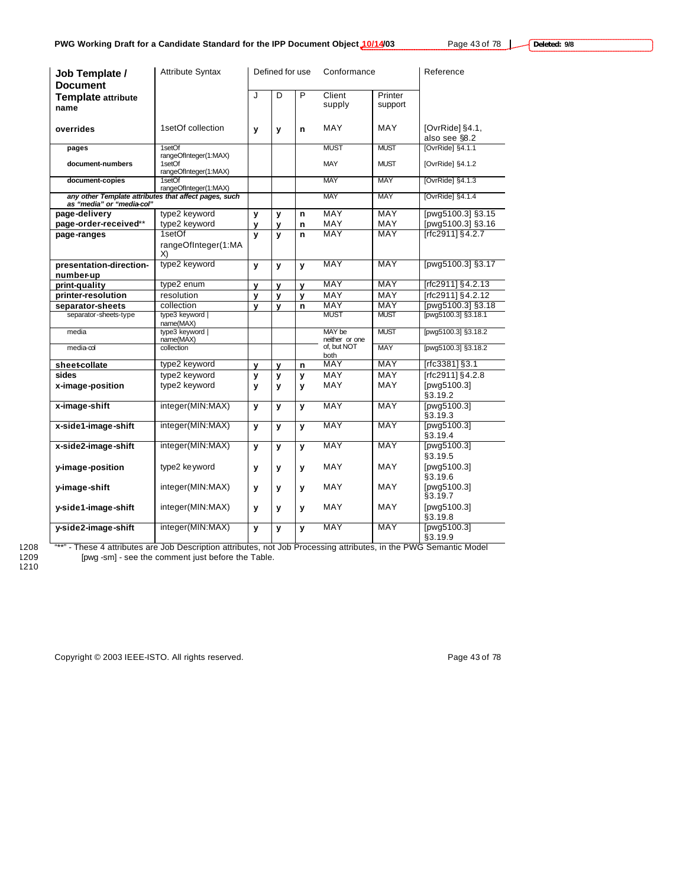**Deleted: 9/8**

e.

| <b>Attribute Syntax</b><br>Job Template /<br><b>Document</b>                       |                                                          | Defined for use |              |              | Conformance              |                    | Reference                        |
|------------------------------------------------------------------------------------|----------------------------------------------------------|-----------------|--------------|--------------|--------------------------|--------------------|----------------------------------|
| <b>Template attribute</b><br>name                                                  |                                                          | J               | D            | P            | Client<br>supply         | Printer<br>support |                                  |
| overrides                                                                          | 1setOf collection                                        | y               | у            | n            | MAY                      | MAY                | [OvrRide] §4.1,<br>also see §8.2 |
| pages                                                                              | 1setOf                                                   |                 |              |              | <b>MUST</b>              | <b>MUST</b>        | [OvrRide] §4.1.1                 |
| document-numbers                                                                   | rangeOfInteger(1:MAX)<br>1setOf<br>rangeOfInteger(1:MAX) |                 |              |              | MAY                      | <b>MUST</b>        | [OvrRide] §4.1.2                 |
| document-copies                                                                    | 1setOf<br>rangeOfInteger(1:MAX)                          |                 |              |              | <b>MAY</b>               | <b>MAY</b>         | [OvrRide] §4.1.3                 |
| any other Template attributes that affect pages, such<br>as "media" or "media-col" |                                                          |                 |              |              | <b>MAY</b>               | <b>MAY</b>         | [OvrRide] §4.1.4                 |
| page-delivery                                                                      | type2 keyword                                            | y               | y            | n            | MAY                      | MAY                | [pwg5100.3] §3.15                |
| page-order-received**                                                              | type2 keyword                                            | y               | у            | n            | MAY                      | <b>MAY</b>         | [pwg5100.3] §3.16                |
| page-ranges                                                                        | 1setOf                                                   | y               | $\mathbf{v}$ | $\mathsf{n}$ | MAY                      | <b>MAY</b>         | [rfc2911] §4.2.7                 |
|                                                                                    | rangeOfInteger(1:MA<br>X)                                |                 |              |              |                          |                    |                                  |
| presentation-direction-<br>number-up                                               | type2 keyword                                            | y               | y            | y            | <b>MAY</b>               | <b>MAY</b>         | [pwg5100.3] §3.17                |
| print-quality                                                                      | type2 enum                                               | y               | y            | y            | MAY                      | MAY                | [rfc2911] §4.2.13                |
| printer-resolution                                                                 | resolution                                               | y               | y            | y            | MAY                      | <b>MAY</b>         | [rfc2911] §4.2.12                |
| separator-sheets                                                                   | collection                                               | $\mathbf v$     | v            | n            | <b>MAY</b>               | <b>MAY</b>         | [pwg5100.3] §3.18                |
| separator-sheets-type                                                              | type3 keyword  <br>name(MAX)                             |                 |              |              | <b>MUST</b>              | <b>MUST</b>        | [pwg5100.3] §3.18.1              |
| media                                                                              | type3 keyword  <br>name(MAX)                             |                 |              |              | MAY be<br>neither or one | <b>MUST</b>        | [pwg5100.3] §3.18.2              |
| $media$ - $\infty$                                                                 | collection                                               |                 |              |              | of, but NOT<br>both      | <b>MAY</b>         | [pwq5100.3] §3.18.2              |
| sheet-collate                                                                      | type2 keyword                                            | y               | y            | n            | <b>MAY</b>               | MAY                | [rfc3381] §3.1                   |
| sides                                                                              | type2 keyword                                            | y               | y            | y            | MAY                      | MAY                | [rfc2911] §4.2.8                 |
| x-image-position                                                                   | type2 keyword                                            | y               | y            | y            | <b>MAY</b>               | MAY                | [pwg5100.3]<br>§3.19.2           |
| x-image-shift                                                                      | integer(MIN:MAX)                                         | y               | y            | y            | MAY                      | <b>MAY</b>         | [pwg5100.3]<br>§3.19.3           |
| x-side1-image-shift                                                                | integer(MIN:MAX)                                         | y               | y            | $\mathbf{v}$ | <b>MAY</b>               | <b>MAY</b>         | [pwg5100.3]<br>§3.19.4           |
| x-side2-image-shift                                                                | integer(MIN:MAX)                                         | y               | y            | y            | MAY                      | <b>MAY</b>         | [pwg5100.3]<br>§3.19.5           |
| y-image-position                                                                   | type2 keyword                                            | y               | y            | y            | MAY                      | MAY                | [pwg5100.3]<br>§3.19.6           |
| y-image-shift                                                                      | integer(MIN:MAX)                                         | y               | у            | у            | MAY                      | MAY                | [pwg5100.3]<br>§3.19.7           |
| y-side1-image-shift                                                                | integer(MIN:MAX)                                         | y               | y            | y            | MAY                      | MAY                | [pwg5100.3]<br>§3.19.8           |
| y-side2-image-shift                                                                | integer(MIN:MAX)                                         | y               | y            | $\mathbf{v}$ | <b>MAY</b>               | <b>MAY</b>         | [pwg5100.3]<br>§3.19.9           |

1209<br>1210

1208 <sup>"\*\*\*"</sup> - These 4 attributes are Job Description attributes, not Job Processing attributes, in the PWG Semantic Model [pwg -sm] - see the comment just before the Table.

Copyright © 2003 IEEE-ISTO. All rights reserved. experience that the page 43 of 78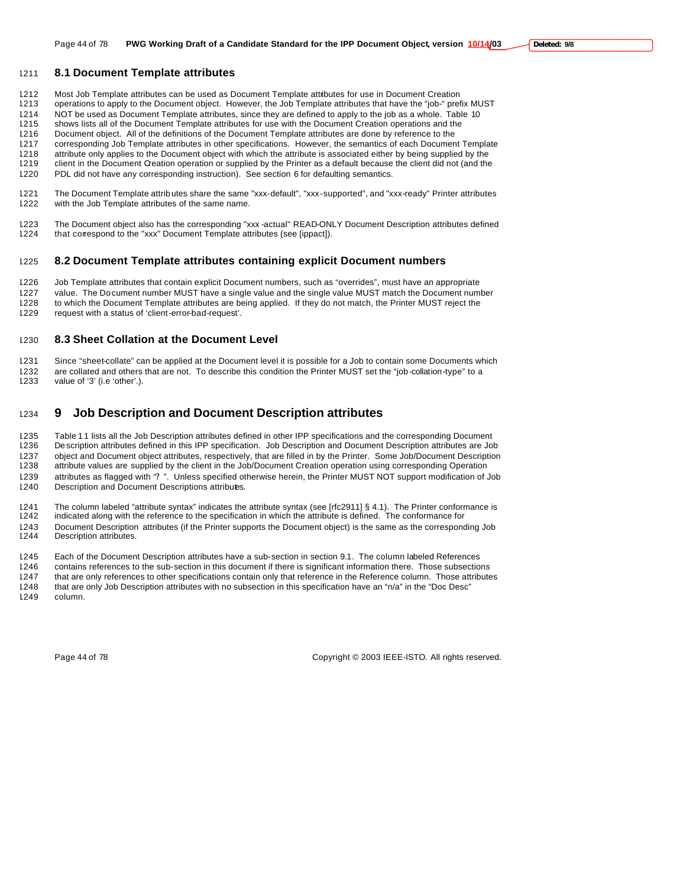### **8.1 Document Template attributes**

1212 Most Job Template attributes can be used as Document Template attributes for use in Document Creation<br>1213 operations to apply to the Document object. However, the Job Template attributes that have the "job-" pref

operations to apply to the Document object. However, the Job Template attributes that have the "job-" prefix MUST

1214 NOT be used as Document Template attributes, since they are defined to apply to the job as a whole. Table 10<br>1215 shows lists all of the Document Template attributes for use with the Document Creation operations and t shows lists all of the Document Template attributes for use with the Document Creation operations and the

Document object. All of the definitions of the Document Template attributes are done by reference to the

corresponding Job Template attributes in other specifications. However, the semantics of each Document Template

attribute only applies to the Document object with which the attribute is associated either by being supplied by the

client in the Document Creation operation or supplied by the Printer as a default because the client did not (and the

PDL did not have any corresponding instruction). See section 6 for defaulting semantics.

 The Document Template attributes share the same "xxx-default", "xxx-supported", and "xxx-ready" Printer attributes with the Job Template attributes of the same name.

1223 The Document object also has the corresponding "xxx -actual" READ-ONLY Document Description attributes defined<br>1224 that correspond to the "xxx" Document Template attributes (see [ippact]). that correspond to the "xxx" Document Template attributes (see [ippact]).

### **8.2 Document Template attributes containing explicit Document numbers**

 Job Template attributes that contain explicit Document numbers, such as "overrides", must have an appropriate value. The Document number MUST have a single value and the single value MUST match the Document number to which the Document Template attributes are being applied. If they do not match, the Printer MUST reject the

request with a status of 'client-error-bad-request'.

### **8.3 Sheet Collation at the Document Level**

 Since "sheet-collate" can be applied at the Document level it is possible for a Job to contain some Documents which 1232 are collated and others that are not. To describe this condition the Printer MUST set the "job-collation-type" to a<br>1233 value of '3' (i.e 'other'.). value of '3' (i.e 'other'.).

# **9 Job Description and Document Description attributes**

1235 Table 11 lists all the Job Description attributes defined in other IPP specifications and the corresponding Document De scription attributes defined in this IPP specification. Job Description and Document Description attributes are Job object and Document object attributes, respectively, that are filled in by the Printer. Some Job/Document Description attribute values are supplied by the client in the Job/Document Creation operation using corresponding Operation attributes as flagged with "? ". Unless specified otherwise herein, the Printer MUST NOT support modification of Job 1240 Description and Document Descriptions attributes.

The column labeled "attribute syntax" indicates the attribute syntax (see [rfc2911] § 4.1). The Printer conformance is

 indicated along with the reference to the specification in which the attribute is defined. The conformance for Document Description attributes (if the Printer supports the Document object) is the same as the corresponding Job Description attributes.

Each of the Document Description attributes have a sub-section in section 9.1. The column labeled References

 contains references to the sub-section in this document if there is significant information there. Those subsections that are only references to other specifications contain only that reference in the Reference column. Those attributes

 that are only Job Description attributes with no subsection in this specification have an "n/a" in the "Doc Desc" column.

Page 44 of 78 Copyright © 2003 IEEE-ISTO. All rights reserved.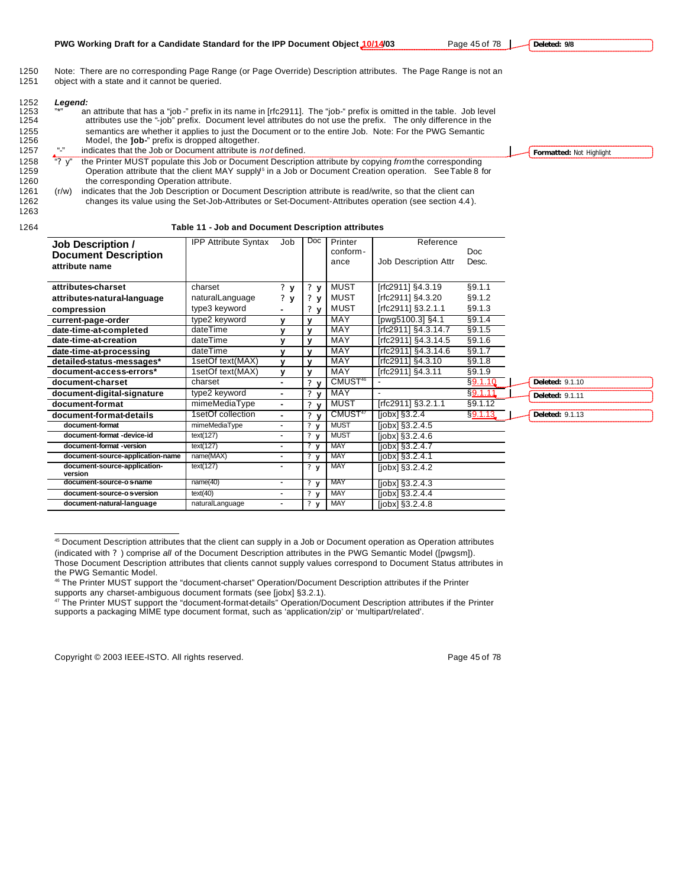| 1250 | Note: There are no corresponding Page Range (or Page Override) Description attributes. The Page Range is not an |  |
|------|-----------------------------------------------------------------------------------------------------------------|--|
| 1251 | object with a state and it cannot be queried.                                                                   |  |

| 1252 | Legend:   |                                                                                                                      |                          |
|------|-----------|----------------------------------------------------------------------------------------------------------------------|--------------------------|
| 1253 | $11 + 11$ | an attribute that has a "job-" prefix in its name in [rfc2911]. The "job-" prefix is omitted in the table. Job level |                          |
| 1254 |           | attributes use the "-job" prefix. Document level attributes do not use the prefix. The only difference in the        |                          |
| 1255 |           | semantics are whether it applies to just the Document or to the entire Job. Note: For the PWG Semantic               |                          |
| 1256 |           | Model, the 'job-" prefix is dropped altogether.                                                                      |                          |
| 1257 | $\sim$    | indicates that the Job or Document attribute is <i>not</i> defined.                                                  | Formatted: Not Highlight |
| 1258 | "? $v$ "  | the Printer MUST populate this Job or Document Description attribute by copying from the corresponding               |                          |
| 1259 |           | Operation attribute that the client MAY supply <sup>5</sup> in a Job or Document Creation operation. See Table 8 for |                          |
| 1260 |           | the corresponding Operation attribute.                                                                               |                          |
| 1261 | (r/w)     | indicates that the Job Description or Document Description attribute is read/write, so that the client can           |                          |
| 1262 |           | changes its value using the Set-Job-Attributes or Set-Document-Attributes operation (see section 4.4).               |                          |
| 1263 |           |                                                                                                                      |                          |

 $\overline{a}$ 

# 1264 **Table 11 - Job and Document Description attributes**

| <b>Job Description /</b><br><b>Document Description</b><br>attribute name | <b>IPP Attribute Syntax</b> | Job            | Doc                                  | Printer<br>conform-<br>ance | Reference<br>Job Description Attr    | Doc<br>Desc. |                        |
|---------------------------------------------------------------------------|-----------------------------|----------------|--------------------------------------|-----------------------------|--------------------------------------|--------------|------------------------|
| attributes-charset                                                        | charset                     | ? y            | $?$ $V$                              | <b>MUST</b>                 | [rfc2911] §4.3.19                    | §9.1.1       |                        |
| attributes-natural-language                                               | naturalLanguage             | $?$ $V$        | ? v                                  | MUST                        | [rfc2911] §4.3.20                    | §9.1.2       |                        |
| compression                                                               | type3 keyword               |                | 2 <sub>v</sub>                       | MUST                        | [rfc2911] §3.2.1.1                   | §9.1.3       |                        |
| current-page-order                                                        | type2 keyword               | v              | $\mathbf{v}$                         | MAY                         | [pwg5100.3] §4.1                     | §9.1.4       |                        |
| date-time-at-completed                                                    | dateTime                    | v              | $\mathbf{v}$                         | <b>MAY</b>                  | [rfc2911] §4.3.14.7                  | §9.1.5       |                        |
| date-time-at-creation                                                     | dateTime                    | v              | v                                    | MAY                         | [rfc2911] §4.3.14.5                  | §9.1.6       |                        |
| date-time-at-processing                                                   | dateTime                    |                | $\mathbf{v}$                         | <b>MAY</b>                  | [rfc2911] §4.3.14.6                  | §9.1.7       |                        |
| detailed-status-messages*                                                 | 1setOf text(MAX)            | $\mathbf{v}$   | $\mathbf{v}$                         | MAY                         | [rfc2911] §4.3.10                    | §9.1.8       |                        |
| document-access-errors*                                                   | 1setOf text(MAX)            | $\mathbf{v}$   | $\mathbf{v}$                         | <b>MAY</b>                  | [rfc2911] §4.3.11                    | §9.1.9       |                        |
| document-charset                                                          | charset                     |                | ?                                    | CMUST <sup>46</sup>         |                                      | §9.1.10      | <b>Deleted: 9.1.10</b> |
| document-digital-signature                                                | type2 keyword               | ۰              | γ.<br>$\mathbf{v}$                   | MAY                         |                                      | §9.1.11      | <b>Deleted: 9.1.11</b> |
| document-format                                                           | mimeMediaType               | ٠.             | 2 <sub>y</sub>                       | MUST                        | [rfc2911] §3.2.1.1                   | §9.1.12      |                        |
| document-format-details                                                   | 1setOf collection           | ٠.             | 2 <sub>y</sub>                       | CMUST <sup>47</sup>         | [ <i>j</i> obx] <sub>§</sub> 3.2.4   | §9.1.13      | <b>Deleted: 9.1.13</b> |
| document-format                                                           | mimeMediaType               | $\blacksquare$ | ? y                                  | <b>MUST</b>                 | [ <i>j</i> obx] <sub>§</sub> 3.2.4.5 |              |                        |
| document-format -device-id                                                | text(127)                   | ٠              | 2y                                   | <b>MUST</b>                 | [ <i>j</i> obx] <sub>§</sub> 3.2.4.6 |              |                        |
| document-format -version                                                  | text(127)                   | ٠              | $\overline{\mathbf{?} \mathbf{v}}$   | <b>MAY</b>                  | [ <i>j</i> obx] <sub>§</sub> 3.2.4.7 |              |                        |
| document-source-application-name                                          | name(MAX)                   | ۰              | 2 <sub>y</sub>                       | <b>MAY</b>                  | [ <i>j</i> obx] <sub>§</sub> 3.2.4.1 |              |                        |
| document-source-application-<br>version                                   | text(127)                   | ٠              | 2y                                   | <b>MAY</b>                  | [ <i>j</i> obx] <sub>§</sub> 3.2.4.2 |              |                        |
| document-source-os-name                                                   | name(40)                    | $\blacksquare$ | $\overline{\mathbf{?} \ \mathbf{y}}$ | MAY                         | [ <i>j</i> obx] <sub>§</sub> 3.2.4.3 |              |                        |
| document-source-os-version                                                | text(40)                    | ٠              | 2y                                   | <b>MAY</b>                  | [ <i>j</i> obx] <sub>§</sub> 3.2.4.4 |              |                        |
| document-natural-language                                                 | naturalLanguage             |                | 2y                                   | <b>MAY</b>                  | [ <i>j</i> obx] <sub>§</sub> 3.2.4.8 |              |                        |

<sup>45</sup> Document Description attributes that the client can supply in a Job or Document operation as Operation attributes (indicated with ? ) comprise *all* of the Document Description attributes in the PWG Semantic Model ([pwgsm]). Those Document Description attributes that clients cannot supply values correspond to Document Status attributes in the PWG Semantic Model.

Copyright © 2003 IEEE-ISTO. All rights reserved. Page 45 of 78

**PWG Working Draft for a Candidate Standard for the IPP Document Object 10/14/03** Page 45 of 78 | **Deleted: 9/8**

<sup>46</sup> The Printer MUST support the "document-charset" Operation/Document Description attributes if the Printer supports any charset-ambiguous document formats (see [jobx] §3.2.1).

<sup>&</sup>lt;sup>47</sup> The Printer MUST support the "document-format-details" Operation/Document Description attributes if the Printer supports a packaging MIME type document format, such as 'application/zip' or 'multipart/related'.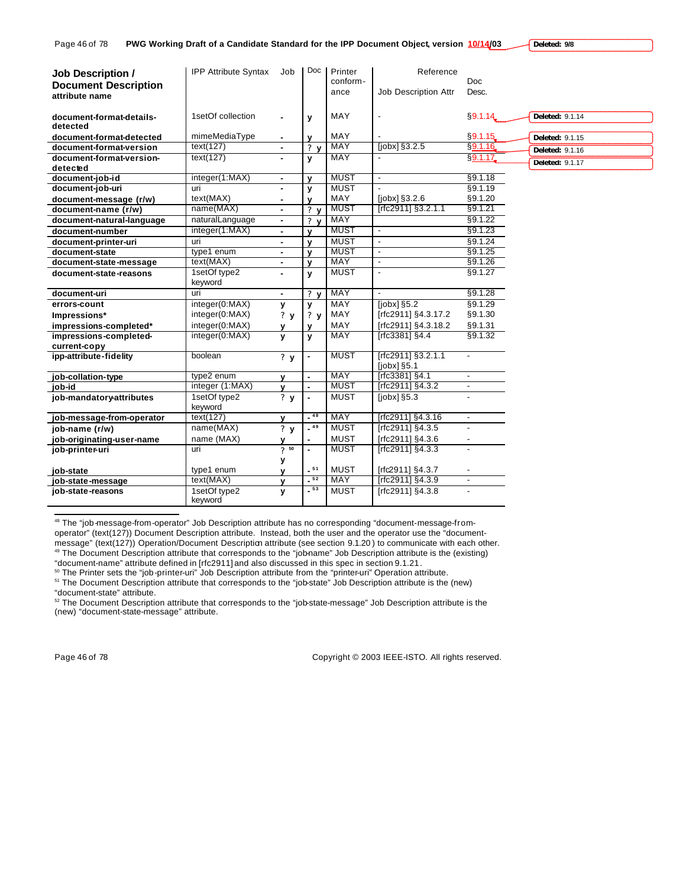| <b>Job Description /</b><br><b>Document Description</b><br>attribute name | <b>IPP Attribute Syntax</b> | Job              | Doc            | Printer<br>conform-<br>ance | Reference<br>Job Description Attr   | <b>Doc</b><br>Desc.      |                        |
|---------------------------------------------------------------------------|-----------------------------|------------------|----------------|-----------------------------|-------------------------------------|--------------------------|------------------------|
| document-format-details-<br>detected                                      | 1setOf collection           |                  | y              | MAY                         | $\overline{a}$                      | §9.1.14                  | Deleted: 9.1.14        |
| document-format-detected                                                  | mimeMediaType               |                  | $\mathbf v$    | MAY                         |                                     | §9.1.15                  | Deleted: 9.1.15        |
| document-format-version                                                   | text(127)                   | $\blacksquare$   | 2 <sub>v</sub> | <b>MAY</b>                  | [ <i>j</i> obx] <sub>3.2.5</sub>    | §9.1.16                  | <b>Deleted: 9.1.16</b> |
| document-format-version-                                                  | text(127)                   |                  | y              | <b>MAY</b>                  |                                     | §9.1.17                  |                        |
| detected                                                                  |                             |                  |                |                             |                                     |                          | <b>Deleted: 9.1.17</b> |
| document-job-id                                                           | integer(1:MAX)              | $\sim$           | $\mathbf{v}$   | <b>MUST</b>                 | $\overline{\phantom{a}}$            | §9.1.18                  |                        |
| document-job-uri                                                          | uri                         | $\blacksquare$   | y              | <b>MUST</b>                 |                                     | §9.1.19                  |                        |
| document-message (r/w)                                                    | text(MAX)                   |                  | $\mathbf{v}$   | MAY                         | [ <i>j</i> obx] <sub>3.2.6</sub>    | §9.1.20                  |                        |
| document-name (r/w)                                                       | name(MAX)                   |                  | 2 <sub>v</sub> | <b>MUST</b>                 | [rfc2911] §3.2.1.1                  | §9.1.21                  |                        |
| document-natural-language                                                 | naturalLanguage             | $\blacksquare$   | 2 <sub>v</sub> | MAY                         |                                     | §9.1.22                  |                        |
| document-number                                                           | integer(1:MAX)              | $\blacksquare$   | $\mathbf{v}$   | <b>MUST</b>                 | $\sim$                              | §9.1.23                  |                        |
| document-printer-uri                                                      | uri                         | ٠                | $\mathbf{v}$   | <b>MUST</b>                 | $\blacksquare$                      | §9.1.24                  |                        |
| document-state                                                            | type1 enum                  | $\blacksquare$   | $\mathbf{v}$   | <b>MUST</b>                 | $\blacksquare$                      | §9.1.25                  |                        |
| document-state-message                                                    | text(MAX)                   |                  | $\mathbf{v}$   | <b>MAY</b>                  | $\overline{\phantom{a}}$            | §9.1.26                  |                        |
| document-state-reasons                                                    | 1setOf type2                | $\overline{a}$   | y              | <b>MUST</b>                 | $\mathbf{r}$                        | §9.1.27                  |                        |
|                                                                           | keyword                     |                  |                |                             |                                     |                          |                        |
| document-uri                                                              | uri                         | $\blacksquare$   | 2 <sub>v</sub> | <b>MAY</b>                  | $\overline{\phantom{a}}$            | §9.1.28                  |                        |
| errors-count                                                              | integer(0:MAX)              | У                | y              | <b>MAY</b>                  | [ <i>j</i> obx] <sub>§</sub> 5.2    | $\sqrt{$9.1.29}$         |                        |
| Impressions*                                                              | integer(0:MAX)              | ?y               | ? y            | MAY                         | [rfc2911] §4.3.17.2                 | §9.1.30                  |                        |
| impressions-completed*                                                    | integer(0:MAX)              | v                | $\mathbf v$    | MAY                         | [rfc2911] §4.3.18.2                 | §9.1.31                  |                        |
| impressions-completed-                                                    | integer(0:MAX)              | y                | y              | <b>MAY</b>                  | [rfc3381] §4.4                      | §9.1.32                  |                        |
| current-copy                                                              |                             |                  |                |                             |                                     |                          |                        |
| ipp-attribute-fidelity                                                    | boolean                     | ?y               | $\blacksquare$ | <b>MUST</b>                 | [rfc2911] §3.2.1.1<br>$[jobs]$ §5.1 | $\overline{\phantom{a}}$ |                        |
| job-collation-type                                                        | type2 enum                  | v                | $\sim$         | MAY                         | [rfc3381] §4.1                      | $\blacksquare$           |                        |
| iob-id                                                                    | integer (1:MAX)             | $\mathbf{v}$     |                | <b>MUST</b>                 | [rfc2911] §4.3.2                    | $\overline{\phantom{a}}$ |                        |
| job-mandatory-attributes                                                  | 1setOf type2                | 2y               |                | <b>MUST</b>                 | [ <i>j</i> obx] <sub>§</sub> 5.3    | $\mathbf{r}$             |                        |
|                                                                           | keyword                     |                  |                |                             |                                     |                          |                        |
| job-message-from-operator                                                 | text(127)                   | v                | $-48$          | <b>MAY</b>                  | [rfc2911] §4.3.16                   | $\overline{\phantom{a}}$ |                        |
| job-name (r/w)                                                            | name(MAX)                   | $\overline{?}$ y | $-49$          | <b>MUST</b>                 | [rfc2911] §4.3.5                    |                          |                        |
| job-originating-user-name                                                 | name (MAX)                  | v                |                | <b>MUST</b>                 | [rfc2911] §4.3.6                    |                          |                        |
| job-printer-uri                                                           | uri                         | 750              | $\mathbf{r}$   | <b>MUST</b>                 | [rfc2911] §4.3.3                    | $\overline{\phantom{a}}$ |                        |
|                                                                           |                             | у                |                |                             |                                     |                          |                        |
| job-state                                                                 | type1 enum                  | $\mathbf{v}$     | $-51$          | <b>MUST</b>                 | [rfc2911] §4.3.7                    |                          |                        |
| job-state-message                                                         | text(MAX)                   | $\mathbf{v}$     | $-52$          | <b>MAY</b>                  | [rfc2911] §4.3.9                    | $\mathbf{r}$             |                        |
| job-state-reasons                                                         | 1setOf type2<br>keyword     | y                | $-53$          | <b>MUST</b>                 | [rfc2911] §4.3.8                    | $\sim$                   |                        |

48 The "job-message-from-operator" Job Description attribute has no corresponding "document-message-fromoperator" (text(127)) Document Description attribute. Instead, both the user and the operator use the "documentmessage" (text(127)) Operation/Document Description attribute (see section 9.1.20) to communicate with each other. <sup>49</sup> The Document Description attribute that corresponds to the "job-name" Job Description attribute is the (existing) "document-name" attribute defined in [rfc2911] and also discussed in this spec in section 9.1.21.

<sup>50</sup> The Printer sets the "job-printer-uri" Job Description attribute from the "printer-uri" Operation attribute.

<sup>51</sup> The Document Description attribute that corresponds to the "job-state" Job Description attribute is the (new) "document-state" attribute.

<sup>52</sup> The Document Description attribute that corresponds to the "job-state-message" Job Description attribute is the (new) "document-state-message" attribute.

 $\overline{a}$ 

Page 46 of 78 Copyright © 2003 IEEE-ISTO. All rights reserved.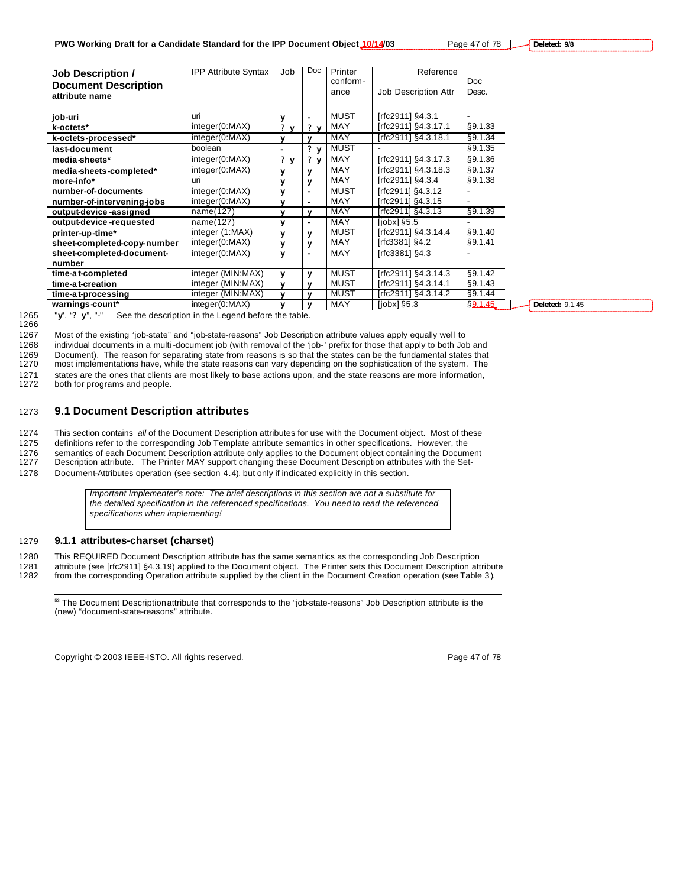**Deleted: 9/8**

| <b>IPP Attribute Syntax</b> | Job                          | Doc            | Printer     | Reference                        |                     |                       |
|-----------------------------|------------------------------|----------------|-------------|----------------------------------|---------------------|-----------------------|
|                             |                              |                | ance        | <b>Job Description Attr</b>      | Desc.               |                       |
| uri                         | v                            | ۰              | <b>MUST</b> | [rfc2911] §4.3.1                 |                     |                       |
|                             | $\mathbf{r}$<br>$\mathbf{v}$ | $?$ v          |             |                                  |                     |                       |
| integer(0:MAX)              | v                            | $\mathbf{v}$   | MAY         | [rfc2911] §4.3.18.1              | §9.1.34             |                       |
| boolean                     |                              | $?$ $V$        | MUST        |                                  | §9.1.35             |                       |
| integer(0:MAX)              | 2y                           | ?<br>v         | MAY         | [rfc2911] §4.3.17.3              | §9.1.36             |                       |
| integer(0:MAX)              | v                            | $\mathbf{v}$   | MAY         | [rfc2911] §4.3.18.3              | §9.1.37             |                       |
| uri                         | v                            | v              | MAY         | [rfc2911] §4.3.4                 | §9.1.38             |                       |
| integer(0:MAX)              | y                            | ٠              | <b>MUST</b> | [rfc2911] §4.3.12                |                     |                       |
| integer(0:MAX)              | v                            | ٠              | MAY         | [rfc2911] §4.3.15                |                     |                       |
| name(127)                   | v                            | v              | <b>MAY</b>  | [rfc2911] §4.3.13                | §9.1.39             |                       |
| name(127)                   | y                            | $\blacksquare$ | <b>MAY</b>  | [ <i>i</i> obx] <sub>§</sub> 5.5 |                     |                       |
| integer (1:MAX)             | v                            | v              | <b>MUST</b> | [rfc2911] §4.3.14.4              | §9.1.40             |                       |
| integer(0:MAX)              | $\mathbf{v}$                 | v              | MAY         | [rfc3381] $§4.2$                 | §9.1.41             |                       |
| integer(0:MAX)              | y                            | $\blacksquare$ | <b>MAY</b>  | [rfc3381] §4.3                   |                     |                       |
|                             |                              |                |             |                                  |                     |                       |
| integer (MIN:MAX)           | y                            | у              | <b>MUST</b> | [rfc2911] §4.3.14.3              | §9.1.42             |                       |
| integer (MIN:MAX)           | v                            | $\mathbf{v}$   | <b>MUST</b> | [rfc2911] §4.3.14.1              | §9.1.43             |                       |
| integer (MIN:MAX)           | v                            | $\mathbf{v}$   | <b>MUST</b> | [rfc2911] §4.3.14.2              | §9.1.44             |                       |
| integer(0:MAX)              | у                            | y              | MAY         | [ <i>j</i> obx] <sub>5.3</sub>   | §9.1.45             | Deleted: 9.1.45       |
|                             | integer(0:MAX)               |                |             | conform-<br><b>MAY</b>           | [rfc2911] §4.3.17.1 | <b>Doc</b><br>§9.1.33 |

1266

1265 "**y**", "**? y**", "-" See the description in the Legend before the table.

1267 Most of the existing "job-state" and "job-state-reasons" Job Description attribute values apply equally well to 1268 individual documents in a multi -document job (with removal of the 'job-' prefix for those that apply to both Job and 1269 Document). The reason for separating state from reasons is so that the states can be the fundamental states that 1270 most implementations have, while the state reasons can vary depending on the sophistication of the most implementations have, while the state reasons can vary depending on the sophistication of the system. The 1271 states are the ones that clients are most likely to base actions upon, and the state reasons are more information, 1272 both for programs and people.

both for programs and people.

# 1273 **9.1 Document Description attributes**

1274 This section contains *all* of the Document Description attributes for use with the Document object. Most of these

1275 definitions refer to the corresponding Job Template attribute semantics in other specifications. However, the

1276 semantics of each Document Description attribute only applies to the Document object containing the Document 1277 Description attribute. The Printer MAY support changing these Document Description attributes with the Set-1278 Document-Attributes operation (see section 4.4), but only if indicated explicitly in this section.

*Important Implementer's note: The brief descriptions in this section are not a substitute for the detailed specification in the referenced specifications. You need to read the referenced specifications when implementing!*

### 1279 **9.1.1 attributes-charset (charset)**

 $\overline{a}$ 

1280 This REQUIRED Document Description attribute has the same semantics as the corresponding Job Description

1281 attribute (see [rfc2911] §4.3.19) applied to the Document object. The Printer sets this Document Description attribute 1282 from the corresponding Operation attribute supplied by the client in the Document Creation operation (see Table 3 ).

<sup>53</sup> The Document Description attribute that corresponds to the "job-state-reasons" Job Description attribute is the (new) "document-state-reasons" attribute.

Copyright © 2003 IEEE-ISTO. All rights reserved. Page 47 of 78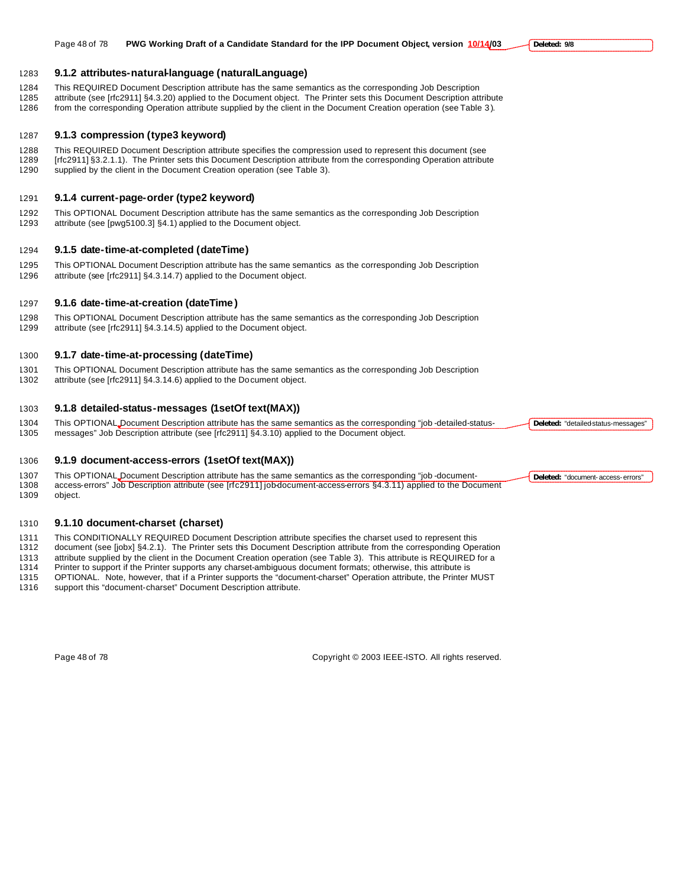1288 This REQUIRED Document Description attribute specifies the compression used to represent this document (see<br>1289 [rfc2911] §3.2.1.1). The Printer sets this Document Description attribute from the corresponding Operati [rfc2911] §3.2.1.1). The Printer sets this Document Description attribute from the corresponding Operation attribute supplied by the client in the Document Creation operation (see Table 3).

# **9.1.4 current-page-order (type2 keyword)**

**9.1.2 attributes-natural-language (naturalLanguage)**

 This OPTIONAL Document Description attribute has the same semantics as the corresponding Job Description attribute (see [pwg5100.3] §4.1) applied to the Document object.

# **9.1.5 date-time-at-completed (dateTime)**

 This OPTIONAL Document Description attribute has the same semantics as the corresponding Job Description attribute (see [rfc2911] §4.3.14.7) applied to the Document object.

# **9.1.6 date-time-at-creation (dateTime )**

 This OPTIONAL Document Description attribute has the same semantics as the corresponding Job Description attribute (see [rfc2911] §4.3.14.5) applied to the Document object.

# **9.1.7 date-time-at-processing (dateTime)**

- This OPTIONAL Document Description attribute has the same semantics as the corresponding Job Description
- attribute (see [rfc2911] §4.3.14.6) applied to the Document object.

### **9.1.8 detailed-status-messages (1setOf text(MAX))**

 This OPTIONAL Document Description attribute has the same semantics as the corresponding "job -detailed-status-messages" Job Description attribute (see [rfc2911] §4.3.10) applied to the Document object.

### **9.1.9 document-access-errors (1setOf text(MAX))**

- 1307 This OPTIONAL Document Description attribute has the same semantics as the corresponding "job-document-<br>1308 access-errors" Job Description attribute (see Irfc29111iobdocument-access-errors \$4.3.11) applied to the Doc access-errors" Job Description attribute (see [rfc2911] job-document-access-errors §4.3.11) applied to the Document
- object.

# **9.1.10 document-charset (charset)**

1311 This CONDITIONALLY REQUIRED Document Description attribute specifies the charset used to represent this 1312 document (see [jobx] §4.2.1). The Printer sets this Document Description attribute from the corresponding Op

document (see [jobx] §4.2.1). The Printer sets this Document Description attribute from the corresponding Operation

1313 attribute supplied by the client in the Document Creation operation (see Table 3). This attribute is REQUIRED for a<br>1314 Printer to support if the Printer supports any charset-ambiguous document formats; otherwise, th

- Printer to support if the Printer supports any charset-ambiguous document formats; otherwise, this attribute is OPTIONAL. Note, however, that if a Printer supports the "document-charset" Operation attribute, the Printer MUST
- support this "document-charset" Document Description attribute.

Page 48 of 78 Copyright © 2003 IEEE-ISTO. All rights reserved.

Page 48 of 78 **PWG Working Draft of a Candidate Standard for the IPP Document Object, version 10/14/03**

**Deleted: 9/8**

**Deleted:** "detailed-status-messages"

**Deleted:** "document-access-errors"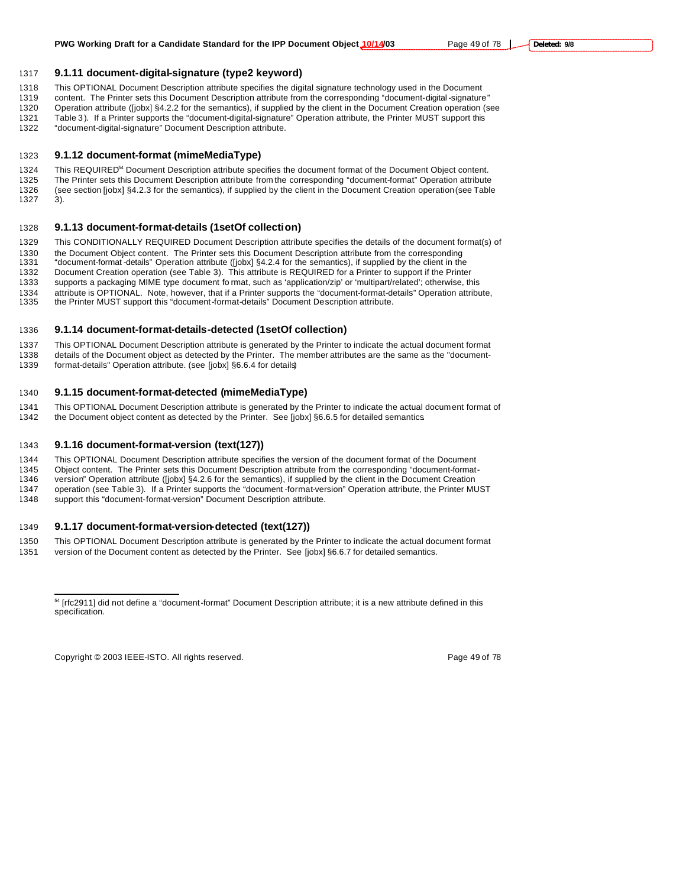**9.1.11 document-digital-signature (type2 keyword)**

This OPTIONAL Document Description attribute specifies the digital signature technology used in the Document

- content. The Printer sets this Document Description attribute from the corresponding "document-digital -signature" Operation attribute ([jobx] §4.2.2 for the semantics), if supplied by the client in the Document Creation operation (see 1321 Table 3). If a Printer supports the "document-digital-signature" Operation attribute, the Printer MUST support this
- "document-digital-signature" Document Description attribute.

### **9.1.12 document-format (mimeMediaType)**

1324 This REQUIRED<sup>54</sup> Document Description attribute specifies the document format of the Document Object content. The Printer sets this Document Description attribute from the corresponding "document-format" Operation attribute (see section [jobx] §4.2.3 for the semantics), if supplied by the client in the Document Creation operation (see Table 3).

### **9.1.13 document-format-details (1setOf collection)**

This CONDITIONALLY REQUIRED Document Description attribute specifies the details of the document format(s) of

the Document Object content. The Printer sets this Document Description attribute from the corresponding

"document-format -details" Operation attribute ([jobx] §4.2.4 for the semantics), if supplied by the client in the

Document Creation operation (see Table 3). This attribute is REQUIRED for a Printer to support if the Printer

supports a packaging MIME type document fo rmat, such as 'application/zip' or 'multipart/related'; otherwise, this

1334 attribute is OPTIONAL. Note, however, that if a Printer supports the "document-format-details" Operation attribute,<br>1335 the Printer MUST support this "document-format-details" Document Description attribute. the Printer MUST support this "document-format-details" Document Description attribute.

### **9.1.14 document-format-details-detected (1setOf collection)**

 This OPTIONAL Document Description attribute is generated by the Printer to indicate the actual document format details of the Document object as detected by the Printer. The member attributes are the same as the "document-

format-details" Operation attribute. (see [jobx] §6.6.4 for details)

### **9.1.15 document-format-detected (mimeMediaType)**

 This OPTIONAL Document Description attribute is generated by the Printer to indicate the actual document format of the Document object content as detected by the Printer. See [jobx] §6.6.5 for detailed semantics.

### **9.1.16 document-format-version (text(127))**

- This OPTIONAL Document Description attribute specifies the version of the document format of the Document
- 1345 Object content. The Printer sets this Document Description attribute from the corresponding "document-format-<br>1346 version" Operation attribute ([jobx] §4.2.6 for the semantics), if supplied by the client in the Docum
- version" Operation attribute ([jobx] §4.2.6 for the semantics), if supplied by the client in the Document Creation operation (see Table 3). If a Printer supports the "document -format-version" Operation attribute, the Printer MUST
- support this "document-format-version" Document Description attribute.

### **9.1.17 document-format-version-detected (text(127))**

- This OPTIONAL Document Description attribute is generated by the Printer to indicate the actual document format
- 1351 version of the Document content as detected by the Printer. See [jobx] §6.6.7 for detailed semantics.

 $\overline{a}$ 

 [rfc2911] did not define a "document-format" Document Description attribute; it is a new attribute defined in this specification.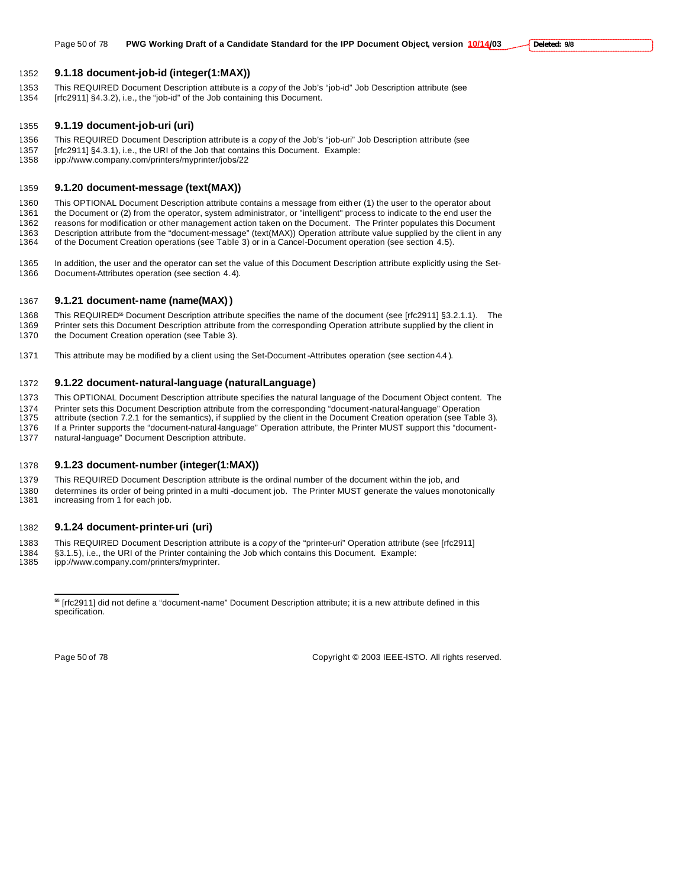### **9.1.18 document-job-id (integer(1:MAX))**

 This REQUIRED Document Description attribute is a *copy* of the Job's "job-id" Job Description attribute (see [rfc2911] §4.3.2), i.e., the "job-id" of the Job containing this Document.

### **9.1.19 document-job-uri (uri)**

- This REQUIRED Document Description attribute is a *copy* of the Job's "job-uri" Job Description attribute (see
- 1357 [rfc2911] §4.3.1), i.e., the URI of the Job that contains this Document. Example:<br>1358 ipp://www.company.com/printers/myprinter/jobs/22
- ipp://www.company.com/printers/myprinter/jobs/22

### **9.1.20 document-message (text(MAX))**

 This OPTIONAL Document Description attribute contains a message from either (1) the user to the operator about the Document or (2) from the operator, system administrator, or "intelligent" process to indicate to the end user the reasons for modification or other management action taken on the Document. The Printer populates this Document 1363 Description attribute from the "document-message" (text(MAX)) Operation attribute value supplied by the client in any<br>1364 of the Document Creation operations (see Table 3) or in a Cancel-Document operation (see secti of the Document Creation operations (see Table 3) or in a Cancel-Document operation (see section 4.5).

 In addition, the user and the operator can set the value of this Document Description attribute explicitly using the Set-Document-Attributes operation (see section 4.4).

### **9.1.21 document-name (name(MAX))**

- 1368 This REQUIRED<sup>55</sup> Document Description attribute specifies the name of the document (see [rfc2911] §3.2.1.1). The Printer sets this Document Description attribute from the corresponding Operation attribute supplied by the client in the Document Creation operation (see Table 3).
- This attribute may be modified by a client using the Set-Document -Attributes operation (see section 4.4 ).

### **9.1.22 document-natural-language (naturalLanguage)**

This OPTIONAL Document Description attribute specifies the natural language of the Document Object content. The

- 1374 Printer sets this Document Description attribute from the corresponding "document-natural-language" Operation<br>1375 attribute (section 7.2.1 for the semantics), if supplied by the client in the Document Creation operat
- attribute (section 7.2.1 for the semantics), if supplied by the client in the Document Creation operation (see Table 3). If a Printer supports the "document-natural-language" Operation attribute, the Printer MUST support this "document-
- natural-language" Document Description attribute.

### **9.1.23 document-number (integer(1:MAX))**

- This REQUIRED Document Description attribute is the ordinal number of the document within the job, and
- 1380 determines its order of being printed in a multi -document job. The Printer MUST generate the values monotonically<br>1381 increasing from 1 for each job. increasing from 1 for each job.

### **9.1.24 document-printer-uri (uri)**

- This REQUIRED Document Description attribute is a *copy* of the "printer-uri" Operation attribute (see [rfc2911]
- 1384 §3.1.5), i.e., the URI of the Printer containing the Job which contains this Document. Example:<br>1385 ipp://www.company.com/printers/myprinter.
- ipp://www.company.com/printers/myprinter.

 $\overline{a}$ 

Page 50 of 78 Copyright © 2003 IEEE-ISTO. All rights reserved.

 [rfc2911] did not define a "document-name" Document Description attribute; it is a new attribute defined in this specification.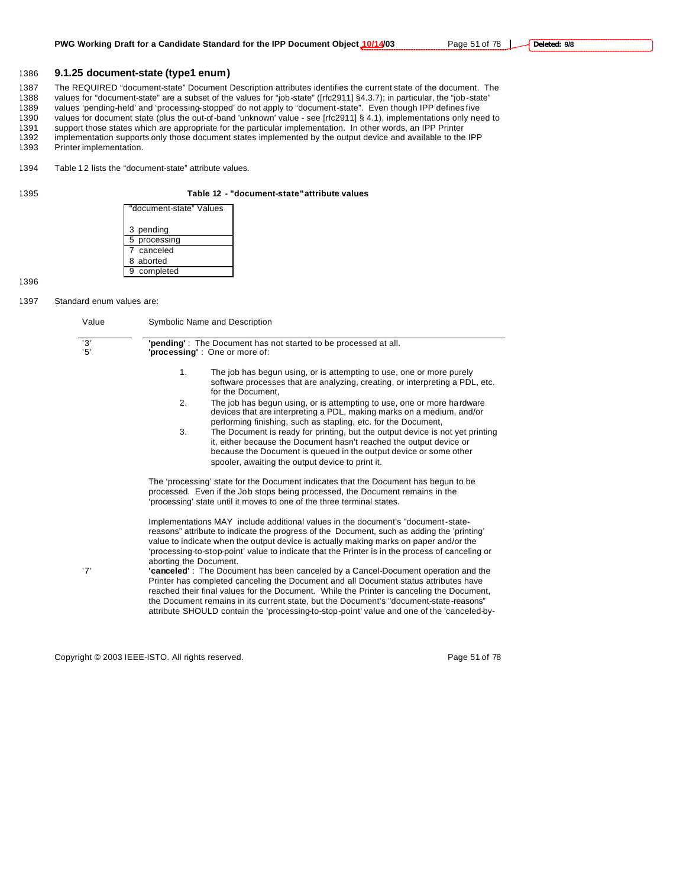### 1386 **9.1.25 document-state (type1 enum)**

1387 The REQUIRED "document-state" Document Description attributes identifies the current state of the document. The<br>1388 values for "document-state" are a subset of the values for "job-state" ([rfc2911] §4.3.7); in partic values for "document-state" are a subset of the values for "job-state" ([rfc2911] §4.3.7); in particular, the "job-state"

1389 values 'pending-held' and 'processing-stopped' do not apply to "document-state". Even though IPP defines five

1390 values for document state (plus the out-of-band 'unknown' value - see [rfc2911] § 4.1), implementations only need to 1391 support those states which are appropriate for the particular implementation. In other words, a

support those states which are appropriate for the particular implementation. In other words, an IPP Printer

- 1392 implementation supports only those document states implemented by the output device and available to the IPP
- 1393 Printer implementation.

1394 Table 12 lists the "document-state" attribute values.

### 1395 **Table 12 - "document-state" attribute values**

| "document-state" Values |
|-------------------------|
| 3 pending               |
| 5 processing            |
| 7 canceled              |
| 8 aborted               |
| 9 completed             |

1396

### 1397 Standard enum values are:

| Value      | Symbolic Name and Description                                                                                                                                                                                                                                                                                                                                                                                                                                                             |  |  |  |  |
|------------|-------------------------------------------------------------------------------------------------------------------------------------------------------------------------------------------------------------------------------------------------------------------------------------------------------------------------------------------------------------------------------------------------------------------------------------------------------------------------------------------|--|--|--|--|
| '3'<br>'5' | 'pending': The Document has not started to be processed at all.<br>'processing': One or more of:                                                                                                                                                                                                                                                                                                                                                                                          |  |  |  |  |
|            | 1 <sub>1</sub><br>The job has begun using, or is attempting to use, one or more purely<br>software processes that are analyzing, creating, or interpreting a PDL, etc.<br>for the Document.                                                                                                                                                                                                                                                                                               |  |  |  |  |
|            | 2.<br>The job has begun using, or is attempting to use, one or more hardware<br>devices that are interpreting a PDL, making marks on a medium, and/or<br>performing finishing, such as stapling, etc. for the Document,                                                                                                                                                                                                                                                                   |  |  |  |  |
|            | 3.<br>The Document is ready for printing, but the output device is not yet printing<br>it, either because the Document hasn't reached the output device or<br>because the Document is queued in the output device or some other<br>spooler, awaiting the output device to print it.                                                                                                                                                                                                       |  |  |  |  |
|            | The 'processing' state for the Document indicates that the Document has begun to be<br>processed. Even if the Job stops being processed, the Document remains in the<br>'processing' state until it moves to one of the three terminal states.                                                                                                                                                                                                                                            |  |  |  |  |
| '7'        | Implementations MAY include additional values in the document's "document-state-<br>reasons" attribute to indicate the progress of the Document, such as adding the 'printing'<br>value to indicate when the output device is actually making marks on paper and/or the<br>'processing-to-stop-point' value to indicate that the Printer is in the process of canceling or<br>aborting the Document.<br>"canceled": The Document has been canceled by a Cancel-Document operation and the |  |  |  |  |
|            | Printer has completed canceling the Document and all Document status attributes have<br>reached their final values for the Document. While the Printer is canceling the Document,<br>the Document remains in its current state, but the Document's "document-state-reasons"<br>attribute SHOULD contain the 'processing-to-stop-point' value and one of the 'canceled-by-                                                                                                                 |  |  |  |  |

Copyright © 2003 IEEE-ISTO. All rights reserved. Page 51 of 78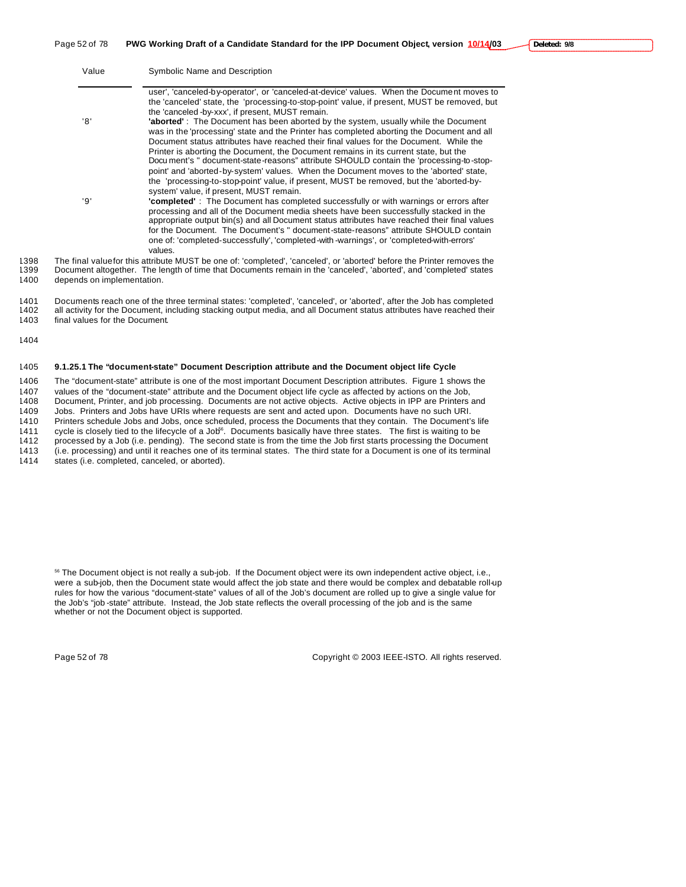Page 52 of 78 **PWG Working Draft of a Candidate Standard for the IPP Document Object, version 10/14/03**

| Value | Symbolic Name and Description                                                                                                                                                                                                                                                                                                                                                                                  |
|-------|----------------------------------------------------------------------------------------------------------------------------------------------------------------------------------------------------------------------------------------------------------------------------------------------------------------------------------------------------------------------------------------------------------------|
|       | user', 'canceled-by-operator', or 'canceled-at-device' values. When the Document moves to<br>the 'canceled' state, the 'processing-to-stop-point' value, if present, MUST be removed, but<br>the 'canceled -by-xxx', if present, MUST remain.                                                                                                                                                                  |
| '8'   | <b>'aborted'</b> : The Document has been aborted by the system, usually while the Document<br>was in the 'processing' state and the Printer has completed aborting the Document and all<br>Document status attributes have reached their final values for the Document. While the                                                                                                                              |
|       | Printer is aborting the Document, the Document remains in its current state, but the<br>Document's " document-state-reasons" attribute SHOULD contain the 'processing-to-stop-<br>point' and 'aborted-by-system' values. When the Document moves to the 'aborted' state,<br>the 'processing-to-stop-point' value, if present, MUST be removed, but the 'aborted-by-<br>system' value, if present, MUST remain. |
| 'ף י  | <b>'completed'</b> : The Document has completed successfully or with warnings or errors after<br>processing and all of the Document media sheets have been successfully stacked in the<br>appropriate output bin(s) and all Document status attributes have reached their final values                                                                                                                         |
|       | for the Document. The Document's " document-state-reasons" attribute SHOULD contain<br>one of: 'completed-successfully', 'completed-with-warnings', or 'completed-with-errors'<br>values.                                                                                                                                                                                                                      |
|       | o final valuafor thio attribute MLICT he ena efi leamplated "conceled" ex loberted before the Drinter removes the                                                                                                                                                                                                                                                                                              |

1398 The final value for this attribute MUST be one of: 'completed', 'canceled', or 'aborted' before the Printer removes the 1399 Document altogether. The length of time that Documents remain in the 'canceled', 'aborted', 1399 Document altogether. The length of time that Documents remain in the 'canceled', 'aborted', and 'completed' states 1400 depends on implementation.

### 1401 Documents reach one of the three terminal states: 'completed', 'canceled', or 'aborted', after the Job has completed<br>1402 all activity for the Document, including stacking output media, and all Document status attribu all activity for the Document, including stacking output media, and all Document status attributes have reached their 1403 final values for the Document.

1404

### 1405 **9.1.25.1 The "document-state" Document Description attribute and the Document object life Cycle**

 The "document-state" attribute is one of the most important Document Description attributes. Figure 1 shows the values of the "document-state" attribute and the Document object life cycle as affected by actions on the Job, Document, Printer, and job processing. Documents are not active objects. Active objects in IPP are Printers and Jobs. Printers and Jobs have URIs where requests are sent and acted upon. Documents have no such URI. Printers schedule Jobs and Jobs, once scheduled, process the Documents that they contain. The Document's life 1411 cycle is closely tied to the lifecycle of a Job<sup>6</sup>. Documents basically have three states. The first is waiting to be 1412 processed by a Job (i.e. pending). The second state is from the time the Job first starts pro processed by a Job (i.e. pending). The second state is from the time the Job first starts processing the Document (i.e. processing) and until it reaches one of its terminal states. The third state for a Document is one of its terminal

1414 states (i.e. completed, canceled, or aborted).

<sup>56</sup> The Document object is not really a sub-job. If the Document object were its own independent active object, i.e., were a sub-job, then the Document state would affect the job state and there would be complex and debatable roll-up rules for how the various "document-state" values of all of the Job's document are rolled up to give a single value for the Job's "job -state" attribute. Instead, the Job state reflects the overall processing of the job and is the same whether or not the Document object is supported.

Page 52 of 78 Copyright © 2003 IEEE-ISTO. All rights reserved.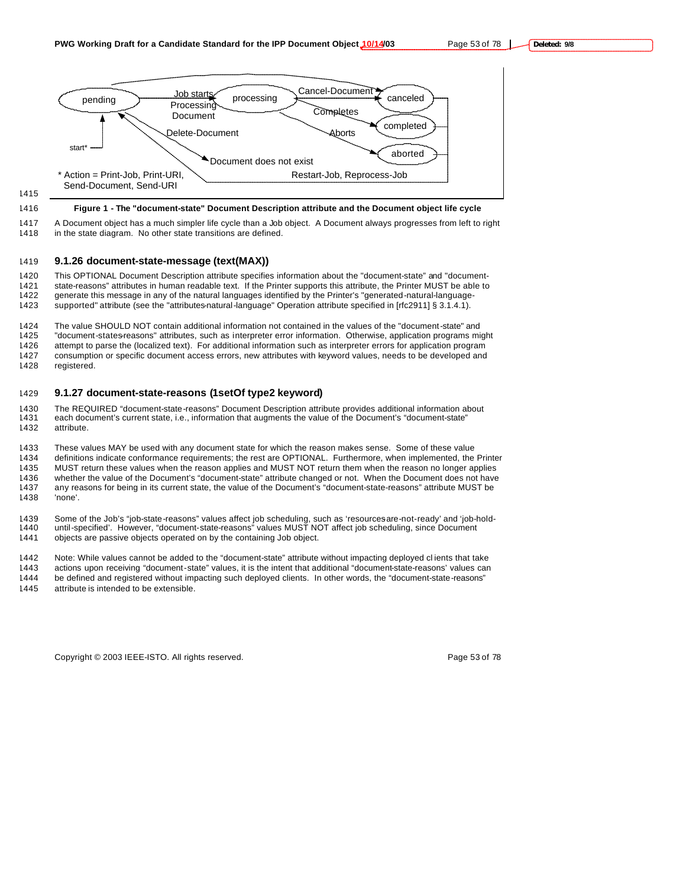

# 1415

### 1416 **Figure 1 - The "document-state" Document Description attribute and the Document object life cycle**

1417 A Document object has a much simpler life cycle than a Job object. A Document always progresses from left to right 1418 in the state diagram. No other state transitions are defined.

### 1419 **9.1.26 document-state-message (text(MAX))**

1420 This OPTIONAL Document Description attribute specifies information about the "document-state" and "document-1421 state-reasons" attributes in human readable text. If the Printer supports this attribute, the Printer MUST be able to 1422 generate this message in any of the natural languages identified by the Printer's "generated-n generate this message in any of the natural languages identified by the Printer's "generated-natural-language-1423 supported" attribute (see the "attributes-natural-language" Operation attribute specified in [rfc2911] § 3.1.4.1).

 The value SHOULD NOT contain additional information not contained in the values of the "document-state" and "document-states-reasons" attributes, such as interpreter error information. Otherwise, application programs might attempt to parse the (localized text). For additional information such as interpreter errors for application program consumption or specific document access errors, new attributes with keyword values, needs to be developed and registered.

### 1429 **9.1.27 document-state-reasons (1setOf type2 keyword)**

1430 The REQUIRED "document-state-reasons" Document Description attribute provides additional information about 1431 each document's current state, i.e., information that augments the value of the Document's "document-state" 1432 attribute.

1433 These values MAY be used with any document state for which the reason makes sense. Some of these value 1434 definitions indicate conformance requirements; the rest are OPTIONAL. Furthermore, when implemented, the Printer 1435 MUST return these values when the reason applies and MUST NOT return them when the reason no longer applies 1436 whether the value of the Document's "document-state" attribute changed or not. When the Document does not have<br>1437 any reasons for being in its current state, the value of the Document's "document-state-reasons" attr any reasons for being in its current state, the value of the Document's "document-state-reasons" attribute MUST be 1438 'none'.

1439 Some of the Job's "job-state-reasons" values affect job scheduling, such as 'resourcesare-not-ready' and 'job-hold-1440 until-specified'. However, "document-state-reasons" values MUST NOT affect job scheduling, since Document 1441 objects are passive objects operated on by the containing Job object.

1442 Note: While values cannot be added to the "document-state" attribute without impacting deployed cl ients that take

1443 actions upon receiving "document-state" values, it is the intent that additional "document-state-reasons' values can 1444 be defined and registered without impacting such deployed clients. In other words, the "document-state-reasons" 1445 attribute is intended to be extensible.

Copyright © 2003 IEEE-ISTO. All rights reserved. Copyright C 2003 IEEE-ISTO. All rights reserved.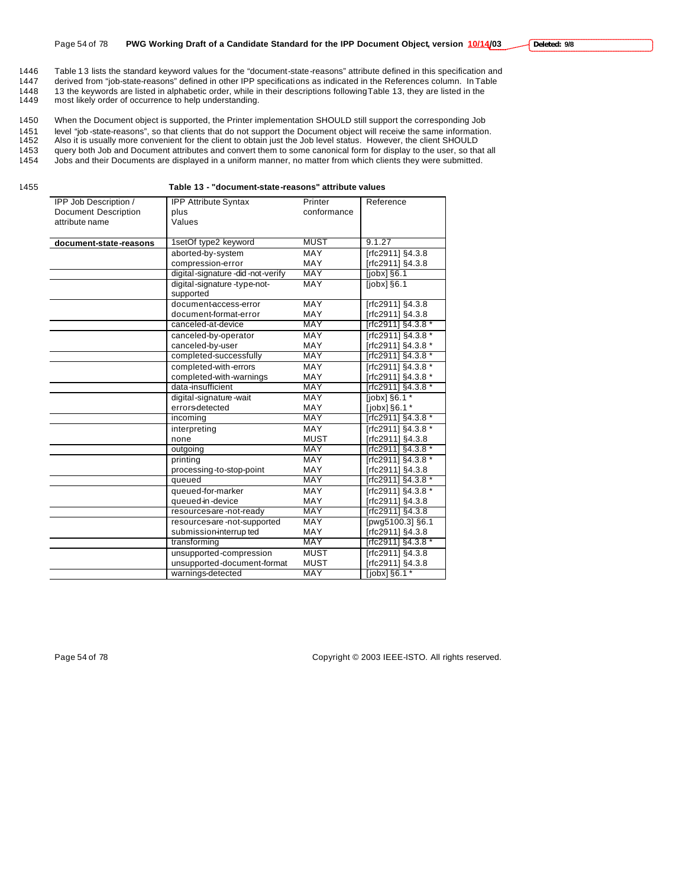1446 Table 13 lists the standard keyword values for the "document-state-reasons" attribute defined in this specification and<br>1447 derived from "iob-state-reasons" defined in other IPP specifications as indicated in the Ref derived from "job-state-reasons" defined in other IPP specifications as indicated in the References column. In Table 1448 13 the keywords are listed in alphabetic order, while in their descriptions following Table 13, they are listed in the 1449 most likely order of occurrence to help understanding. most likely order of occurrence to help understanding.

1450 When the Document object is supported, the Printer implementation SHOULD still support the corresponding Job 1451 level "job -state-reasons", so that clients that do not support the Document object will receive the same information.<br>1452 Also it is usually more convenient for the client to obtain just the Job level status. Howeve Also it is usually more convenient for the client to obtain just the Job level status. However, the client SHOULD 1453 query both Job and Document attributes and convert them to some canonical form for display to the user, so that all<br>1454 Jobs and their Documents are displayed in a uniform manner, no matter from which clients they we

1454 Jobs and their Documents are displayed in a uniform manner, no matter from which clients they were submitted.

1455 **Table 13 - "document-state-reasons" attribute values**

| IPP Job Description /       | <b>IPP Attribute Syntax</b>      | Printer     | Reference                        |
|-----------------------------|----------------------------------|-------------|----------------------------------|
| <b>Document Description</b> | plus                             | conformance |                                  |
| attribute name              | Values                           |             |                                  |
|                             |                                  |             |                                  |
| document-state-reasons      | 1setOf type2 keyword             | <b>MUST</b> | 9.1.27                           |
|                             | aborted-by-system                | <b>MAY</b>  | [rfc2911] §4.3.8                 |
|                             | compression-error                | <b>MAY</b>  | [rfc2911] §4.3.8                 |
|                             | digital-signature-did-not-verify | <b>MAY</b>  | [ <i>j</i> obx] <sub>§</sub> 6.1 |
|                             | digital-signature-type-not-      | MAY         | liobxl §6.1                      |
|                             | supported                        |             |                                  |
|                             | document-access-error            | <b>MAY</b>  | [rfc2911] §4.3.8                 |
|                             | document-format-error            | MAY         | [rfc2911] §4.3.8                 |
|                             | canceled-at-device               | <b>MAY</b>  | [rfc2911] §4.3.8 *               |
|                             | canceled-by-operator             | MAY         | Trfc2911] §4.3.8 *               |
|                             | canceled-by-user                 | MAY         | [rfc2911] §4.3.8 *               |
|                             | completed-successfully           | <b>MAY</b>  | [rfc2911] §4.3.8 *               |
|                             | completed-with-errors            | <b>MAY</b>  | [rfc2911] §4.3.8 *               |
|                             | completed-with-warnings          | MAY         | [rfc2911] §4.3.8 *               |
|                             | data-insufficient                | <b>MAY</b>  | rfc2911] §4.3.8 *                |
|                             | digital-signature-wait           | <b>MAY</b>  | [jobx] §6.1 *                    |
|                             | errors-detected                  | MAY         | [jobx] §6.1 *                    |
|                             | incoming                         | <b>MAY</b>  | [rfc2911] §4.3.8 *               |
|                             | interpreting                     | <b>MAY</b>  | [rfc2911] §4.3.8 *               |
|                             | none                             | <b>MUST</b> | [rfc2911] §4.3.8                 |
|                             | outgoing                         | <b>MAY</b>  | [rfc2911] §4.3.8 *               |
|                             | printing                         | <b>MAY</b>  | [rfc2911] §4.3.8 *               |
|                             | processing-to-stop-point         | MAY         | [rfc2911] §4.3.8                 |
|                             | queued                           | MAY         | [rfc2911] §4.3.8 *               |
|                             | queued-for-marker                | MAY         | [rfc2911] §4.3.8 *               |
|                             | queued-in-device                 | MAY         | [rfc2911] §4.3.8                 |
|                             | resources-are-not-ready          | <b>MAY</b>  | [rfc2911] §4.3.8                 |
|                             | resources-are-not-supported      | MAY         | [pwg5100.3] §6.1                 |
|                             | submission-interrup ted          | <b>MAY</b>  | [rfc2911] §4.3.8                 |
|                             | transforming                     | <b>MAY</b>  | [rfc2911] §4.3.8 *               |
|                             | unsupported-compression          | <b>MUST</b> | [rfc2911] §4.3.8                 |
|                             | unsupported-document-format      | <b>MUST</b> | [rfc2911] §4.3.8                 |
|                             | warnings-detected                | <b>MAY</b>  | $[jobx]$ §6.1*                   |

Page 54 of 78 Copyright © 2003 IEEE-ISTO. All rights reserved.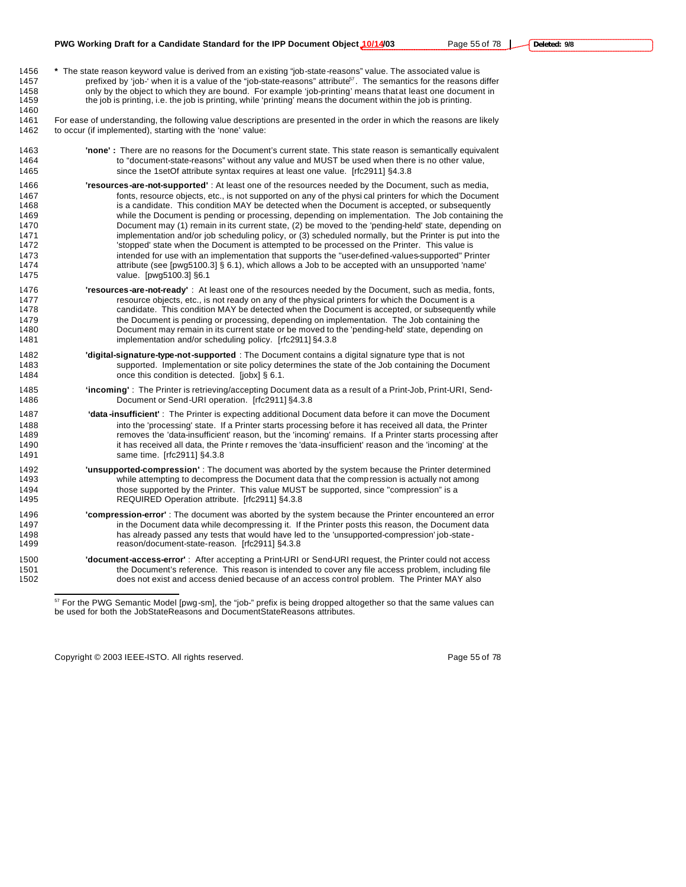**\*** The state reason keyword value is derived from an existing "job-state-reasons" value. The associated value is 1457 prefixed by 'job-' when it is a value of the "job-state-reasons" attribute<sup>57</sup>. The semantics for the reasons differ 1458 only by the object to which they are bound. For example 'job-printing' means that at least one document in the job is printing, i.e. the job is printing, while 'printing' means the document within the job is printing. 

 For ease of understanding, the following value descriptions are presented in the order in which the reasons are likely to occur (if implemented), starting with the 'none' value:

- **'none' :** There are no reasons for the Document's current state. This state reason is semantically equivalent to "document-state-reasons" without any value and MUST be used when there is no other value, since the 1setOf attribute syntax requires at least one value. [rfc2911] §4.3.8
- **'resources-are-not-supported'** : At least one of the resources needed by the Document, such as media, fonts, resource objects, etc., is not supported on any of the physi cal printers for which the Document 1468 is a candidate. This condition MAY be detected when the Document is accepted, or subsequently while the Document is pending or processing, depending on implementation. The Job containing the Document may (1) remain in its current state, (2) be moved to the 'pending-held' state, depending on 1471 implementation and/or job scheduling policy, or (3) scheduled normally, but the Printer is put into the<br>1472 stopped' state when the Document is attempted to be processed on the Printer. This value is 'stopped' state when the Document is attempted to be processed on the Printer. This value is intended for use with an implementation that supports the "user-defined-values-supported" Printer attribute (see [pwg5100.3] § 6.1), which allows a Job to be accepted with an unsupported 'name' value. [pwg5100.3] §6.1
- **'resources-are-not-ready'** : At least one of the resources needed by the Document, such as media, fonts, resource objects, etc., is not ready on any of the physical printers for which the Document is a candidate. This condition MAY be detected when the Document is accepted, or subsequently while the Document is pending or processing, depending on implementation. The Job containing the Document may remain in its current state or be moved to the 'pending-held' state, depending on implementation and/or scheduling policy. [rfc2911] §4.3.8
- **'digital-signature-type-not-supported** : The Document contains a digital signature type that is not supported. Implementation or site policy determines the state of the Job containing the Document 1484 once this condition is detected. [jobx] § 6.1.
- **'incoming'** : The Printer is retrieving/accepting Document data as a result of a Print-Job, Print-URI, Send-Document or Send-URI operation. [rfc2911] §4.3.8
- **'data -insufficient'** : The Printer is expecting additional Document data before it can move the Document into the 'processing' state. If a Printer starts processing before it has received all data, the Printer removes the 'data-insufficient' reason, but the 'incoming' remains. If a Printer starts processing after it has received all data, the Printe r removes the 'data-insufficient' reason and the 'incoming' at the same time. [rfc2911] §4.3.8
- **'unsupported-compression'** : The document was aborted by the system because the Printer determined while attempting to decompress the Document data that the compression is actually not among those supported by the Printer. This value MUST be supported, since "compression" is a REQUIRED Operation attribute. [rfc2911] §4.3.8
- **'compression-error'** : The document was aborted by the system because the Printer encountered an error 1497 in the Document data while decompressing it. If the Printer posts this reason, the Document data has already passed any tests that would have led to the 'unsupported-compression' job-state-reason/document-state-reason. [rfc2911] §4.3.8
- **'document-access-error'** : After accepting a Print-URI or Send-URI request, the Printer could not access 1501 the Document's reference. This reason is intended to cover any file access problem, including file<br>1502 the state and access denied because of an access control problem. The Printer MAY also does not exist and access denied because of an access control problem. The Printer MAY also

Copyright © 2003 IEEE-ISTO. All rights reserved. Copyright C 2003 IEEE-ISTO. All rights reserved.

 $\overline{a}$ 

<sup>&</sup>lt;sup>57</sup> For the PWG Semantic Model [pwg-sm], the "job-" prefix is being dropped altogether so that the same values can be used for both the JobStateReasons and DocumentStateReasons attributes.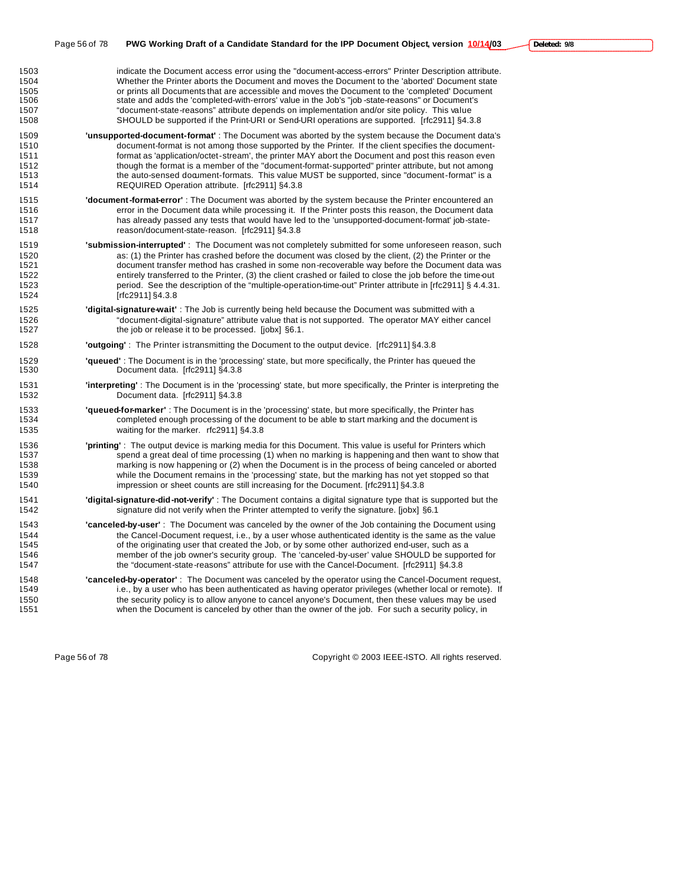| 1503 | indicate the Document access error using the "document-access-errors" Printer Description attribute.                 |
|------|----------------------------------------------------------------------------------------------------------------------|
| 1504 | Whether the Printer aborts the Document and moves the Document to the 'aborted' Document state                       |
| 1505 | or prints all Documents that are accessible and moves the Document to the 'completed' Document                       |
| 1506 | state and adds the 'completed-with-errors' value in the Job's "job-state-reasons" or Document's                      |
| 1507 | "document-state-reasons" attribute depends on implementation and/or site policy. This value                          |
| 1508 | SHOULD be supported if the Print-URI or Send-URI operations are supported. [rfc2911] §4.3.8                          |
| 1509 | <b>'unsupported-document-format'</b> : The Document was aborted by the system because the Document data's            |
| 1510 | document-format is not among those supported by the Printer. If the client specifies the document-                   |
| 1511 | format as 'application/octet-stream', the printer MAY abort the Document and post this reason even                   |
| 1512 | though the format is a member of the "document-format-supported" printer attribute, but not among                    |
| 1513 | the auto-sensed document-formats. This value MUST be supported, since "document-format" is a                         |
| 1514 | REQUIRED Operation attribute. [rfc2911] §4.3.8                                                                       |
| 1515 | 'document-format-error': The Document was aborted by the system because the Printer encountered an                   |
| 1516 | error in the Document data while processing it. If the Printer posts this reason, the Document data                  |
| 1517 | has already passed any tests that would have led to the 'unsupported-document-format' job-state-                     |
| 1518 | reason/document-state-reason. [rfc2911] §4.3.8                                                                       |
| 1519 | <b>'submission-interrupted'</b> : The Document was not completely submitted for some unforeseen reason, such         |
| 1520 | as: (1) the Printer has crashed before the document was closed by the client. (2) the Printer or the                 |
| 1521 | document transfer method has crashed in some non-recoverable way before the Document data was                        |
| 1522 | entirely transferred to the Printer, (3) the client crashed or failed to close the job before the time-out           |
| 1523 | period. See the description of the "multiple-operation-time-out" Printer attribute in [rfc2911] § 4.4.31.            |
| 1524 | [ $rfc2911$ ] §4.3.8                                                                                                 |
| 1525 | <b>'digital-signature-wait'</b> : The Job is currently being held because the Document was submitted with a          |
| 1526 | "document-digital-signature" attribute value that is not supported. The operator MAY either cancel                   |
| 1527 | the job or release it to be processed. [jobx] §6.1.                                                                  |
| 1528 | <b>'outgoing'</b> : The Printer istransmitting the Document to the output device. [rfc2911] §4.3.8                   |
| 1529 | <b>'queued'</b> : The Document is in the 'processing' state, but more specifically, the Printer has queued the       |
| 1530 | Document data. [rfc2911] §4.3.8                                                                                      |
| 1531 | "interpreting": The Document is in the 'processing' state, but more specifically, the Printer is interpreting the    |
| 1532 | Document data. [rfc2911] §4.3.8                                                                                      |
| 1533 | "queued-for-marker": The Document is in the 'processing' state, but more specifically, the Printer has               |
| 1534 | completed enough processing of the document to be able to start marking and the document is                          |
| 1535 | waiting for the marker. rfc2911] §4.3.8                                                                              |
| 1536 | 'printing': The output device is marking media for this Document. This value is useful for Printers which            |
| 1537 | spend a great deal of time processing (1) when no marking is happening and then want to show that                    |
| 1538 | marking is now happening or (2) when the Document is in the process of being canceled or aborted                     |
| 1539 | while the Document remains in the 'processing' state, but the marking has not yet stopped so that                    |
| 1540 | impression or sheet counts are still increasing for the Document. [rfc2911] §4.3.8                                   |
| 1541 | <b>'digital-signature-did-not-verify'</b> : The Document contains a digital signature type that is supported but the |
| 1542 | signature did not verify when the Printer attempted to verify the signature. [jobx] §6.1                             |
| 1543 | "canceled-by-user": The Document was canceled by the owner of the Job containing the Document using                  |
| 1544 | the Cancel-Document request, i.e., by a user whose authenticated identity is the same as the value                   |
| 1545 | of the originating user that created the Job, or by some other authorized end-user, such as a                        |
| 1546 | member of the job owner's security group. The 'canceled-by-user' value SHOULD be supported for                       |
| 1547 | the "document-state-reasons" attribute for use with the Cancel-Document. [rfc2911] §4.3.8                            |
| 1548 | 'canceled-by-operator': The Document was canceled by the operator using the Cancel-Document request,                 |
| 1549 | i.e., by a user who has been authenticated as having operator privileges (whether local or remote). If               |
| 1550 | the security policy is to allow anyone to cancel anyone's Document, then these values may be used                    |
| 1551 | when the Document is canceled by other than the owner of the job. For such a security policy, in                     |

Page 56 of 78 Copyright © 2003 IEEE-ISTO. All rights reserved.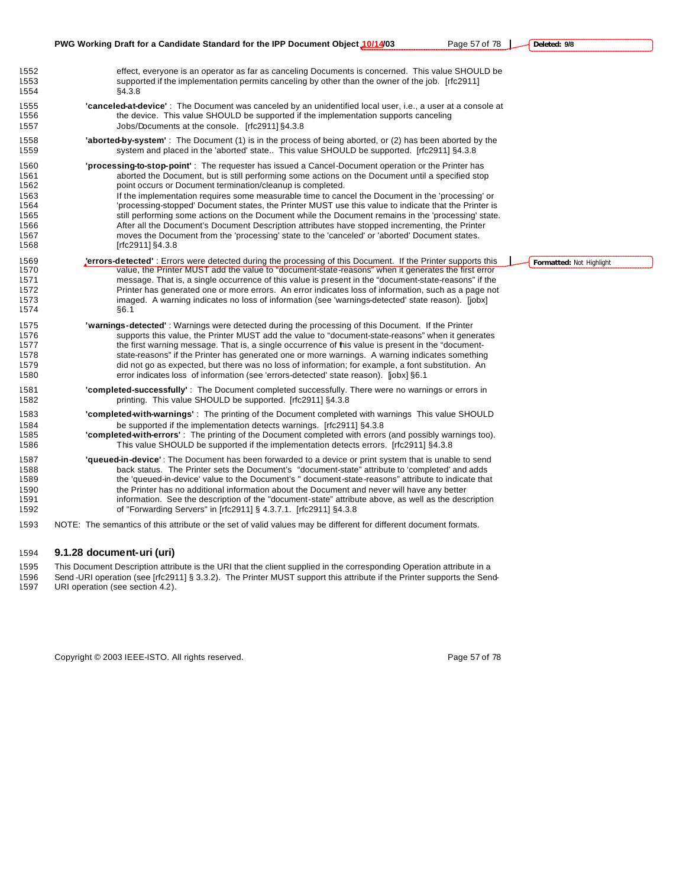|                                                                      | PWG Working Draft for a Candidate Standard for the IPP Document Object 10/14/03<br>Page 57 of 78                                                                                                                                                                                                                                                                                                                                                                                                                                                                                                                                                                                                                                                                                                                              | Deleted: 9/8             |  |
|----------------------------------------------------------------------|-------------------------------------------------------------------------------------------------------------------------------------------------------------------------------------------------------------------------------------------------------------------------------------------------------------------------------------------------------------------------------------------------------------------------------------------------------------------------------------------------------------------------------------------------------------------------------------------------------------------------------------------------------------------------------------------------------------------------------------------------------------------------------------------------------------------------------|--------------------------|--|
| 1552<br>1553<br>1554                                                 | effect, everyone is an operator as far as canceling Documents is concerned. This value SHOULD be<br>supported if the implementation permits canceling by other than the owner of the job. [rfc2911]<br>§4.3.8                                                                                                                                                                                                                                                                                                                                                                                                                                                                                                                                                                                                                 |                          |  |
| 1555<br>1556<br>1557                                                 | "canceled-at-device": The Document was canceled by an unidentified local user, i.e., a user at a console at<br>the device. This value SHOULD be supported if the implementation supports canceling<br>Jobs/Documents at the console. [rfc2911] §4.3.8                                                                                                                                                                                                                                                                                                                                                                                                                                                                                                                                                                         |                          |  |
| 1558<br>1559                                                         | <b>aborted-by-system'</b> : The Document (1) is in the process of being aborted, or (2) has been aborted by the<br>system and placed in the 'aborted' state This value SHOULD be supported. [rfc2911] §4.3.8                                                                                                                                                                                                                                                                                                                                                                                                                                                                                                                                                                                                                  |                          |  |
| 1560<br>1561<br>1562<br>1563<br>1564<br>1565<br>1566<br>1567<br>1568 | <b>processing-to-stop-point'</b> : The requester has issued a Cancel-Document operation or the Printer has<br>aborted the Document, but is still performing some actions on the Document until a specified stop<br>point occurs or Document termination/cleanup is completed.<br>If the implementation requires some measurable time to cancel the Document in the 'processing' or<br>processing-stopped' Document states, the Printer MUST use this value to indicate that the Printer is"<br>still performing some actions on the Document while the Document remains in the 'processing' state.<br>After all the Document's Document Description attributes have stopped incrementing, the Printer<br>moves the Document from the 'processing' state to the 'canceled' or 'aborted' Document states.<br>[rfc2911] $§4.3.8$ |                          |  |
| 1569<br>1570<br>1571<br>1572<br>1573<br>1574                         | <b>'errors-detected'</b> : Errors were detected during the processing of this Document. If the Printer supports this<br>value, the Printer MUST add the value to "document-state-reasons" when it generates the first error<br>message. That is, a single occurrence of this value is present in the "document-state-reasons" if the<br>Printer has generated one or more errors. An error indicates loss of information, such as a page not<br>imaged. A warning indicates no loss of information (see 'warnings-detected' state reason). [jobx]<br>§6.1                                                                                                                                                                                                                                                                     | Formatted: Not Highlight |  |
| 1575<br>1576<br>1577<br>1578<br>1579<br>1580                         | <b>'warnings-detected'</b> : Warnings were detected during the processing of this Document. If the Printer<br>supports this value, the Printer MUST add the value to "document-state-reasons" when it generates<br>the first warning message. That is, a single occurrence of his value is present in the "document-<br>state-reasons" if the Printer has generated one or more warnings. A warning indicates something<br>did not go as expected, but there was no loss of information; for example, a font substitution. An<br>error indicates loss of information (see 'errors-detected' state reason). [jobx] §6.1                                                                                                                                                                                                        |                          |  |
| 1581<br>1582                                                         | "completed-successfully": The Document completed successfully. There were no warnings or errors in<br>printing. This value SHOULD be supported. [rfc2911] §4.3.8                                                                                                                                                                                                                                                                                                                                                                                                                                                                                                                                                                                                                                                              |                          |  |
| 1583<br>1584<br>1585<br>1586                                         | <b>'completed-with-warnings'</b> : The printing of the Document completed with warnings This value SHOULD<br>be supported if the implementation detects warnings. [rfc2911] §4.3.8<br><b>Completed-with-errors'</b> : The printing of the Document completed with errors (and possibly warnings too).<br>This value SHOULD be supported if the implementation detects errors. [rfc2911] §4.3.8                                                                                                                                                                                                                                                                                                                                                                                                                                |                          |  |
| 1587<br>1588<br>1589<br>1590<br>1591<br>1592                         | "queued-in-device": The Document has been forwarded to a device or print system that is unable to send<br>back status. The Printer sets the Document's "document-state" attribute to 'completed' and adds<br>the 'queued-in-device' value to the Document's " document-state-reasons" attribute to indicate that<br>the Printer has no additional information about the Document and never will have any better<br>information. See the description of the "document-state" attribute above, as well as the description<br>of "Forwarding Servers" in [rfc2911] § 4.3.7.1. [rfc2911] §4.3.8                                                                                                                                                                                                                                   |                          |  |
| 1593                                                                 | NOTE: The semantics of this attribute or the set of valid values may be different for different document formats.                                                                                                                                                                                                                                                                                                                                                                                                                                                                                                                                                                                                                                                                                                             |                          |  |

# **9.1.28 document-uri (uri)**

 This Document Description attribute is the URI that the client supplied in the corresponding Operation attribute in a Send -URI operation (see [rfc2911] § 3.3.2). The Printer MUST support this attribute if the Printer supports the Send-URI operation (see section 4.2).

Copyright © 2003 IEEE-ISTO. All rights reserved. example 2003 12 and 2009 For the Page 57 of 78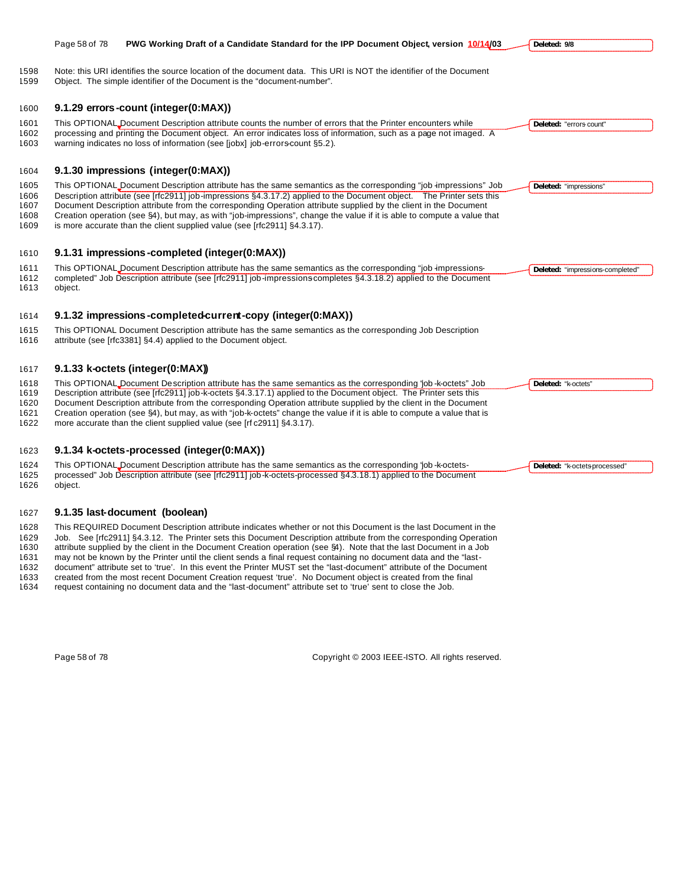| 1598<br>1599 | Note: this URI identifies the source location of the document data. This URI is NOT the identifier of the Document<br>Object. The simple identifier of the Document is the "document-number".                                               |                                  |
|--------------|---------------------------------------------------------------------------------------------------------------------------------------------------------------------------------------------------------------------------------------------|----------------------------------|
| 1600         | 9.1.29 errors-count (integer(0:MAX))                                                                                                                                                                                                        |                                  |
| 1601         | This OPTIONAL_Document Description attribute counts the number of errors that the Printer encounters while                                                                                                                                  | Deleted: "errors-count"          |
| 1602<br>1603 | processing and printing the Document object. An error indicates loss of information, such as a page not imaged. A<br>warning indicates no loss of information (see [jobx] job-errors-count §5.2).                                           |                                  |
| 1604         | 9.1.30 impressions (integer(0:MAX))                                                                                                                                                                                                         |                                  |
| 1605         | This OPTIONAL_Document Description attribute has the same semantics as the corresponding "job -impressions" Job                                                                                                                             | Deleted: "impressions"           |
| 1606         | Description attribute (see [rfc2911] job-impressions §4.3.17.2) applied to the Document object. The Printer sets this                                                                                                                       |                                  |
| 1607<br>1608 | Document Description attribute from the corresponding Operation attribute supplied by the client in the Document<br>Creation operation (see §4), but may, as with "job-impressions", change the value if it is able to compute a value that |                                  |
| 1609         | is more accurate than the client supplied value (see [rfc2911] §4.3.17).                                                                                                                                                                    |                                  |
|              |                                                                                                                                                                                                                                             |                                  |
| 1610         | 9.1.31 impressions-completed (integer(0:MAX))                                                                                                                                                                                               |                                  |
| 1611         | This OPTIONAL Document Description attribute has the same semantics as the corresponding "job impressions-                                                                                                                                  | Deleted: "impressions-completed" |
| 1612         | completed" Job Description attribute (see [rfc2911] job-impressions completes §4.3.18.2) applied to the Document                                                                                                                            |                                  |
| 1613         | object.                                                                                                                                                                                                                                     |                                  |
| 1614         | 9.1.32 impressions-completed current-copy (integer(0:MAX))                                                                                                                                                                                  |                                  |
| 1615         | This OPTIONAL Document Description attribute has the same semantics as the corresponding Job Description                                                                                                                                    |                                  |
| 1616         | attribute (see [rfc3381] §4.4) applied to the Document object.                                                                                                                                                                              |                                  |
| 1617         | 9.1.33 k-octets (integer(0:MAX))                                                                                                                                                                                                            |                                  |
| 1618         | This OPTIONAL Document Description attribute has the same semantics as the corresponding 'job-k-octets" Job                                                                                                                                 | Deleted: "k-octets"              |
| 1619         | Description attribute (see [rfc2911] job-k-octets §4.3.17.1) applied to the Document object. The Printer sets this                                                                                                                          |                                  |
| 1620         | Document Description attribute from the corresponding Operation attribute supplied by the client in the Document                                                                                                                            |                                  |
| 1621<br>1622 | Creation operation (see §4), but may, as with "job-k-octets" change the value if it is able to compute a value that is<br>more accurate than the client supplied value (see [rf c2911] §4.3.17).                                            |                                  |
|              |                                                                                                                                                                                                                                             |                                  |
|              |                                                                                                                                                                                                                                             |                                  |

**Deleted: 9/8**

**Deleted:** "k-octets-processed"

Page 58 of 78 **PWG Working Draft of a Candidate Standard for the IPP Document Object, version 10/14/03**

# **9.1.34 k-octets-processed (integer(0:MAX))**

 This OPTIONAL Document Description attribute has the same semantics as the corresponding "job -k-octets- processed" Job Description attribute (see [rfc2911] job-k-octets-processed §4.3.18.1) applied to the Document object.

### **9.1.35 last-document (boolean)**

 This REQUIRED Document Description attribute indicates whether or not this Document is the last Document in the 1629 Job. See [rfc2911] §4.3.12. The Printer sets this Document Description attribute from the corresponding Operation 1630 attribute supplied by the client in the Document Creation operation (see §4). Note that the last D attribute supplied by the client in the Document Creation operation (see §4). Note that the last Document in a Job

may not be known by the Printer until the client sends a final request containing no document data and the "last-

document" attribute set to 'true'. In this event the Printer MUST set the "last-document" attribute of the Document

created from the most recent Document Creation request 'true'. No Document object is created from the final

request containing no document data and the "last-document" attribute set to 'true' sent to close the Job.

Page 58 of 78 Copyright © 2003 IEEE-ISTO. All rights reserved.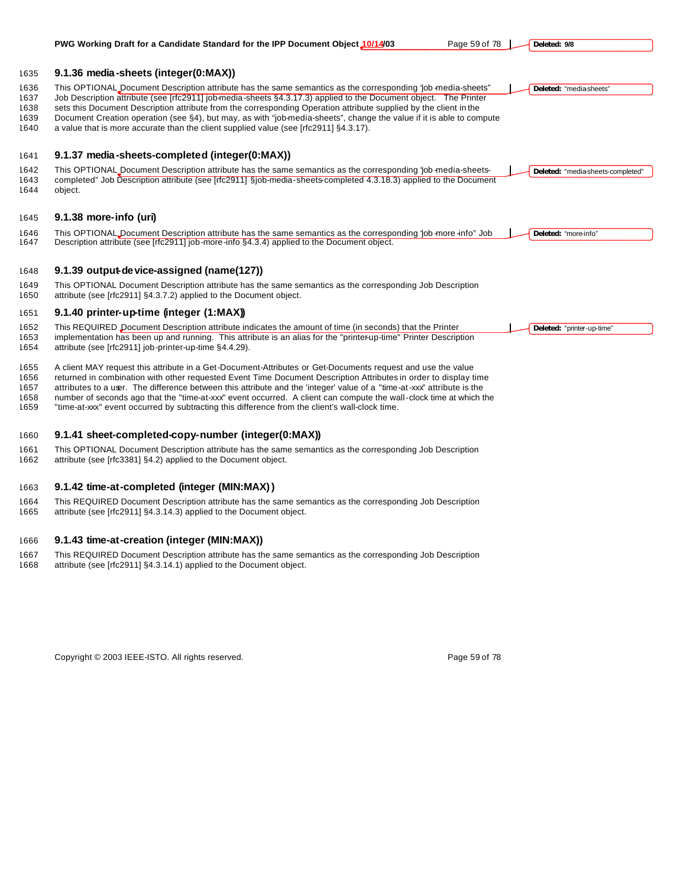|                                      | Page 59 of 78<br>PWG Working Draft for a Candidate Standard for the IPP Document Object 10/14/03                                                                                                                                                                                                                                                                                                                                                                                                                                                                                   | Deleted: 9/8                      |
|--------------------------------------|------------------------------------------------------------------------------------------------------------------------------------------------------------------------------------------------------------------------------------------------------------------------------------------------------------------------------------------------------------------------------------------------------------------------------------------------------------------------------------------------------------------------------------------------------------------------------------|-----------------------------------|
| 1635                                 | 9.1.36 media-sheets (integer(0:MAX))                                                                                                                                                                                                                                                                                                                                                                                                                                                                                                                                               |                                   |
| 1636<br>1637<br>1638<br>1639<br>1640 | This OPTIONAL Document Description attribute has the same semantics as the corresponding 'job media-sheets"<br>Job Description attribute (see [rfc2911] job media sheets §4.3.17.3) applied to the Document object. The Printer<br>sets this Document Description attribute from the corresponding Operation attribute supplied by the client in the<br>Document Creation operation (see §4), but may, as with "job-media-sheets", change the value if it is able to compute<br>a value that is more accurate than the client supplied value (see [rfc2911] §4.3.17).              | Deleted: "media-sheets"           |
| 1641                                 | 9.1.37 media-sheets-completed (integer(0:MAX))                                                                                                                                                                                                                                                                                                                                                                                                                                                                                                                                     |                                   |
| 1642<br>1643<br>1644                 | This OPTIONAL Document Description attribute has the same semantics as the corresponding ' ob-media-sheets-<br>completed" Job Description attribute (see [rfc2911] §job-media-sheets-completed 4.3.18.3) applied to the Document<br>object.                                                                                                                                                                                                                                                                                                                                        | Deleted: "media-sheets-completed" |
| 1645                                 | 9.1.38 more-info (uri)                                                                                                                                                                                                                                                                                                                                                                                                                                                                                                                                                             |                                   |
| 1646<br>1647                         | This OPTIONAL Document Description attribute has the same semantics as the corresponding ' ob -more -info" Job<br>Description attribute (see [rfc2911] job-more-info §4.3.4) applied to the Document object.                                                                                                                                                                                                                                                                                                                                                                       | Deleted: "more-info"              |
| 1648                                 | 9.1.39 output-device-assigned (name(127))                                                                                                                                                                                                                                                                                                                                                                                                                                                                                                                                          |                                   |
| 1649<br>1650                         | This OPTIONAL Document Description attribute has the same semantics as the corresponding Job Description<br>attribute (see [rfc2911] §4.3.7.2) applied to the Document object.                                                                                                                                                                                                                                                                                                                                                                                                     |                                   |
| 1651                                 | 9.1.40 printer-up-time (integer (1:MAX))                                                                                                                                                                                                                                                                                                                                                                                                                                                                                                                                           |                                   |
| 1652<br>1653<br>1654                 | This REQUIRED Document Description attribute indicates the amount of time (in seconds) that the Printer<br>implementation has been up and running. This attribute is an alias for the "printerup-time" Printer Description<br>attribute (see [rfc2911] job-printer-up-time §4.4.29).                                                                                                                                                                                                                                                                                               | Deleted: "printer-up-time"        |
| 1655<br>1656<br>1657<br>1658<br>1659 | A client MAY request this attribute in a Get-Document-Attributes or Get-Documents request and use the value<br>returned in combination with other requested Event Time Document Description Attributes in order to display time<br>attributes to a user. The difference between this attribute and the 'integer' value of a "time-at-xxx" attribute is the<br>number of seconds ago that the "time-at-xxx" event occurred. A client can compute the wall-clock time at which the<br>"time-at-xxx" event occurred by subtracting this difference from the client's wall-clock time. |                                   |
| 1660                                 | 9.1.41 sheet-completed-copy-number (integer(0:MAX))                                                                                                                                                                                                                                                                                                                                                                                                                                                                                                                                |                                   |
| 1661<br>1662                         | This OPTIONAL Document Description attribute has the same semantics as the corresponding Job Description<br>attribute (see [rfc3381] §4.2) applied to the Document object.                                                                                                                                                                                                                                                                                                                                                                                                         |                                   |
|                                      |                                                                                                                                                                                                                                                                                                                                                                                                                                                                                                                                                                                    |                                   |

# **9.1.42 time-at-completed (integer (MIN:MAX))**

1664 This REQUIRED Document Description attribute has the same semantics as the corresponding Job Description<br>1665 attribute (see [rfc2911] §4.3.14.3) applied to the Document object. attribute (see [rfc2911] §4.3.14.3) applied to the Document object.

# **9.1.43 time-at-creation (integer (MIN:MAX))**

 This REQUIRED Document Description attribute has the same semantics as the corresponding Job Description attribute (see [rfc2911] §4.3.14.1) applied to the Document object.

Copyright © 2003 IEEE-ISTO. All rights reserved. example the state of 78 of 78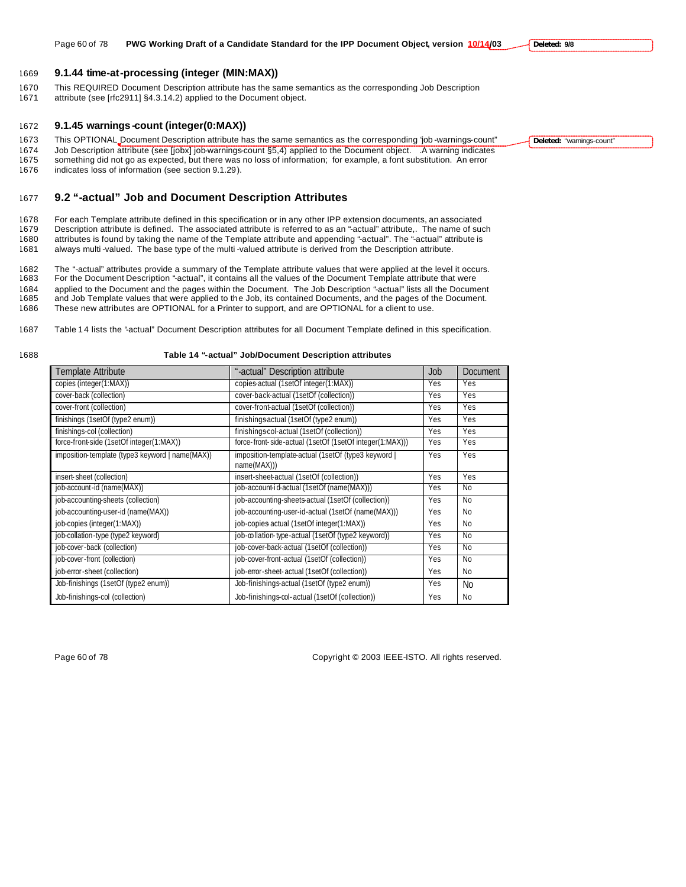1669 **9.1.44 time-at-processing (integer (MIN:MAX))**

- 1670 This REQUIRED Document Description attribute has the same semantics as the corresponding Job Description
- 1671 attribute (see [rfc2911] §4.3.14.2) applied to the Document object.

### 1672 **9.1.45 warnings -count (integer(0:MAX))**

1673 This OPTIONAL Document Description attribute has the same semantics as the corresponding "job -warnings-count" 1674 Job Description attribute (see [jobx] job-warnings-count §5,4) applied to the Document object. .A warning indicates something did not go as expected, but there was no loss of information; for example, a font substitution. An error

1676 indicates loss of information (see section 9.1.29).

# 1677 **9.2 "-actual" Job and Document Description Attributes**

 For each Template attribute defined in this specification or in any other IPP extension documents, an associated Description attribute is defined. The associated attribute is referred to as an "-actual" attribute,. The name of such attributes is found by taking the name of the Template attribute and appending "-actual". The "-actual" attribute is always multi -valued. The base type of the multi -valued attribute is derived from the Description attribute.

1682 The "-actual" attributes provide a summary of the Template attribute values that were applied at the level it occurs.<br>1683 For the Document Description "-actual", it contains all the values of the Document Template at For the Document Description "-actual", it contains all the values of the Document Template attribute that were

- 1684 applied to the Document and the pages within the Document. The Job Description "-actual" lists all the Document 1685 and Job Template values that were applied to the Job, its contained Documents, and the pages of the Document.
- 1686 These new attributes are OPTIONAL for a Printer to support, and are OPTIONAL for a client to use.
- 1687 Table 14 lists the "actual" Document Description attributes for all Document Template defined in this specification.
- 

# 1688 **Table 14 "-actual" Job/Document Description attributes**

| Template Attribute                              | "-actual" Description attribute                                  | Job | <b>Document</b> |
|-------------------------------------------------|------------------------------------------------------------------|-----|-----------------|
| copies (integer(1:MAX))                         | copies-actual (1setOf integer(1:MAX))                            | Yes | Yes             |
| cover-back (collection)                         | cover-back-actual (1setOf (collection))                          | Yes | Yes             |
| cover-front (collection)                        | cover-front-actual (1setOf (collection))                         | Yes | Yes             |
| finishings (1setOf (type2 enum))                | finishings actual (1setOf (type2 enum))                          | Yes | Yes             |
| finishings-col (collection)                     | finishingscol-actual (1setOf (collection))                       | Yes | Yes             |
| force-front-side (1setOf integer(1:MAX))        | force-front-side-actual (1setOf (1setOf integer(1:MAX)))         | Yes | Yes             |
| imposition-template (type3 keyword   name(MAX)) | imposition-template-actual (1setOf (type3 keyword<br>name(MAX))) | Yes | Yes             |
| insert-sheet (collection)                       | insert-sheet-actual (1setOf (collection))                        | Yes | Yes             |
| job-account-id (name(MAX))                      | job-account-id-actual (1setOf (name(MAX)))                       | Yes | N <sub>0</sub>  |
| job-accounting-sheets (collection)              | job-accounting-sheets-actual (1setOf (collection))               | Yes | N <sub>0</sub>  |
| job-accounting-user-id (name(MAX))              | job-accounting-user-id-actual (1setOf (name(MAX)))               | Yes | N <sub>0</sub>  |
| job-copies (integer(1:MAX))                     | job-copies actual (1setOf integer(1:MAX))                        | Yes | N <sub>0</sub>  |
| job-collation-type (type2 keyword)              | job-collation-type-actual (1setOf (type2 keyword))               | Yes | N <sub>0</sub>  |
| job-cover-back (collection)                     | job-cover-back-actual (1setOf (collection))                      | Yes | N <sub>0</sub>  |
| job-cover-front (collection)                    | job-cover-front-actual (1setOf (collection))                     | Yes | N <sub>0</sub>  |
| job-error-sheet (collection)                    | job-error-sheet-actual (1setOf (collection))                     | Yes | N <sub>0</sub>  |
| Job-finishings (1setOf (type2 enum))            | Job-finishings-actual (1setOf (type2 enum))                      | Yes | <b>No</b>       |
| Job-finishings-col (collection)                 | Job-finishings-col-actual (1setOf (collection))                  | Yes | N <sub>0</sub>  |

Page 60 of 78 Copyright © 2003 IEEE-ISTO. All rights reserved.

**Deleted:** "warnings-count"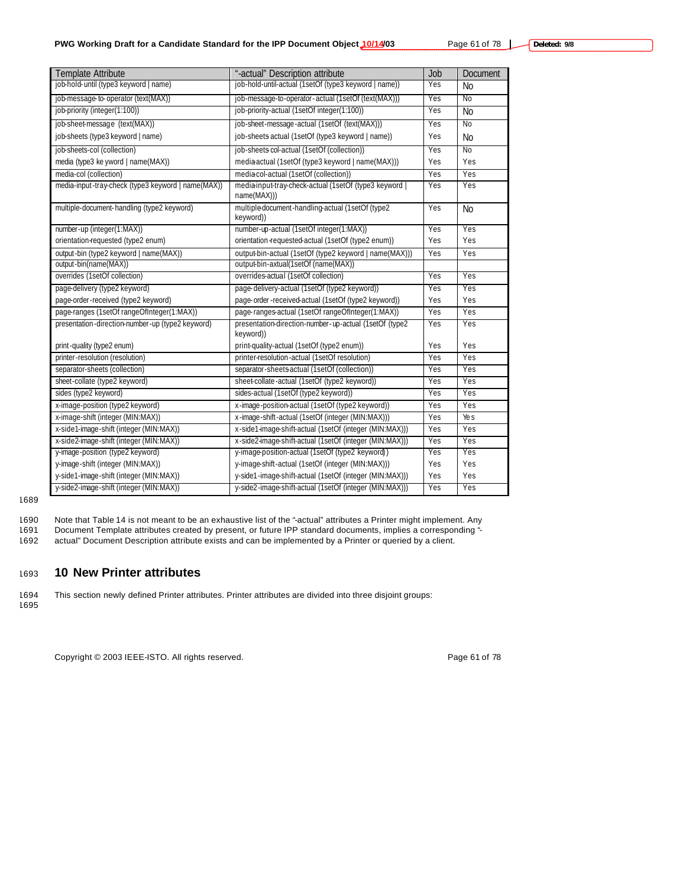| Template Attribute                                 | "-actual" Description attribute                                       | Job | Document       |
|----------------------------------------------------|-----------------------------------------------------------------------|-----|----------------|
| job-hold- until (type3 keyword   name)             | job-hold-until-actual (1setOf (type3 keyword   name))                 | Yes | <b>No</b>      |
| job-message-to-operator (text(MAX))                | job-message-to-operator-actual (1setOf (text(MAX)))                   | Yes | N <sub>0</sub> |
| job-priority (integer(1:100))                      | job-priority-actual (1setOf integer(1:100))                           | Yes | <b>No</b>      |
| job-sheet-message (text(MAX))                      | job-sheet-message-actual (1setOf (text(MAX)))                         | Yes | N <sub>0</sub> |
| job-sheets (type3 keyword   name)                  | job-sheets actual (1setOf (type3 keyword   name))                     | Yes | <b>No</b>      |
| job-sheets-col (collection)                        | job-sheets col-actual (1setOf (collection))                           | Yes | N <sub>0</sub> |
| media (type3 ke yword   name(MAX))                 | media actual (1setOf (type3 keyword   name(MAX)))                     | Yes | Yes            |
| media-col (collection)                             | mediacol-actual (1setOf (collection))                                 | Yes | Yes            |
| media-input-tray-check (type3 keyword   name(MAX)) | media-input-tray-check-actual (1setOf (type3 keyword  <br>name(MAX))) | Yes | Yes            |
| multiple-document-handling (type2 keyword)         | multiple document-handling-actual (1setOf (type2<br>keyword))         | Yes | N <sub>o</sub> |
| number-up (integer(1:MAX))                         | number-up-actual (1setOf integer(1:MAX))                              | Yes | Yes            |
| orientation-requested (type2 enum)                 | orientation-requested-actual (1setOf (type2 enum))                    | Yes | Yes            |
| output-bin (type2 keyword   name(MAX))             | output-bin-actual (1setOf (type2 keyword   name(MAX)))                | Yes | Yes            |
| output-bin(name(MAX))                              | output-bin-axtual(1setOf (name(MAX))                                  |     |                |
| overrides (1setOf collection)                      | overrides-actual (1setOf collection)                                  | Yes | Yes            |
| page-delivery (type2 keyword)                      | page-delivery-actual (1setOf (type2 keyword))                         | Yes | Yes            |
| page-order-received (type2 keyword)                | page-order-received-actual (1setOf (type2 keyword))                   | Yes | Yes            |
| page-ranges (1setOf rangeOfInteger(1:MAX))         | page-ranges-actual (1setOf rangeOfInteger(1:MAX))                     | Yes | Yes            |
| presentation-direction-number-up (type2 keyword)   | presentation-direction-number-up-actual (1setOf (type2<br>keyword))   | Yes | Yes            |
| print-quality (type2 enum)                         | print-quality-actual (1setOf (type2 enum))                            | Yes | Yes            |
| printer-resolution (resolution)                    | printer-resolution-actual (1setOf resolution)                         | Yes | Yes            |
| separator-sheets (collection)                      | separator-sheets actual (1setOf (collection))                         | Yes | Yes            |
| sheet-collate (type2 keyword)                      | sheet-collate-actual (1setOf (type2 keyword))                         | Yes | Yes            |
| sides (type2 keyword)                              | sides-actual (1setOf (type2 keyword))                                 | Yes | Yes            |
| x-image-position (type2 keyword)                   | x-image-position-actual (1setOf (type2 keyword))                      | Yes | Yes            |
| x-image-shift (integer (MIN:MAX))                  | x-image-shift-actual (1setOf (integer (MIN:MAX)))                     | Yes | Ye s           |
| x-side1-image-shift (integer (MIN:MAX))            | x-side1-image-shift-actual (1setOf (integer (MIN:MAX)))               | Yes | Yes            |
| x-side2-image-shift (integer (MIN:MAX))            | x-side2-image-shift-actual (1setOf (integer (MIN:MAX)))               | Yes | Yes            |
| y-image-position (type2 keyword)                   | y-image-position-actual (1setOf (type2 keyword))                      | Yes | Yes            |
| y-image-shift (integer (MIN:MAX))                  | y-image-shift-actual (1setOf (integer (MIN:MAX)))                     | Yes | Yes            |
| y-side1-image-shift (integer (MIN:MAX))            | y-side1-image-shift-actual (1setOf (integer (MIN:MAX)))               | Yes | Yes            |
| y-side2-image-shift (integer (MIN:MAX))            | y-side2-image-shift-actual (1setOf (integer (MIN:MAX)))               | Yes | Yes            |

### 1689

1690 Note that Table 14 is not meant to be an exhaustive list of the "-actual" attributes a Printer might implement. Any 1691 Document Template attributes created by present, or future IPP standard documents, implies a corresponding "-

1692 actual" Document Description attribute exists and can be implemented by a Printer or queried by a client.

# <sup>1693</sup> **10 New Printer attributes**

1694 This section newly defined Printer attributes. Printer attributes are divided into three disjoint groups:

1695

Copyright © 2003 IEEE-ISTO. All rights reserved. example the state of 78 and 78 and 78 and 78 and 78 and 78 and 78 and 78 and 78 and 78 and 78 and 78 and 78 and 78 and 78 and 78 and 79 and 79 and 79 and 79 and 79 and 79 an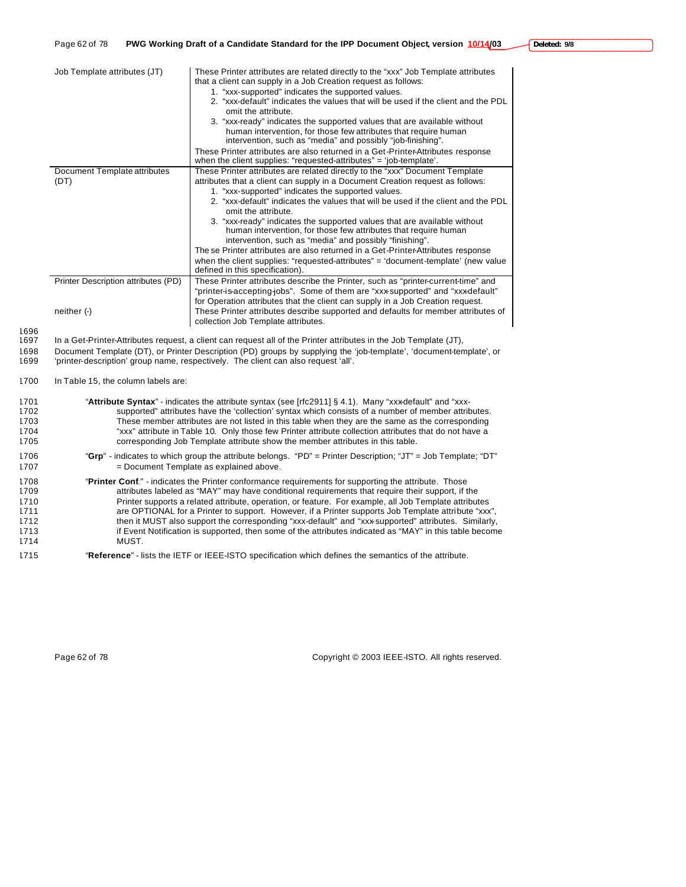| Job Template attributes (JT)        | These Printer attributes are related directly to the "xxx" Job Template attributes<br>that a client can supply in a Job Creation request as follows:<br>1. "xxx-supported" indicates the supported values.<br>2. "xxx-default" indicates the values that will be used if the client and the PDL<br>omit the attribute.<br>3. "xxx-ready" indicates the supported values that are available without<br>human intervention, for those few attributes that require human<br>intervention, such as "media" and possibly "job-finishing".<br>These Printer attributes are also returned in a Get-Printer-Attributes response<br>when the client supplies: "requested-attributes" = 'job-template'. |
|-------------------------------------|-----------------------------------------------------------------------------------------------------------------------------------------------------------------------------------------------------------------------------------------------------------------------------------------------------------------------------------------------------------------------------------------------------------------------------------------------------------------------------------------------------------------------------------------------------------------------------------------------------------------------------------------------------------------------------------------------|
| Document Template attributes        | These Printer attributes are related directly to the "xxx" Document Template<br>attributes that a client can supply in a Document Creation request as follows:                                                                                                                                                                                                                                                                                                                                                                                                                                                                                                                                |
| (DT)                                | 1. "xxx-supported" indicates the supported values.                                                                                                                                                                                                                                                                                                                                                                                                                                                                                                                                                                                                                                            |
|                                     | 2. "xxx-default" indicates the values that will be used if the client and the PDL<br>omit the attribute.                                                                                                                                                                                                                                                                                                                                                                                                                                                                                                                                                                                      |
|                                     | 3. "xxx-ready" indicates the supported values that are available without<br>human intervention, for those few attributes that require human<br>intervention, such as "media" and possibly "finishing".                                                                                                                                                                                                                                                                                                                                                                                                                                                                                        |
|                                     | The se Printer attributes are also returned in a Get-Printer-Attributes response                                                                                                                                                                                                                                                                                                                                                                                                                                                                                                                                                                                                              |
|                                     | when the client supplies: "requested-attributes" = 'document-template' (new value<br>defined in this specification).                                                                                                                                                                                                                                                                                                                                                                                                                                                                                                                                                                          |
| Printer Description attributes (PD) | These Printer attributes describe the Printer, such as "printer-current-time" and                                                                                                                                                                                                                                                                                                                                                                                                                                                                                                                                                                                                             |
|                                     | "printer-is-accepting-jobs". Some of them are "xxx-supported" and "xxx-default"                                                                                                                                                                                                                                                                                                                                                                                                                                                                                                                                                                                                               |
|                                     | for Operation attributes that the client can supply in a Job Creation request.                                                                                                                                                                                                                                                                                                                                                                                                                                                                                                                                                                                                                |
| neither (-)                         | These Printer attributes describe supported and defaults for member attributes of                                                                                                                                                                                                                                                                                                                                                                                                                                                                                                                                                                                                             |
|                                     | collection Job Template attributes.                                                                                                                                                                                                                                                                                                                                                                                                                                                                                                                                                                                                                                                           |

1696

1697 In a Get-Printer-Attributes request, a client can request all of the Printer attributes in the Job Template (JT),

1698 Document Template (DT), or Printer Description (PD) groups by supplying the 'job-template', 'document-template', or 1699 'printer-description' group name, respectively. The client can also request 'all'.

### 1700 In Table 15, the column labels are:

| 1701 | "Attribute Syntax" - indicates the attribute syntax (see [rfc2911] $\S$ 4.1). Many "xxx-default" and "xxx-    |
|------|---------------------------------------------------------------------------------------------------------------|
| 1702 | supported" attributes have the 'collection' syntax which consists of a number of member attributes.           |
| 1703 | These member attributes are not listed in this table when they are the same as the corresponding              |
| 1704 | "xxx" attribute in Table 10. Only those few Printer attribute collection attributes that do not have a        |
| 1705 | corresponding Job Template attribute show the member attributes in this table.                                |
| 1706 | "Grp" - indicates to which group the attribute belongs. "PD" = Printer Description; "JT" = Job Template; "DT" |
| 1707 | = Document Template as explained above.                                                                       |
| 1708 | "Printer Conf." - indicates the Printer conformance requirements for supporting the attribute. Those          |
| 1709 | attributes labeled as "MAY" may have conditional requirements that require their support, if the              |
| 1710 | Printer supports a related attribute, operation, or feature. For example, all Job Template attributes         |
| 1711 | are OPTIONAL for a Printer to support. However, if a Printer supports Job Template attribute "xxx",           |
| 1712 | then it MUST also support the corresponding "xxx-default" and "xxx-supported" attributes. Similarly,          |
| 1713 | if Event Notification is supported, then some of the attributes indicated as "MAY" in this table become       |
| 1714 | MUST.                                                                                                         |
| 1715 | "Reference" - lists the IETF or IEEE-ISTO specification which defines the semantics of the attribute.         |

Page 62 of 78 Copyright © 2003 IEEE-ISTO. All rights reserved.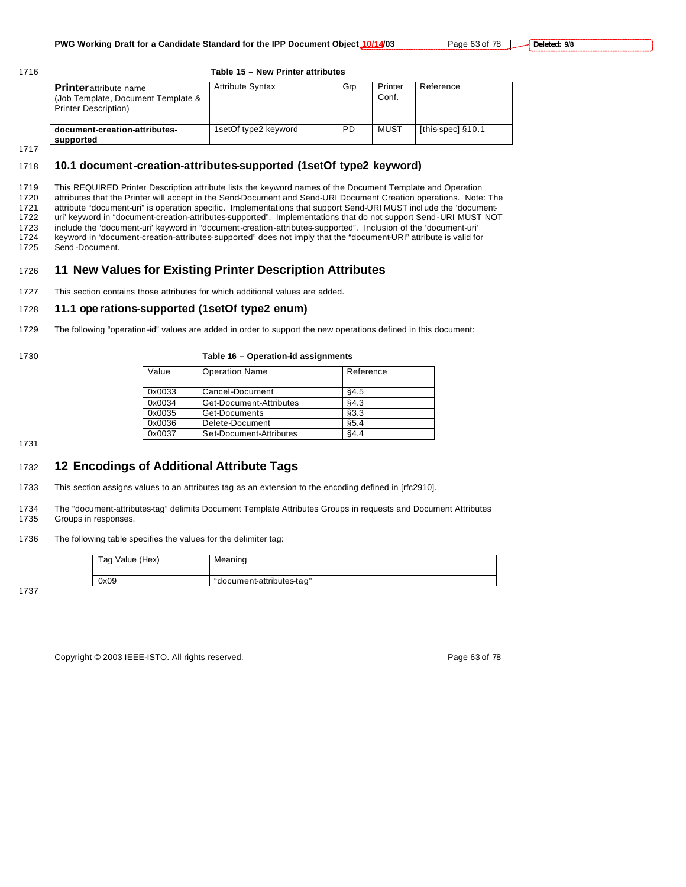### 1716 **Table 15 – New Printer attributes**

| <b>Printer</b> attribute name<br>(Job Template, Document Template &<br><b>Printer Description)</b> | <b>Attribute Syntax</b> | Grp | Printer<br>Conf. | Reference         |
|----------------------------------------------------------------------------------------------------|-------------------------|-----|------------------|-------------------|
| document-creation-attributes-<br>supported                                                         | 1setOf type2 keyword    | PD  | MUST             | [this-spec] §10.1 |

# 1718 **10.1 document-creation-attributes-supported (1setOf type2 keyword)**

 This REQUIRED Printer Description attribute lists the keyword names of the Document Template and Operation attributes that the Printer will accept in the Send-Document and Send-URI Document Creation operations. Note: The attribute "document-uri" is operation specific. Implementations that support Send-URI MUST incl ude the 'document- uri' keyword in "document-creation-attributes-supported". Implementations that do not support Send-URI MUST NOT include the 'document-uri' keyword in "document-creation-attributes-supported". Inclusion of the 'document-uri' keyword in "document-creation-attributes-supported" does not imply that the "document-URI" attribute is valid for Send -Document.

# <sup>1726</sup> **11 New Values for Existing Printer Description Attributes**

1727 This section contains those attributes for which additional values are added.

# 1728 **11.1 ope rations-supported (1setOf type2 enum)**

1729 The following "operation-id" values are added in order to support the new operations defined in this document:

|  |  | ۰.<br>۰.<br>× | ٦<br>o e<br>۰. |  |
|--|--|---------------|----------------|--|
|--|--|---------------|----------------|--|

### 1730 **Table 16 – Operation-id assignments**

| Value  | <b>Operation Name</b>   | Reference |
|--------|-------------------------|-----------|
| 0x0033 | Cancel-Document         | §4.5      |
| 0x0034 | Get-Document-Attributes | \$4.3     |
| 0x0035 | Get-Documents           | \$3.3     |
| 0x0036 | Delete-Document         | \$5.4     |
| 0x0037 | Set-Document-Attributes | §4.4      |

1731

# <sup>1732</sup> **12 Encodings of Additional Attribute Tags**

1733 This section assigns values to an attributes tag as an extension to the encoding defined in [rfc2910].

- 1734 The "document-attributes-tag" delimits Document Template Attributes Groups in requests and Document Attributes 1735 Groups in responses.
- 1736 The following table specifies the values for the delimiter tag:

| Tag Value (Hex) | Meaning                   |
|-----------------|---------------------------|
| 0x09            | "document-attributes-tag" |

1737

Copyright © 2003 IEEE-ISTO. All rights reserved. Page 63 of 78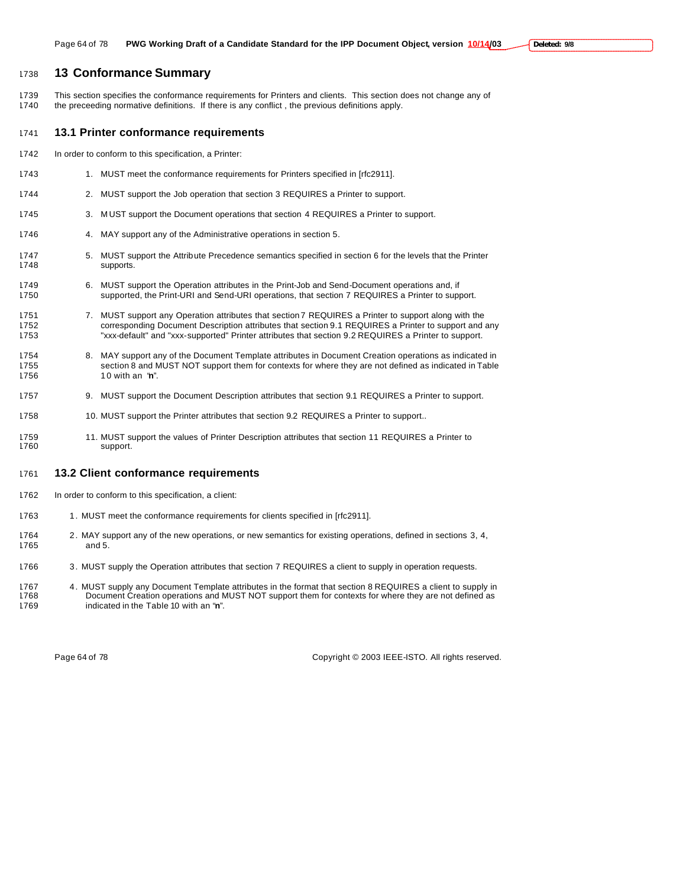# **13 Conformance Summary**

 This section specifies the conformance requirements for Printers and clients. This section does not change any of the preceeding normative definitions. If there is any conflict , the previous definitions apply.

### **13.1 Printer conformance requirements**

- In order to conform to this specification, a Printer:
- 1743 1. MUST meet the conformance requirements for Printers specified in [rfc2911].
- 2. MUST support the Job operation that section 3 REQUIRES a Printer to support.
- 3. M UST support the Document operations that section 4 REQUIRES a Printer to support.
- 1746 4. MAY support any of the Administrative operations in section 5.
- 5. MUST support the Attribute Precedence semantics specified in section 6 for the levels that the Printer supports.
- 6. MUST support the Operation attributes in the Print-Job and Send-Document operations and, if supported, the Print-URI and Send-URI operations, that section 7 REQUIRES a Printer to support.
- 1751 7. MUST support any Operation attributes that section 7 REQUIRES a Printer to support along with the corresponding Document Description attributes that section 9.1 REQUIRES a Printer to support and any "xxx-default" and "xxx-supported" Printer attributes that section 9.2 REQUIRES a Printer to support.
- 8. MAY support any of the Document Template attributes in Document Creation operations as indicated in section 8 and MUST NOT support them for contexts for where they are not defined as indicated in Table 1 0 with an "**n**".
- 9. MUST support the Document Description attributes that section 9.1 REQUIRES a Printer to support.
- 1758 10. MUST support the Printer attributes that section 9.2 REQUIRES a Printer to support..
- 11. MUST support the values of Printer Description attributes that section 11 REQUIRES a Printer to support.

### **13.2 Client conformance requirements**

- In order to conform to this specification, a client:
- 1763 1. MUST meet the conformance requirements for clients specified in [rfc2911].
- 1764 2. MAY support any of the new operations, or new semantics for existing operations, defined in sections 3, 4, and 5.
- 1766 3. MUST supply the Operation attributes that section 7 REQUIRES a client to supply in operation requests.
- 4. MUST supply any Document Template attributes in the format that section 8 REQUIRES a client to supply in Document Creation operations and MUST NOT support them for contexts for where they are not defined as indicated in the Table 10 with an "**n**".

Page 64 of 78 Copyright © 2003 IEEE-ISTO. All rights reserved.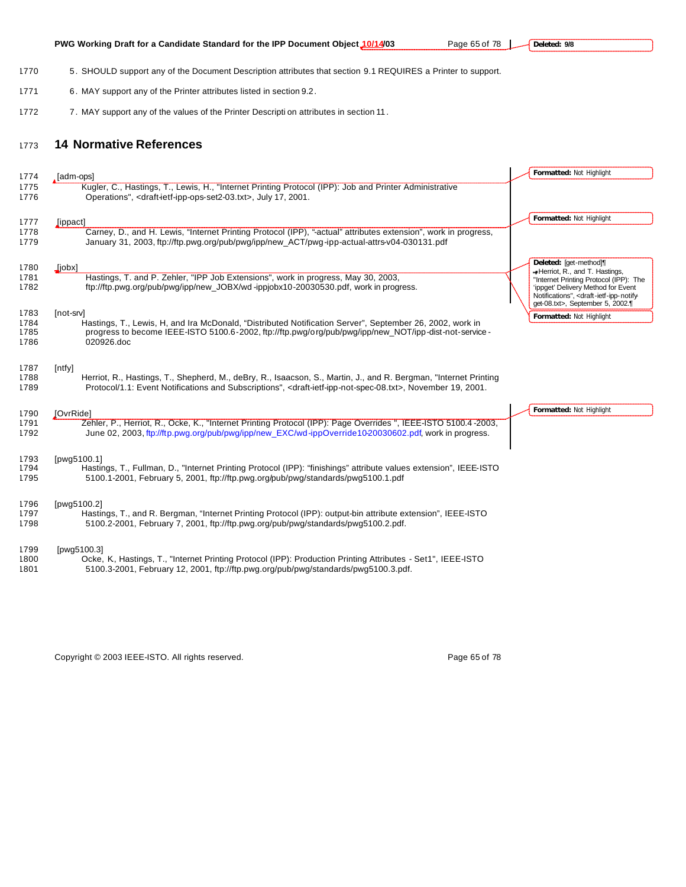| 1770         | 5. SHOULD support any of the Document Description attributes that section 9.1 REQUIRES a Printer to support.                                                             |                                                                                                                 |
|--------------|--------------------------------------------------------------------------------------------------------------------------------------------------------------------------|-----------------------------------------------------------------------------------------------------------------|
| 1771         | 6. MAY support any of the Printer attributes listed in section 9.2.                                                                                                      |                                                                                                                 |
| 1772         | 7. MAY support any of the values of the Printer Descripti on attributes in section 11.                                                                                   |                                                                                                                 |
| 1773         | <b>14 Normative References</b>                                                                                                                                           |                                                                                                                 |
|              |                                                                                                                                                                          | Formatted: Not Highlight                                                                                        |
| 1774         | , [adm-ops]<br>Kugler, C., Hastings, T., Lewis, H., "Internet Printing Protocol (IPP): Job and Printer Administrative                                                    |                                                                                                                 |
| 1775<br>1776 | Operations", <draft-ietf-ipp-ops-set2-03.txt>, July 17, 2001.</draft-ietf-ipp-ops-set2-03.txt>                                                                           |                                                                                                                 |
| 1777         | [ippact]                                                                                                                                                                 | Formatted: Not Highlight                                                                                        |
| 1778         | Carney, D., and H. Lewis, "Internet Printing Protocol (IPP), "-actual" attributes extension", work in progress,                                                          |                                                                                                                 |
| 1779         | January 31, 2003, ftp://ftp.pwg.org/pub/pwg/ipp/new_ACT/pwg-ipp-actual-attrs-v04-030131.pdf                                                                              |                                                                                                                 |
|              |                                                                                                                                                                          | Deleted: [get-method]]                                                                                          |
| 1780         | [iobx]                                                                                                                                                                   | -Herriot, R., and T. Hastings,                                                                                  |
| 1781<br>1782 | Hastings, T. and P. Zehler, "IPP Job Extensions", work in progress, May 30, 2003,<br>ftp://ftp.pwg.org/pub/pwg/ipp/new_JOBX/wd-ippjobx10-20030530.pdf, work in progress. | "Internet Printing Protocol (IPP): The                                                                          |
|              |                                                                                                                                                                          | 'ippget' Delivery Method for Event<br>Notifications", <draft-ietf-ipp-notify-< td=""></draft-ietf-ipp-notify-<> |
|              |                                                                                                                                                                          | get-08.txt>, September 5, 2002.¶                                                                                |
| 1783         | [not-srv]                                                                                                                                                                | Formatted: Not Highlight                                                                                        |
| 1784         | Hastings, T., Lewis, H, and Ira McDonald, "Distributed Notification Server", September 26, 2002, work in                                                                 |                                                                                                                 |
| 1785         | progress to become IEEE-ISTO 5100.6-2002, ftp://ftp.pwg/org/pub/pwg/ipp/new_NOT/ipp-dist-not-service-                                                                    |                                                                                                                 |
| 1786         | 020926.doc                                                                                                                                                               |                                                                                                                 |
|              |                                                                                                                                                                          |                                                                                                                 |
| 1787         | [ntfy]                                                                                                                                                                   |                                                                                                                 |
| 1788         | Herriot, R., Hastings, T., Shepherd, M., deBry, R., Isaacson, S., Martin, J., and R. Bergman, "Internet Printing                                                         |                                                                                                                 |
| 1789         | Protocol/1.1: Event Notifications and Subscriptions", <draft-ietf-ipp-not-spec-08.txt>, November 19, 2001.</draft-ietf-ipp-not-spec-08.txt>                              |                                                                                                                 |
| 1790         | <b>JOvrRidel</b>                                                                                                                                                         | Formatted: Not Highlight                                                                                        |
| 1791         | Zehler, P., Herriot, R., Ocke, K., "Internet Printing Protocol (IPP): Page Overrides ", IEEE-ISTO 5100.4-2003,                                                           |                                                                                                                 |
| 1792         | June 02, 2003, ftp://ftp.pwg.org/pub/pwg/ipp/new_EXC/wd-ippOverride10-20030602.pdf, work in progress.                                                                    |                                                                                                                 |
|              |                                                                                                                                                                          |                                                                                                                 |
|              |                                                                                                                                                                          |                                                                                                                 |
| 1793<br>1794 | [pwg5100.1]<br>Hastings, T., Fullman, D., "Internet Printing Protocol (IPP): "finishings" attribute values extension", IEEE-ISTO                                         |                                                                                                                 |
| 1795         | 5100.1-2001, February 5, 2001, ftp://ftp.pwg.org/pub/pwg/standards/pwg5100.1.pdf                                                                                         |                                                                                                                 |
|              |                                                                                                                                                                          |                                                                                                                 |
| 1796         | [pwg5100.2]                                                                                                                                                              |                                                                                                                 |
| 1797         | Hastings, T., and R. Bergman, "Internet Printing Protocol (IPP): output-bin attribute extension", IEEE-ISTO                                                              |                                                                                                                 |
| 1798         | 5100.2-2001, February 7, 2001, ftp://ftp.pwg.org/pub/pwg/standards/pwg5100.2.pdf.                                                                                        |                                                                                                                 |
|              |                                                                                                                                                                          |                                                                                                                 |
| 1799         | [pwg5100.3]                                                                                                                                                              |                                                                                                                 |
| 1800         | Ocke, K. Hastings, T., "Internet Printing Protocol (IPP): Production Printing Attributes - Set1", IEEE-ISTO                                                              |                                                                                                                 |
| 1801         | 5100.3-2001, February 12, 2001, ftp://ftp.pwg.org/pub/pwg/standards/pwg5100.3.pdf.                                                                                       |                                                                                                                 |

**PWG Working Draft for a Candidate Standard for the IPP Document Object 10/14/03** Page 65 of 78

Copyright © 2003 IEEE-ISTO. All rights reserved. example the state of 78 of 78 of 78

**Deleted: 9/8**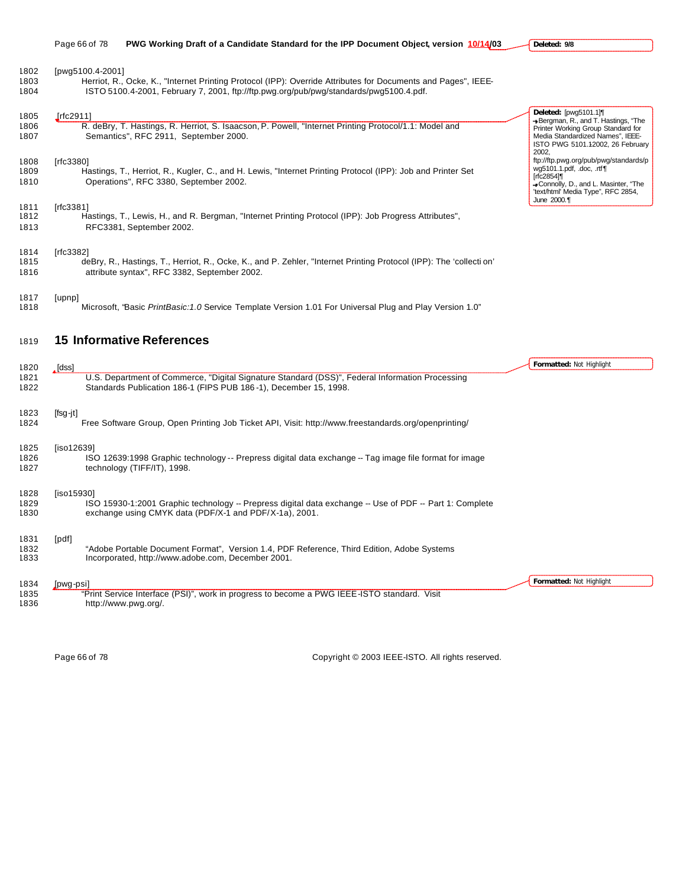|  | Page 66 of 78 | PWG Working Draft of a Candidate Standard for the IPP Document Object, version 10/14/03 |  |
|--|---------------|-----------------------------------------------------------------------------------------|--|
|--|---------------|-----------------------------------------------------------------------------------------|--|

**Deleted: 9/8**

**Formatted:** Not Highlight

| 1802<br>1803<br>1804 | [pwg5100.4-2001]<br>Herriot, R., Ocke, K., "Internet Printing Protocol (IPP): Override Attributes for Documents and Pages", IEEE-<br>ISTO 5100.4-2001, February 7, 2001, ftp://ftp.pwg.org/pub/pwg/standards/pwg5100.4.pdf. |                                                                                                                                                                                        |
|----------------------|-----------------------------------------------------------------------------------------------------------------------------------------------------------------------------------------------------------------------------|----------------------------------------------------------------------------------------------------------------------------------------------------------------------------------------|
| 1805<br>1806<br>1807 | Irfc2911]<br>R. deBry, T. Hastings, R. Herriot, S. Isaacson, P. Powell, "Internet Printing Protocol/1.1: Model and<br>Semantics", RFC 2911, September 2000.                                                                 | Deleted: [pwq5101.1]<br>+Bergman, R., and T. Hastings, "The<br>Printer Working Group Standard for<br>Media Standardized Names", IEEE-<br>ISTO PWG 5101.12002, 26 February              |
| 1808<br>1809<br>1810 | [rfc3380]<br>Hastings, T., Herriot, R., Kugler, C., and H. Lewis, "Internet Printing Protocol (IPP): Job and Printer Set<br>Operations", RFC 3380, September 2002.                                                          | 2002.<br>ftp://ftp.pwg.org/pub/pwg/standards/p<br>wg5101.1.pdf, .doc, .rtf¶<br>[rfc2854]¶<br>-Connolly, D., and L. Masinter, "The<br>'text/html' Media Type", RFC 2854,<br>June 2000.¶ |
| 1811<br>1812<br>1813 | [rfc3381]<br>Hastings, T., Lewis, H., and R. Bergman, "Internet Printing Protocol (IPP): Job Progress Attributes",<br>RFC3381, September 2002.                                                                              |                                                                                                                                                                                        |
| 1814<br>1815<br>1816 | [rfc3382]<br>deBry, R., Hastings, T., Herriot, R., Ocke, K., and P. Zehler, "Internet Printing Protocol (IPP): The 'collection'<br>attribute syntax", RFC 3382, September 2002.                                             |                                                                                                                                                                                        |
| 1817<br>1818         | [upnp]<br>Microsoft, "Basic PrintBasic: 1.0 Service Template Version 1.01 For Universal Plug and Play Version 1.0"                                                                                                          |                                                                                                                                                                                        |
| 1819                 | <b>15 Informative References</b>                                                                                                                                                                                            |                                                                                                                                                                                        |
| 1820<br>1821<br>1822 | . [dss]<br>U.S. Department of Commerce, "Digital Signature Standard (DSS)", Federal Information Processing<br>Standards Publication 186-1 (FIPS PUB 186-1), December 15, 1998.                                              | Formatted: Not Highlight                                                                                                                                                               |
| 1823                 | $[fsg-jt]$                                                                                                                                                                                                                  |                                                                                                                                                                                        |

# Free Software Group, Open Printing Job Ticket API, Visit: http://www.freestandards.org/openprinting/

| 1825 | liso126391                                                                                             |
|------|--------------------------------------------------------------------------------------------------------|
| 1826 | ISO 12639:1998 Graphic technology -- Prepress digital data exchange -- Tag image file format for image |
| 1827 | technology (TIFF/IT), 1998.                                                                            |
|      |                                                                                                        |

| 1828 | liso159301                                                                                              |
|------|---------------------------------------------------------------------------------------------------------|
| 1829 | ISO 15930-1:2001 Graphic technology -- Prepress digital data exchange -- Use of PDF -- Part 1: Complete |
| 1830 | exchange using CMYK data (PDF/X-1 and PDF/X-1a), 2001.                                                  |
|      |                                                                                                         |

# [pdf]

1832 "Adobe Portable Document Format", Version 1.4, PDF Reference, Third Edition, Adobe Systems<br>1833 Incorporated, http://www.adobe.com, December 2001. Incorporated, http://www.adobe.com, December 2001.

 [pwg-psi] "Print Service Interface (PSI)", work in progress to become a PWG IEEE-ISTO standard. Visit http://www.pwg.org/.

Page 66 of 78 Copyright © 2003 IEEE-ISTO. All rights reserved.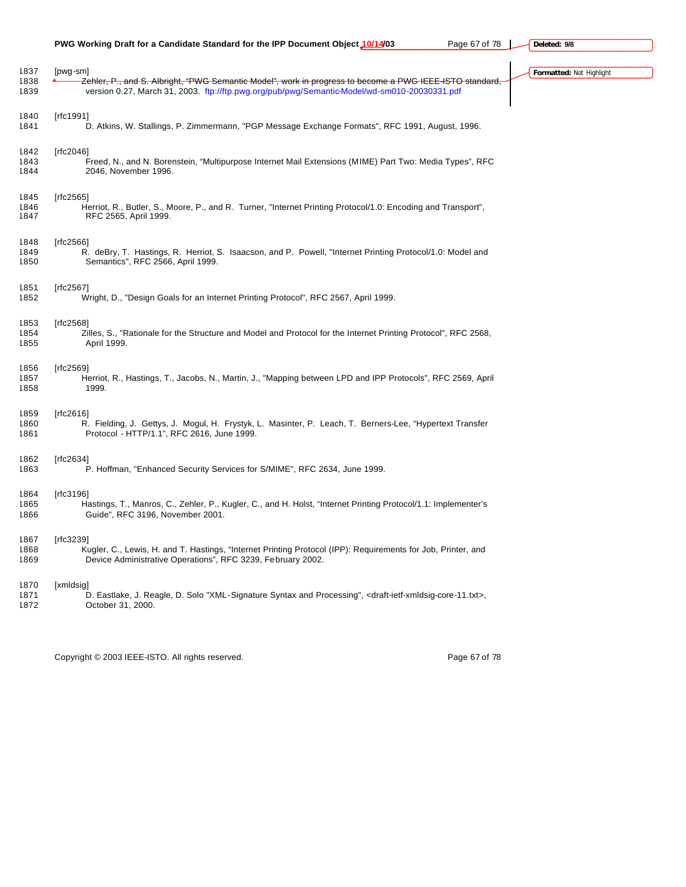# **PWG Working Draft for a Candidate Standard for the IPP Document Object 10/14/03** Page 67 of 78

**Deleted: 9/8**

| 1837<br>1838<br>1839 | [pwg-sm]<br>Zehler, P., and S. Albright, "PWG Semantic Model", work in progress to become a PWG IEEE ISTO standard,<br>version 0.27, March 31, 2003. ftp://ftp.pwg.org/pub/pwg/Semantic-Model/wd-sm010-20030331.pdf | Formatted: Not Highlight |
|----------------------|---------------------------------------------------------------------------------------------------------------------------------------------------------------------------------------------------------------------|--------------------------|
|                      |                                                                                                                                                                                                                     |                          |
| 1840<br>1841         | [rfc1991]<br>D. Atkins, W. Stallings, P. Zimmermann, "PGP Message Exchange Formats", RFC 1991, August, 1996.                                                                                                        |                          |
| 1842<br>1843<br>1844 | [ $rfc2046$ ]<br>Freed, N., and N. Borenstein, "Multipurpose Internet Mail Extensions (MIME) Part Two: Media Types", RFC<br>2046, November 1996.                                                                    |                          |
| 1845<br>1846<br>1847 | [rfc2565]<br>Herriot, R., Butler, S., Moore, P., and R. Turner, "Internet Printing Protocol/1.0: Encoding and Transport",<br>RFC 2565, April 1999.                                                                  |                          |
| 1848<br>1849<br>1850 | [rfc2566]<br>R. deBry, T. Hastings, R. Herriot, S. Isaacson, and P. Powell, "Internet Printing Protocol/1.0: Model and<br>Semantics", RFC 2566, April 1999.                                                         |                          |
| 1851<br>1852         | [rfc2567]<br>Wright, D., "Design Goals for an Internet Printing Protocol", RFC 2567, April 1999.                                                                                                                    |                          |
| 1853<br>1854<br>1855 | [rfc2568]<br>Zilles, S., "Rationale for the Structure and Model and Protocol for the Internet Printing Protocol", RFC 2568,<br>April 1999.                                                                          |                          |
| 1856<br>1857<br>1858 | [rfc2569]<br>Herriot, R., Hastings, T., Jacobs, N., Martin, J., "Mapping between LPD and IPP Protocols", RFC 2569, April<br>1999.                                                                                   |                          |
| 1859<br>1860<br>1861 | [ $rfc2616$ ]<br>R. Fielding, J. Gettys, J. Mogul, H. Frystyk, L. Masinter, P. Leach, T. Berners-Lee, "Hypertext Transfer<br>Protocol - HTTP/1.1", RFC 2616, June 1999.                                             |                          |
| 1862<br>1863         | [ $rfc2634$ ]<br>P. Hoffman, "Enhanced Security Services for S/MIME", RFC 2634, June 1999.                                                                                                                          |                          |
| 1864<br>1865<br>1866 | [rfc3196]<br>Hastings, T., Manros, C., Zehler, P., Kugler, C., and H. Holst, "Internet Printing Protocol/1.1: Implementer's<br>Guide", RFC 3196, November 2001.                                                     |                          |
| 1867<br>1868<br>1869 | [rfc3239]<br>Kugler, C., Lewis, H. and T. Hastings, "Internet Printing Protocol (IPP): Requirements for Job, Printer, and<br>Device Administrative Operations", RFC 3239, February 2002.                            |                          |
| 1870<br>1871<br>1872 | [xmldsig]<br>D. Eastlake, J. Reagle, D. Solo "XML-Signature Syntax and Processing", <draft-ietf-xmldsig-core-11.txt>,<br/>October 31, 2000.</draft-ietf-xmldsig-core-11.txt>                                        |                          |
|                      |                                                                                                                                                                                                                     |                          |

Copyright © 2003 IEEE-ISTO. All rights reserved. example 2003 1999 67 of 78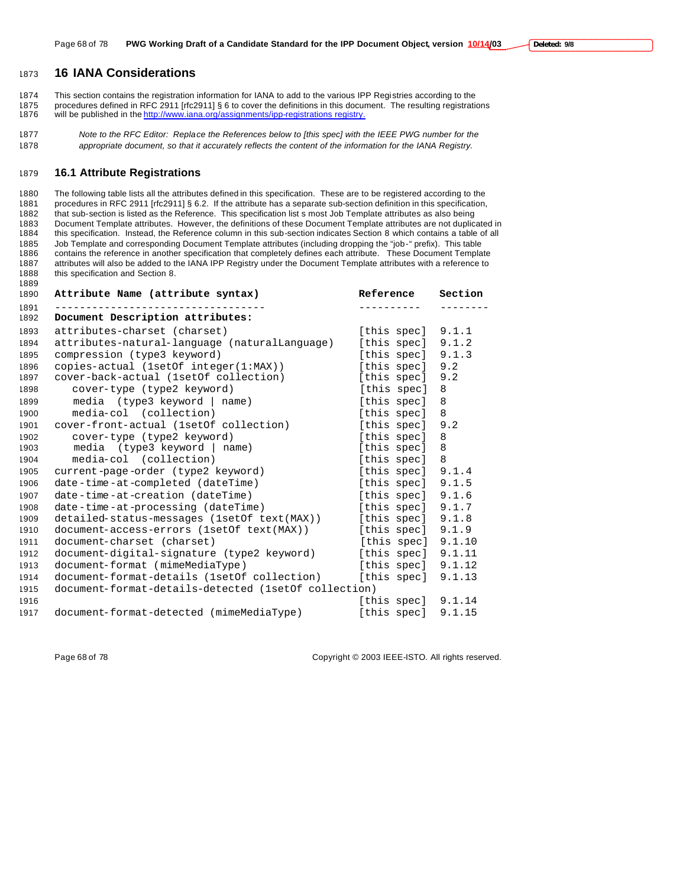# **16 IANA Considerations**

 This section contains the registration information for IANA to add to the various IPP Registries according to the procedures defined in RFC 2911 [rfc2911] § 6 to cover the definitions in this document. The resulting registrations 1876 will be published in the http://www.iana.org/assignments/ipp-registrations registry.

 *Note to the RFC Editor: Replace the References below to [this spec] with the IEEE PWG number for the appropriate document, so that it accurately reflects the content of the information for the IANA Registry.*

# **16.1 Attribute Registrations**

 The following table lists all the attributes defined in this specification. These are to be registered according to the procedures in RFC 2911 [rfc2911] § 6.2. If the attribute has a separate sub-section definition in this specification, that sub-section is listed as the Reference. This specification list s most Job Template attributes as also being 1883 Document Template attributes. However, the definitions of these Document Template attributes are not duplicated in<br>1884 this specification. Instead, the Reference column in this sub-section indicates Section 8 which c this specification. Instead, the Reference column in this sub-section indicates Section 8 which contains a table of all Job Template and corresponding Document Template attributes (including dropping the "job-" prefix). This table contains the reference in another specification that completely defines each attribute. These Document Template attributes will also be added to the IANA IPP Registry under the Document Template attributes with a reference to 1888 this specification and Section 8.

| 1890         | Attribute Name (attribute syntax)                    | Reference            | Section |
|--------------|------------------------------------------------------|----------------------|---------|
| 1891<br>1892 | Document Description attributes:                     |                      |         |
| 1893         | attributes-charset (charset)                         | [this spec] 9.1.1    |         |
| 1894         | attributes-natural-language (naturalLanguage)        | [this spec] $9.1.2$  |         |
| 1895         | compression (type3 keyword)                          | [this spec]          | 9.1.3   |
| 1896         | copies-actual (1setOf integer(1:MAX))                | [this spec] 9.2      |         |
| 1897         | cover-back-actual (1setOf collection)                | [this spec]          | 9.2     |
| 1898         | cover-type (type2 keyword)                           | [this spec]          | 8       |
| 1899         | media (type3 keyword   name)                         | [this spec]          | 8       |
| 1900         | media-col (collection)                               | [this spec]          | 8       |
| 1901         | cover-front-actual (1setOf collection)               | [this spec]          | 9.2     |
| 1902         | cover-type (type2 keyword)                           | [this spec]          | 8       |
| 1903         | media (type3 keyword   name)                         | [this spec]          | 8       |
| 1904         | media-col (collection)                               | [this spec]          | 8       |
| 1905         | current-page-order (type2 keyword)                   | [this spec] $9.1.4$  |         |
| 1906         | date-time-at-completed (dateTime)                    | [this spec] $9.1.5$  |         |
| 1907         | date-time-at-creation (dateTime)                     | [this spec]          | 9.1.6   |
| 1908         | date-time-at-processing (dateTime)                   | [this spec]          | 9.1.7   |
| 1909         | detailed-status-messages (lsetOf text(MAX))          | [this spec]          | 9.1.8   |
| 1910         | document-access-errors (1setOf text(MAX))            | [this spec]          | 9.1.9   |
| 1911         | document-charset (charset)                           | [this spec] $9.1.10$ |         |
| 1912         | document-digital-signature (type2 keyword)           | [this spec]          | 9.1.11  |
| 1913         | document-format (mimeMediaType)                      | [this spec]          | 9.1.12  |
| 1914         | document-format-details (1setOf collection)          | [this spec]          | 9.1.13  |
| 1915         | document-format-details-detected (1setOf collection) |                      |         |
| 1916         |                                                      | [this spec] $9.1.14$ |         |
| 1917         | document-format-detected (mimeMediaType)             | [this spec] $9.1.15$ |         |

Page 68 of 78 Copyright © 2003 IEEE-ISTO. All rights reserved.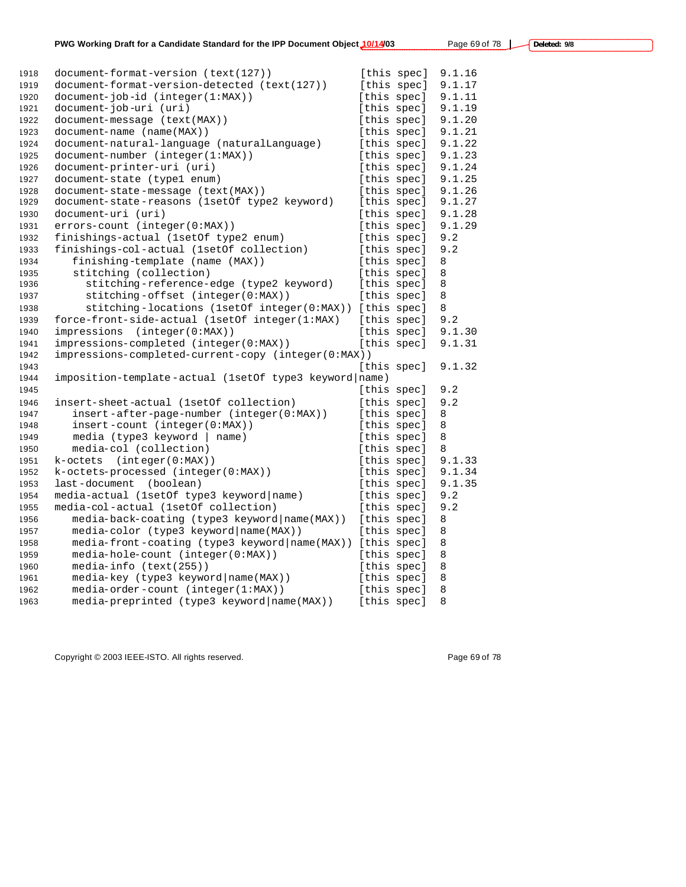| 1918 | document-format-version (text(127))                    |             | [this spec] | 9.1.16 |
|------|--------------------------------------------------------|-------------|-------------|--------|
| 1919 | document-format-version-detected (text(127))           |             | [this spec] | 9.1.17 |
| 1920 | document-job-id (integer(1:MAX))                       |             | [this spec] | 9.1.11 |
| 1921 | document-job-uri (uri)                                 | [this spec] |             | 9.1.19 |
| 1922 | document-message (text(MAX))                           | [this spec] |             | 9.1.20 |
| 1923 | document-name (name(MAX))                              | [this spec] |             | 9.1.21 |
| 1924 | document-natural-language (naturalLanguage)            | [this spec] |             | 9.1.22 |
| 1925 | document-number (integer(1:MAX))                       | [this spec] |             | 9.1.23 |
| 1926 | document-printer-uri (uri)                             |             | [this spec] | 9.1.24 |
| 1927 | document-state (type1 enum)                            | [this spec] |             | 9.1.25 |
| 1928 | document-state-message (text(MAX))                     | [this spec] |             | 9.1.26 |
| 1929 | document-state-reasons (1setOf type2 keyword)          | [this spec] |             | 9.1.27 |
| 1930 | document-uri (uri)                                     |             | [this spec] | 9.1.28 |
| 1931 | errors-count (integer(0:MAX))                          |             | [this spec] | 9.1.29 |
| 1932 | finishings-actual (1setOf type2 enum)                  |             | [this spec] | 9.2    |
| 1933 | finishings-col-actual (1setOf collection)              | [this spec] |             | 9.2    |
| 1934 | finishing-template (name (MAX))                        | [this spec] |             | 8      |
| 1935 | stitching (collection)                                 | [this spec] |             | 8      |
| 1936 | stitching-reference-edge (type2 keyword)               | [this spec] |             | 8      |
| 1937 | stitching-offset (integer(0:MAX))                      | [this spec] |             | 8      |
| 1938 | stitching-locations (1setOf integer(0:MAX))            |             | [this spec] | 8      |
| 1939 | force-front-side-actual (1setOf integer(1:MAX)         |             | [this spec] | 9.2    |
| 1940 | impressions (integer(0:MAX))                           |             | [this spec] | 9.1.30 |
| 1941 | impressions-completed (integer(0:MAX))                 | [this spec] |             | 9.1.31 |
| 1942 | impressions-completed-current-copy (integer(0:MAX))    |             |             |        |
| 1943 |                                                        | [this spec] |             | 9.1.32 |
| 1944 | imposition-template-actual (1setOf type3 keyword name) |             |             |        |
| 1945 |                                                        | [this spec] |             | 9.2    |
| 1946 | insert-sheet-actual (1set 0f collection)               | [this spec] |             | 9.2    |
| 1947 | insert-after-page-number (integer(0:MAX))              | [this spec] |             | 8      |
| 1948 | $insert$ -count ( $integer(0:MAX)$ )                   | [this spec] |             | 8      |
| 1949 | $media$ (type3 keyword   name)                         | [this spec] |             | 8      |
| 1950 | media-col (collection)                                 |             | [this spec] | 8      |
| 1951 | $(int\, \text{eger}(0:\text{MAX}))$<br>k-octets        | [this spec] |             | 9.1.33 |
| 1952 | k-octets-processed (integer(0:MAX))                    |             | [this spec] | 9.1.34 |
| 1953 | last-document (boolean)                                |             | [this spec] | 9.1.35 |
| 1954 | media-actual (1setOf type3 keyword name)               |             | [this spec] | 9.2    |
| 1955 | media-col-actual (1setOf collection)                   | [this spec] |             | 9.2    |
| 1956 | media-back-coating (type3 keyword   name(MAX))         | [this spec] |             | 8      |
| 1957 | media-color (type3 keyword   name (MAX))               | [this spec] |             | 8      |
| 1958 | media-front-coating (type3 keyword   name(MAX))        | [this spec] |             | 8      |
| 1959 | $media-hole-count (integer(0:MAX))$                    | [this spec] |             | 8      |
| 1960 | media-info (text(255))                                 |             | [this spec] | 8      |
| 1961 | media-key (type3 keyword   name (MAX))                 | [this spec] |             | 8      |
| 1962 | media-order-count (integer(1:MAX))                     | [this spec] |             | 8      |
| 1963 | media-preprinted (type3 keyword   name (MAX))          | [this spec] |             | 8      |
|      |                                                        |             |             |        |

Copyright © 2003 IEEE-ISTO. All rights reserved. example a state of the Page 69 of 78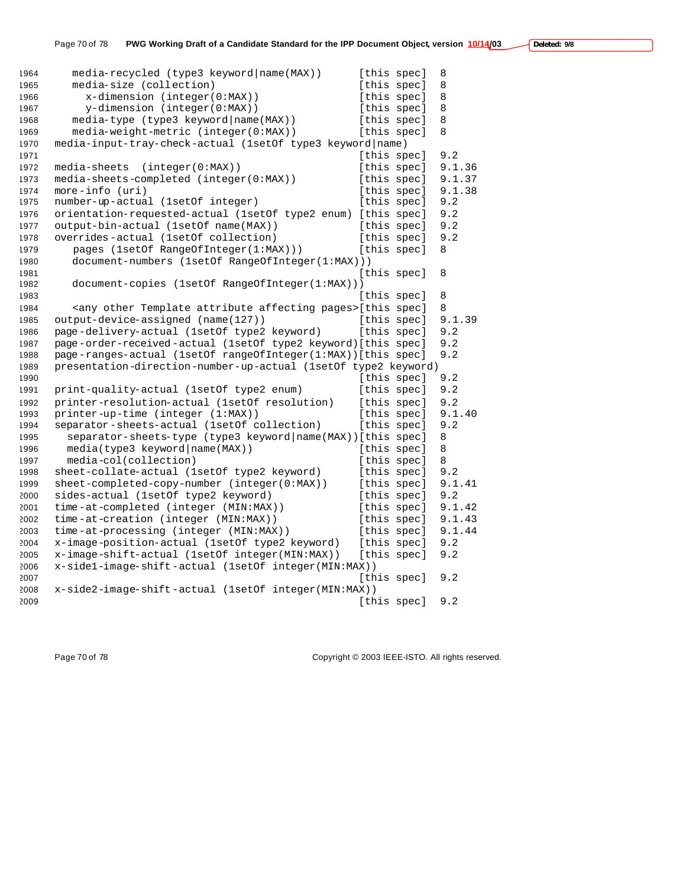| 1964 | media-recycled (type3 keyword   name (MAX))                                    | [this spec] |             | 8      |
|------|--------------------------------------------------------------------------------|-------------|-------------|--------|
| 1965 | media-size (collection)                                                        | [this spec] |             | 8      |
| 1966 | $x$ -dimension (integer(0:MAX))                                                | [this spec] |             | 8      |
| 1967 | y-dimension (integer(0:MAX))                                                   |             | [this spec] | 8      |
| 1968 | media-type (type3 keyword   name(MAX))                                         | [this spec] |             | 8      |
| 1969 | media-weight-metric (integer(0:MAX))                                           | [this spec] |             | 8      |
| 1970 | media-input-tray-check-actual (1setOf type3 keyword name)                      |             |             |        |
| 1971 |                                                                                | [this spec] |             | 9.2    |
| 1972 | media-sheets<br>(integer(0:MAX))                                               | [this spec] |             | 9.1.36 |
| 1973 | media-sheets-completed (integer(0:MAX))                                        | [this spec] |             | 9.1.37 |
| 1974 | $more - info (uri)$                                                            | [this spec] |             | 9.1.38 |
| 1975 | number-up-actual (1setOf integer)                                              | [this spec] |             | 9.2    |
| 1976 | orientation-requested-actual (1setOf type2 enum) [this spec]                   |             |             | 9.2    |
| 1977 | output-bin-actual (1setOf name(MAX))                                           | [this spec] |             | 9.2    |
| 1978 | overrides-actual (1set of collection)                                          | [this spec] |             | 9.2    |
| 1979 | pages (1setOf RangeOfInteger(1:MAX)))                                          | [this spec] |             | 8      |
| 1980 | document-numbers (1setOf RangeOfInteger(1:MAX)))                               |             |             |        |
| 1981 |                                                                                | [this spec] |             | 8      |
| 1982 | document-copies (1setOf RangeOfInteger(1:MAX)))                                |             |             |        |
| 1983 |                                                                                | [this spec] |             | 8      |
| 1984 | <any affecting="" attribute="" other="" pages="" template="">[this spec]</any> |             |             | 8      |
| 1985 | output-device-assigned (name(127))                                             | [this spec] |             | 9.1.39 |
| 1986 | page-delivery-actual (1setOf type2 keyword)                                    | [this spec] |             | 9.2    |
| 1987 | page-order-received-actual (1setOf type2 keyword)[this spec]                   |             |             | 9.2    |
| 1988 | page-ranges-actual (1setOf rangeOfInteger(1:MAX))[this spec]                   |             |             | 9.2    |
| 1989 | presentation-direction-number-up-actual (1setOf type2 keyword)                 |             |             |        |
| 1990 |                                                                                | [this spec] |             | 9.2    |
| 1991 | print-quality-actual (1setOf type2 enum)                                       | [this spec] |             | 9.2    |
| 1992 | printer-resolution-actual (1setOf resolution)                                  | [this spec] |             | 9.2    |
| 1993 | printer-up-time (integer (1:MAX))                                              | [this spec] |             | 9.1.40 |
| 1994 | separator-sheets-actual (1setOf collection)                                    | [this spec] |             | 9.2    |
| 1995 | separator-sheets-type (type3 keyword   name (MAX) ) [this spec]                |             |             | 8      |
| 1996 | media(type3 keyword   name(MAX))                                               | [this spec] |             | 8      |
| 1997 | media-col(collection)                                                          | [this spec] |             | 8      |
| 1998 | sheet-collate-actual (1setOf type2 keyword)                                    | [this spec] |             | 9.2    |
| 1999 | sheet-completed-copy-number (integer(0:MAX))                                   | [this spec] |             | 9.1.41 |
| 2000 | sides-actual (1setOf type2 keyword)                                            | [this spec] |             | 9.2    |
| 2001 | time-at-completed (integer (MIN:MAX))                                          | [this spec] |             | 9.1.42 |
| 2002 | time-at-creation (integer (MIN:MAX))                                           | [this spec] |             | 9.1.43 |
| 2003 | time-at-processing (integer (MIN:MAX))                                         | [this spec] |             | 9.1.44 |
| 2004 | x-image-position-actual (1setOf type2 keyword)                                 | [this spec] |             | 9.2    |
| 2005 | x-image-shift-actual (1setOf integer(MIN:MAX))                                 | [this spec] |             | 9.2    |
| 2006 | x-sidel-image-shift-actual (1setOf integer(MIN:MAX))                           |             |             |        |
| 2007 |                                                                                | [this spec] |             | 9.2    |
| 2008 | x-side2-image-shift-actual (1setOf integer(MIN:MAX))                           |             |             |        |
| 2009 |                                                                                | [this spec] |             | 9.2    |

Page 70 of 78 Copyright © 2003 IEEE-ISTO. All rights reserved.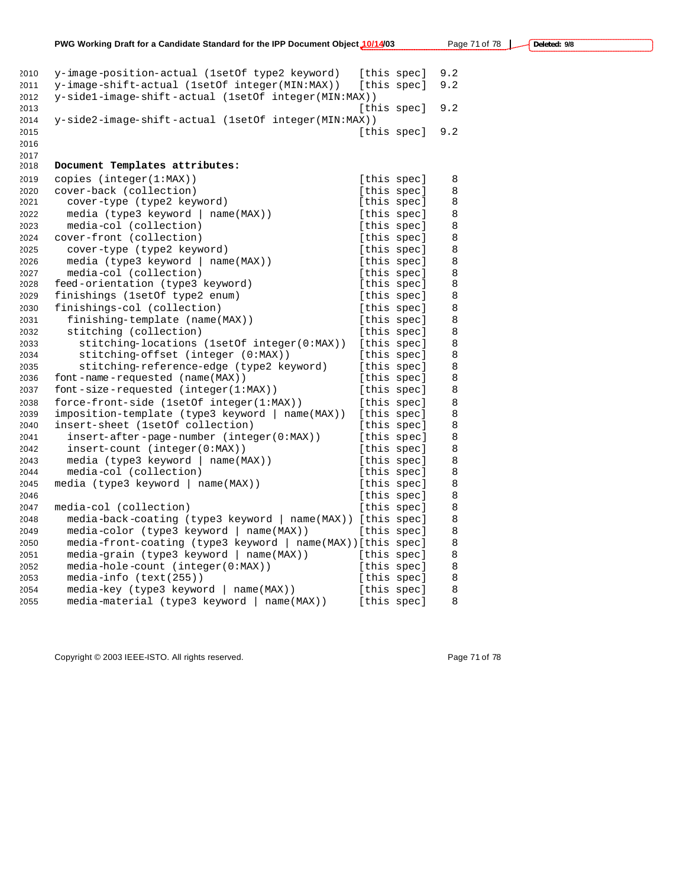| 2010 | y-image-position-actual (1setOf type2 keyword)              |             | [this spec] | 9.2 |
|------|-------------------------------------------------------------|-------------|-------------|-----|
| 2011 | y-image-shift-actual (1setOf integer(MIN:MAX))              |             | [this spec] | 9.2 |
| 2012 | y-sidel-image-shift-actual (1setOf integer(MIN:MAX))        |             |             |     |
| 2013 |                                                             |             | [this spec] | 9.2 |
| 2014 | y-side2-image-shift-actual (1setOf integer(MIN:MAX))        |             |             |     |
| 2015 |                                                             |             | [this spec] | 9.2 |
| 2016 |                                                             |             |             |     |
| 2017 |                                                             |             |             |     |
| 2018 | Document Templates attributes:                              |             |             |     |
| 2019 | copies $(inteqer(1:MAX))$                                   |             | [this spec] | 8   |
| 2020 | cover-back (collection)                                     |             | [this spec] | 8   |
| 2021 | cover-type (type2 keyword)                                  |             | [this spec] | 8   |
| 2022 | media (type3 keyword   name(MAX))                           |             | [this spec] | 8   |
| 2023 | media-col (collection)                                      |             | [this spec] | 8   |
| 2024 | cover-front (collection)                                    |             | [this spec] | 8   |
| 2025 | cover-type (type2 keyword)                                  |             | [this spec] | 8   |
| 2026 | media (type3 keyword   name(MAX))                           |             | [this spec] | 8   |
| 2027 | media-col (collection)                                      |             | [this spec] | 8   |
| 2028 | feed-orientation (type3 keyword)                            |             | [this spec] | 8   |
| 2029 | finishings (1setOf type2 enum)                              |             | [this spec] | 8   |
| 2030 | finishings-col (collection)                                 |             | [this spec] | 8   |
| 2031 | finishing-template (name(MAX))                              |             | [this spec] | 8   |
| 2032 | stitching (collection)                                      |             | [this spec] | 8   |
| 2033 | stitching-locations (1setOf integer(0:MAX))                 |             | [this spec] | 8   |
| 2034 | stitching-offset (integer (0:MAX))                          |             | [this spec] | 8   |
| 2035 | stitching-reference-edge (type2 keyword)                    |             | [this spec] | 8   |
| 2036 | font-name-requested (name(MAX))                             |             | [this spec] | 8   |
| 2037 | $font-size-requested (integer(1:MAX))$                      |             | [this spec] | 8   |
| 2038 | force-front-side (1setOf integer(1:MAX))                    |             | [this spec] | 8   |
| 2039 | imposition-template (type3 keyword   name(MAX))             |             | [this spec] | 8   |
| 2040 | insert-sheet (1setOf collection)                            |             | [this spec] | 8   |
| 2041 | insert-after-page-number (integer(0:MAX))                   |             | [this spec] | 8   |
| 2042 | $insert-count (integer(0:MAX))$                             |             | [this spec] | 8   |
| 2043 | media (type3 keyword   name(MAX))                           |             | [this spec] | 8   |
| 2044 | media-col (collection)                                      |             | [this spec] | 8   |
| 2045 | $media$ (type3 keyword   name(MAX))                         |             | [this spec] | 8   |
| 2046 |                                                             |             | [this spec] | 8   |
| 2047 | media-col (collection)                                      |             | [this spec] | 8   |
| 2048 | media-back-coating (type3 keyword   name(MAX)) [this spec]  |             |             | 8   |
| 2049 | media-color (type3 keyword   name(MAX))                     |             | [this spec] | 8   |
| 2050 | media-front-coating (type3 keyword   name(MAX)) [this spec] |             |             | 8   |
| 2051 | media-grain (type3 keyword   name(MAX))                     | [this spec] |             | 8   |
| 2052 | $media-hole-count (integer(0:MAX))$                         |             | [this spec] | 8   |
| 2053 | media-info (text(255))                                      |             | [this spec] | 8   |
| 2054 | $media$ -key (type3 keyword   name(MAX))                    | [this spec] |             | 8   |
| 2055 | media-material (type3 keyword   name(MAX))                  | [this spec] |             | 8   |
|      |                                                             |             |             |     |

Copyright © 2003 IEEE-ISTO. All rights reserved. example 2003 1999 71 of 78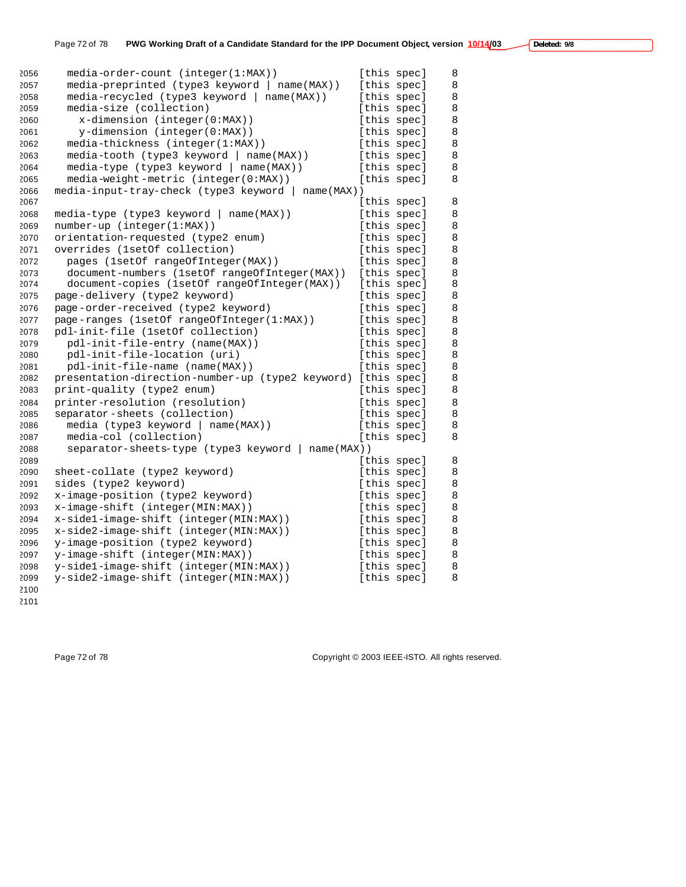| 2056 | media-order-count (integer(1:MAX))                           |             | [this spec] | 8       |
|------|--------------------------------------------------------------|-------------|-------------|---------|
| 2057 | media-preprinted (type3 keyword   name(MAX))                 |             | [this spec] | 8       |
| 2058 | media-recycled (type3 keyword   name(MAX))                   |             | [this spec] | 8       |
| 2059 | media-size (collection)                                      |             | [this spec] | 8       |
| 2060 | $x$ -dimension (integer( $0:MAX$ ))                          |             | [this spec] | 8       |
| 2061 | y-dimension (integer(0:MAX))                                 |             | [this spec] | 8       |
| 2062 | media-thickness (integer(1:MAX))                             |             | [this spec] | 8       |
| 2063 | media-tooth (type3 keyword   name(MAX))                      |             | [this spec] | 8       |
| 2064 | $media-type (type3 keyword   name(MAX))$                     |             | [this spec] | 8       |
| 2065 | media-weight-metric (integer(0:MAX))                         |             | [this spec] | 8       |
| 2066 | media-input-tray-check (type3 keyword   name(MAX))           |             |             |         |
| 2067 |                                                              |             | [this spec] | 8       |
| 2068 | $media-type (type3 keyword   name(MAX))$                     |             | [this spec] | 8       |
| 2069 | number-up (integer(1:MAX))                                   |             | [this spec] | 8       |
| 2070 | orientation-requested (type2 enum)                           |             | [this spec] | 8       |
| 2071 | overrides (1setOf collection)                                |             | [this spec] | 8       |
| 2072 | pages (1setOf rangeOfInteger(MAX))                           |             | [this spec] | 8       |
| 2073 | document-numbers (1setOf rangeOfInteger(MAX))                |             | [this spec] | 8       |
| 2074 | document-copies (1setOf rangeOfInteger(MAX))                 |             | [this spec] | 8       |
| 2075 | page-delivery (type2 keyword)                                |             | [this spec] | 8       |
| 2076 | page-order-received (type2 keyword)                          |             | [this spec] | 8       |
| 2077 | page-ranges (1setOf rangeOfInteger(1:MAX))                   |             | [this spec] | 8       |
| 2078 | pdl-init-file (1setOf collection)                            |             | [this spec] | $\,8\,$ |
| 2079 | pdl-init-file-entry (name(MAX))                              |             | [this spec] | 8       |
| 2080 | pdl-init-file-location (uri)                                 |             | [this spec] | 8       |
| 2081 | pdl-init-file-name (name(MAX))                               |             | [this spec] | 8       |
| 2082 | presentation-direction-number-up (type2 keyword) [this spec] |             |             | 8       |
| 2083 | print-quality (type2 enum)                                   |             | [this spec] | 8       |
| 2084 | printer-resolution (resolution)                              |             | [this spec] | $\,8\,$ |
| 2085 | separator-sheets (collection)                                |             | [this spec] | 8       |
| 2086 | media (type3 keyword   name(MAX))                            |             | [this spec] | 8       |
| 2087 | media-col (collection)                                       |             | [this spec] | 8       |
| 2088 | separator-sheets-type (type3 keyword   name(MAX))            |             |             |         |
| 2089 |                                                              |             | [this spec] | 8       |
| 2090 | sheet-collate (type2 keyword)                                |             | [this spec] | 8       |
| 2091 | sides (type2 keyword)                                        |             | [this spec] | 8       |
| 2092 | x-image-position (type2 keyword)                             |             | [this spec] | 8       |
| 2093 | x-image-shift (integer(MIN:MAX))                             | [this spec] |             | 8       |
| 2094 | x-side1-image-shift (integer(MIN:MAX))                       |             | [this spec] | 8       |
| 2095 | x-side2-image-shift (integer(MIN:MAX))                       |             |             | 8       |
|      |                                                              |             | [this spec] |         |
| 2096 | y-image-position (type2 keyword)                             | [this spec] |             | 8       |
| 2097 | y-image-shift (integer(MIN:MAX))                             | [this spec] |             | 8       |
| 2098 | y-sidel-image-shift (integer(MIN:MAX))                       |             | [this spec] | 8       |
| 2099 | y-side2-image-shift (integer(MIN:MAX))                       |             | [this spec] | 8       |
| 2100 |                                                              |             |             |         |

Page 72 of 78 Copyright © 2003 IEEE-ISTO. All rights reserved.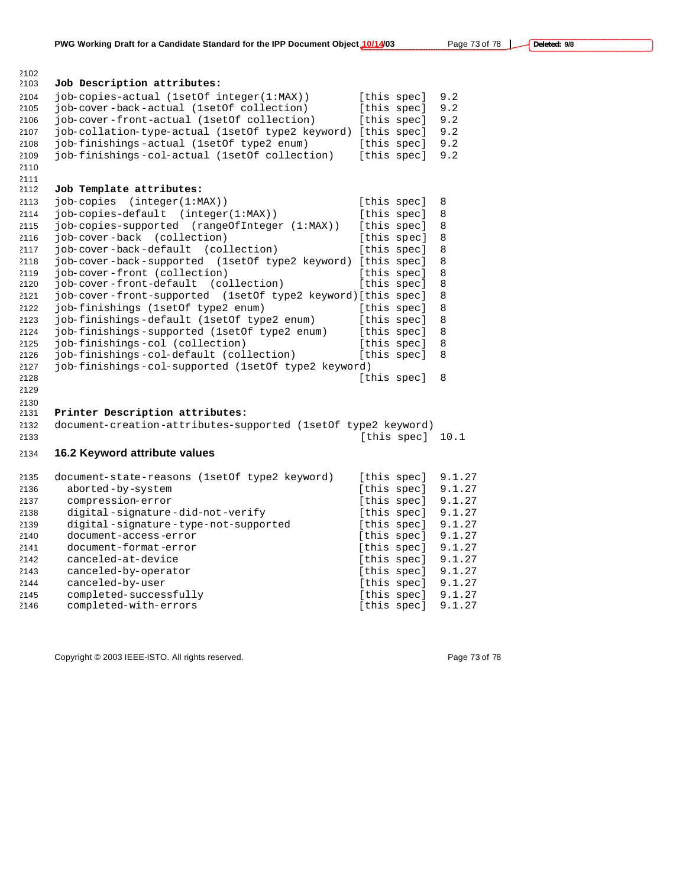| 2103 | Job Description attributes:                                   |             |        |
|------|---------------------------------------------------------------|-------------|--------|
| 2104 | job-copies-actual (1setOf integer(1:MAX))                     | [this spec] | 9.2    |
| 2105 | job-cover-back-actual (1setOf collection)                     | [this spec] | 9.2    |
| 2106 | job-cover-front-actual (1setOf collection)                    | [this spec] | 9.2    |
| 2107 | job-collation-type-actual (1setOf type2 keyword)              | [this spec] | 9.2    |
| 2108 | job-finishings-actual (1setOf type2 enum)                     | [this spec] | 9.2    |
| 2109 | job-finishings-col-actual (1setOf collection)                 | [this spec] | 9.2    |
| 2110 |                                                               |             |        |
| 2111 |                                                               |             |        |
| 2112 | Job Template attributes:                                      |             |        |
| 2113 | job-copies<br>(integer(1:MAX))                                | [this spec] | 8      |
| 2114 | job-copies-default (integer(1:MAX))                           | [this spec] | 8      |
| 2115 | job-copies-supported (rangeOfInteger (1:MAX))                 | [this spec] | 8      |
| 2116 | job-cover-back (collection)                                   | [this spec] | 8      |
| 2117 | job-cover-back-default (collection)                           | [this spec] | 8      |
| 2118 | job-cover-back-supported (1setOf type2 keyword) [this spec]   |             | 8      |
| 2119 | job-cover-front (collection)                                  | [this spec] | 8      |
| 2120 | job-cover-front-default<br>(collection)                       | [this spec] | 8      |
| 2121 | job-cover-front-supported (1setOf type2 keyword)[this spec]   |             | 8      |
| 2122 | job-finishings (1setOf type2 enum)                            | [this spec] | 8      |
| 2123 | job-finishings-default (1setOf type2 enum)                    | [this spec] | 8      |
| 2124 | job-finishings-supported (1setOf type2 enum)                  | [this spec] | 8      |
| 2125 | job-finishings-col (collection)                               | [this spec] | 8      |
| 2126 | job-finishings-col-default (collection)                       | [this spec] | 8      |
| 2127 | job-finishings-col-supported (1setOf type2 keyword)           |             |        |
| 2128 |                                                               | [this spec] | 8      |
| 2129 |                                                               |             |        |
| 2130 |                                                               |             |        |
| 2131 | Printer Description attributes:                               |             |        |
| 2132 | document-creation-attributes-supported (1setOf type2 keyword) |             |        |
| 2133 |                                                               | [this spec] | 10.1   |
| 2134 | 16.2 Keyword attribute values                                 |             |        |
|      |                                                               |             |        |
| 2135 | document-state-reasons (1setOf type2 keyword)                 | [this spec] | 9.1.27 |
| 2136 | aborted-by-system                                             | [this spec] | 9.1.27 |
| 2137 | compression-error                                             | [this spec] | 9.1.27 |
| 2138 | digital-signature-did-not-verify                              | [this spec] | 9.1.27 |
| 2139 | digital-signature-type-not-supported                          | [this spec] | 9.1.27 |
| 2140 | document-access-error                                         | [this spec] | 9.1.27 |
| 2141 | document-format-error                                         | [this spec] | 9.1.27 |
| 2142 | canceled-at-device                                            | [this spec] | 9.1.27 |
| 2143 | canceled-by-operator                                          | [this spec] | 9.1.27 |
| 2144 | canceled-by-user                                              | [this spec] | 9.1.27 |
| 2145 | completed-successfully                                        | [this spec] | 9.1.27 |

completed-successfully [this spec] 9.1.27

Copyright © 2003 IEEE-ISTO. All rights reserved. experience that the page 73 of 78

completed-with-errors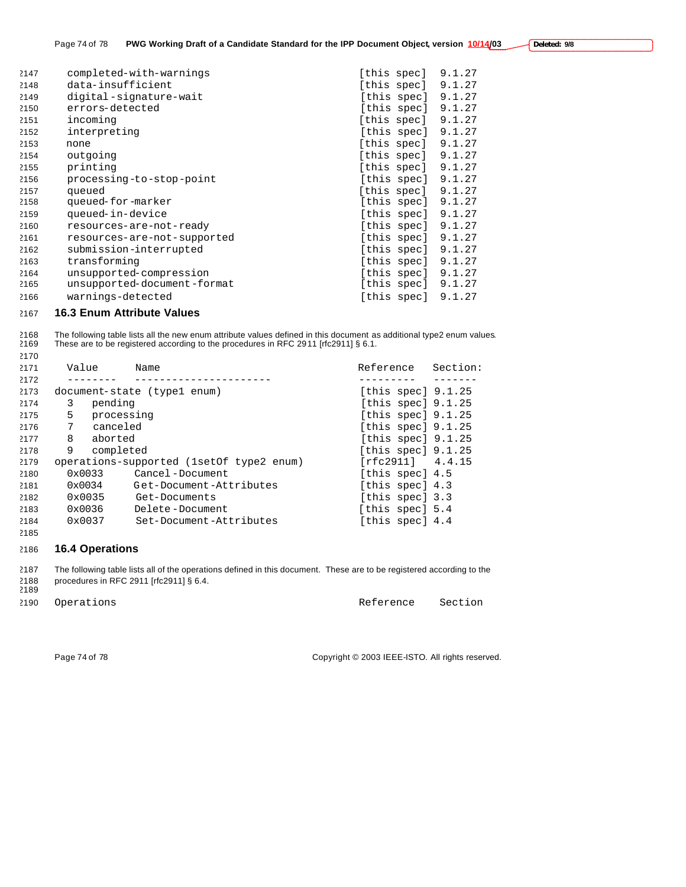| Deleted: 9/8 |  |
|--------------|--|
|--------------|--|

| 2147 | completed-with-warnings     | [this spec] | 9.1.27 |
|------|-----------------------------|-------------|--------|
| 2148 | data-insufficient           | [this spec] | 9.1.27 |
| 2149 | digital-signature-wait      | [this spec] | 9.1.27 |
| 2150 | errors-detected             | [this spec] | 9.1.27 |
| 2151 | incoming                    | [this spec] | 9.1.27 |
| 2152 | interpreting                | [this spec] | 9.1.27 |
| 2153 | none                        | [this spec] | 9.1.27 |
| 2154 | outgoing                    | [this spec] | 9.1.27 |
| 2155 | printing                    | [this spec] | 9.1.27 |
| 2156 | processing-to-stop-point    | [this spec] | 9.1.27 |
| 2157 | queued                      | [this spec] | 9.1.27 |
| 2158 | queued-for-marker           | [this spec] | 9.1.27 |
| 2159 | queued-in-device            | [this spec] | 9.1.27 |
| 2160 | resources-are-not-ready     | [this spec] | 9.1.27 |
| 2161 | resources-are-not-supported | [this spec] | 9.1.27 |
| 2162 | submission-interrupted      | [this spec] | 9.1.27 |
| 2163 | transforming                | [this spec] | 9.1.27 |
| 2164 | unsupported-compression     | [this spec] | 9.1.27 |
| 2165 | unsupported-document-format | [this spec] | 9.1.27 |
| 2166 | warnings-detected           | [this spec] | 9.1.27 |
|      |                             |             |        |

#### **16.3 Enum Attribute Values**

2168 The following table lists all the new enum attribute values defined in this document as additional type2 enum values.<br>2169 These are to be registered according to the procedures in RFC 2911 [rfc2911] § 6.1. These are to be registered according to the procedures in RFC 2911 [rfc2911] § 6.1.

| 2171 | Value           | Name                                       | Reference            | Section: |
|------|-----------------|--------------------------------------------|----------------------|----------|
| 2172 |                 |                                            |                      |          |
| 2173 |                 | document-state (type1 enum)                | [this spec] $9.1.25$ |          |
| 2174 | 3<br>pending    |                                            | [this spec] $9.1.25$ |          |
| 2175 | 5               | processing                                 | [this spec] $9.1.25$ |          |
| 2176 | 7<br>canceled   |                                            | [this spec] $9.1.25$ |          |
| 2177 | 8<br>aborted    |                                            | [this spec] $9.1.25$ |          |
| 2178 | 9               | completed                                  | [this spec] $9.1.25$ |          |
| 2179 |                 | operations-supported (1set of type 2 enum) | [rfc2911] 4.4.15     |          |
| 2180 | $0 \times 0033$ | Cancel-Document                            | [this spec] 4.5      |          |
| 2181 | $0 \times 0034$ | Get-Document-Attributes                    | [this spec] 4.3      |          |
| 2182 | $0 \times 0035$ | Get-Documents                              | [this spec] 3.3      |          |
| 2183 | 0x0036          | Delete-Document                            | [this spec] 5.4      |          |
| 2184 | $0 \times 0037$ | Set-Document-Attributes                    | [this spec] 4.4      |          |
| 2185 |                 |                                            |                      |          |

### **16.4 Operations**

 The following table lists all of the operations defined in this document. These are to be registered according to the procedures in RFC 2911 [rfc2911] § 6.4. 

2190 Operations and the contract of the Reference Section

Page 74 of 78 Copyright © 2003 IEEE-ISTO. All rights reserved.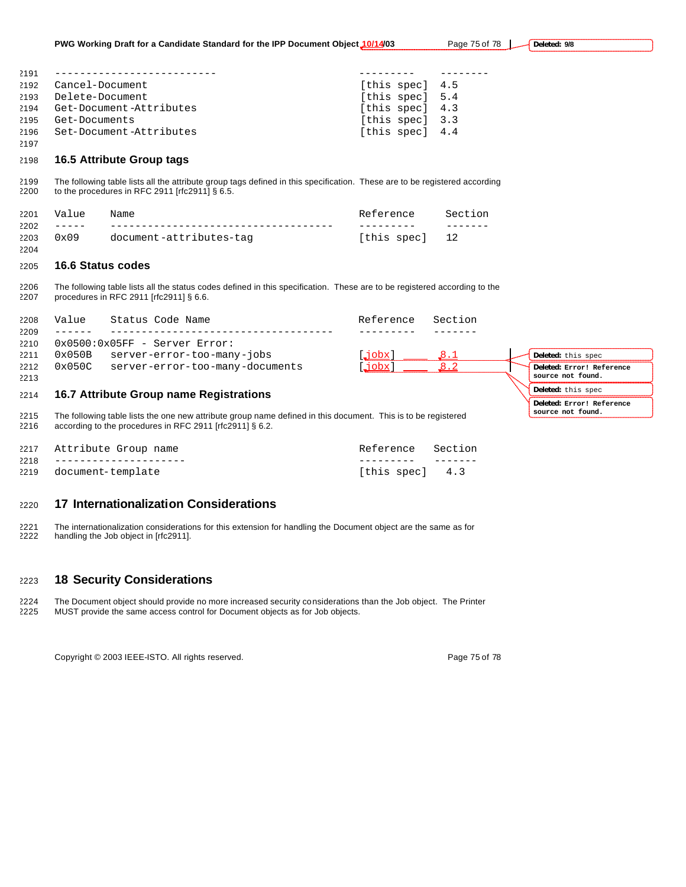| 2191 | _______________________ |                 |  |
|------|-------------------------|-----------------|--|
| 2192 | Cancel-Document         | [this spec] 4.5 |  |
|      | 2193 Delete-Document    | [this spec] 5.4 |  |
| 2194 | Get-Document-Attributes | [this spec] 4.3 |  |
| 2195 | Get-Documents           | [this spec] 3.3 |  |
| 2196 | Set-Document-Attributes | [this spec] 4.4 |  |
| 2197 |                         |                 |  |

#### **16.5 Attribute Group tags**

 The following table lists all the attribute group tags defined in this specification. These are to be registered according to the procedures in RFC 2911 [rfc2911] § 6.5.

| 2201 | Value | Name                    | Reference Section |  |
|------|-------|-------------------------|-------------------|--|
| 2202 |       |                         |                   |  |
| 2203 | 0x09  | document-attributes-tag | [this spec] 12    |  |
| 2204 |       |                         |                   |  |

#### **16.6 Status codes**

 The following table lists all the status codes defined in this specification. These are to be registered according to the procedures in RFC 2911 [rfc2911] § 6.6.

| 2208 | Value  | Status Code Name                                                                                              | Reference | Section               |                           |
|------|--------|---------------------------------------------------------------------------------------------------------------|-----------|-----------------------|---------------------------|
| 2209 |        |                                                                                                               |           |                       |                           |
| 2210 |        | $0x0500:0x05FF - Server Error:$                                                                               |           |                       |                           |
| 2211 | 0x050B | server-error-too-many-jobs                                                                                    | .jobx ]   | $\mathcal{S} \cdot 1$ | Deleted: this spec        |
| 2212 | 0x050C | server-error-too-many-documents                                                                               | .jobx ]   | $\sqrt{8.2}$          | Deleted: Error! Reference |
| 2213 |        |                                                                                                               |           |                       | source not found.         |
| 2214 |        | 16.7 Attribute Group name Registrations                                                                       |           |                       | Deleted: this spec        |
|      |        |                                                                                                               |           |                       | Deleted: Error! Reference |
| 2215 |        | The following table lists the one new attribute group name defined in this document. This is to be registered |           |                       | source not found.         |
| 2216 |        | according to the procedures in RFC 2911 [rfc2911] § 6.2.                                                      |           |                       |                           |
|      |        |                                                                                                               |           |                       |                           |

| 2217 Attribute Group name                    | Reference Section |  |
|----------------------------------------------|-------------------|--|
| $2218 - - - - - - - - - - - - - - - - - - -$ |                   |  |
| 2219 document-template                       | [this spec] 4.3   |  |

#### **17 Internationalization Considerations**

 The internationalization considerations for this extension for handling the Document object are the same as for handling the Job object in [rfc2911].

#### **18 Security Considerations**

 The Document object should provide no more increased security considerations than the Job object. The Printer MUST provide the same access control for Document objects as for Job objects.

Copyright © 2003 IEEE-ISTO. All rights reserved. The example of 78 of 78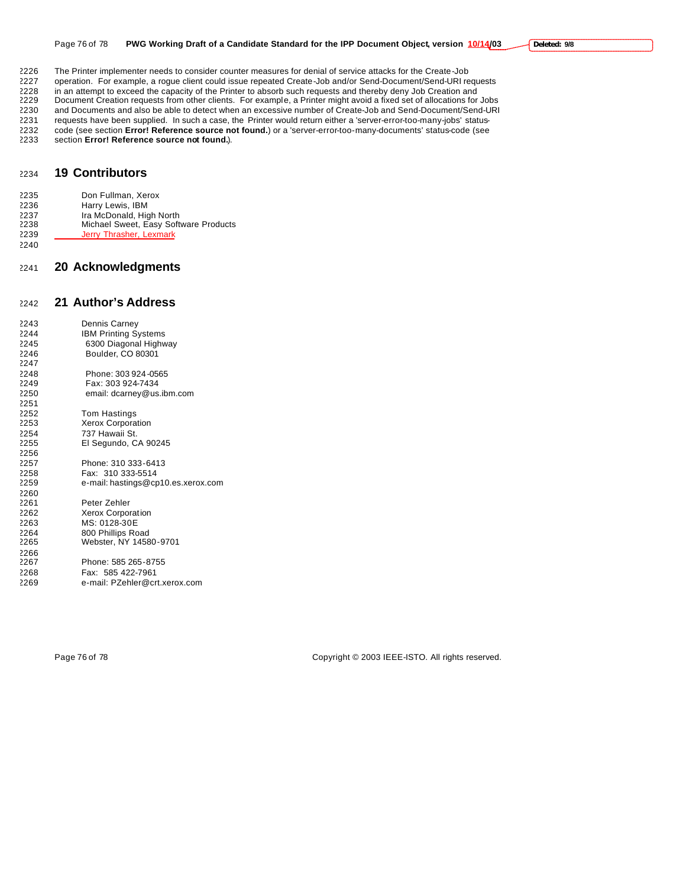2226 The Printer implementer needs to consider counter measures for denial of service attacks for the Create-Job<br>2227 operation. For example, a roque client could issue repeated Create-Job and/or Send-Document/Send-URI re

operation. For example, a rogue client could issue repeated Create-Job and/or Send-Document/Send-URI requests

2228 in an attempt to exceed the capacity of the Printer to absorb such requests and thereby deny Job Creation and<br>2229 Document Creation requests from other clients. For example, a Printer might avoid a fixed set of alloc

2229 Document Creation requests from other clients. For example, a Printer might avoid a fixed set of allocations for Jobs<br>2230 and Documents and also be able to detect when an excessive number of Create-Job and Send-Docum and Documents and also be able to detect when an excessive number of Create-Job and Send-Document/Send-URI

2231 requests have been supplied. In such a case, the Printer would return either a 'server-error-too-many-jobs' status-<br>2232 code (see section Error! Reference source not found.) or a 'server-error-too-many-documents' sta code (see section **Error! Reference source not found.**) or a 'server-error-too-many-documents' status-code (see

section **Error! Reference source not found.**).

### **19 Contributors**

- Don Fullman, Xerox
- Harry Lewis, IBM
- 2237 Ira McDonald, High North<br>2238 Michael Sweet, Easy Soft
- Michael Sweet, Easy Software Products Jerry Thrasher, Lexmark
- 

#### **20 Acknowledgments**

#### **21 Author's Address**

| 2243<br>2244 | Dennis Carney<br><b>IBM Printing Systems</b> |
|--------------|----------------------------------------------|
| 2245         | 6300 Diagonal Highway                        |
| 2246         | Boulder, CO 80301                            |
| 2247         |                                              |
| 2248         | Phone: 303 924 -0565                         |
| 2249         | Fax: 303 924-7434                            |
| 2250         | email: dcarney@us.ibm.com                    |
| 2251         |                                              |
| 2252         | Tom Hastings                                 |
| 2253         | <b>Xerox Corporation</b>                     |
| 2254         | 737 Hawaii St.                               |
| 2255         | El Segundo, CA 90245                         |
| 2256         |                                              |
| 2257         | Phone: 310 333-6413                          |
| 2258         | Fax: 310 333-5514                            |
| 2259         | e-mail: hastings@cp10.es.xerox.com           |
| 2260         |                                              |
| 2261         | Peter Zehler                                 |
| 2262         | Xerox Corporation                            |
| 2263         | MS: 0128-30E                                 |
| 2264         | 800 Phillips Road                            |
| 2265         | Webster, NY 14580-9701                       |
| 2266         |                                              |
| 2267         | Phone: 585 265-8755                          |
| 2268         | Fax: 585 422-7961                            |
| 2269         | e-mail: PZehler@crt.xerox.com                |

Page 76 of 78 Copyright © 2003 IEEE-ISTO. All rights reserved.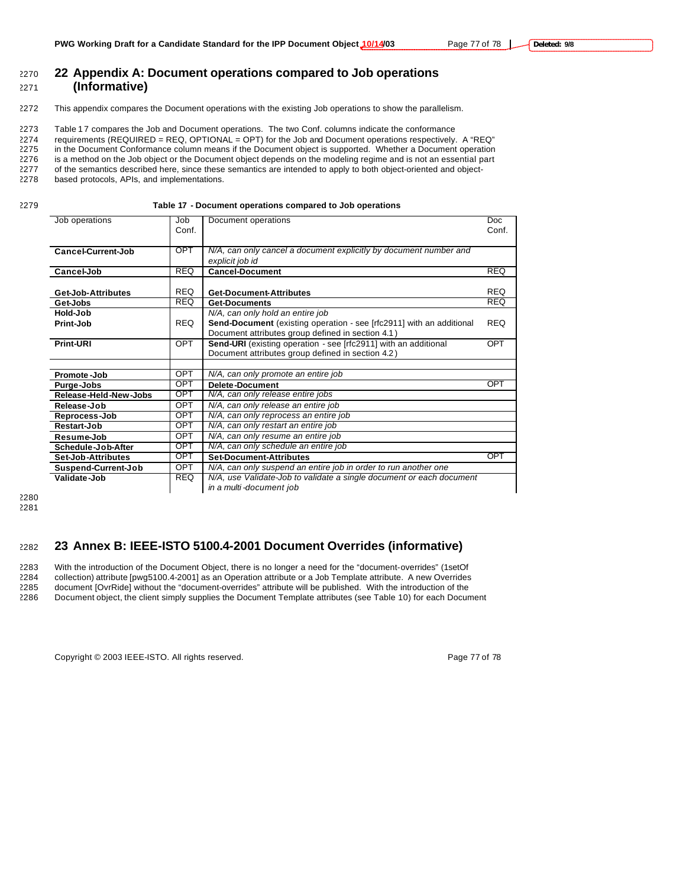# <sup>2270</sup> **22 Appendix A: Document operations compared to Job operations**

## <sup>2271</sup> **(Informative)**

2272 This appendix compares the Document operations with the existing Job operations to show the parallelism.

2273 Table 17 compares the Job and Document operations. The two Conf. columns indicate the conformance

2274 requirements (REQUIRED = REQ, OPTIONAL = OPT) for the Job and Document operations respectively. A "REQ"

2275 in the Document Conformance column means if the Document object is supported. Whether a Document operation

2276 is a method on the Job object or the Document object depends on the modeling regime and is not an essential part

2277 of the semantics described here, since these semantics are intended to apply to both object-oriented and object-

2278 based protocols, APIs, and implementations.

2279 **Table 17 - Document operations compared to Job operations**

| Job operations        | Job                                                                                | Document operations                                                    | <b>Doc</b> |
|-----------------------|------------------------------------------------------------------------------------|------------------------------------------------------------------------|------------|
|                       | Conf.                                                                              |                                                                        | Conf.      |
|                       |                                                                                    |                                                                        |            |
| Cancel-Current-Job    | <b>OPT</b>                                                                         | N/A, can only cancel a document explicitly by document number and      |            |
|                       |                                                                                    | explicit job id                                                        |            |
| Cancel-Job            | <b>REQ</b>                                                                         | <b>Cancel-Document</b>                                                 | <b>REQ</b> |
|                       |                                                                                    |                                                                        |            |
| Get-Job-Attributes    | <b>REQ</b>                                                                         | <b>Get-Document-Attributes</b>                                         | <b>REQ</b> |
| Get-Jobs              | <b>REQ</b>                                                                         | <b>Get-Documents</b>                                                   | <b>REQ</b> |
| Hold-Job              |                                                                                    | N/A, can only hold an entire job                                       |            |
| Print-Job             | <b>REQ</b>                                                                         | Send-Document (existing operation - see [rfc2911] with an additional   | <b>REQ</b> |
|                       |                                                                                    | Document attributes group defined in section 4.1)                      |            |
| Print-URI             | <b>OPT</b>                                                                         | <b>Send-URI</b> (existing operation - see [rfc2911] with an additional | <b>OPT</b> |
|                       |                                                                                    | Document attributes group defined in section 4.2)                      |            |
|                       |                                                                                    |                                                                        |            |
| Promote-Job           | <b>OPT</b>                                                                         | N/A, can only promote an entire job                                    |            |
| Purge-Jobs            | OPT                                                                                | Delete-Document                                                        | <b>OPT</b> |
| Release-Held-New-Jobs | <b>OPT</b>                                                                         | N/A, can only release entire jobs                                      |            |
| Release-Job           | <b>OPT</b>                                                                         | N/A, can only release an entire job                                    |            |
| Reprocess-Job         | OPT                                                                                | N/A, can only reprocess an entire job                                  |            |
| Restart-Job           | OPT                                                                                | N/A, can only restart an entire job                                    |            |
| Resume-Job            | OPT                                                                                | N/A, can only resume an entire job                                     |            |
| Schedule-Job-After    | <b>OPT</b><br>N/A, can only schedule an entire job                                 |                                                                        |            |
| Set-Job-Attributes    | <b>OPT</b>                                                                         | <b>Set-Document-Attributes</b>                                         | OPT        |
| Suspend-Current-Job   | <b>OPT</b>                                                                         | N/A, can only suspend an entire job in order to run another one        |            |
| Validate-Job          | N/A, use Validate-Job to validate a single document or each document<br><b>REQ</b> |                                                                        |            |
|                       |                                                                                    | in a multi-document job                                                |            |

2280 2281

### <sup>2282</sup> **23 Annex B: IEEE-ISTO 5100.4-2001 Document Overrides (informative)**

2283 With the introduction of the Document Object, there is no longer a need for the "document-overrides" (1setOf 2284 collection) attribute [pwg5100.4-2001] as an Operation attribute or a Job Template attribute. A new Overrides

2285 document [OvrRide] without the "document-overrides" attribute will be published. With the introduction of the 2286 Document object, the client simply supplies the Document Template attributes (see Table 10) for each Document

Copyright © 2003 IEEE-ISTO. All rights reserved. Page 77 of 78